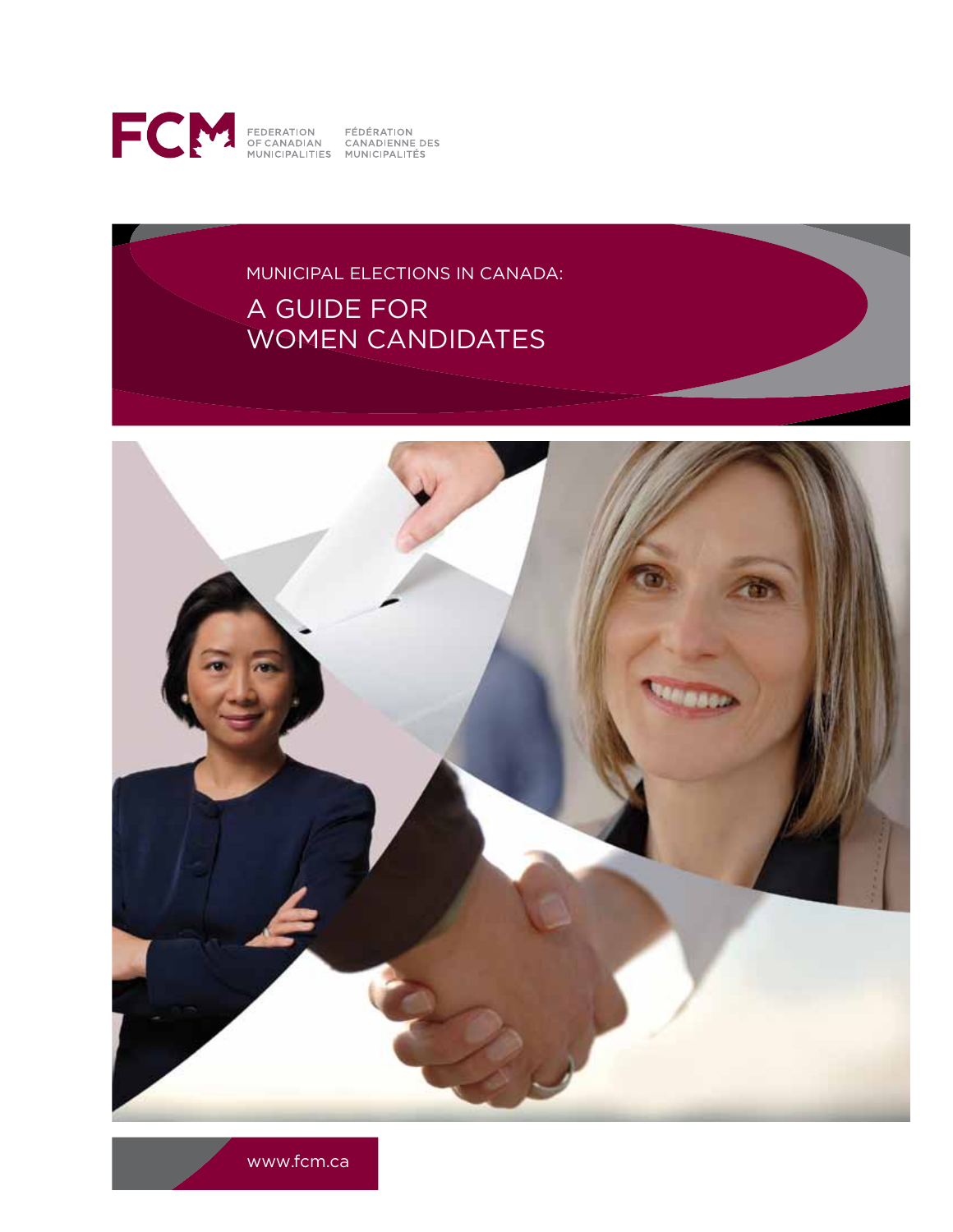

# Municipal Elections in Canada: a guide for women candidates



www.fcm.ca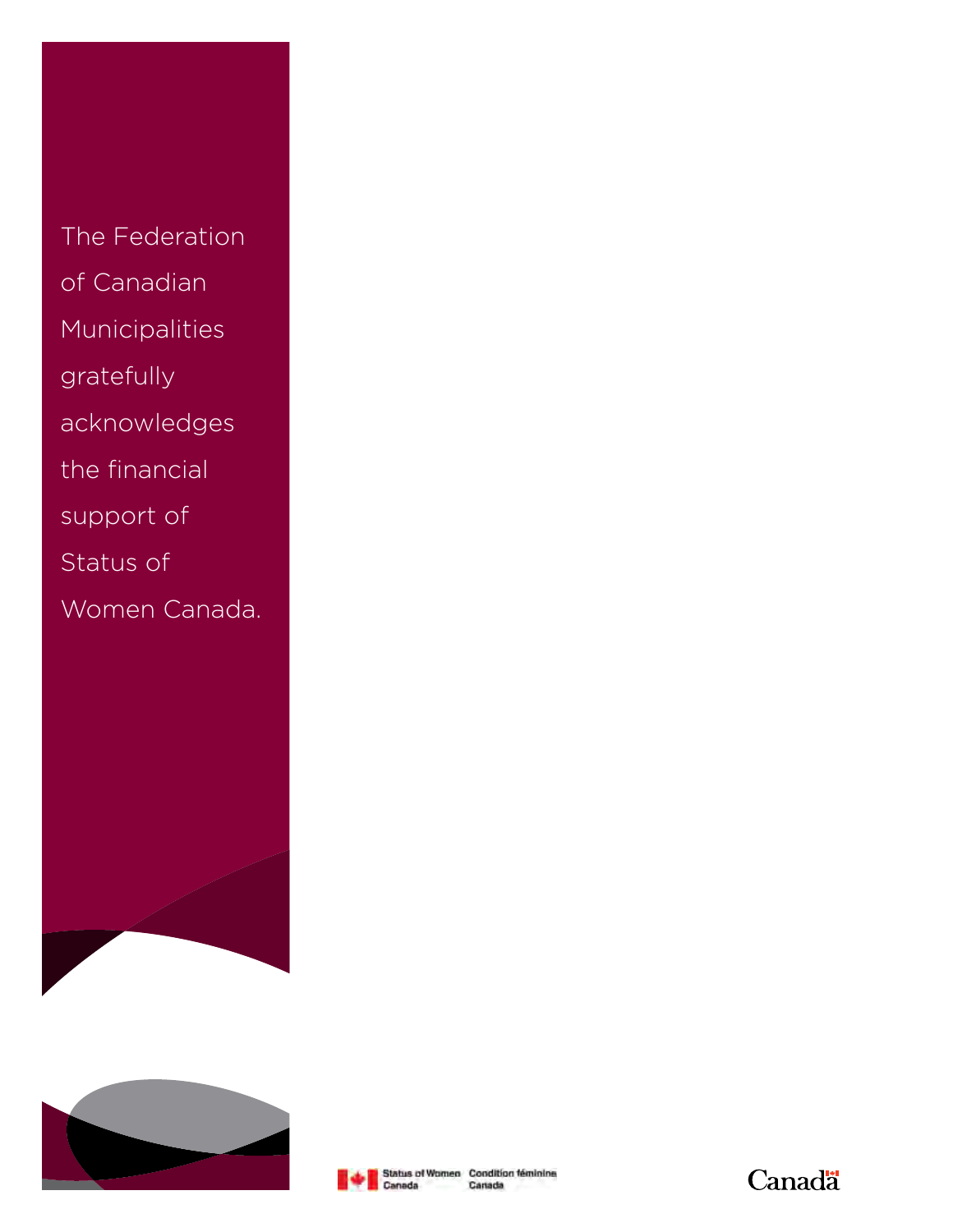The Federation of Canadian Municipalities gratefully acknowledges the financial support of Status of







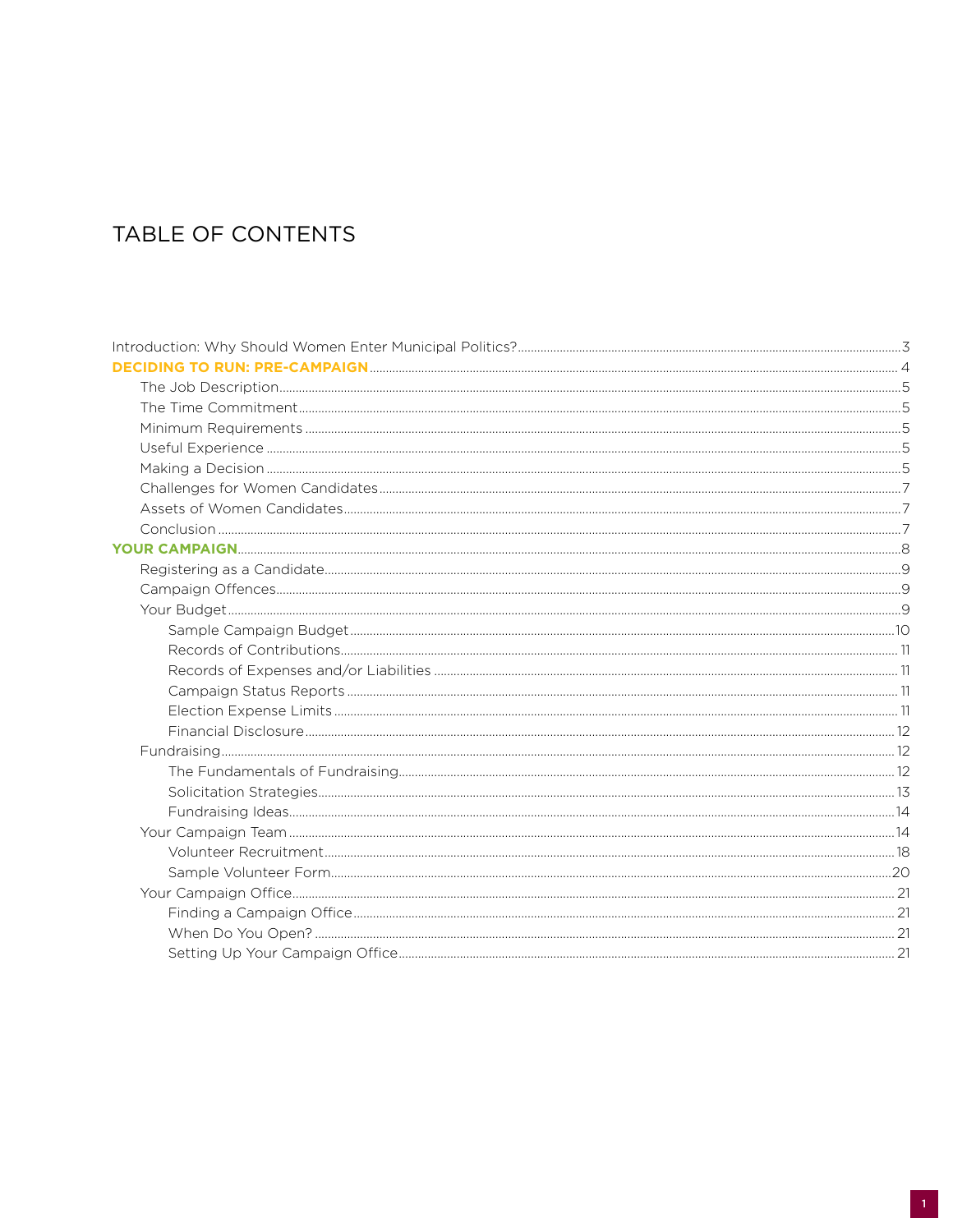# TABLE OF CONTENTS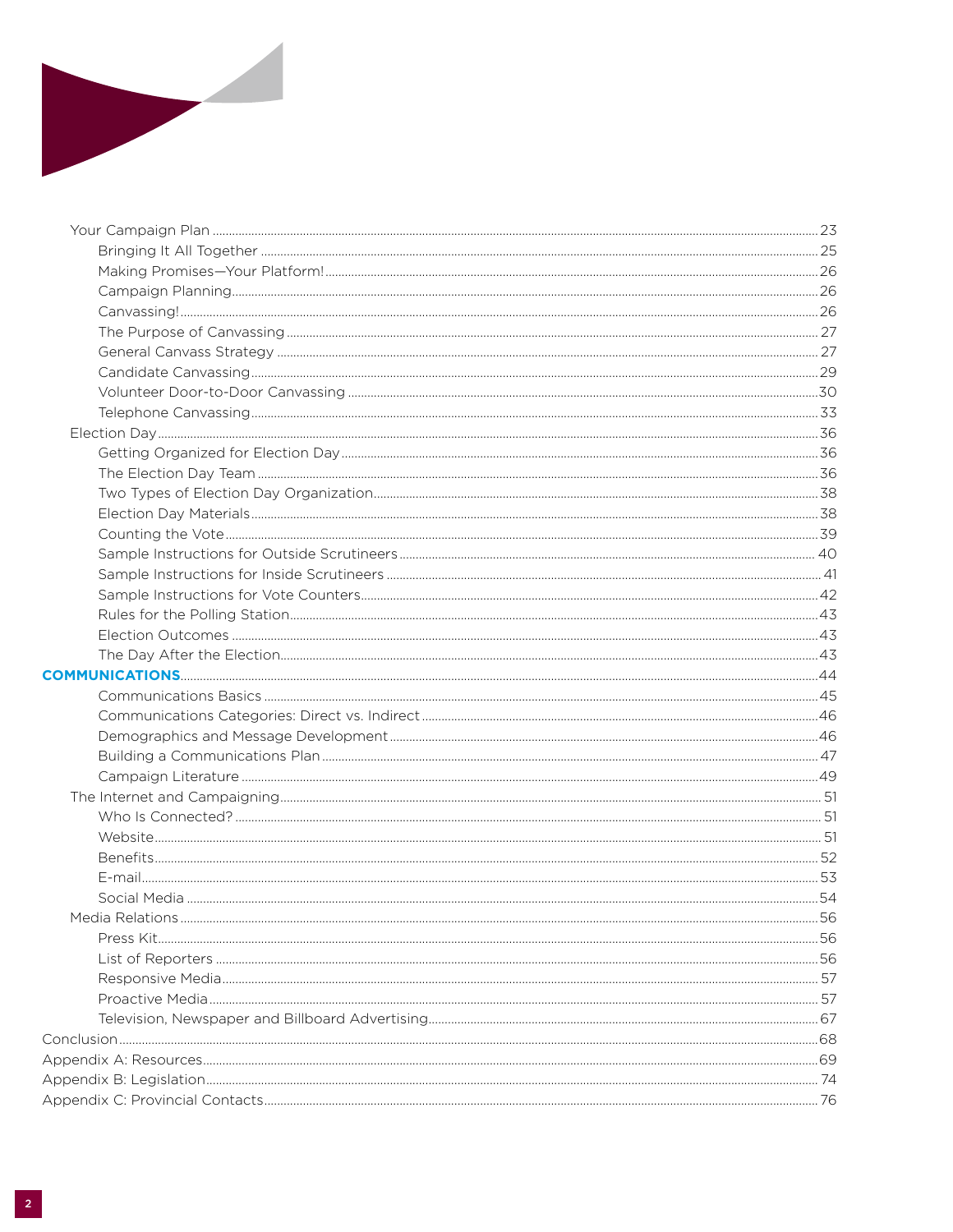

| .56 |
|-----|
|     |
|     |
|     |
|     |
|     |
|     |
|     |
|     |
|     |
|     |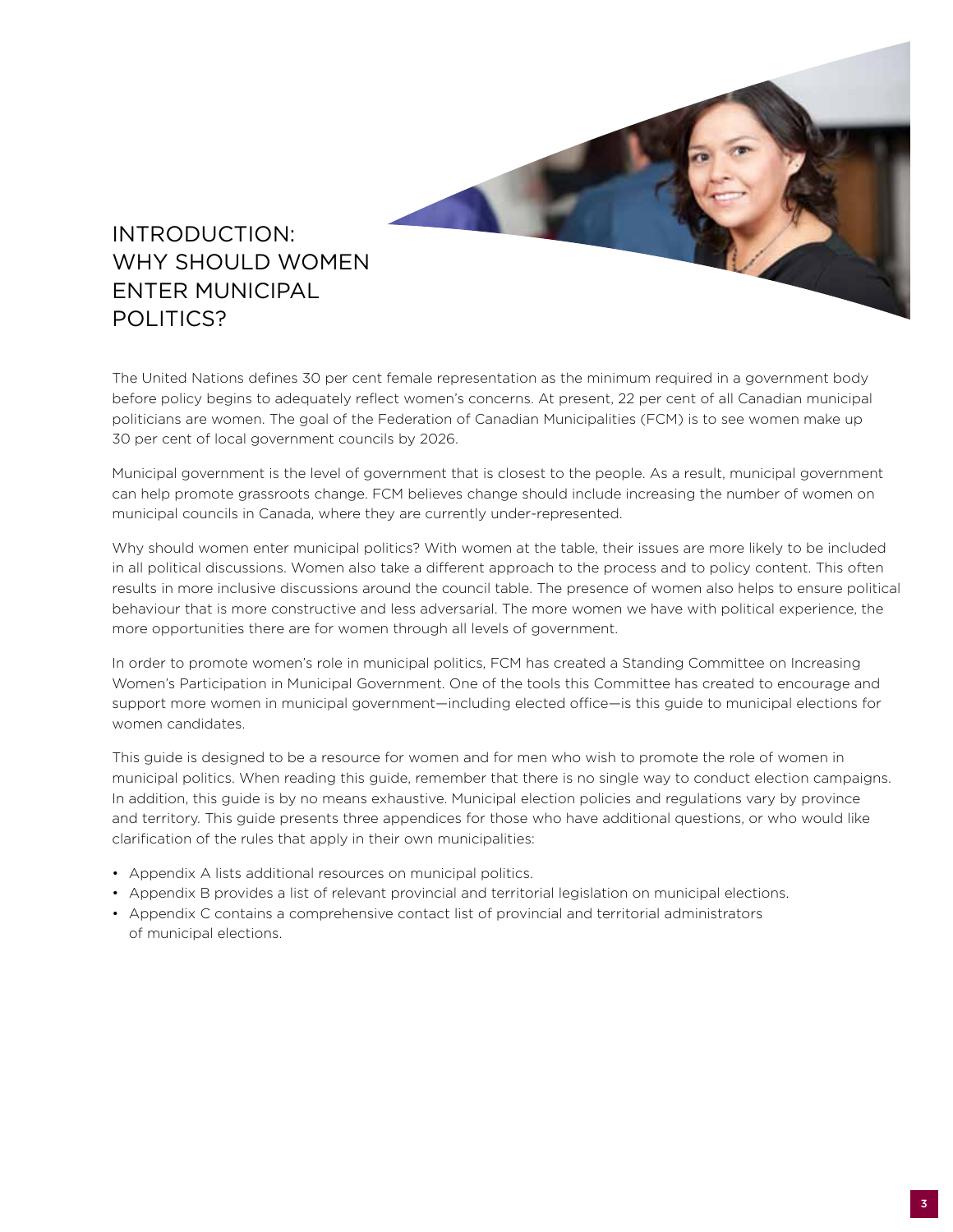

# Introduction: Why Should Women **ENTER MUNICIPAL** POLITICS?

The United Nations defines 30 per cent female representation as the minimum required in a government body before policy begins to adequately reflect women's concerns. At present, 22 per cent of all Canadian municipal politicians are women. The goal of the Federation of Canadian Municipalities (FCM) is to see women make up 30 per cent of local government councils by 2026.

Municipal government is the level of government that is closest to the people. As a result, municipal government can help promote grassroots change. FCM believes change should include increasing the number of women on municipal councils in Canada, where they are currently under-represented.

Why should women enter municipal politics? With women at the table, their issues are more likely to be included in all political discussions. Women also take a different approach to the process and to policy content. This often results in more inclusive discussions around the council table. The presence of women also helps to ensure political behaviour that is more constructive and less adversarial. The more women we have with political experience, the more opportunities there are for women through all levels of government.

In order to promote women's role in municipal politics, FCM has created a Standing Committee on Increasing Women's Participation in Municipal Government. One of the tools this Committee has created to encourage and support more women in municipal government—including elected office—is this guide to municipal elections for women candidates.

This guide is designed to be a resource for women and for men who wish to promote the role of women in municipal politics. When reading this guide, remember that there is no single way to conduct election campaigns. In addition, this guide is by no means exhaustive. Municipal election policies and regulations vary by province and territory. This guide presents three appendices for those who have additional questions, or who would like clarification of the rules that apply in their own municipalities:

- Appendix A lists additional resources on municipal politics.
- Appendix B provides a list of relevant provincial and territorial legislation on municipal elections.
- Appendix C contains a comprehensive contact list of provincial and territorial administrators of municipal elections.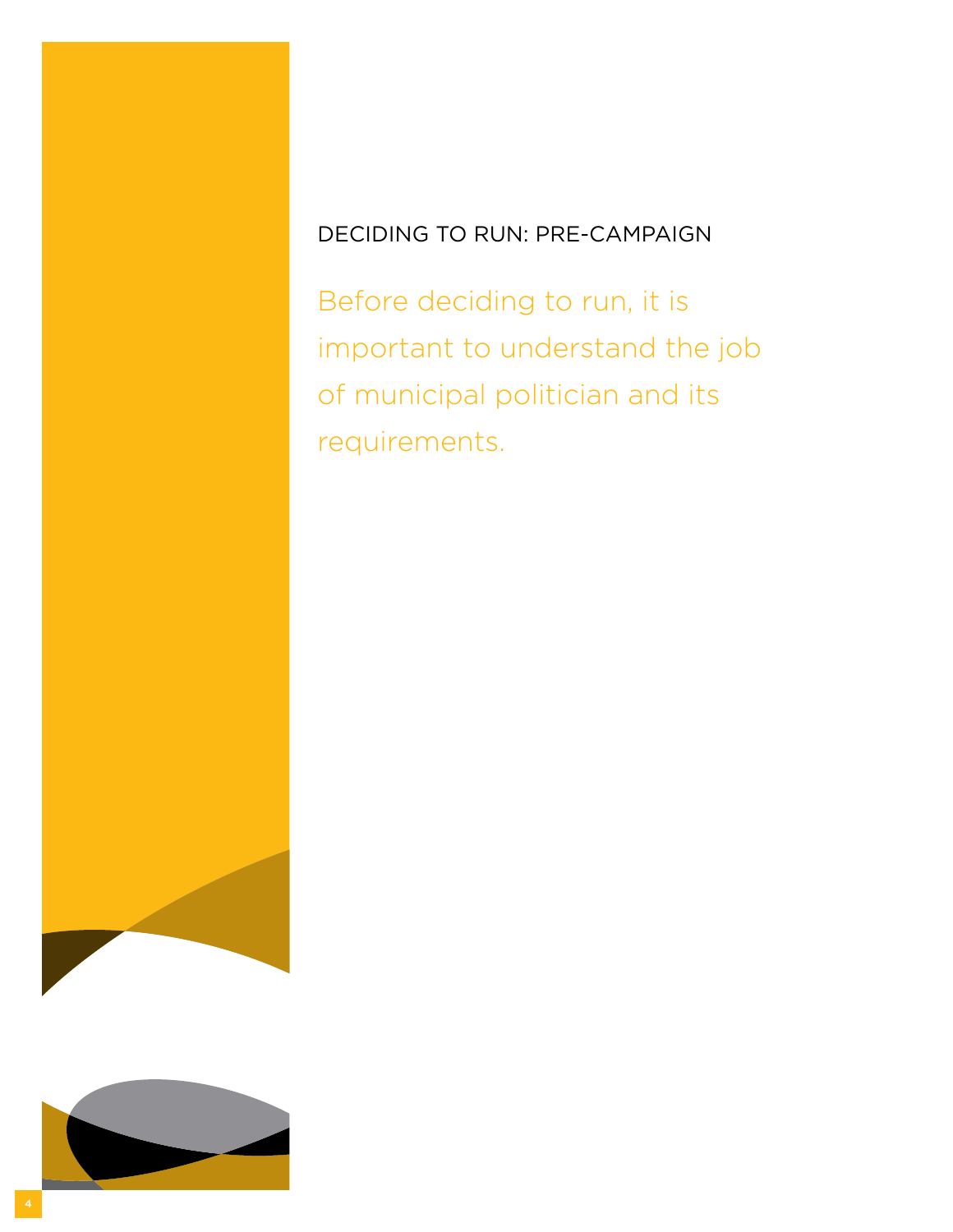# Deciding to Run: Pre-Campaign

Before deciding to run, it is important to understand the job of municipal politician and its requirements.

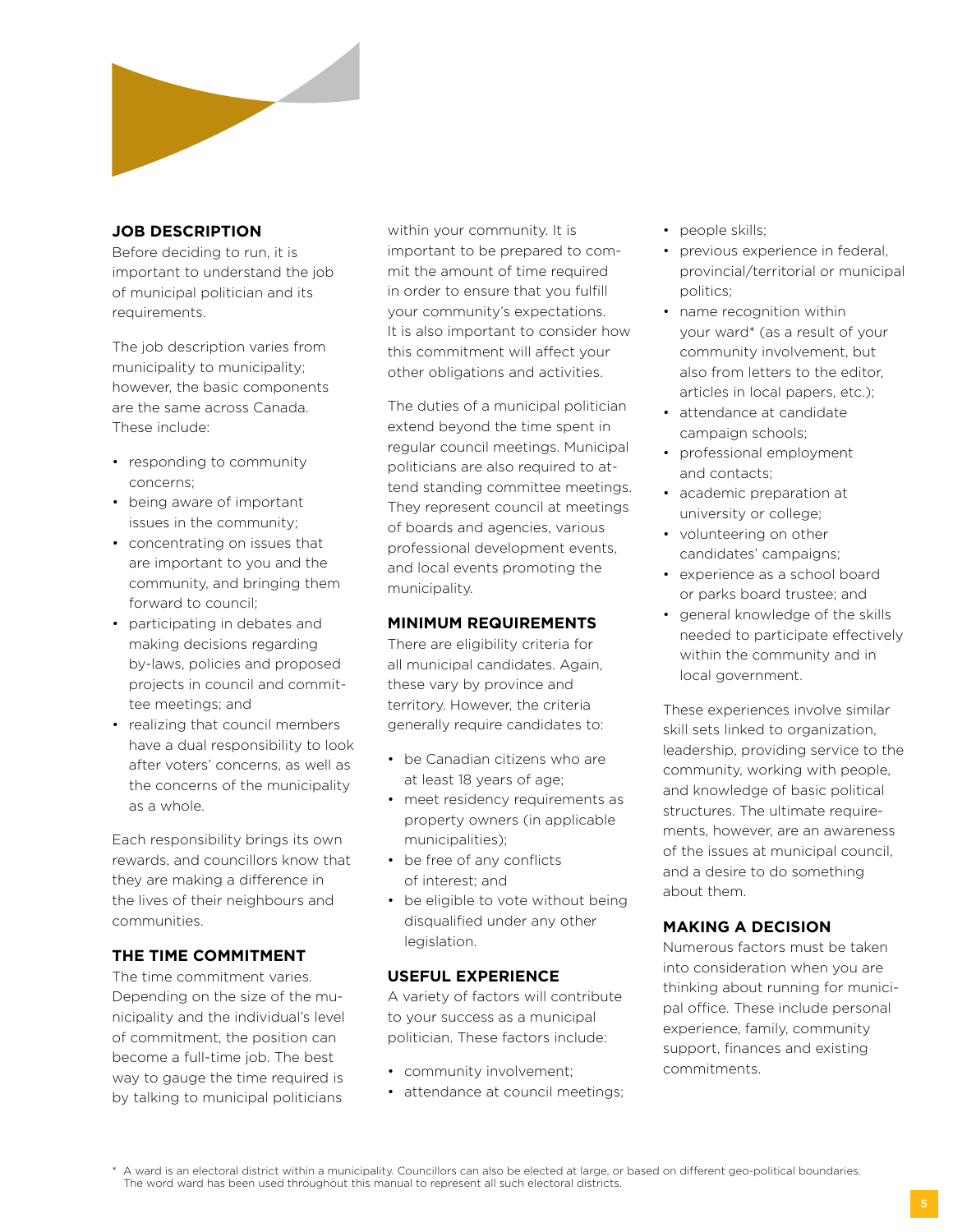

## **job description**

Before deciding to run, it is important to understand the job of municipal politician and its requirements.

The job description varies from municipality to municipality; however, the basic components are the same across Canada. These include:

- responding to community concerns;
- being aware of important issues in the community;
- concentrating on issues that are important to you and the community, and bringing them forward to council;
- participating in debates and making decisions regarding by-laws, policies and proposed projects in council and committee meetings; and
- realizing that council members have a dual responsibility to look after voters' concerns, as well as the concerns of the municipality as a whole.

Each responsibility brings its own rewards, and councillors know that they are making a difference in the lives of their neighbours and communities.

## **The Time Commitment**

The time commitment varies. Depending on the size of the municipality and the individual's level of commitment, the position can become a full-time job. The best way to gauge the time required is by talking to municipal politicians

within your community. It is important to be prepared to commit the amount of time required in order to ensure that you fulfill your community's expectations. It is also important to consider how this commitment will affect your other obligations and activities.

The duties of a municipal politician extend beyond the time spent in regular council meetings. Municipal politicians are also required to attend standing committee meetings. They represent council at meetings of boards and agencies, various professional development events, and local events promoting the municipality.

## **Minimum Requirements**

There are eligibility criteria for all municipal candidates. Again, these vary by province and territory. However, the criteria generally require candidates to:

- be Canadian citizens who are at least 18 years of age;
- meet residency requirements as property owners (in applicable municipalities);
- be free of any conflicts of interest; and
- be eligible to vote without being disqualified under any other legislation.

# **Useful Experience**

A variety of factors will contribute to your success as a municipal politician. These factors include:

- community involvement;
- attendance at council meetings;
- people skills;
- previous experience in federal, provincial/territorial or municipal politics;
- name recognition within your ward\* (as a result of your community involvement, but also from letters to the editor, articles in local papers, etc.);
- attendance at candidate campaign schools;
- professional employment and contacts;
- academic preparation at university or college;
- volunteering on other candidates' campaigns;
- experience as a school board or parks board trustee; and
- general knowledge of the skills needed to participate effectively within the community and in local government.

These experiences involve similar skill sets linked to organization, leadership, providing service to the community, working with people, and knowledge of basic political structures. The ultimate requirements, however, are an awareness of the issues at municipal council, and a desire to do something about them.

## **Making a Decision**

Numerous factors must be taken into consideration when you are thinking about running for municipal office. These include personal experience, family, community support, finances and existing commitments.

\* A ward is an electoral district within a municipality. Councillors can also be elected at large, or based on different geo-political boundaries. The word ward has been used throughout this manual to represent all such electoral districts.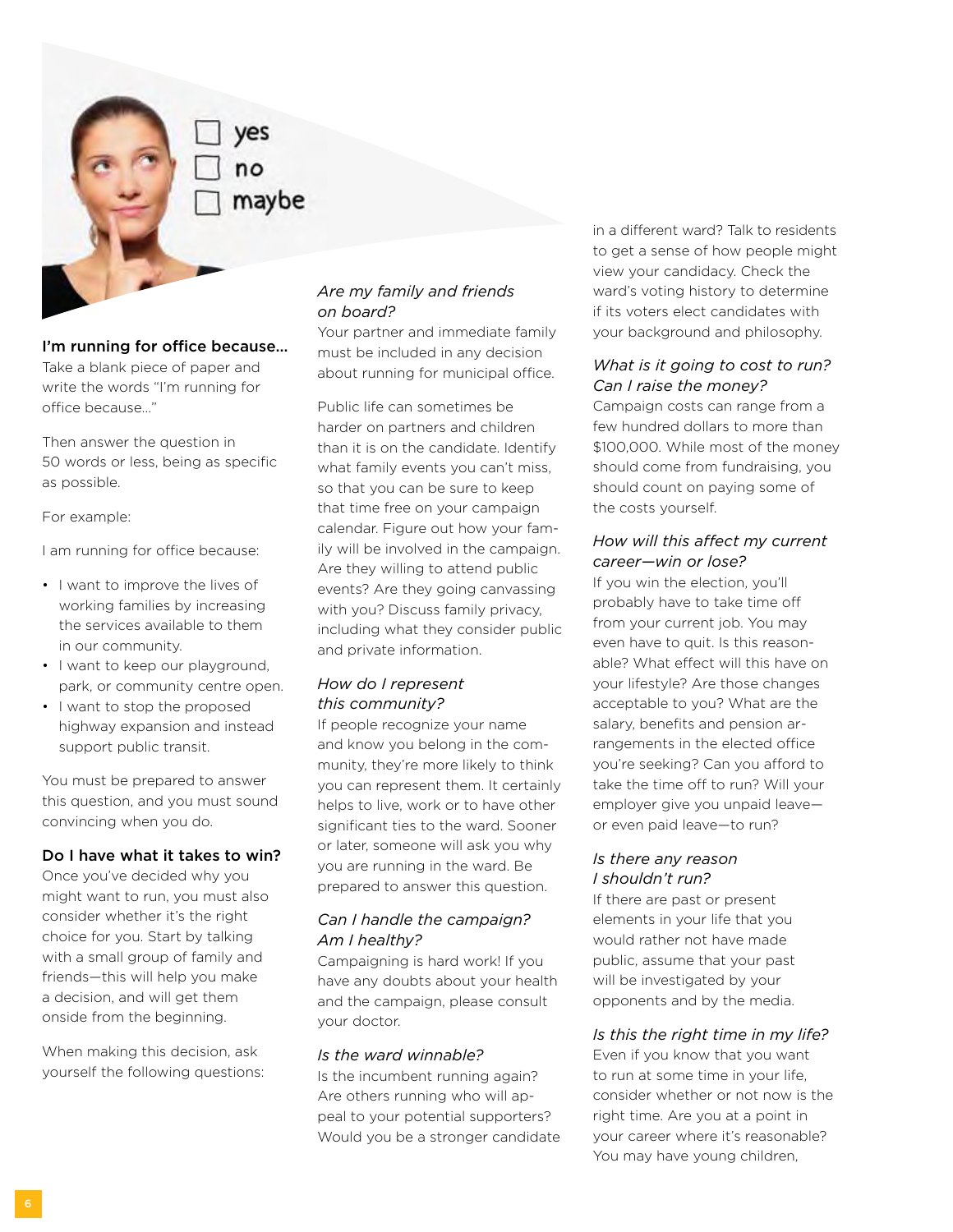naybe

### I'm running for office because…

Take a blank piece of paper and write the words "I'm running for office because…"

Then answer the question in 50 words or less, being as specific as possible.

For example:

I am running for office because:

- I want to improve the lives of working families by increasing the services available to them in our community.
- I want to keep our playground, park, or community centre open.
- I want to stop the proposed highway expansion and instead support public transit.

You must be prepared to answer this question, and you must sound convincing when you do.

### Do I have what it takes to win?

Once you've decided why you might want to run, you must also consider whether it's the right choice for you. Start by talking with a small group of family and friends—this will help you make a decision, and will get them onside from the beginning.

When making this decision, ask yourself the following questions:

# *Are my family and friends on board?*

Your partner and immediate family must be included in any decision about running for municipal office.

Public life can sometimes be harder on partners and children than it is on the candidate. Identify what family events you can't miss, so that you can be sure to keep that time free on your campaign calendar. Figure out how your family will be involved in the campaign. Are they willing to attend public events? Are they going canvassing with you? Discuss family privacy, including what they consider public and private information.

## *How do I represent this community?*

If people recognize your name and know you belong in the community, they're more likely to think you can represent them. It certainly helps to live, work or to have other significant ties to the ward. Sooner or later, someone will ask you why you are running in the ward. Be prepared to answer this question.

# *Can I handle the campaign? Am I healthy?*

Campaigning is hard work! If you have any doubts about your health and the campaign, please consult your doctor.

### *Is the ward winnable?*

Is the incumbent running again? Are others running who will appeal to your potential supporters? Would you be a stronger candidate in a different ward? Talk to residents to get a sense of how people might view your candidacy. Check the ward's voting history to determine if its voters elect candidates with your background and philosophy.

## *What is it going to cost to run? Can I raise the money?*

Campaign costs can range from a few hundred dollars to more than \$100,000. While most of the money should come from fundraising, you should count on paying some of the costs yourself.

## *How will this affect my current career—win or lose?*

If you win the election, you'll probably have to take time off from your current job. You may even have to quit. Is this reasonable? What effect will this have on your lifestyle? Are those changes acceptable to you? What are the salary, benefits and pension arrangements in the elected office you're seeking? Can you afford to take the time off to run? Will your employer give you unpaid leave or even paid leave—to run?

## *Is there any reason I shouldn't run?*

If there are past or present elements in your life that you would rather not have made public, assume that your past will be investigated by your opponents and by the media.

## *Is this the right time in my life?*

Even if you know that you want to run at some time in your life, consider whether or not now is the right time. Are you at a point in your career where it's reasonable? You may have young children,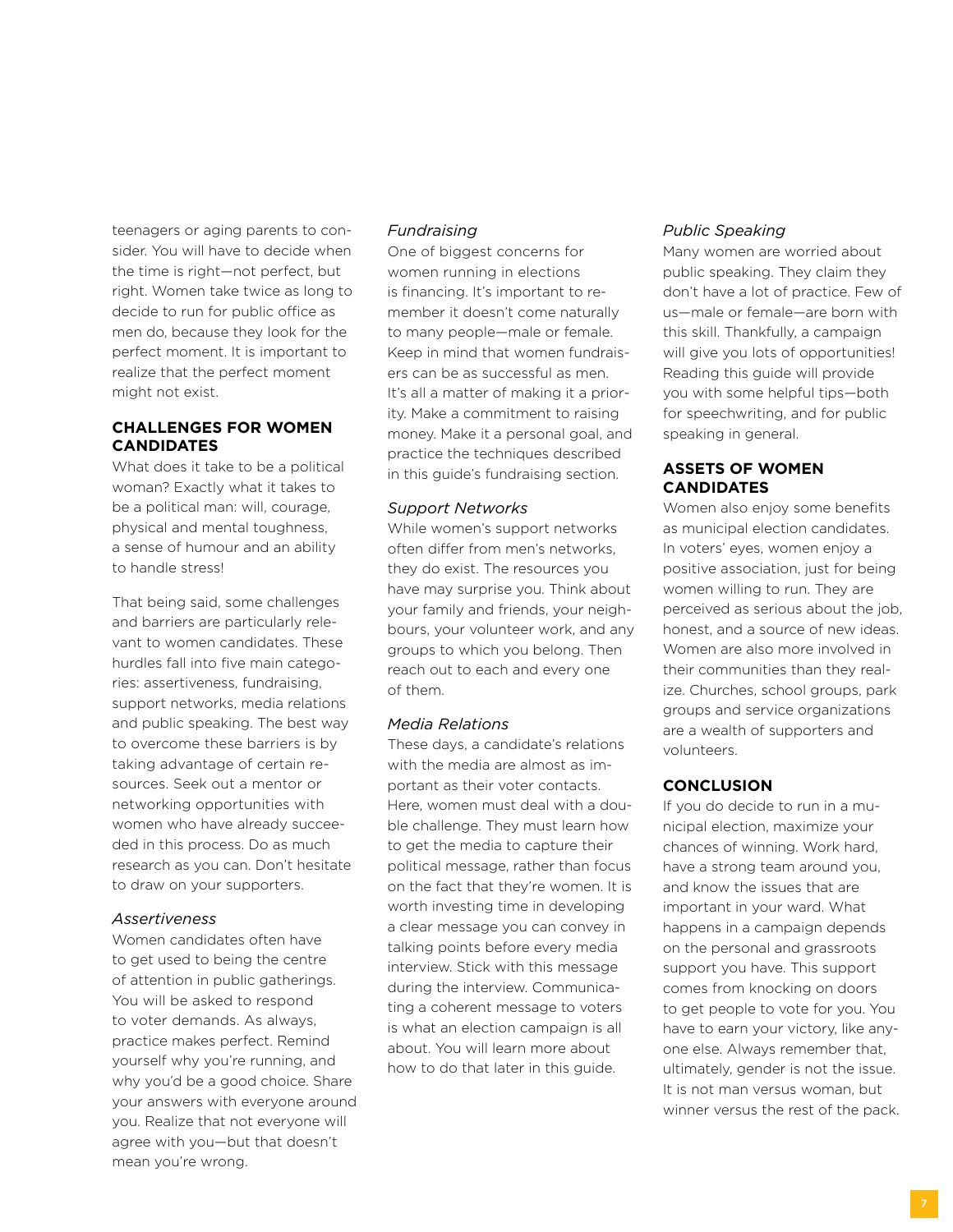teenagers or aging parents to consider. You will have to decide when the time is right—not perfect, but right. Women take twice as long to decide to run for public office as men do, because they look for the perfect moment. It is important to realize that the perfect moment might not exist.

## **Challenges for Women Candidates**

What does it take to be a political woman? Exactly what it takes to be a political man: will, courage, physical and mental toughness, a sense of humour and an ability to handle stress!

That being said, some challenges and barriers are particularly relevant to women candidates. These hurdles fall into five main categories: assertiveness, fundraising, support networks, media relations and public speaking. The best way to overcome these barriers is by taking advantage of certain resources. Seek out a mentor or networking opportunities with women who have already succeeded in this process. Do as much research as you can. Don't hesitate to draw on your supporters.

#### *Assertiveness*

Women candidates often have to get used to being the centre of attention in public gatherings. You will be asked to respond to voter demands. As always, practice makes perfect. Remind yourself why you're running, and why you'd be a good choice. Share your answers with everyone around you. Realize that not everyone will agree with you—but that doesn't mean you're wrong.

#### *Fundraising*

One of biggest concerns for women running in elections is financing. It's important to remember it doesn't come naturally to many people—male or female. Keep in mind that women fundraisers can be as successful as men. It's all a matter of making it a priority. Make a commitment to raising money. Make it a personal goal, and practice the techniques described in this guide's fundraising section.

#### *Support Networks*

While women's support networks often differ from men's networks, they do exist. The resources you have may surprise you. Think about your family and friends, your neighbours, your volunteer work, and any groups to which you belong. Then reach out to each and every one of them.

### *Media Relations*

These days, a candidate's relations with the media are almost as important as their voter contacts. Here, women must deal with a double challenge. They must learn how to get the media to capture their political message, rather than focus on the fact that they're women. It is worth investing time in developing a clear message you can convey in talking points before every media interview. Stick with this message during the interview. Communicating a coherent message to voters is what an election campaign is all about. You will learn more about how to do that later in this guide.

### *Public Speaking*

Many women are worried about public speaking. They claim they don't have a lot of practice. Few of us—male or female—are born with this skill. Thankfully, a campaign will give you lots of opportunities! Reading this guide will provide you with some helpful tips—both for speechwriting, and for public speaking in general.

## **Assets of Women Candidates**

Women also enjoy some benefits as municipal election candidates. In voters' eyes, women enjoy a positive association, just for being women willing to run. They are perceived as serious about the job, honest, and a source of new ideas. Women are also more involved in their communities than they realize. Churches, school groups, park groups and service organizations are a wealth of supporters and volunteers.

#### **Conclusion**

If you do decide to run in a municipal election, maximize your chances of winning. Work hard, have a strong team around you, and know the issues that are important in your ward. What happens in a campaign depends on the personal and grassroots support you have. This support comes from knocking on doors to get people to vote for you. You have to earn your victory, like anyone else. Always remember that, ultimately, gender is not the issue. It is not man versus woman, but winner versus the rest of the pack.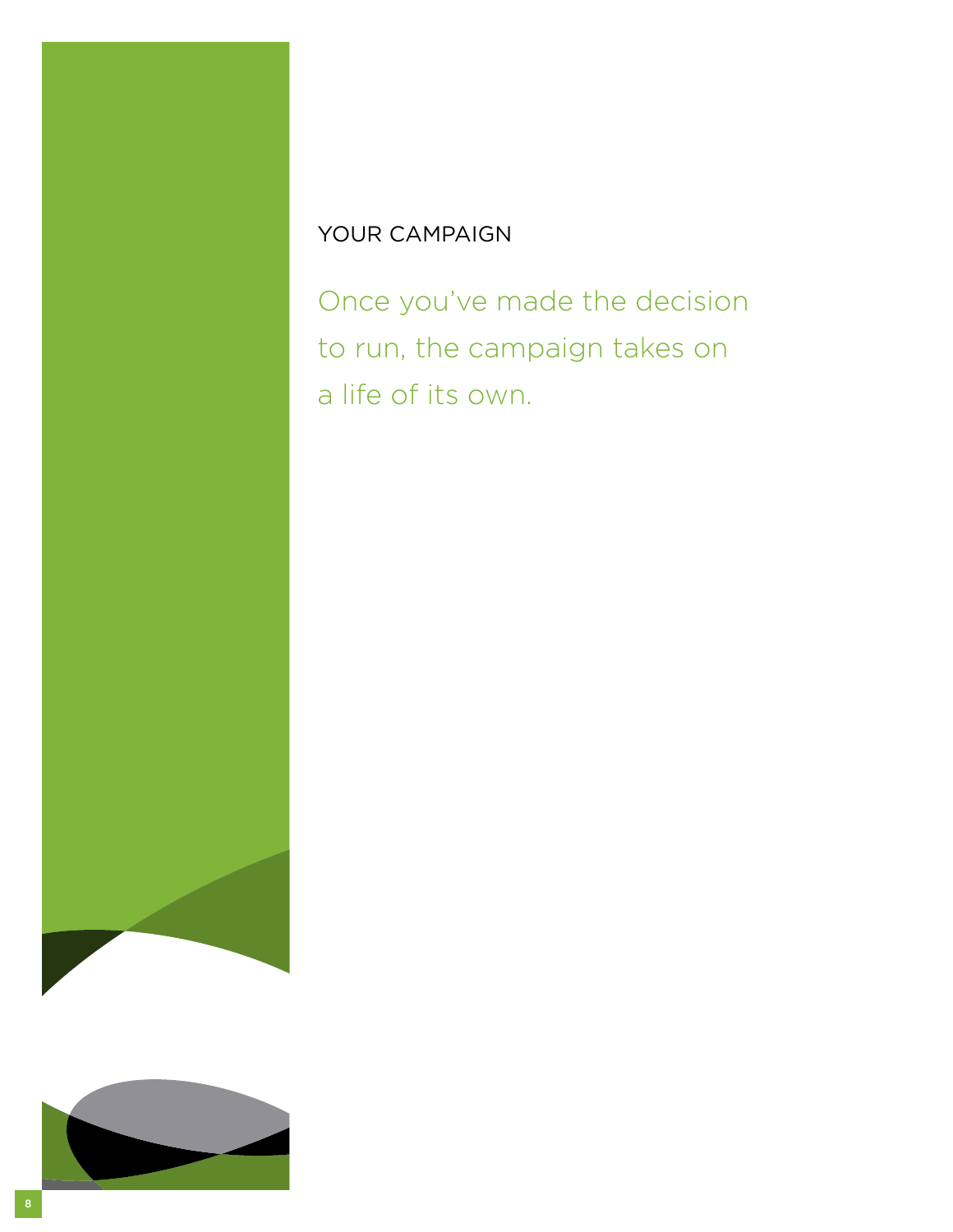# YOUR CAMPAIGN

Once you've made the decision to run, the campaign takes on a life of its own.

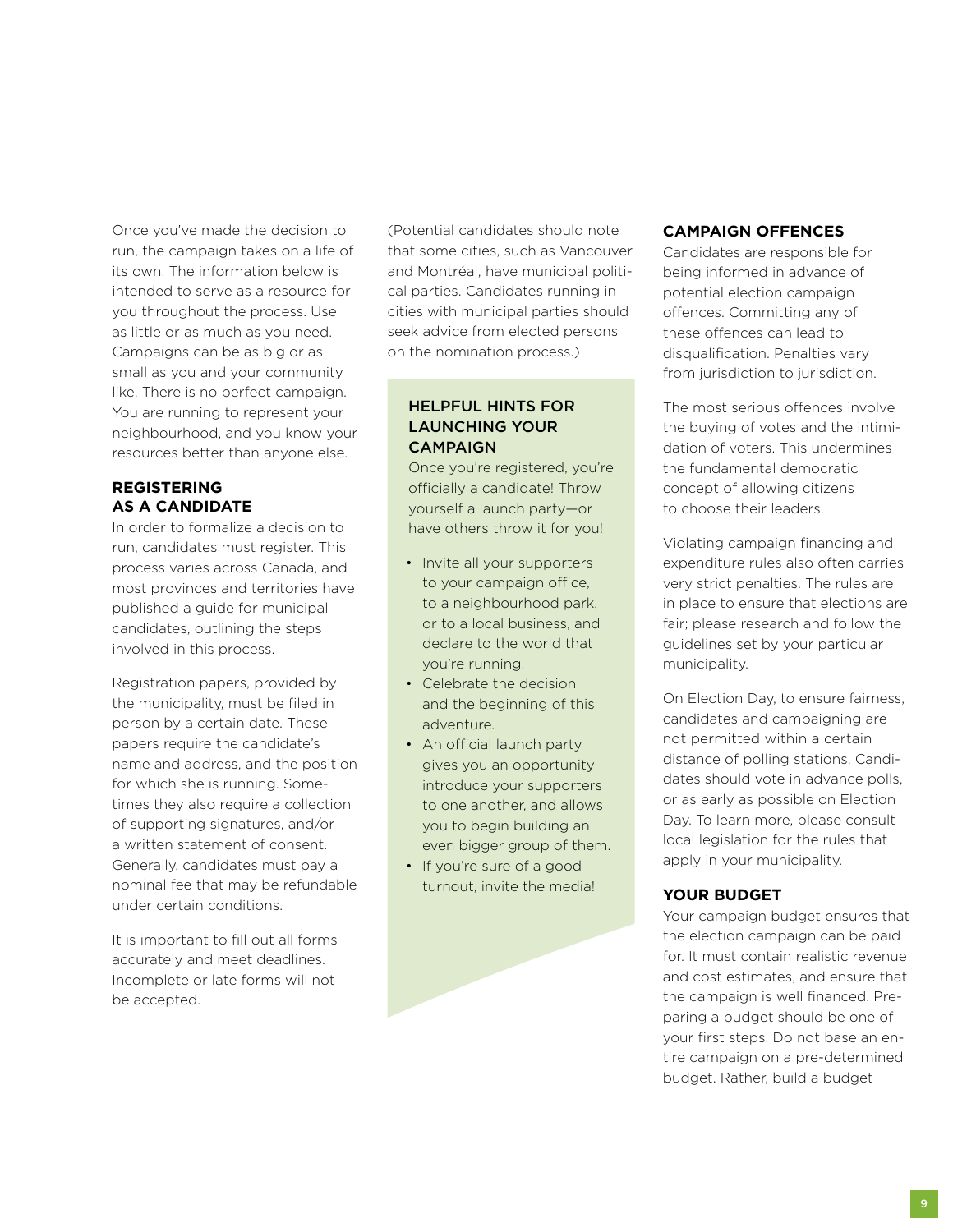Once you've made the decision to run, the campaign takes on a life of its own. The information below is intended to serve as a resource for you throughout the process. Use as little or as much as you need. Campaigns can be as big or as small as you and your community like. There is no perfect campaign. You are running to represent your neighbourhood, and you know your resources better than anyone else.

# **Registering as a Candidate**

In order to formalize a decision to run, candidates must register. This process varies across Canada, and most provinces and territories have published a guide for municipal candidates, outlining the steps involved in this process.

Registration papers, provided by the municipality, must be filed in person by a certain date. These papers require the candidate's name and address, and the position for which she is running. Sometimes they also require a collection of supporting signatures, and/or a written statement of consent. Generally, candidates must pay a nominal fee that may be refundable under certain conditions.

It is important to fill out all forms accurately and meet deadlines. Incomplete or late forms will not be accepted.

(Potential candidates should note that some cities, such as Vancouver and Montréal, have municipal political parties. Candidates running in cities with municipal parties should seek advice from elected persons on the nomination process.)

## Helpful Hints for Launching Your **CAMPAIGN**

Once you're registered, you're officially a candidate! Throw yourself a launch party—or have others throw it for you!

- Invite all your supporters to your campaign office, to a neighbourhood park, or to a local business, and declare to the world that you're running.
- Celebrate the decision and the beginning of this adventure.
- An official launch party gives you an opportunity introduce your supporters to one another, and allows you to begin building an even bigger group of them.
- If you're sure of a good turnout, invite the media!

# **Campaign Offences**

Candidates are responsible for being informed in advance of potential election campaign offences. Committing any of these offences can lead to disqualification. Penalties vary from jurisdiction to jurisdiction.

The most serious offences involve the buying of votes and the intimidation of voters. This undermines the fundamental democratic concept of allowing citizens to choose their leaders.

Violating campaign financing and expenditure rules also often carries very strict penalties. The rules are in place to ensure that elections are fair; please research and follow the guidelines set by your particular municipality.

On Election Day, to ensure fairness, candidates and campaigning are not permitted within a certain distance of polling stations. Candidates should vote in advance polls, or as early as possible on Election Day. To learn more, please consult local legislation for the rules that apply in your municipality.

## **Your Budget**

Your campaign budget ensures that the election campaign can be paid for. It must contain realistic revenue and cost estimates, and ensure that the campaign is well financed. Preparing a budget should be one of your first steps. Do not base an entire campaign on a pre-determined budget. Rather, build a budget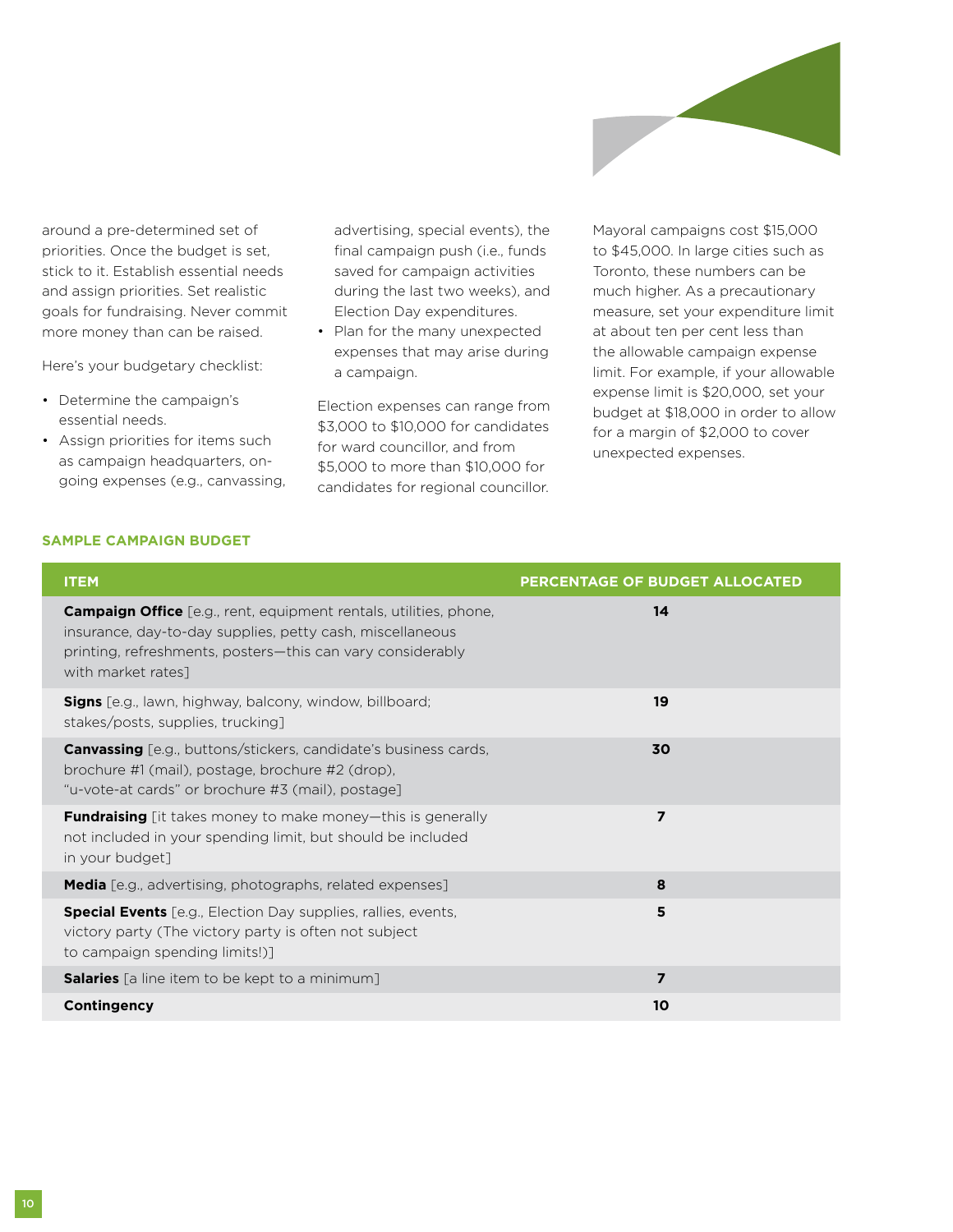

around a pre-determined set of priorities. Once the budget is set, stick to it. Establish essential needs and assign priorities. Set realistic goals for fundraising. Never commit more money than can be raised.

Here's your budgetary checklist:

- Determine the campaign's essential needs.
- Assign priorities for items such as campaign headquarters, ongoing expenses (e.g., canvassing,

advertising, special events), the final campaign push (i.e., funds saved for campaign activities during the last two weeks), and Election Day expenditures.

• Plan for the many unexpected expenses that may arise during a campaign.

Election expenses can range from \$3,000 to \$10,000 for candidates for ward councillor, and from \$5,000 to more than \$10,000 for candidates for regional councillor.

Mayoral campaigns cost \$15,000 to \$45,000. In large cities such as Toronto, these numbers can be much higher. As a precautionary measure, set your expenditure limit at about ten per cent less than the allowable campaign expense limit. For example, if your allowable expense limit is \$20,000, set your budget at \$18,000 in order to allow for a margin of \$2,000 to cover unexpected expenses.

### **Sample Campaign Budget**

| <b>ITEM</b>                                                                                                                                                                                                               | PERCENTAGE OF BUDGET ALLOCATED |
|---------------------------------------------------------------------------------------------------------------------------------------------------------------------------------------------------------------------------|--------------------------------|
| <b>Campaign Office</b> [e.g., rent, equipment rentals, utilities, phone,<br>insurance, day-to-day supplies, petty cash, miscellaneous<br>printing, refreshments, posters—this can vary considerably<br>with market rates] | 14                             |
| <b>Signs</b> [e.g., lawn, highway, balcony, window, billboard;<br>stakes/posts, supplies, trucking]                                                                                                                       | 19                             |
| <b>Canvassing</b> [e.g., buttons/stickers, candidate's business cards,<br>brochure #1 (mail), postage, brochure #2 (drop),<br>"u-vote-at cards" or brochure #3 (mail), postage]                                           | 30                             |
| <b>Fundraising</b> [it takes money to make money-this is generally<br>not included in your spending limit, but should be included<br>in your budget]                                                                      | $\overline{z}$                 |
| <b>Media</b> [e.g., advertising, photographs, related expenses]                                                                                                                                                           | 8                              |
| <b>Special Events</b> [e.g., Election Day supplies, rallies, events,<br>victory party (The victory party is often not subject<br>to campaign spending limits!)]                                                           | 5                              |
| <b>Salaries</b> [a line item to be kept to a minimum]                                                                                                                                                                     | $\overline{\mathbf{z}}$        |
| Contingency                                                                                                                                                                                                               | 10                             |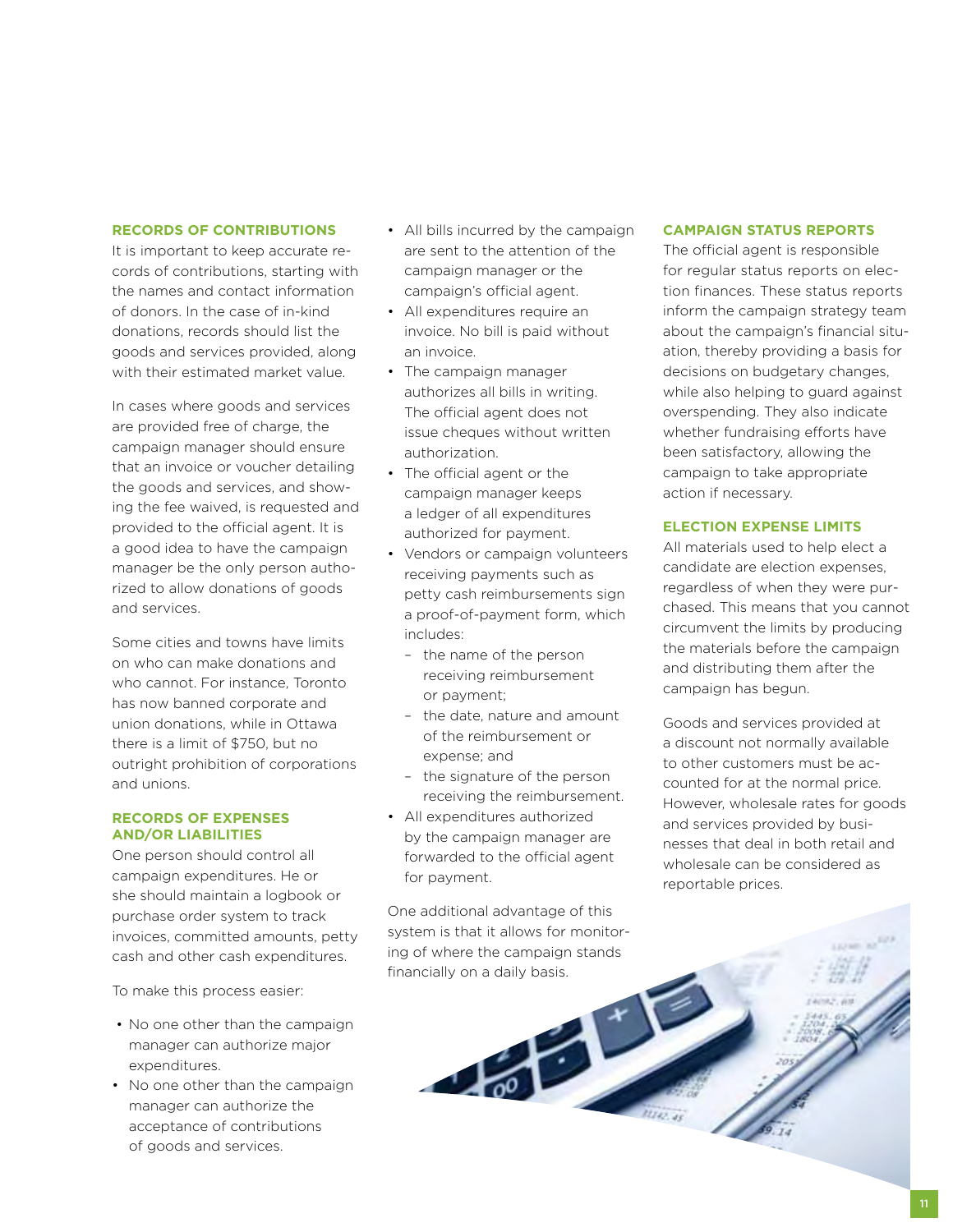#### **Records of Contributions**

It is important to keep accurate records of contributions, starting with the names and contact information of donors. In the case of in-kind donations, records should list the goods and services provided, along with their estimated market value.

In cases where goods and services are provided free of charge, the campaign manager should ensure that an invoice or voucher detailing the goods and services, and showing the fee waived, is requested and provided to the official agent. It is a good idea to have the campaign manager be the only person authorized to allow donations of goods and services.

Some cities and towns have limits on who can make donations and who cannot. For instance, Toronto has now banned corporate and union donations, while in Ottawa there is a limit of \$750, but no outright prohibition of corporations and unions.

#### **Records of Expenses and/or Liabilities**

One person should control all campaign expenditures. He or she should maintain a logbook or purchase order system to track invoices, committed amounts, petty cash and other cash expenditures.

To make this process easier:

- No one other than the campaign manager can authorize major expenditures.
- No one other than the campaign manager can authorize the acceptance of contributions of goods and services.
- All bills incurred by the campaign are sent to the attention of the campaign manager or the campaign's official agent.
- All expenditures require an invoice. No bill is paid without an invoice.
- The campaign manager authorizes all bills in writing. The official agent does not issue cheques without written authorization.
- The official agent or the campaign manager keeps a ledger of all expenditures authorized for payment.
- Vendors or campaign volunteers receiving payments such as petty cash reimbursements sign a proof-of-payment form, which includes:
	- the name of the person receiving reimbursement or payment;
	- the date, nature and amount of the reimbursement or expense; and
	- the signature of the person receiving the reimbursement.
- All expenditures authorized by the campaign manager are forwarded to the official agent for payment.

One additional advantage of this system is that it allows for monitoring of where the campaign stands financially on a daily basis.

#### **Campaign Status Reports**

The official agent is responsible for regular status reports on election finances. These status reports inform the campaign strategy team about the campaign's financial situation, thereby providing a basis for decisions on budgetary changes, while also helping to guard against overspending. They also indicate whether fundraising efforts have been satisfactory, allowing the campaign to take appropriate action if necessary.

### **Election Expense Limits**

All materials used to help elect a candidate are election expenses, regardless of when they were purchased. This means that you cannot circumvent the limits by producing the materials before the campaign and distributing them after the campaign has begun.

Goods and services provided at a discount not normally available to other customers must be accounted for at the normal price. However, wholesale rates for goods and services provided by businesses that deal in both retail and wholesale can be considered as reportable prices.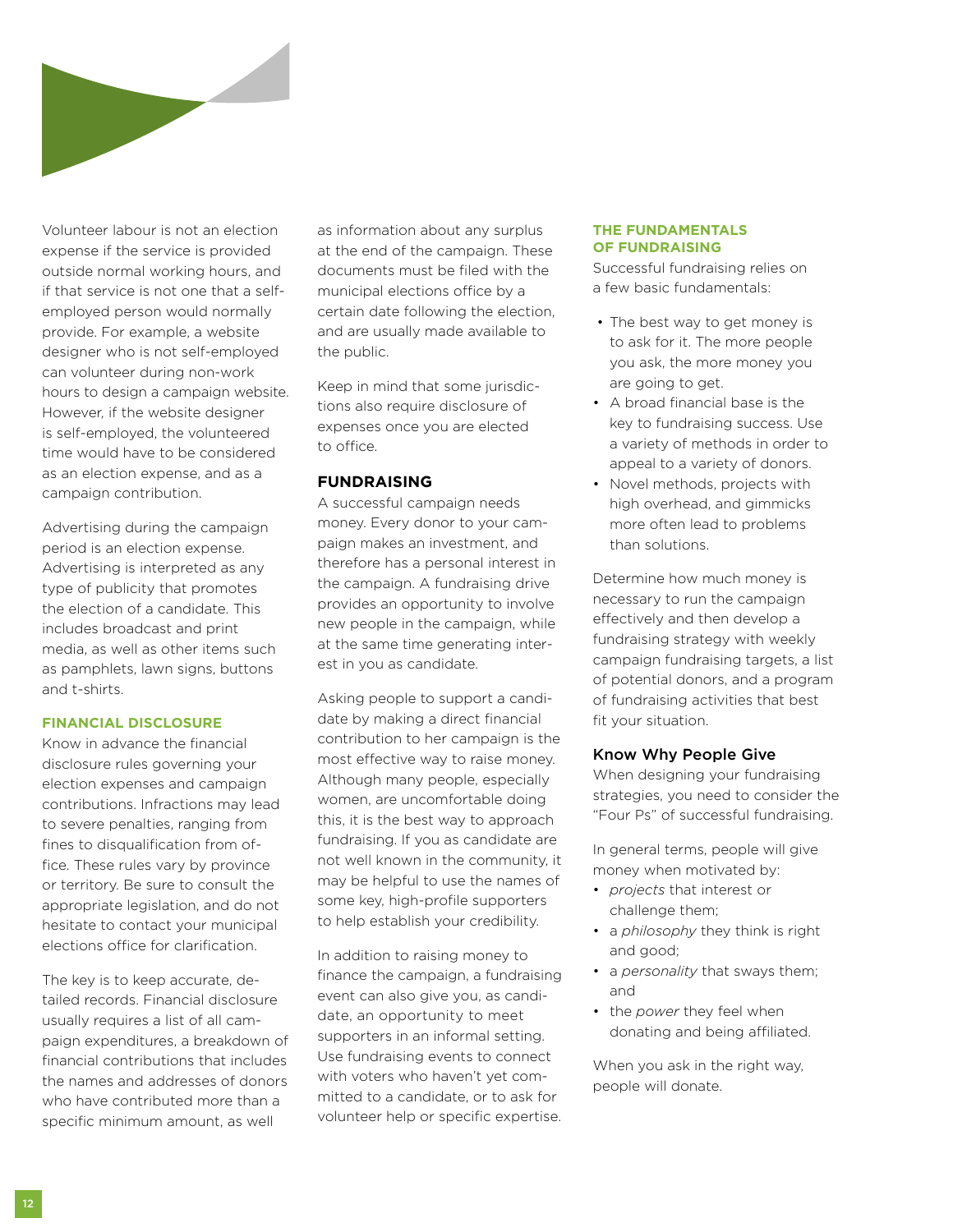

Volunteer labour is not an election expense if the service is provided outside normal working hours, and if that service is not one that a selfemployed person would normally provide. For example, a website designer who is not self-employed can volunteer during non-work hours to design a campaign website. However, if the website designer is self-employed, the volunteered time would have to be considered as an election expense, and as a campaign contribution.

Advertising during the campaign period is an election expense. Advertising is interpreted as any type of publicity that promotes the election of a candidate. This includes broadcast and print media, as well as other items such as pamphlets, lawn signs, buttons and t-shirts.

## **Financial Disclosure**

Know in advance the financial disclosure rules governing your election expenses and campaign contributions. Infractions may lead to severe penalties, ranging from fines to disqualification from office. These rules vary by province or territory. Be sure to consult the appropriate legislation, and do not hesitate to contact your municipal elections office for clarification.

The key is to keep accurate, detailed records. Financial disclosure usually requires a list of all campaign expenditures, a breakdown of financial contributions that includes the names and addresses of donors who have contributed more than a specific minimum amount, as well

as information about any surplus at the end of the campaign. These documents must be filed with the municipal elections office by a certain date following the election, and are usually made available to the public.

Keep in mind that some jurisdictions also require disclosure of expenses once you are elected to office.

#### **Fundraising**

A successful campaign needs money. Every donor to your campaign makes an investment, and therefore has a personal interest in the campaign. A fundraising drive provides an opportunity to involve new people in the campaign, while at the same time generating interest in you as candidate.

Asking people to support a candidate by making a direct financial contribution to her campaign is the most effective way to raise money. Although many people, especially women, are uncomfortable doing this, it is the best way to approach fundraising. If you as candidate are not well known in the community, it may be helpful to use the names of some key, high-profile supporters to help establish your credibility.

In addition to raising money to finance the campaign, a fundraising event can also give you, as candidate, an opportunity to meet supporters in an informal setting. Use fundraising events to connect with voters who haven't yet committed to a candidate, or to ask for volunteer help or specific expertise.

#### **The Fundamentals of Fundraising**

Successful fundraising relies on a few basic fundamentals:

- The best way to get money is to ask for it. The more people you ask, the more money you are going to get.
- A broad financial base is the key to fundraising success. Use a variety of methods in order to appeal to a variety of donors.
- Novel methods, projects with high overhead, and gimmicks more often lead to problems than solutions.

Determine how much money is necessary to run the campaign effectively and then develop a fundraising strategy with weekly campaign fundraising targets, a list of potential donors, and a program of fundraising activities that best fit your situation.

## Know Why People Give

When designing your fundraising strategies, you need to consider the "Four Ps" of successful fundraising.

In general terms, people will give money when motivated by:

- *projects* that interest or challenge them;
- a *philosophy* they think is right and good;
- a *personality* that sways them; and
- the *power* they feel when donating and being affiliated.

When you ask in the right way, people will donate.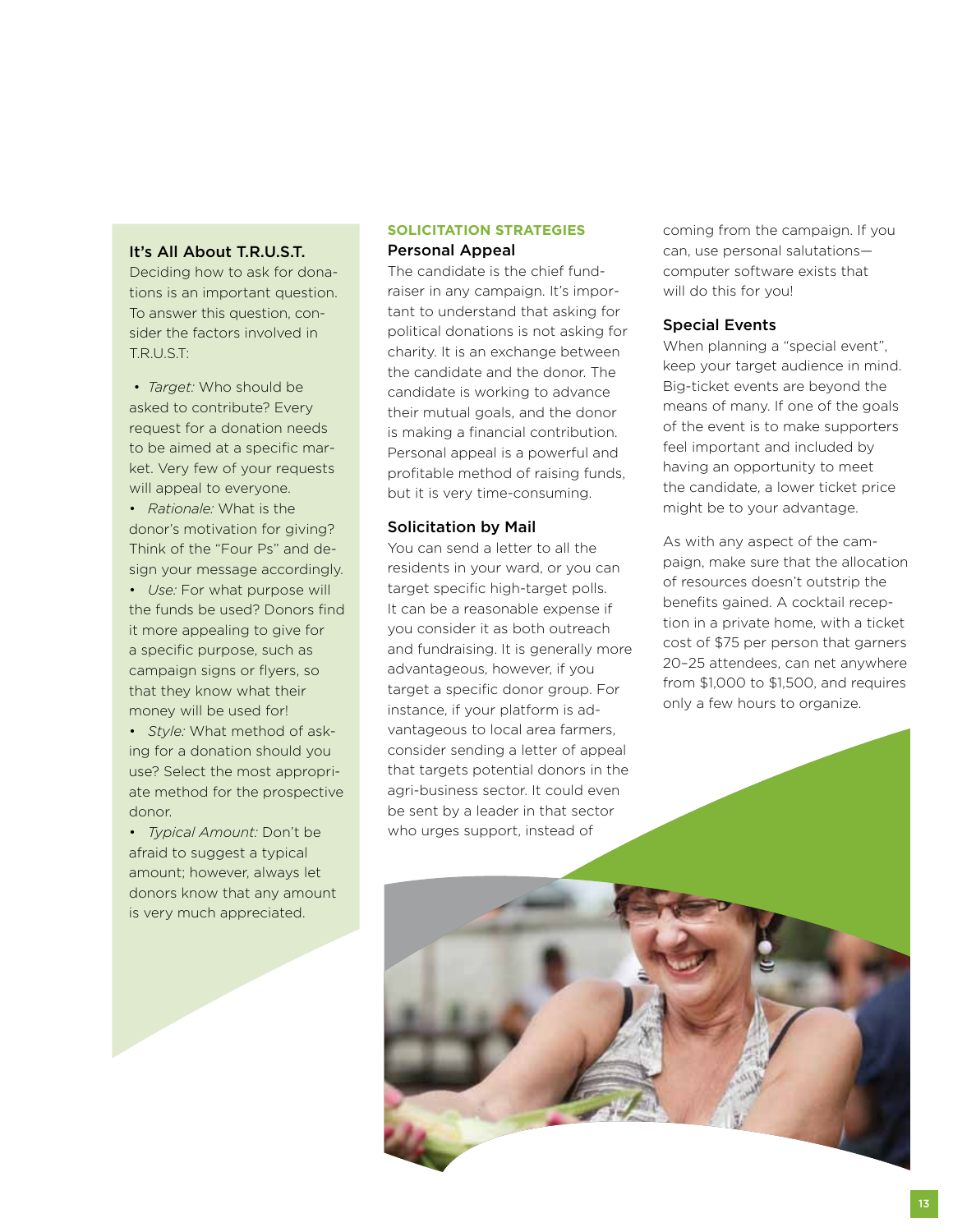## It's All About T.R.U.S.T.

Deciding how to ask for donations is an important question. To answer this question, consider the factors involved in T.R.U.S.T:

 • *Target:* Who should be asked to contribute? Every request for a donation needs to be aimed at a specific market. Very few of your requests will appeal to everyone.

• *Rationale:* What is the donor's motivation for giving? Think of the "Four Ps" and design your message accordingly.

• *Use:* For what purpose will the funds be used? Donors find it more appealing to give for a specific purpose, such as campaign signs or flyers, so that they know what their money will be used for!

• *Style:* What method of asking for a donation should you use? Select the most appropriate method for the prospective donor.

• *Typical Amount:* Don't be afraid to suggest a typical amount; however, always let donors know that any amount is very much appreciated.

## **Solicitation Strategies** Personal Appeal

The candidate is the chief fundraiser in any campaign. It's important to understand that asking for political donations is not asking for charity. It is an exchange between the candidate and the donor. The candidate is working to advance their mutual goals, and the donor is making a financial contribution. Personal appeal is a powerful and profitable method of raising funds, but it is very time-consuming.

#### Solicitation by Mail

You can send a letter to all the residents in your ward, or you can target specific high-target polls. It can be a reasonable expense if you consider it as both outreach and fundraising. It is generally more advantageous, however, if you target a specific donor group. For instance, if your platform is advantageous to local area farmers, consider sending a letter of appeal that targets potential donors in the agri-business sector. It could even be sent by a leader in that sector who urges support, instead of

coming from the campaign. If you can, use personal salutations computer software exists that will do this for you!

# Special Events

When planning a "special event", keep your target audience in mind. Big-ticket events are beyond the means of many. If one of the goals of the event is to make supporters feel important and included by having an opportunity to meet the candidate, a lower ticket price might be to your advantage.

As with any aspect of the campaign, make sure that the allocation of resources doesn't outstrip the benefits gained. A cocktail reception in a private home, with a ticket cost of \$75 per person that garners 20–25 attendees, can net anywhere from \$1,000 to \$1,500, and requires only a few hours to organize.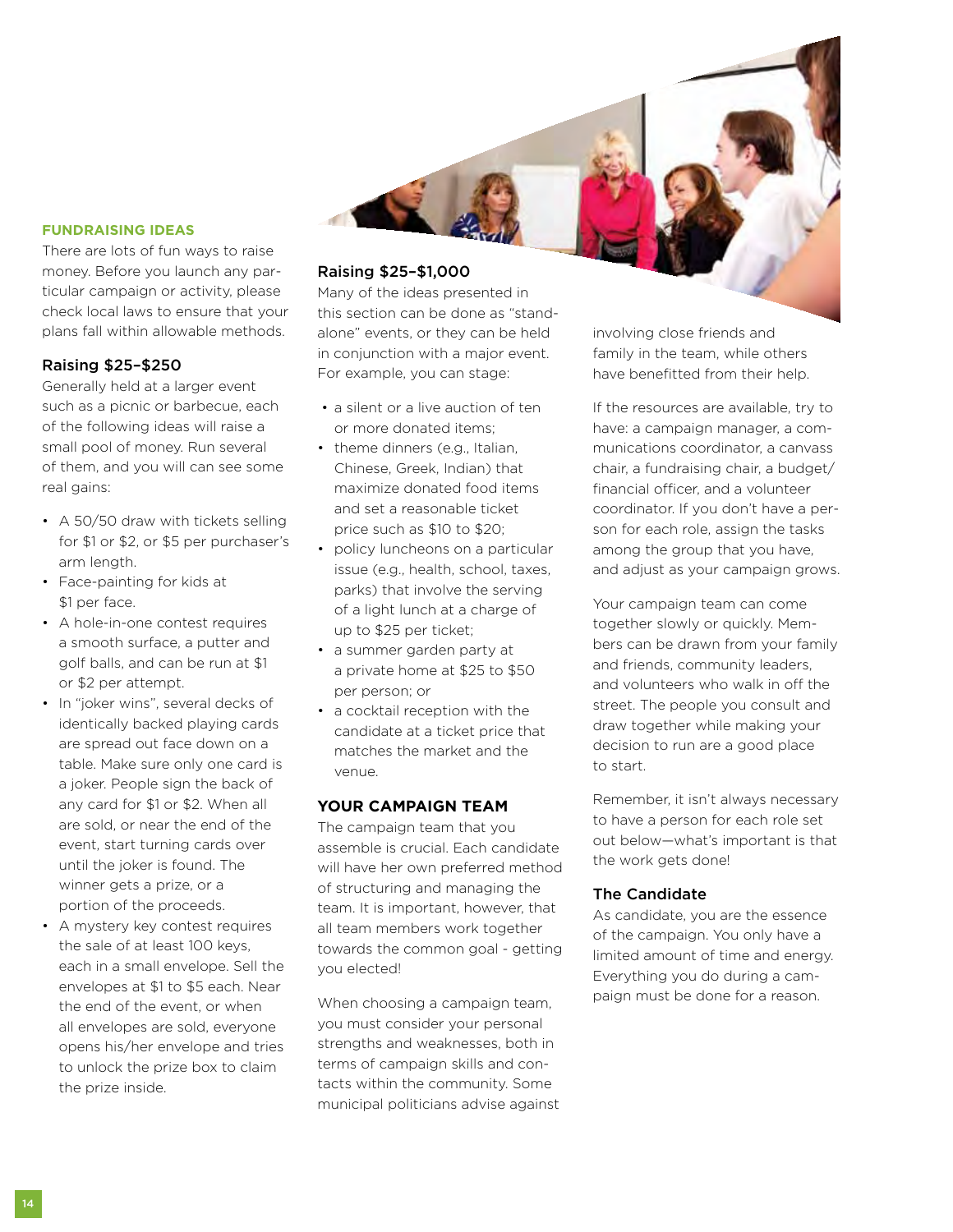#### **Fundraising Ideas**

There are lots of fun ways to raise money. Before you launch any particular campaign or activity, please check local laws to ensure that your plans fall within allowable methods.

#### Raising \$25–\$250

Generally held at a larger event such as a picnic or barbecue, each of the following ideas will raise a small pool of money. Run several of them, and you will can see some real gains:

- A 50/50 draw with tickets selling for \$1 or \$2, or \$5 per purchaser's arm length.
- Face-painting for kids at \$1 per face.
- A hole-in-one contest requires a smooth surface, a putter and golf balls, and can be run at \$1 or \$2 per attempt.
- In "joker wins", several decks of identically backed playing cards are spread out face down on a table. Make sure only one card is a joker. People sign the back of any card for \$1 or \$2. When all are sold, or near the end of the event, start turning cards over until the joker is found. The winner gets a prize, or a portion of the proceeds.
- A mystery key contest requires the sale of at least 100 keys, each in a small envelope. Sell the envelopes at \$1 to \$5 each. Near the end of the event, or when all envelopes are sold, everyone opens his/her envelope and tries to unlock the prize box to claim the prize inside.

## Raising \$25–\$1,000

Many of the ideas presented in this section can be done as "standalone" events, or they can be held in conjunction with a major event. For example, you can stage:

- a silent or a live auction of ten or more donated items;
- theme dinners (e.g., Italian, Chinese, Greek, Indian) that maximize donated food items and set a reasonable ticket price such as \$10 to \$20;
- policy luncheons on a particular issue (e.g., health, school, taxes, parks) that involve the serving of a light lunch at a charge of up to \$25 per ticket;
- a summer garden party at a private home at \$25 to \$50 per person; or
- a cocktail reception with the candidate at a ticket price that matches the market and the venue.

## **Your Campaign Team**

The campaign team that you assemble is crucial. Each candidate will have her own preferred method of structuring and managing the team. It is important, however, that all team members work together towards the common goal - getting you elected!

When choosing a campaign team, you must consider your personal strengths and weaknesses, both in terms of campaign skills and contacts within the community. Some municipal politicians advise against involving close friends and family in the team, while others have benefitted from their help.

If the resources are available, try to have: a campaign manager, a communications coordinator, a canvass chair, a fundraising chair, a budget/ financial officer, and a volunteer coordinator. If you don't have a person for each role, assign the tasks among the group that you have, and adjust as your campaign grows.

Your campaign team can come together slowly or quickly. Members can be drawn from your family and friends, community leaders, and volunteers who walk in off the street. The people you consult and draw together while making your decision to run are a good place to start.

Remember, it isn't always necessary to have a person for each role set out below—what's important is that the work gets done!

#### The Candidate

As candidate, you are the essence of the campaign. You only have a limited amount of time and energy. Everything you do during a campaign must be done for a reason.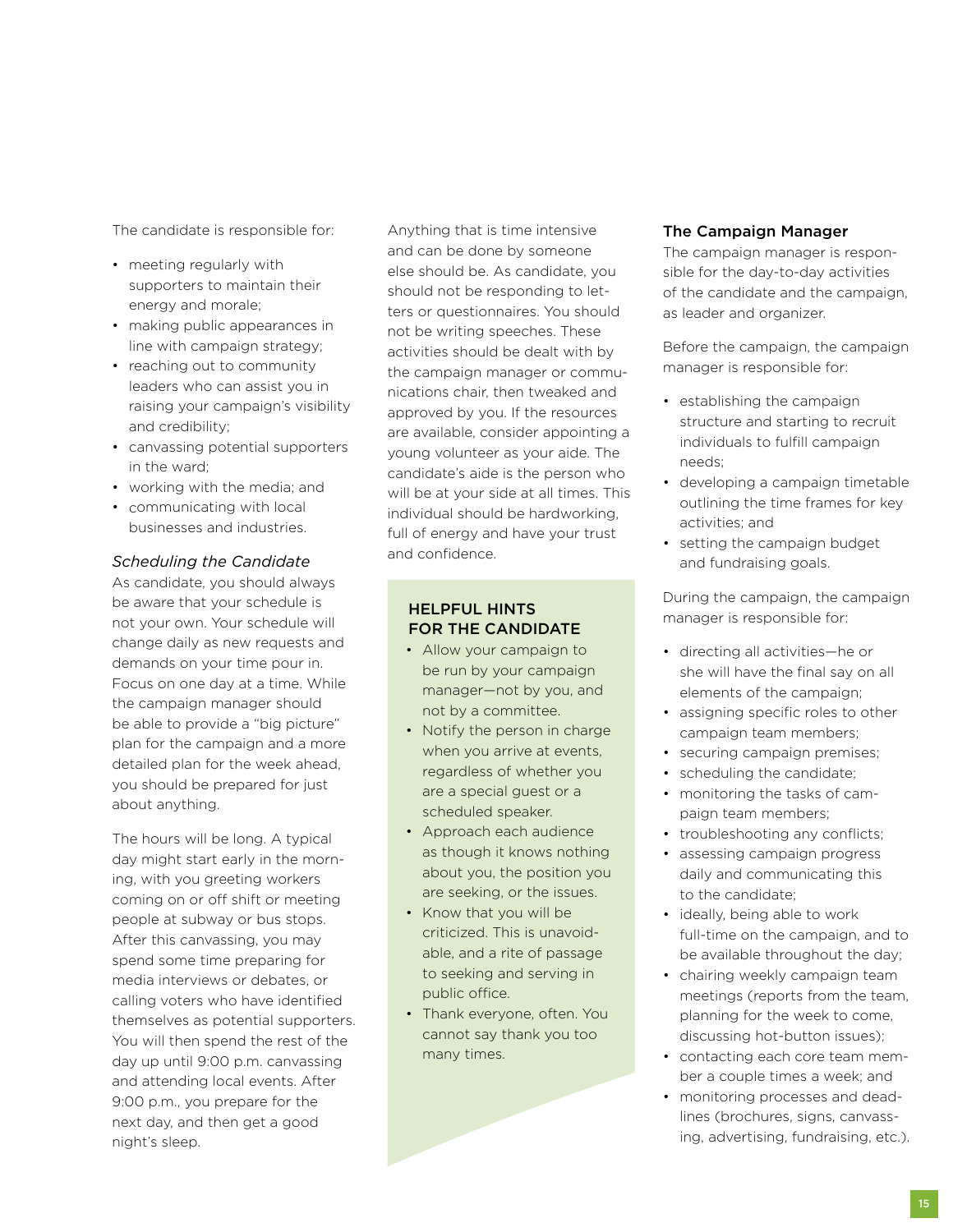The candidate is responsible for:

- meeting regularly with supporters to maintain their energy and morale;
- making public appearances in line with campaign strategy;
- reaching out to community leaders who can assist you in raising your campaign's visibility and credibility;
- canvassing potential supporters in the ward;
- working with the media; and
- communicating with local businesses and industries.

## *Scheduling the Candidate*

As candidate, you should always be aware that your schedule is not your own. Your schedule will change daily as new requests and demands on your time pour in. Focus on one day at a time. While the campaign manager should be able to provide a "big picture" plan for the campaign and a more detailed plan for the week ahead, you should be prepared for just about anything.

The hours will be long. A typical day might start early in the morning, with you greeting workers coming on or off shift or meeting people at subway or bus stops. After this canvassing, you may spend some time preparing for media interviews or debates, or calling voters who have identified themselves as potential supporters. You will then spend the rest of the day up until 9:00 p.m. canvassing and attending local events. After 9:00 p.m., you prepare for the next day, and then get a good night's sleep.

Anything that is time intensive and can be done by someone else should be. As candidate, you should not be responding to letters or questionnaires. You should not be writing speeches. These activities should be dealt with by the campaign manager or communications chair, then tweaked and approved by you. If the resources are available, consider appointing a young volunteer as your aide. The candidate's aide is the person who will be at your side at all times. This individual should be hardworking, full of energy and have your trust and confidence.

## Helpful Hints for the Candidate

- Allow your campaign to be run by your campaign manager—not by you, and not by a committee.
- Notify the person in charge when you arrive at events, regardless of whether you are a special guest or a scheduled speaker.
- Approach each audience as though it knows nothing about you, the position you are seeking, or the issues.
- Know that you will be criticized. This is unavoidable, and a rite of passage to seeking and serving in public office.
- Thank everyone, often. You cannot say thank you too many times.

## The Campaign Manager

The campaign manager is responsible for the day-to-day activities of the candidate and the campaign, as leader and organizer.

Before the campaign, the campaign manager is responsible for:

- establishing the campaign structure and starting to recruit individuals to fulfill campaign needs;
- developing a campaign timetable outlining the time frames for key activities; and
- setting the campaign budget and fundraising goals.

During the campaign, the campaign manager is responsible for:

- directing all activities—he or she will have the final say on all elements of the campaign;
- assigning specific roles to other campaign team members;
- securing campaign premises;
- scheduling the candidate;
- monitoring the tasks of campaign team members;
- troubleshooting any conflicts:
- assessing campaign progress daily and communicating this to the candidate;
- ideally, being able to work full-time on the campaign, and to be available throughout the day;
- chairing weekly campaign team meetings (reports from the team, planning for the week to come, discussing hot-button issues);
- contacting each core team member a couple times a week; and
- monitoring processes and deadlines (brochures, signs, canvassing, advertising, fundraising, etc.).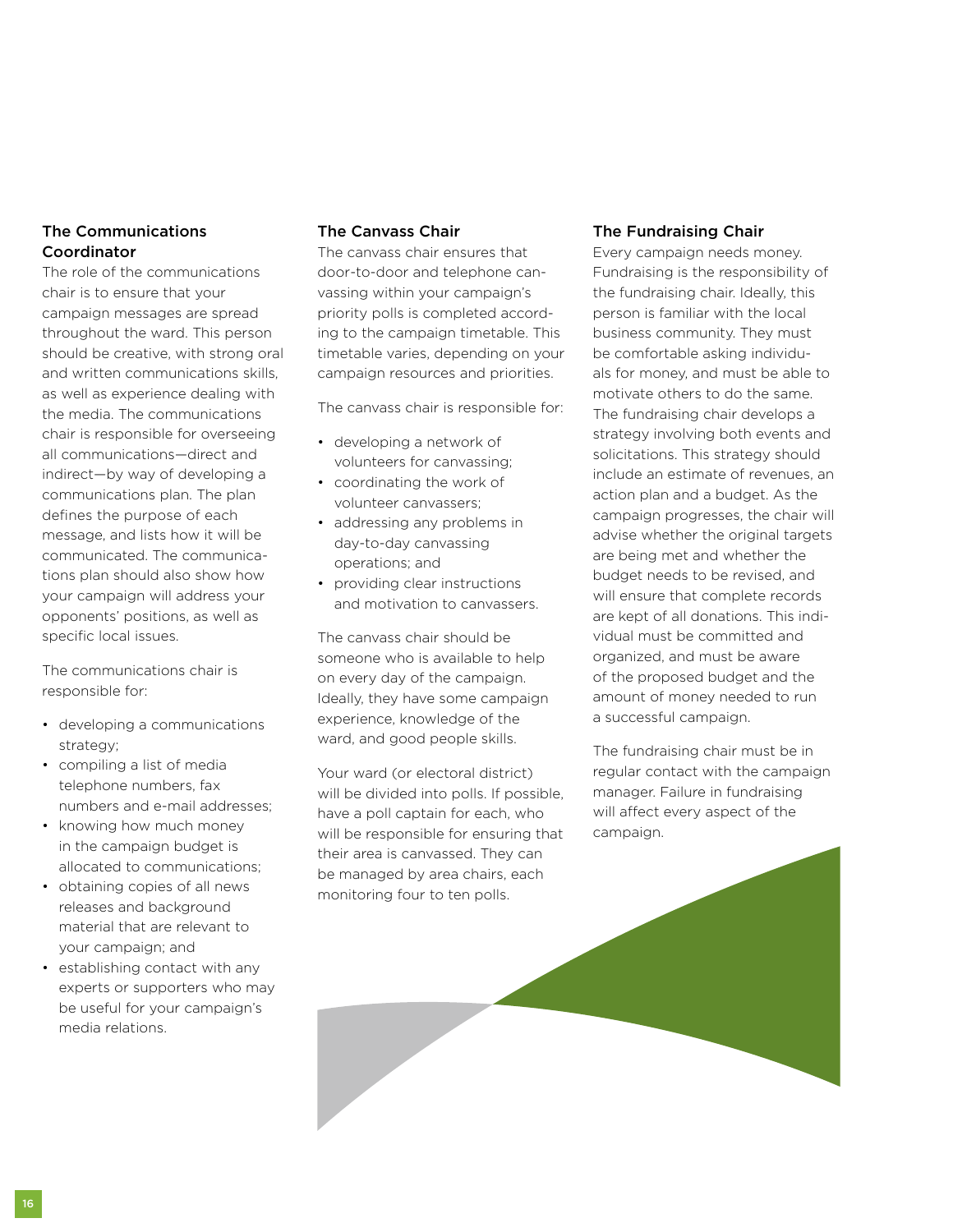# The Communications Coordinator

The role of the communications chair is to ensure that your campaign messages are spread throughout the ward. This person should be creative, with strong oral and written communications skills, as well as experience dealing with the media. The communications chair is responsible for overseeing all communications—direct and indirect—by way of developing a communications plan. The plan defines the purpose of each message, and lists how it will be communicated. The communications plan should also show how your campaign will address your opponents' positions, as well as specific local issues.

The communications chair is responsible for:

- developing a communications strategy;
- compiling a list of media telephone numbers, fax numbers and e-mail addresses;
- knowing how much money in the campaign budget is allocated to communications;
- obtaining copies of all news releases and background material that are relevant to your campaign; and
- establishing contact with any experts or supporters who may be useful for your campaign's media relations.

# The Canvass Chair

The canvass chair ensures that door-to-door and telephone canvassing within your campaign's priority polls is completed according to the campaign timetable. This timetable varies, depending on your campaign resources and priorities.

The canvass chair is responsible for:

- developing a network of volunteers for canvassing;
- coordinating the work of volunteer canvassers;
- addressing any problems in day-to-day canvassing operations; and
- providing clear instructions and motivation to canvassers.

The canvass chair should be someone who is available to help on every day of the campaign. Ideally, they have some campaign experience, knowledge of the ward, and good people skills.

Your ward (or electoral district) will be divided into polls. If possible, have a poll captain for each, who will be responsible for ensuring that their area is canvassed. They can be managed by area chairs, each monitoring four to ten polls.

## The Fundraising Chair

Every campaign needs money. Fundraising is the responsibility of the fundraising chair. Ideally, this person is familiar with the local business community. They must be comfortable asking individuals for money, and must be able to motivate others to do the same. The fundraising chair develops a strategy involving both events and solicitations. This strategy should include an estimate of revenues, an action plan and a budget. As the campaign progresses, the chair will advise whether the original targets are being met and whether the budget needs to be revised, and will ensure that complete records are kept of all donations. This individual must be committed and organized, and must be aware of the proposed budget and the amount of money needed to run a successful campaign.

The fundraising chair must be in regular contact with the campaign manager. Failure in fundraising will affect every aspect of the campaign.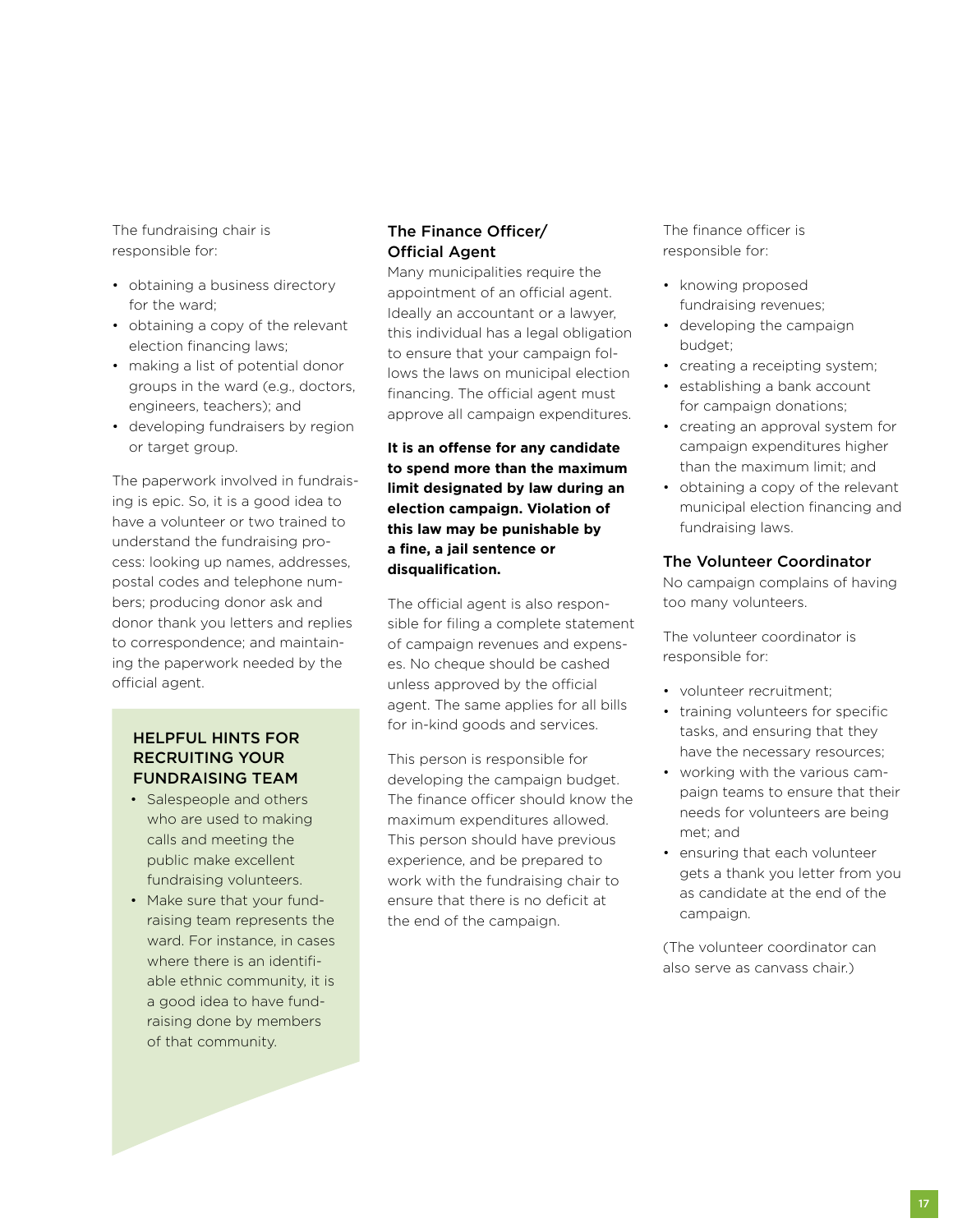The fundraising chair is responsible for:

- obtaining a business directory for the ward;
- obtaining a copy of the relevant election financing laws;
- making a list of potential donor groups in the ward (e.g., doctors, engineers, teachers); and
- developing fundraisers by region or target group.

The paperwork involved in fundraising is epic. So, it is a good idea to have a volunteer or two trained to understand the fundraising process: looking up names, addresses, postal codes and telephone numbers; producing donor ask and donor thank you letters and replies to correspondence; and maintaining the paperwork needed by the official agent.

## Helpful Hints for Recruiting Your Fundraising Team

- Salespeople and others who are used to making calls and meeting the public make excellent fundraising volunteers.
- Make sure that your fundraising team represents the ward. For instance, in cases where there is an identifiable ethnic community, it is a good idea to have fundraising done by members of that community.

# The Finance Officer/ Official Agent

Many municipalities require the appointment of an official agent. Ideally an accountant or a lawyer, this individual has a legal obligation to ensure that your campaign follows the laws on municipal election financing. The official agent must approve all campaign expenditures.

**It is an offense for any candidate to spend more than the maximum limit designated by law during an election campaign. Violation of this law may be punishable by a fine, a jail sentence or disqualification.**

The official agent is also responsible for filing a complete statement of campaign revenues and expenses. No cheque should be cashed unless approved by the official agent. The same applies for all bills for in-kind goods and services.

This person is responsible for developing the campaign budget. The finance officer should know the maximum expenditures allowed. This person should have previous experience, and be prepared to work with the fundraising chair to ensure that there is no deficit at the end of the campaign.

The finance officer is responsible for:

- knowing proposed fundraising revenues;
- developing the campaign budget;
- creating a receipting system;
- establishing a bank account for campaign donations;
- creating an approval system for campaign expenditures higher than the maximum limit; and
- obtaining a copy of the relevant municipal election financing and fundraising laws.

## The Volunteer Coordinator

No campaign complains of having too many volunteers.

The volunteer coordinator is responsible for:

- volunteer recruitment;
- training volunteers for specific tasks, and ensuring that they have the necessary resources;
- working with the various campaign teams to ensure that their needs for volunteers are being met; and
- ensuring that each volunteer gets a thank you letter from you as candidate at the end of the campaign.

(The volunteer coordinator can also serve as canvass chair.)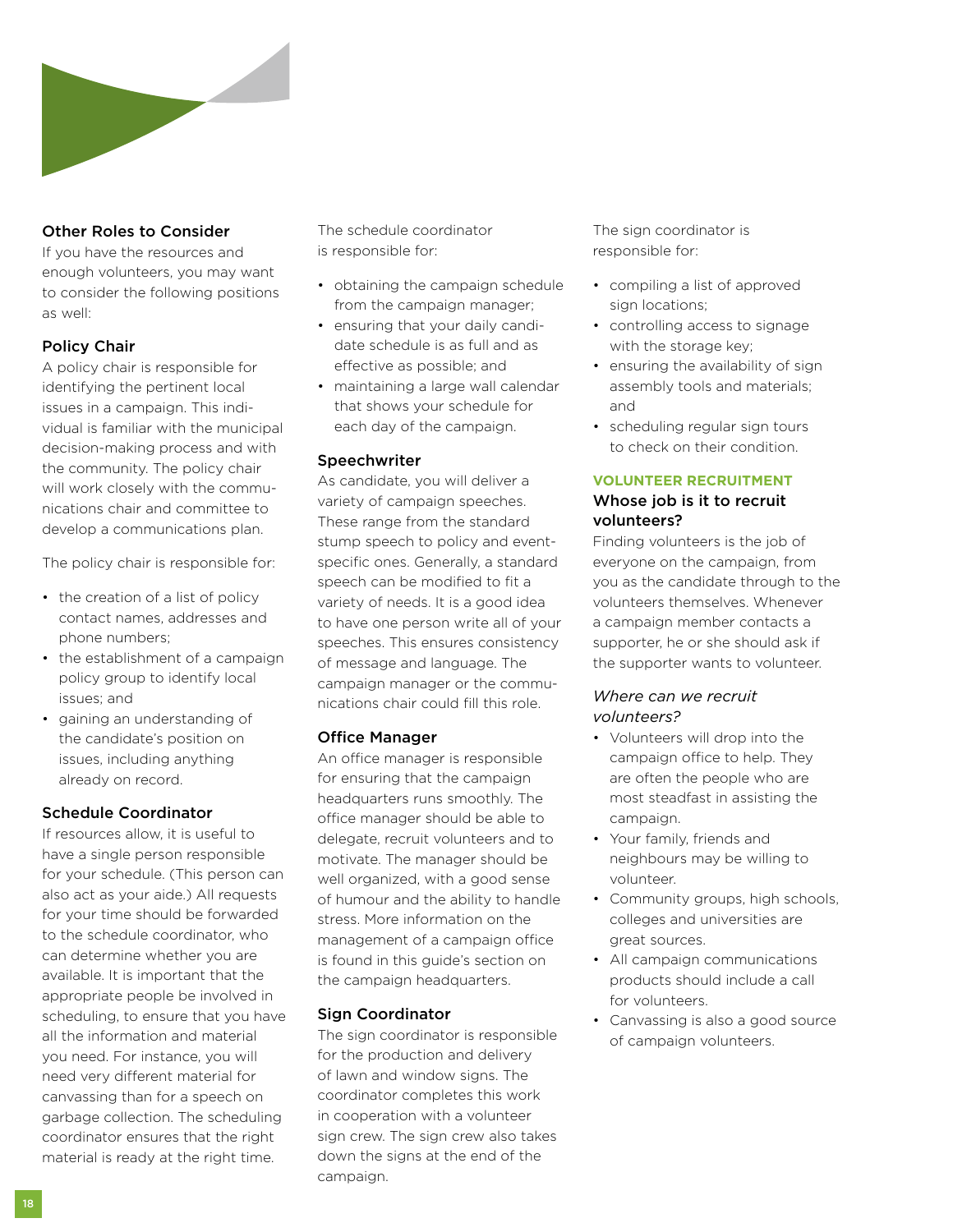

# Other Roles to Consider

If you have the resources and enough volunteers, you may want to consider the following positions as well:

# Policy Chair

A policy chair is responsible for identifying the pertinent local issues in a campaign. This individual is familiar with the municipal decision-making process and with the community. The policy chair will work closely with the communications chair and committee to develop a communications plan.

The policy chair is responsible for:

- the creation of a list of policy contact names, addresses and phone numbers;
- the establishment of a campaign policy group to identify local issues; and
- gaining an understanding of the candidate's position on issues, including anything already on record.

## Schedule Coordinator

If resources allow, it is useful to have a single person responsible for your schedule. (This person can also act as your aide.) All requests for your time should be forwarded to the schedule coordinator, who can determine whether you are available. It is important that the appropriate people be involved in scheduling, to ensure that you have all the information and material you need. For instance, you will need very different material for canvassing than for a speech on garbage collection. The scheduling coordinator ensures that the right material is ready at the right time.

The schedule coordinator is responsible for:

- obtaining the campaign schedule from the campaign manager;
- ensuring that your daily candidate schedule is as full and as effective as possible; and
- maintaining a large wall calendar that shows your schedule for each day of the campaign.

### **Speechwriter**

As candidate, you will deliver a variety of campaign speeches. These range from the standard stump speech to policy and eventspecific ones. Generally, a standard speech can be modified to fit a variety of needs. It is a good idea to have one person write all of your speeches. This ensures consistency of message and language. The campaign manager or the communications chair could fill this role.

### Office Manager

An office manager is responsible for ensuring that the campaign headquarters runs smoothly. The office manager should be able to delegate, recruit volunteers and to motivate. The manager should be well organized, with a good sense of humour and the ability to handle stress. More information on the management of a campaign office is found in this guide's section on the campaign headquarters.

### Sign Coordinator

The sign coordinator is responsible for the production and delivery of lawn and window signs. The coordinator completes this work in cooperation with a volunteer sign crew. The sign crew also takes down the signs at the end of the campaign.

The sign coordinator is responsible for:

- compiling a list of approved sign locations;
- controlling access to signage with the storage key;
- ensuring the availability of sign assembly tools and materials; and
- scheduling regular sign tours to check on their condition.

## **Volunteer Recruitment** Whose job is it to recruit volunteers?

Finding volunteers is the job of everyone on the campaign, from you as the candidate through to the volunteers themselves. Whenever a campaign member contacts a supporter, he or she should ask if the supporter wants to volunteer.

## *Where can we recruit volunteers?*

- Volunteers will drop into the campaign office to help. They are often the people who are most steadfast in assisting the campaign.
- Your family, friends and neighbours may be willing to volunteer.
- Community groups, high schools, colleges and universities are great sources.
- All campaign communications products should include a call for volunteers.
- Canvassing is also a good source of campaign volunteers.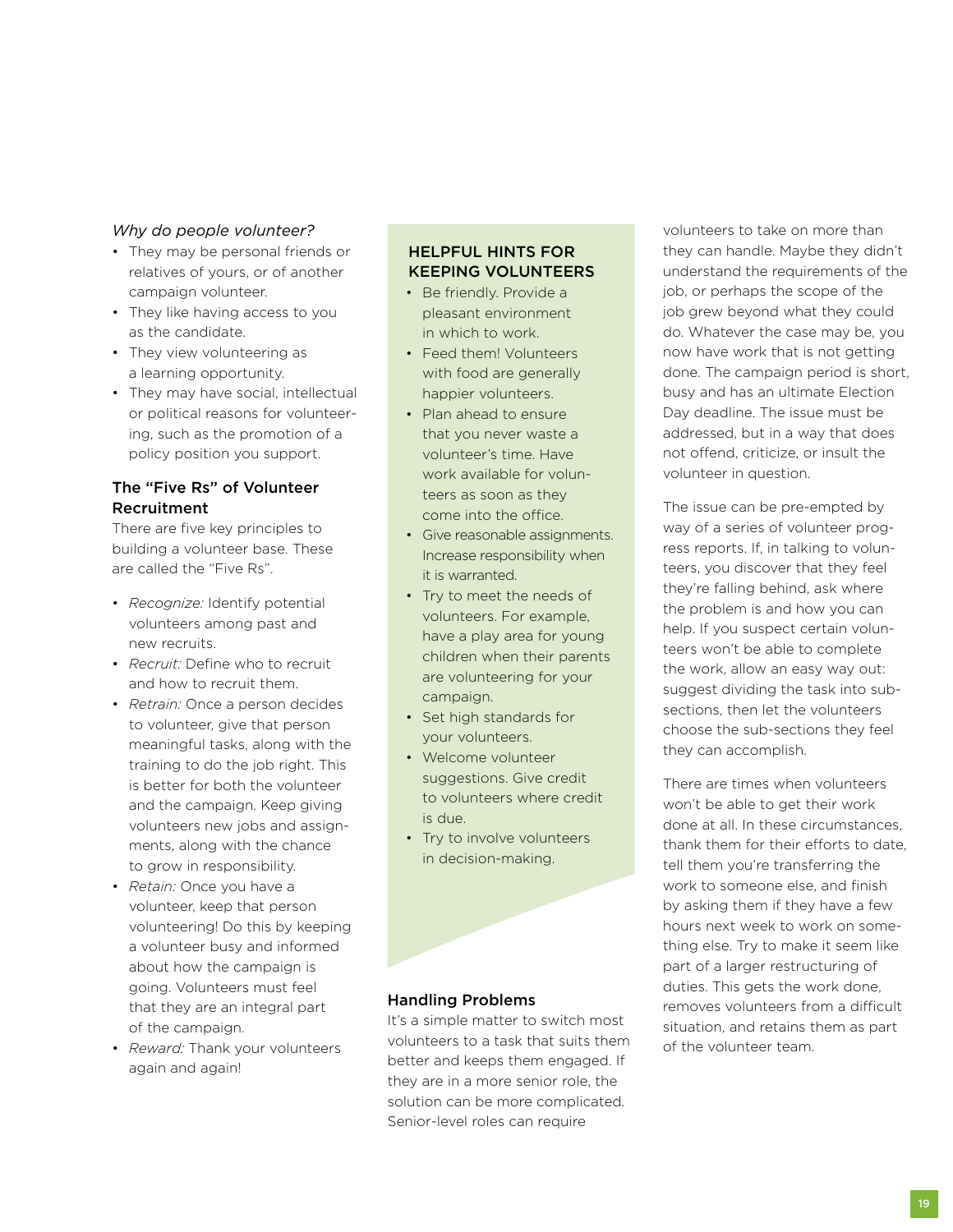## *Why do people volunteer?*

- They may be personal friends or relatives of yours, or of another campaign volunteer.
- They like having access to you as the candidate.
- They view volunteering as a learning opportunity.
- They may have social, intellectual or political reasons for volunteering, such as the promotion of a policy position you support.

# The "Five Rs" of Volunteer Recruitment

There are five key principles to building a volunteer base. These are called the "Five Rs".

- *Recognize:* Identify potential volunteers among past and new recruits.
- *Recruit:* Define who to recruit and how to recruit them.
- *Retrain:* Once a person decides to volunteer, give that person meaningful tasks, along with the training to do the job right. This is better for both the volunteer and the campaign. Keep giving volunteers new jobs and assignments, along with the chance to grow in responsibility.
- *Retain:* Once you have a volunteer, keep that person volunteering! Do this by keeping a volunteer busy and informed about how the campaign is going. Volunteers must feel that they are an integral part of the campaign.
- *Reward:* Thank your volunteers again and again!

# Helpful Hints for Keeping Volunteers

- Be friendly. Provide a pleasant environment in which to work.
- Feed them! Volunteers with food are generally happier volunteers.
- Plan ahead to ensure that you never waste a volunteer's time. Have work available for volunteers as soon as they come into the office.
- Give reasonable assignments. Increase responsibility when it is warranted.
- Try to meet the needs of volunteers. For example, have a play area for young children when their parents are volunteering for your campaign.
- Set high standards for your volunteers.
- Welcome volunteer suggestions. Give credit to volunteers where credit is due.
- Try to involve volunteers in decision-making.

## Handling Problems

It's a simple matter to switch most volunteers to a task that suits them better and keeps them engaged. If they are in a more senior role, the solution can be more complicated. Senior-level roles can require

volunteers to take on more than they can handle. Maybe they didn't understand the requirements of the job, or perhaps the scope of the job grew beyond what they could do. Whatever the case may be, you now have work that is not getting done. The campaign period is short, busy and has an ultimate Election Day deadline. The issue must be addressed, but in a way that does not offend, criticize, or insult the volunteer in question.

The issue can be pre-empted by way of a series of volunteer progress reports. If, in talking to volunteers, you discover that they feel they're falling behind, ask where the problem is and how you can help. If you suspect certain volunteers won't be able to complete the work, allow an easy way out: suggest dividing the task into subsections, then let the volunteers choose the sub-sections they feel they can accomplish.

There are times when volunteers won't be able to get their work done at all. In these circumstances, thank them for their efforts to date, tell them you're transferring the work to someone else, and finish by asking them if they have a few hours next week to work on something else. Try to make it seem like part of a larger restructuring of duties. This gets the work done, removes volunteers from a difficult situation, and retains them as part of the volunteer team.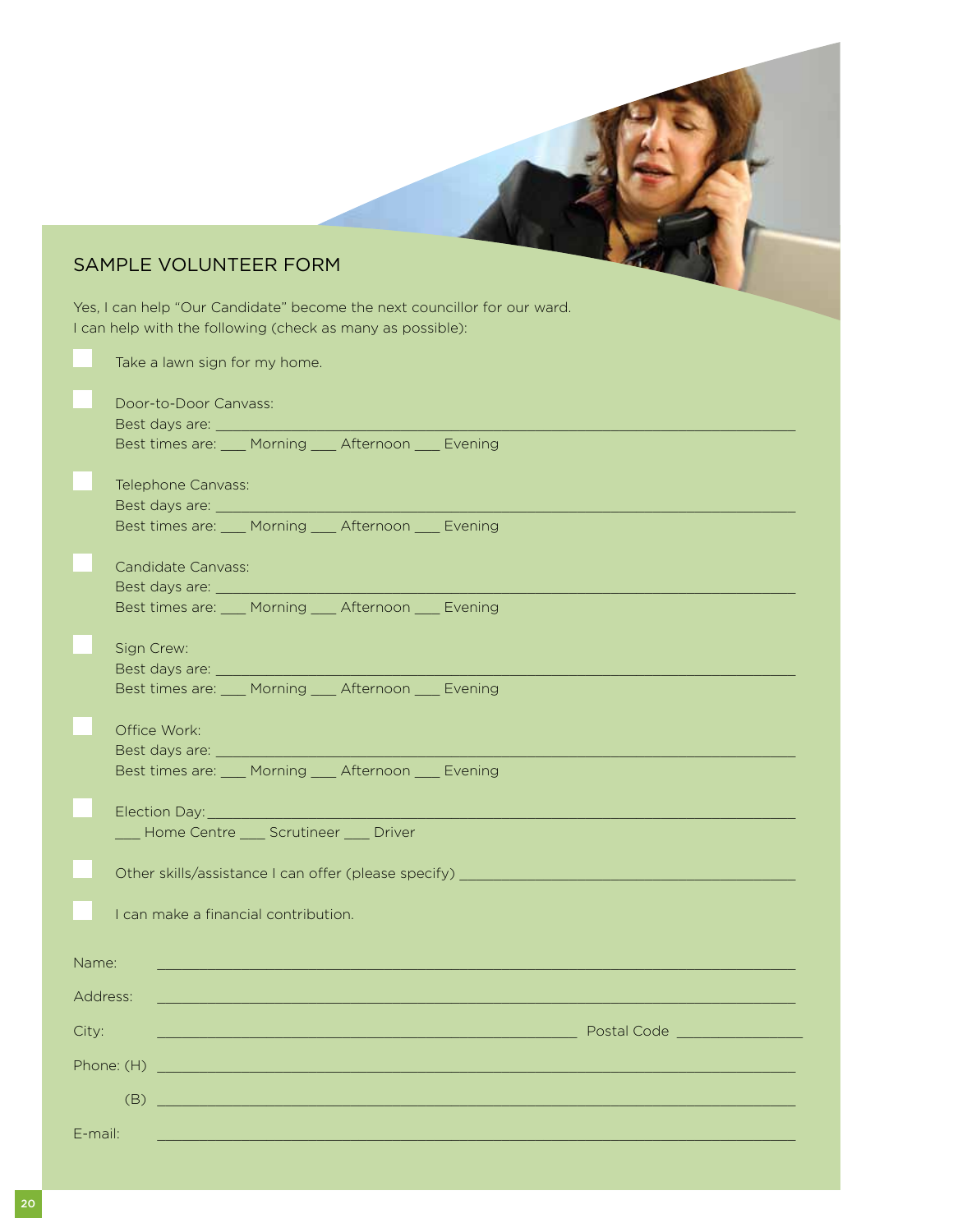# Sample Volunteer Form

Yes, I can help "Our Candidate" become the next councillor for our ward. I can help with the following (check as many as possible):

|          | Take a lawn sign for my home.                                                                                                                                                                                                        |  |  |  |  |
|----------|--------------------------------------------------------------------------------------------------------------------------------------------------------------------------------------------------------------------------------------|--|--|--|--|
|          | Door-to-Door Canvass:                                                                                                                                                                                                                |  |  |  |  |
|          | Best times are: ____ Morning ____ Afternoon ____ Evening                                                                                                                                                                             |  |  |  |  |
|          |                                                                                                                                                                                                                                      |  |  |  |  |
|          | Telephone Canvass:                                                                                                                                                                                                                   |  |  |  |  |
|          | Best times are: ____ Morning ____ Afternoon ____ Evening                                                                                                                                                                             |  |  |  |  |
|          | <b>Candidate Canvass:</b>                                                                                                                                                                                                            |  |  |  |  |
|          | Best times are: ____ Morning ____ Afternoon ____ Evening                                                                                                                                                                             |  |  |  |  |
|          | Sign Crew:                                                                                                                                                                                                                           |  |  |  |  |
|          | Best times are: ____ Morning ____ Afternoon ____ Evening                                                                                                                                                                             |  |  |  |  |
|          |                                                                                                                                                                                                                                      |  |  |  |  |
|          | Office Work:                                                                                                                                                                                                                         |  |  |  |  |
|          | Best times are: ____ Morning ____ Afternoon ____ Evening                                                                                                                                                                             |  |  |  |  |
|          | Election Day: <u>New York: New York: New York: New York: New York: New York: New York: New York: New York: New York: New York: New York: New York: New York: New York: New York: New York: New York: New York: New York: New Yor</u> |  |  |  |  |
|          | Home Centre ___ Scrutineer ___ Driver                                                                                                                                                                                                |  |  |  |  |
|          | Other skills/assistance I can offer (please specify) ___________________________                                                                                                                                                     |  |  |  |  |
|          | I can make a financial contribution.                                                                                                                                                                                                 |  |  |  |  |
| Name:    |                                                                                                                                                                                                                                      |  |  |  |  |
| Address: | <u> 1989 - Johann Barbara, markazi bashkar a shekara ta 1989 - Andrea Santana a shekara ta 1989 - Andrea Santana</u>                                                                                                                 |  |  |  |  |
| City:    | <b>Postal Code Communication</b>                                                                                                                                                                                                     |  |  |  |  |
|          |                                                                                                                                                                                                                                      |  |  |  |  |
|          | (B)<br><u> 1990 - Johann John Stone, mars and de film and de film and de film and de film and de film and de film and de</u>                                                                                                         |  |  |  |  |
| E-mail:  | <u> 1989 - Johann Barn, mars an t-Amerikaansk kommunist (</u>                                                                                                                                                                        |  |  |  |  |
|          |                                                                                                                                                                                                                                      |  |  |  |  |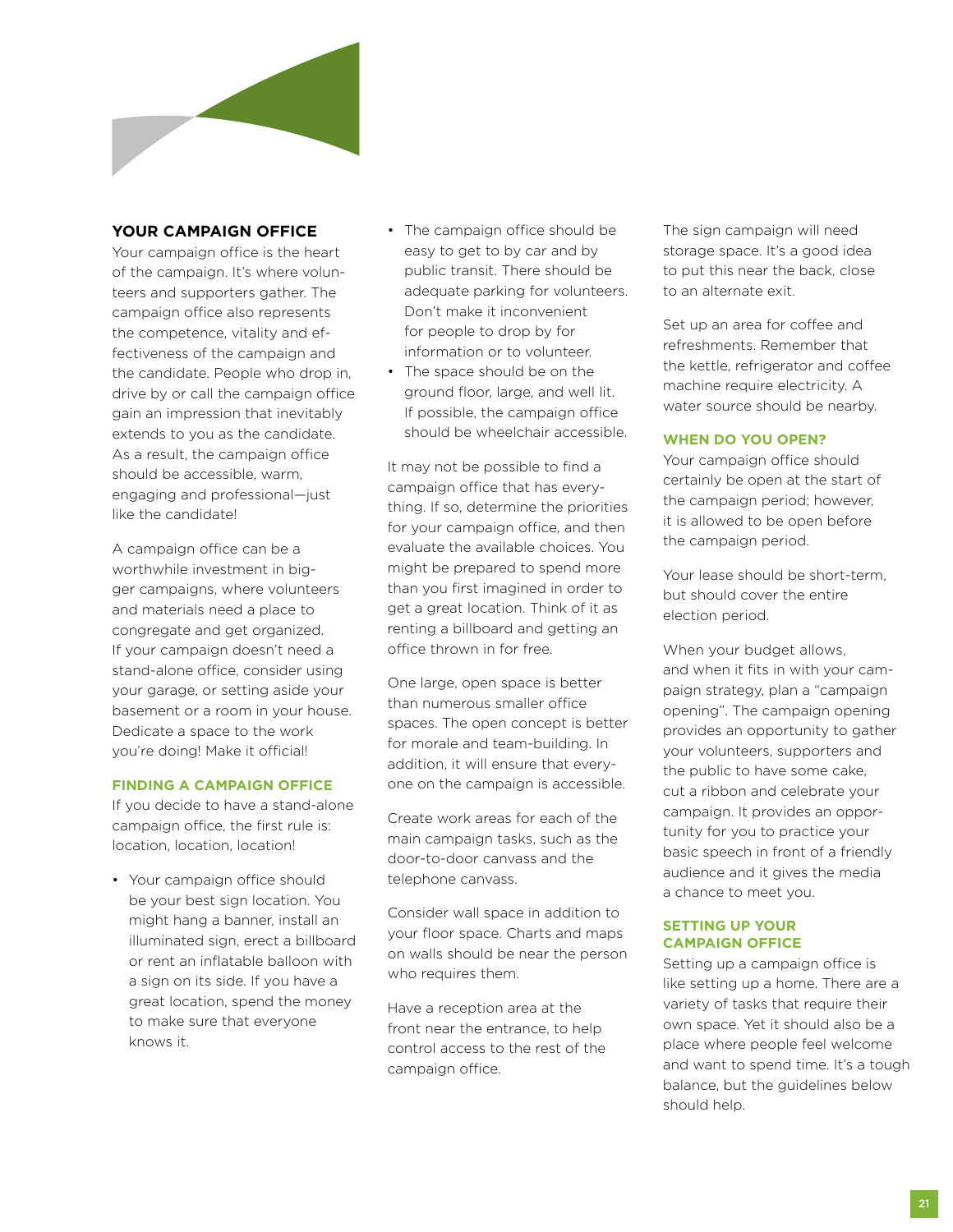

## **Your Campaign Office**

Your campaign office is the heart of the campaign. It's where volunteers and supporters gather. The campaign office also represents the competence, vitality and effectiveness of the campaign and the candidate. People who drop in, drive by or call the campaign office gain an impression that inevitably extends to you as the candidate. As a result, the campaign office should be accessible, warm, engaging and professional—just like the candidate!

A campaign office can be a worthwhile investment in bigger campaigns, where volunteers and materials need a place to congregate and get organized. If your campaign doesn't need a stand-alone office, consider using your garage, or setting aside your basement or a room in your house. Dedicate a space to the work you're doing! Make it official!

### **Finding a Campaign Office**

If you decide to have a stand-alone campaign office, the first rule is: location, location, location!

• Your campaign office should be your best sign location. You might hang a banner, install an illuminated sign, erect a billboard or rent an inflatable balloon with a sign on its side. If you have a great location, spend the money to make sure that everyone knows it.

- The campaign office should be easy to get to by car and by public transit. There should be adequate parking for volunteers. Don't make it inconvenient for people to drop by for information or to volunteer.
- The space should be on the ground floor, large, and well lit. If possible, the campaign office should be wheelchair accessible.

It may not be possible to find a campaign office that has everything. If so, determine the priorities for your campaign office, and then evaluate the available choices. You might be prepared to spend more than you first imagined in order to get a great location. Think of it as renting a billboard and getting an office thrown in for free.

One large, open space is better than numerous smaller office spaces. The open concept is better for morale and team-building. In addition, it will ensure that everyone on the campaign is accessible.

Create work areas for each of the main campaign tasks, such as the door-to-door canvass and the telephone canvass.

Consider wall space in addition to your floor space. Charts and maps on walls should be near the person who requires them.

Have a reception area at the front near the entrance, to help control access to the rest of the campaign office.

The sign campaign will need storage space. It's a good idea to put this near the back, close to an alternate exit.

Set up an area for coffee and refreshments. Remember that the kettle, refrigerator and coffee machine require electricity. A water source should be nearby.

## **When Do You Open?**

Your campaign office should certainly be open at the start of the campaign period; however, it is allowed to be open before the campaign period.

Your lease should be short-term, but should cover the entire election period.

When your budget allows, and when it fits in with your campaign strategy, plan a "campaign opening". The campaign opening provides an opportunity to gather your volunteers, supporters and the public to have some cake, cut a ribbon and celebrate your campaign. It provides an opportunity for you to practice your basic speech in front of a friendly audience and it gives the media a chance to meet you.

## **Setting Up Your Campaign Office**

Setting up a campaign office is like setting up a home. There are a variety of tasks that require their own space. Yet it should also be a place where people feel welcome and want to spend time. It's a tough balance, but the guidelines below should help.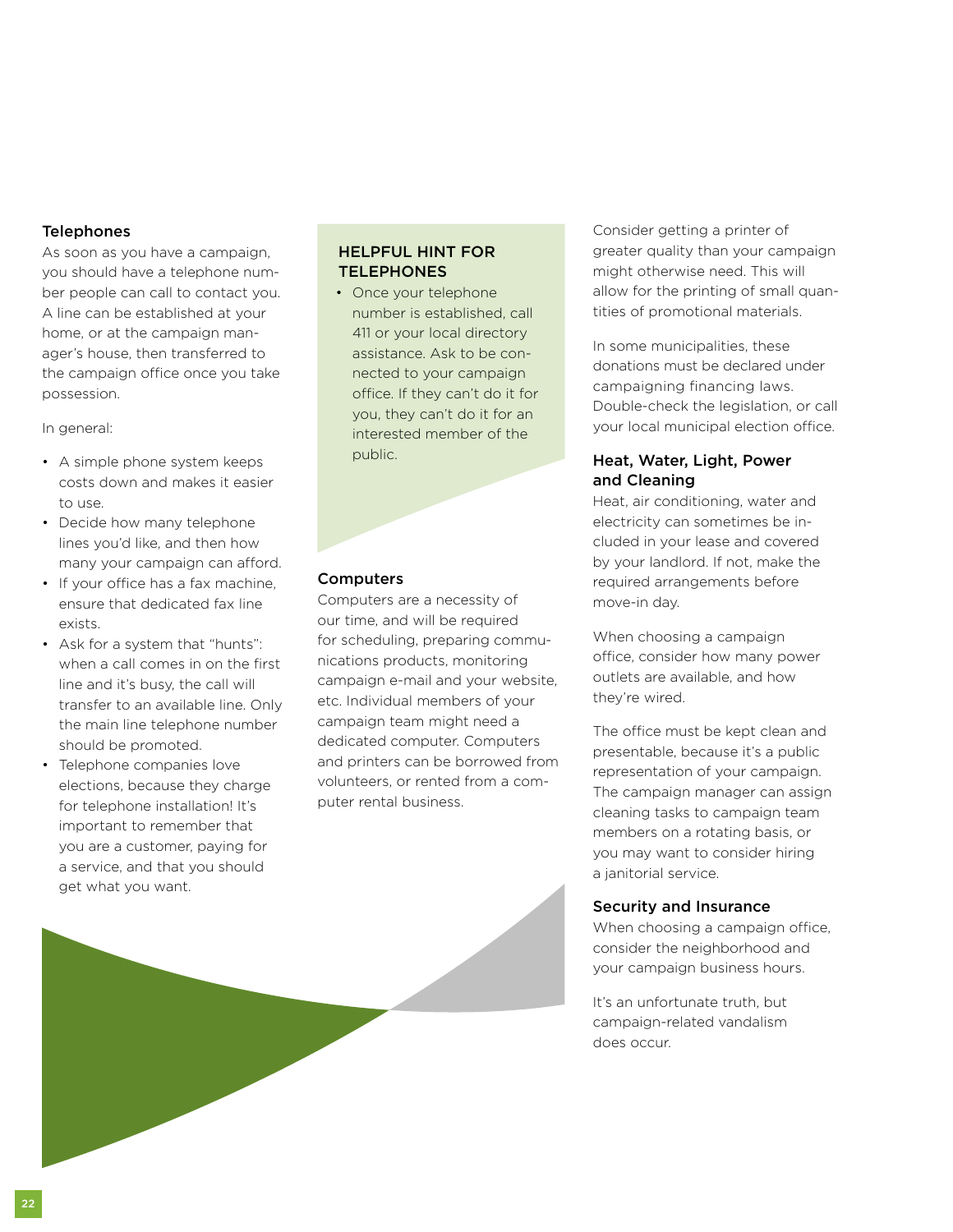## **Telephones**

As soon as you have a campaign, you should have a telephone number people can call to contact you. A line can be established at your home, or at the campaign manager's house, then transferred to the campaign office once you take possession.

In general:

- A simple phone system keeps costs down and makes it easier to use.
- Decide how many telephone lines you'd like, and then how many your campaign can afford.
- If your office has a fax machine, ensure that dedicated fax line exists.
- Ask for a system that "hunts": when a call comes in on the first line and it's busy, the call will transfer to an available line. Only the main line telephone number should be promoted.
- Telephone companies love elections, because they charge for telephone installation! It's important to remember that you are a customer, paying for a service, and that you should get what you want.

## Helpful Hint for **TELEPHONES**

• Once your telephone number is established, call 411 or your local directory assistance. Ask to be connected to your campaign office. If they can't do it for you, they can't do it for an interested member of the public.

#### **Computers**

Computers are a necessity of our time, and will be required for scheduling, preparing communications products, monitoring campaign e-mail and your website, etc. Individual members of your campaign team might need a dedicated computer. Computers and printers can be borrowed from volunteers, or rented from a computer rental business.

Consider getting a printer of greater quality than your campaign might otherwise need. This will allow for the printing of small quantities of promotional materials.

In some municipalities, these donations must be declared under campaigning financing laws. Double-check the legislation, or call your local municipal election office.

# Heat, Water, Light, Power and Cleaning

Heat, air conditioning, water and electricity can sometimes be included in your lease and covered by your landlord. If not, make the required arrangements before move-in day.

When choosing a campaign office, consider how many power outlets are available, and how they're wired.

The office must be kept clean and presentable, because it's a public representation of your campaign. The campaign manager can assign cleaning tasks to campaign team members on a rotating basis, or you may want to consider hiring a janitorial service.

### Security and Insurance

When choosing a campaign office, consider the neighborhood and your campaign business hours.

It's an unfortunate truth, but campaign-related vandalism does occur.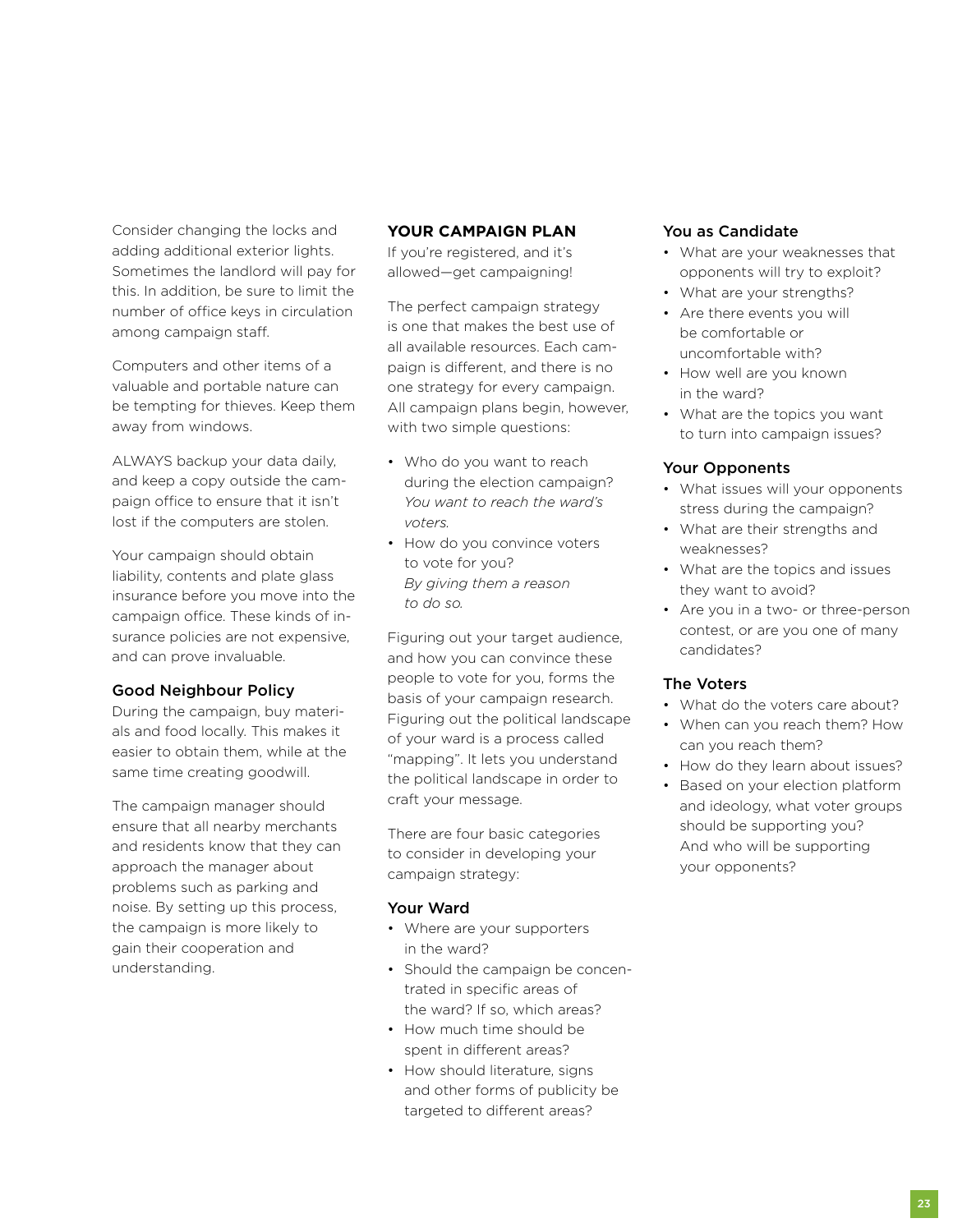Consider changing the locks and adding additional exterior lights. Sometimes the landlord will pay for this. In addition, be sure to limit the number of office keys in circulation among campaign staff.

Computers and other items of a valuable and portable nature can be tempting for thieves. Keep them away from windows.

ALWAYS backup your data daily, and keep a copy outside the campaign office to ensure that it isn't lost if the computers are stolen.

Your campaign should obtain liability, contents and plate glass insurance before you move into the campaign office. These kinds of insurance policies are not expensive, and can prove invaluable.

### Good Neighbour Policy

During the campaign, buy materials and food locally. This makes it easier to obtain them, while at the same time creating goodwill.

The campaign manager should ensure that all nearby merchants and residents know that they can approach the manager about problems such as parking and noise. By setting up this process, the campaign is more likely to gain their cooperation and understanding.

## **Your Campaign Plan**

If you're registered, and it's allowed—get campaigning!

The perfect campaign strategy is one that makes the best use of all available resources. Each campaign is different, and there is no one strategy for every campaign. All campaign plans begin, however, with two simple questions:

- Who do you want to reach during the election campaign? *You want to reach the ward's voters.*
- How do you convince voters to vote for you? *By giving them a reason to do so.*

Figuring out your target audience, and how you can convince these people to vote for you, forms the basis of your campaign research. Figuring out the political landscape of your ward is a process called "mapping". It lets you understand the political landscape in order to craft your message.

There are four basic categories to consider in developing your campaign strategy:

## Your Ward

- Where are your supporters in the ward?
- Should the campaign be concentrated in specific areas of the ward? If so, which areas?
- How much time should be spent in different areas?
- How should literature, signs and other forms of publicity be targeted to different areas?

## You as Candidate

- What are your weaknesses that opponents will try to exploit?
- What are your strengths?
- Are there events you will be comfortable or uncomfortable with?
- How well are you known in the ward?
- What are the topics you want to turn into campaign issues?

## Your Opponents

- What issues will your opponents stress during the campaign?
- What are their strengths and weaknesses?
- What are the topics and issues they want to avoid?
- Are you in a two- or three-person contest, or are you one of many candidates?

## The Voters

- What do the voters care about?
- When can you reach them? How can you reach them?
- How do they learn about issues?
- Based on your election platform and ideology, what voter groups should be supporting you? And who will be supporting your opponents?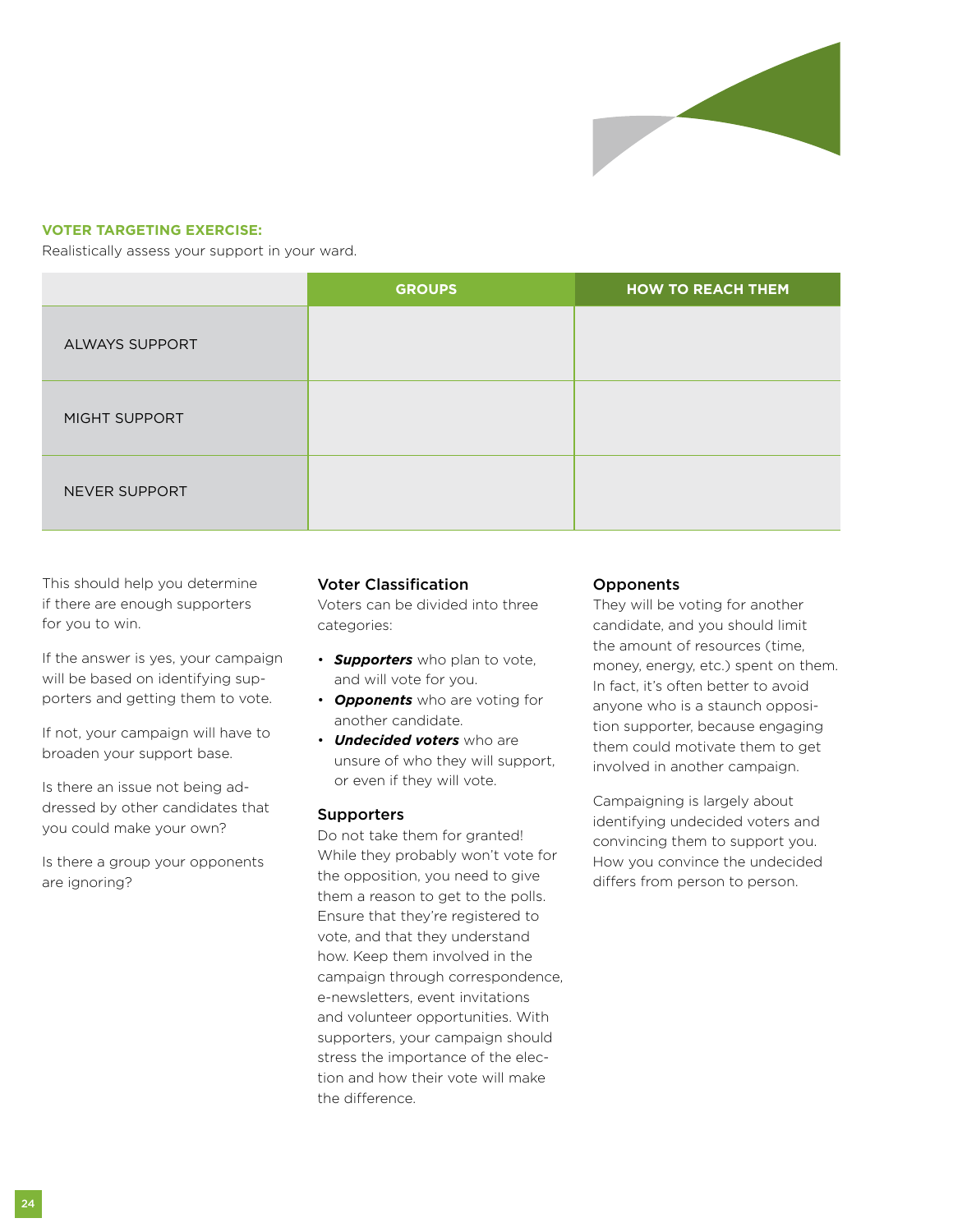

## **Voter Targeting Exercise:**

Realistically assess your support in your ward.

|                       | <b>GROUPS</b> | <b>HOW TO REACH THEM</b> |
|-----------------------|---------------|--------------------------|
| <b>ALWAYS SUPPORT</b> |               |                          |
| MIGHT SUPPORT         |               |                          |
| <b>NEVER SUPPORT</b>  |               |                          |

This should help you determine if there are enough supporters for you to win.

If the answer is yes, your campaign will be based on identifying supporters and getting them to vote.

If not, your campaign will have to broaden your support base.

Is there an issue not being addressed by other candidates that you could make your own?

Is there a group your opponents are ignoring?

### Voter Classification

Voters can be divided into three categories:

- *Supporters* who plan to vote, and will vote for you.
- *Opponents* who are voting for another candidate.
- *Undecided voters* who are unsure of who they will support, or even if they will vote.

#### Supporters

Do not take them for granted! While they probably won't vote for the opposition, you need to give them a reason to get to the polls. Ensure that they're registered to vote, and that they understand how. Keep them involved in the campaign through correspondence, e-newsletters, event invitations and volunteer opportunities. With supporters, your campaign should stress the importance of the election and how their vote will make the difference.

### **Opponents**

They will be voting for another candidate, and you should limit the amount of resources (time, money, energy, etc.) spent on them. In fact, it's often better to avoid anyone who is a staunch opposition supporter, because engaging them could motivate them to get involved in another campaign.

Campaigning is largely about identifying undecided voters and convincing them to support you. How you convince the undecided differs from person to person.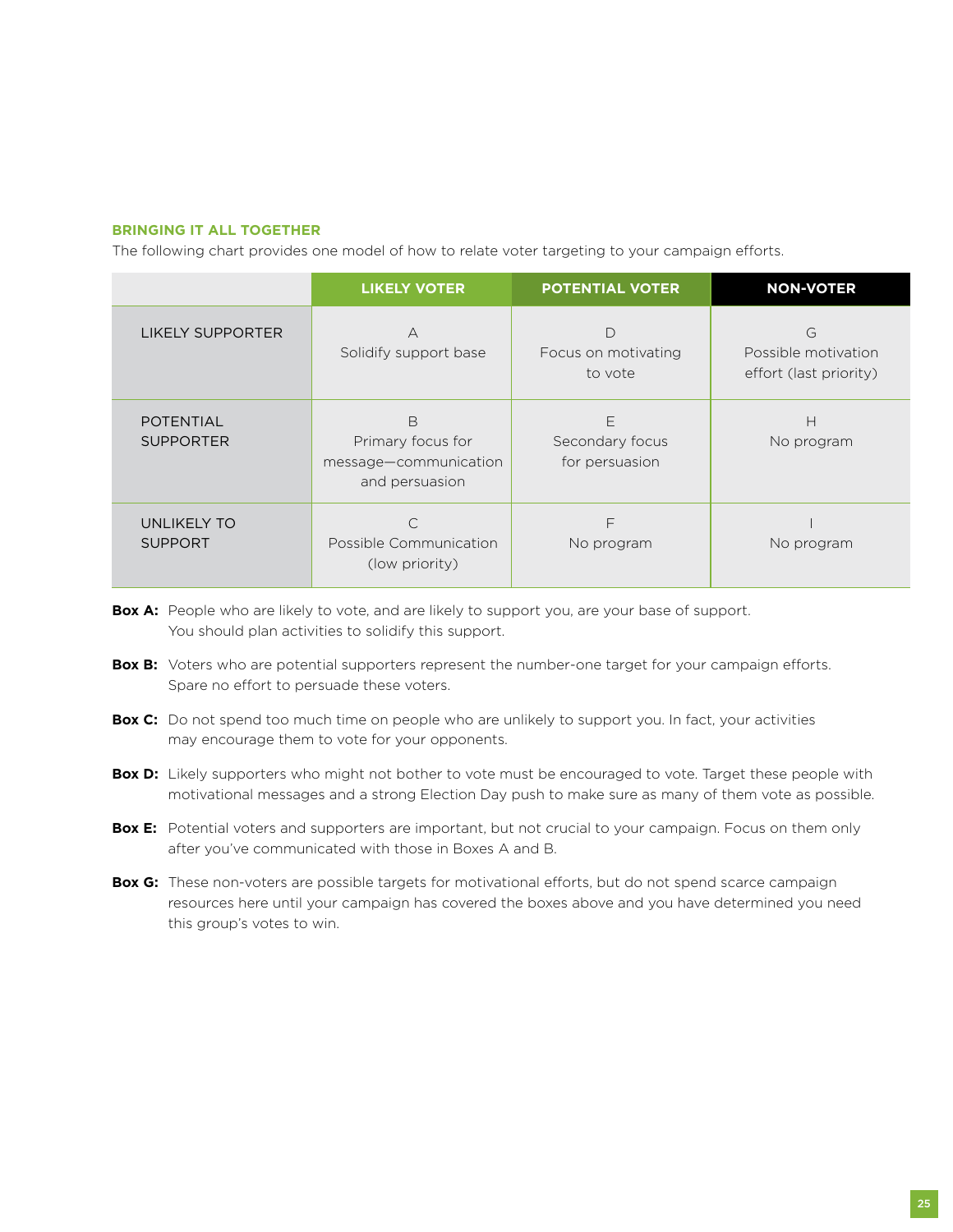#### **Bringing It All Together**

The following chart provides one model of how to relate voter targeting to your campaign efforts.

|                                      | <b>LIKELY VOTER</b>                                               | <b>POTENTIAL VOTER</b>                 | <b>NON-VOTER</b>                                   |
|--------------------------------------|-------------------------------------------------------------------|----------------------------------------|----------------------------------------------------|
| <b>LIKELY SUPPORTER</b>              | А<br>Solidify support base                                        | D<br>Focus on motivating<br>to vote    | G<br>Possible motivation<br>effort (last priority) |
| <b>POTENTIAL</b><br><b>SUPPORTER</b> | B<br>Primary focus for<br>message-communication<br>and persuasion | E<br>Secondary focus<br>for persuasion | н<br>No program                                    |
| UNLIKELY TO<br><b>SUPPORT</b>        | Possible Communication<br>(low priority)                          | F<br>No program                        | No program                                         |

- **Box A:** People who are likely to vote, and are likely to support you, are your base of support. You should plan activities to solidify this support.
- **Box B:** Voters who are potential supporters represent the number-one target for your campaign efforts. Spare no effort to persuade these voters.
- **Box C:** Do not spend too much time on people who are unlikely to support you. In fact, your activities may encourage them to vote for your opponents.
- **Box D:** Likely supporters who might not bother to vote must be encouraged to vote. Target these people with motivational messages and a strong Election Day push to make sure as many of them vote as possible.
- **Box E:** Potential voters and supporters are important, but not crucial to your campaign. Focus on them only after you've communicated with those in Boxes A and B.
- **Box G:** These non-voters are possible targets for motivational efforts, but do not spend scarce campaign resources here until your campaign has covered the boxes above and you have determined you need this group's votes to win.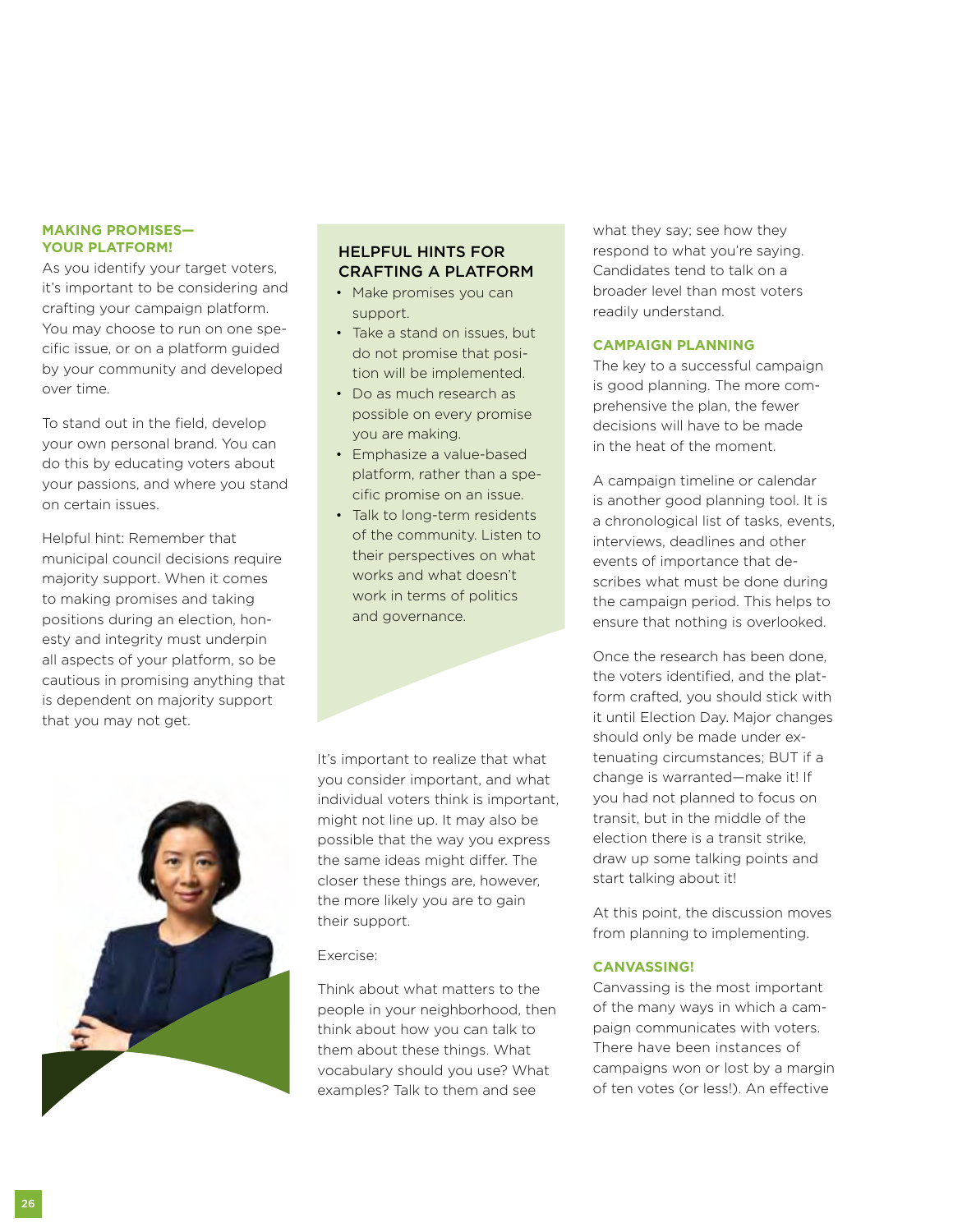#### **Making Promises— Your Platform!**

As you identify your target voters, it's important to be considering and crafting your campaign platform. You may choose to run on one specific issue, or on a platform guided by your community and developed over time.

To stand out in the field, develop your own personal brand. You can do this by educating voters about your passions, and where you stand on certain issues.

Helpful hint: Remember that municipal council decisions require majority support. When it comes to making promises and taking positions during an election, honesty and integrity must underpin all aspects of your platform, so be cautious in promising anything that is dependent on majority support that you may not get.

# Helpful Hints for Crafting a Platform

- Make promises you can support.
- Take a stand on issues, but do not promise that position will be implemented.
- Do as much research as possible on every promise you are making.
- Emphasize a value-based platform, rather than a specific promise on an issue.
- Talk to long-term residents of the community. Listen to their perspectives on what works and what doesn't work in terms of politics and governance.

It's important to realize that what you consider important, and what individual voters think is important, might not line up. It may also be possible that the way you express the same ideas might differ. The closer these things are, however, the more likely you are to gain their support.

## Exercise:

Think about what matters to the people in your neighborhood, then think about how you can talk to them about these things. What vocabulary should you use? What examples? Talk to them and see

what they say; see how they respond to what you're saying. Candidates tend to talk on a broader level than most voters readily understand.

#### **Campaign Planning**

The key to a successful campaign is good planning. The more comprehensive the plan, the fewer decisions will have to be made in the heat of the moment.

A campaign timeline or calendar is another good planning tool. It is a chronological list of tasks, events, interviews, deadlines and other events of importance that describes what must be done during the campaign period. This helps to ensure that nothing is overlooked.

Once the research has been done, the voters identified, and the platform crafted, you should stick with it until Election Day. Major changes should only be made under extenuating circumstances; BUT if a change is warranted—make it! If you had not planned to focus on transit, but in the middle of the election there is a transit strike, draw up some talking points and start talking about it!

At this point, the discussion moves from planning to implementing.

### **Canvassing!**

Canvassing is the most important of the many ways in which a campaign communicates with voters. There have been instances of campaigns won or lost by a margin of ten votes (or less!). An effective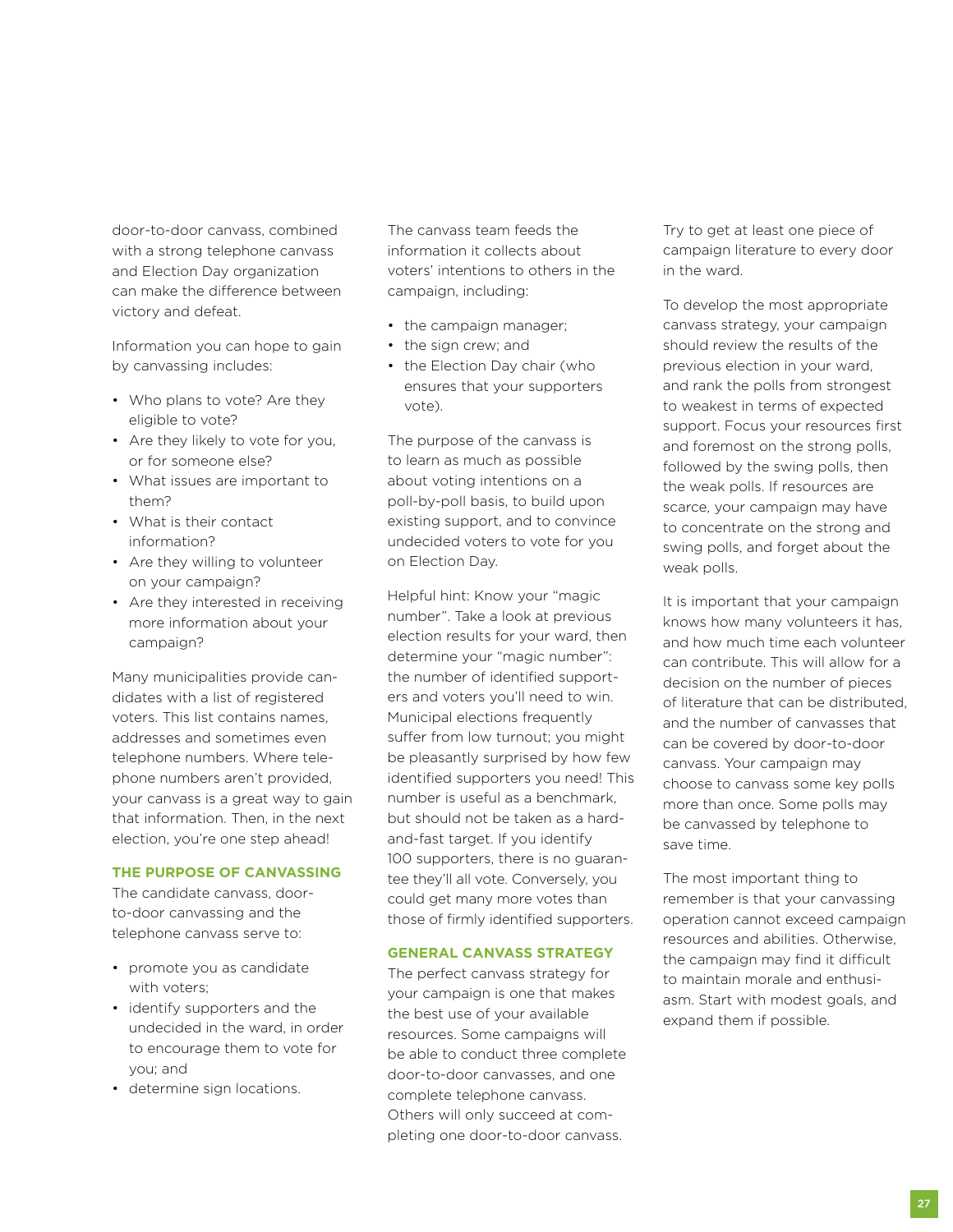door-to-door canvass, combined with a strong telephone canvass and Election Day organization can make the difference between victory and defeat.

Information you can hope to gain by canvassing includes:

- Who plans to vote? Are they eligible to vote?
- Are they likely to vote for you, or for someone else?
- What issues are important to them?
- What is their contact information?
- Are they willing to volunteer on your campaign?
- Are they interested in receiving more information about your campaign?

Many municipalities provide candidates with a list of registered voters. This list contains names, addresses and sometimes even telephone numbers. Where telephone numbers aren't provided, your canvass is a great way to gain that information. Then, in the next election, you're one step ahead!

## **The Purpose of Canvassing**

The candidate canvass, doorto-door canvassing and the telephone canvass serve to:

- promote you as candidate with voters;
- identify supporters and the undecided in the ward, in order to encourage them to vote for you; and
- determine sign locations.

The canvass team feeds the information it collects about voters' intentions to others in the campaign, including:

- the campaign manager;
- the sign crew; and
- the Election Day chair (who ensures that your supporters vote).

The purpose of the canvass is to learn as much as possible about voting intentions on a poll-by-poll basis, to build upon existing support, and to convince undecided voters to vote for you on Election Day.

Helpful hint: Know your "magic number". Take a look at previous election results for your ward, then determine your "magic number": the number of identified supporters and voters you'll need to win. Municipal elections frequently suffer from low turnout; you might be pleasantly surprised by how few identified supporters you need! This number is useful as a benchmark, but should not be taken as a hardand-fast target. If you identify 100 supporters, there is no guarantee they'll all vote. Conversely, you could get many more votes than those of firmly identified supporters.

### **General Canvass Strategy**

The perfect canvass strategy for your campaign is one that makes the best use of your available resources. Some campaigns will be able to conduct three complete door-to-door canvasses, and one complete telephone canvass. Others will only succeed at completing one door-to-door canvass.

Try to get at least one piece of campaign literature to every door in the ward.

To develop the most appropriate canvass strategy, your campaign should review the results of the previous election in your ward, and rank the polls from strongest to weakest in terms of expected support. Focus your resources first and foremost on the strong polls, followed by the swing polls, then the weak polls. If resources are scarce, your campaign may have to concentrate on the strong and swing polls, and forget about the weak polls.

It is important that your campaign knows how many volunteers it has, and how much time each volunteer can contribute. This will allow for a decision on the number of pieces of literature that can be distributed, and the number of canvasses that can be covered by door-to-door canvass. Your campaign may choose to canvass some key polls more than once. Some polls may be canvassed by telephone to save time.

The most important thing to remember is that your canvassing operation cannot exceed campaign resources and abilities. Otherwise, the campaign may find it difficult to maintain morale and enthusiasm. Start with modest goals, and expand them if possible.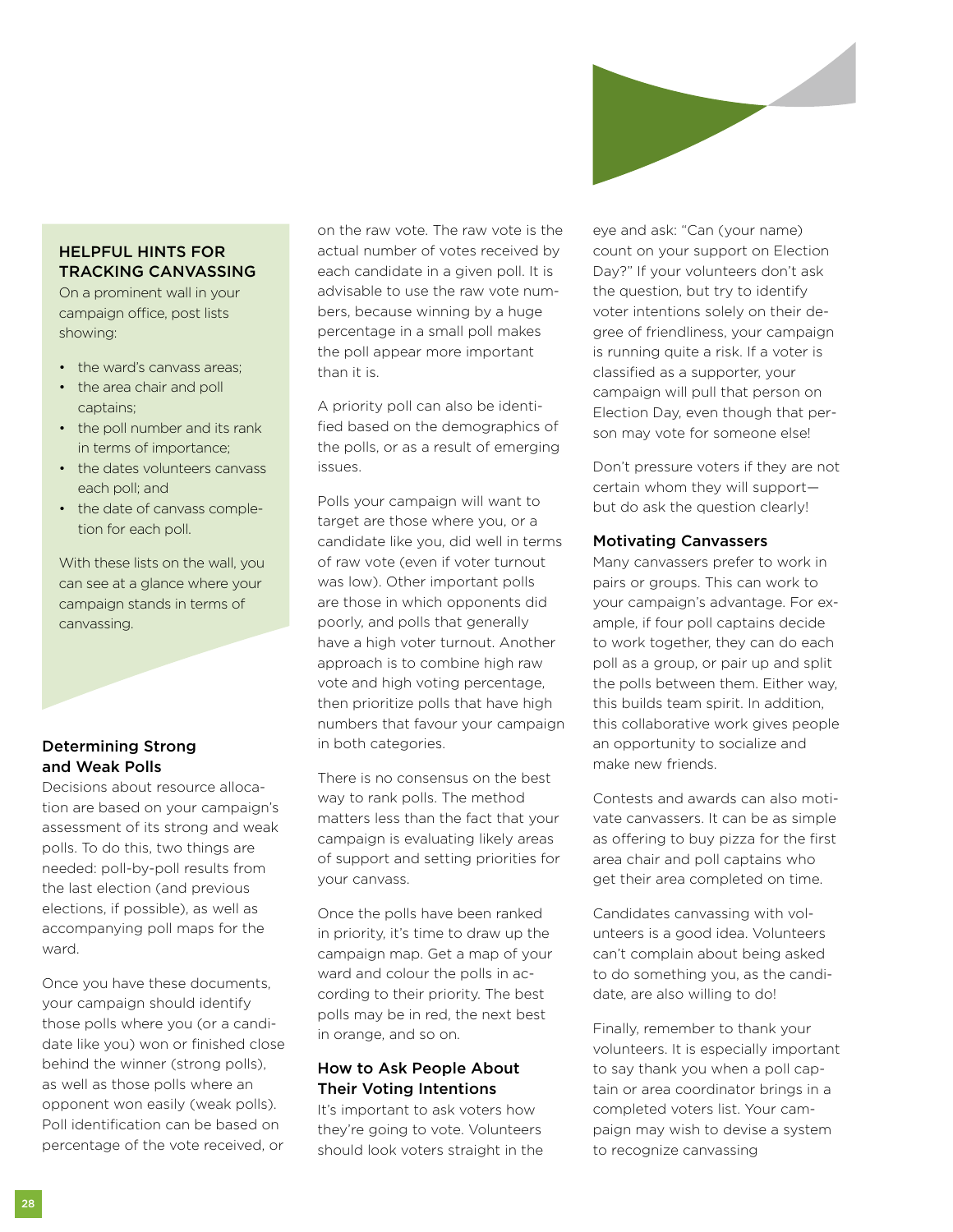

# HELPFUL HINTS FOR **TRACKING CANVASSING**

On a prominent wall in your campaign office, post lists showing:

- the ward's canvass areas:
- the area chair and poll captains;
- the poll number and its rank in terms of importance;
- the dates volunteers canvass each poll; and
- the date of canvass completion for each poll.

With these lists on the wall, you can see at a glance where your campaign stands in terms of canvassing.

# Determining Strong and Weak Polls

Decisions about resource allocation are based on your campaign's assessment of its strong and weak polls. To do this, two things are needed: poll-by-poll results from the last election (and previous elections, if possible), as well as accompanying poll maps for the ward.

Once you have these documents, your campaign should identify those polls where you (or a candidate like you) won or finished close behind the winner (strong polls), as well as those polls where an opponent won easily (weak polls). Poll identification can be based on percentage of the vote received, or

on the raw vote. The raw vote is the actual number of votes received by each candidate in a given poll. It is advisable to use the raw vote numbers, because winning by a huge percentage in a small poll makes the poll appear more important than it is.

A priority poll can also be identified based on the demographics of the polls, or as a result of emerging issues.

Polls your campaign will want to target are those where you, or a candidate like you, did well in terms of raw vote (even if voter turnout was low). Other important polls are those in which opponents did poorly, and polls that generally have a high voter turnout. Another approach is to combine high raw vote and high voting percentage, then prioritize polls that have high numbers that favour your campaign in both categories.

There is no consensus on the best way to rank polls. The method matters less than the fact that your campaign is evaluating likely areas of support and setting priorities for your canvass.

Once the polls have been ranked in priority, it's time to draw up the campaign map. Get a map of your ward and colour the polls in according to their priority. The best polls may be in red, the next best in orange, and so on.

### How to Ask People About Their Voting Intentions

It's important to ask voters how they're going to vote. Volunteers should look voters straight in the eye and ask: "Can (your name) count on your support on Election Day?" If your volunteers don't ask the question, but try to identify voter intentions solely on their degree of friendliness, your campaign is running quite a risk. If a voter is classified as a supporter, your campaign will pull that person on Election Day, even though that person may vote for someone else!

Don't pressure voters if they are not certain whom they will support but do ask the question clearly!

### Motivating Canvassers

Many canvassers prefer to work in pairs or groups. This can work to your campaign's advantage. For example, if four poll captains decide to work together, they can do each poll as a group, or pair up and split the polls between them. Either way, this builds team spirit. In addition, this collaborative work gives people an opportunity to socialize and make new friends.

Contests and awards can also motivate canvassers. It can be as simple as offering to buy pizza for the first area chair and poll captains who get their area completed on time.

Candidates canvassing with volunteers is a good idea. Volunteers can't complain about being asked to do something you, as the candidate, are also willing to do!

Finally, remember to thank your volunteers. It is especially important to say thank you when a poll captain or area coordinator brings in a completed voters list. Your campaign may wish to devise a system to recognize canvassing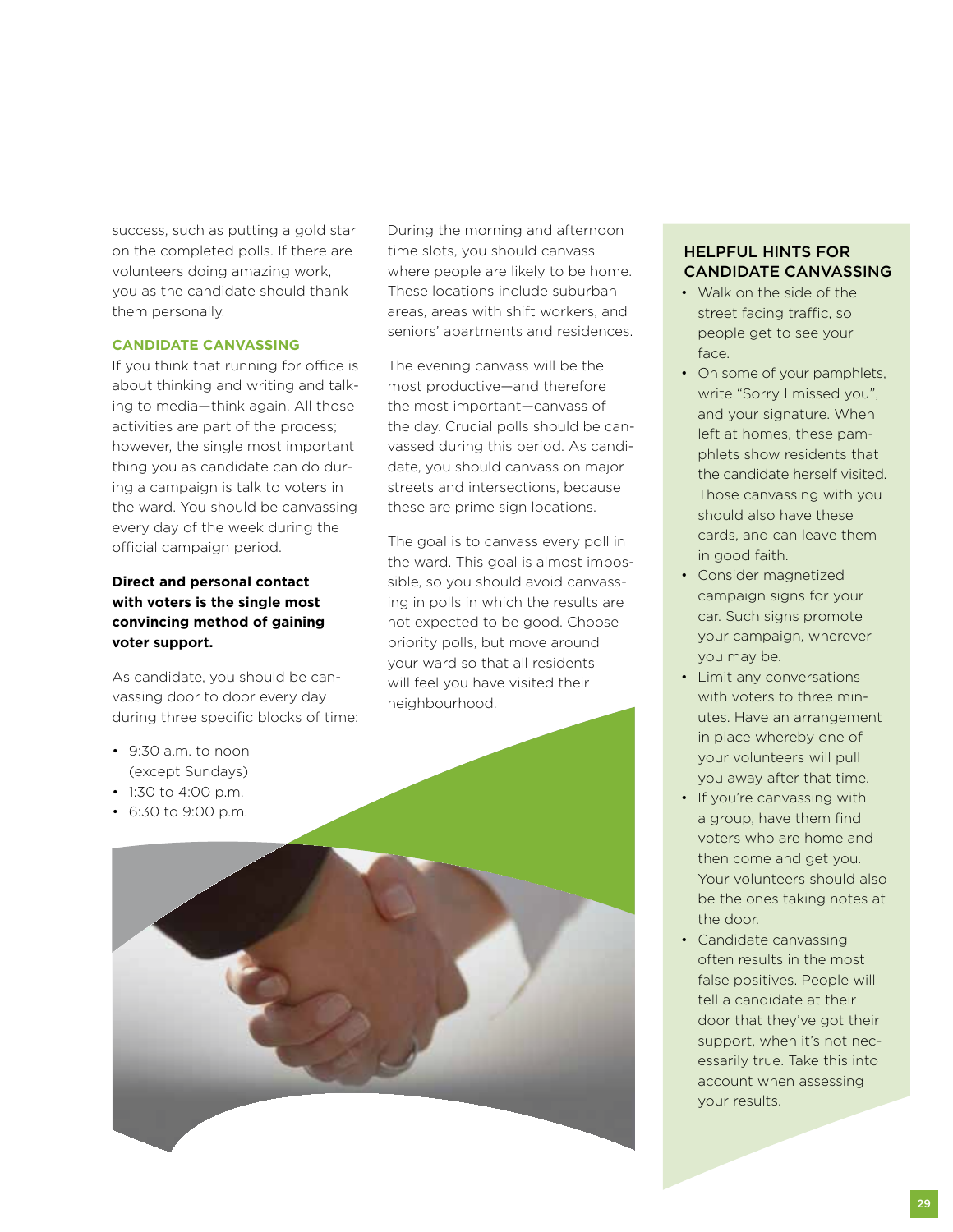success, such as putting a gold star on the completed polls. If there are volunteers doing amazing work, you as the candidate should thank them personally.

#### **Candidate Canvassing**

If you think that running for office is about thinking and writing and talking to media—think again. All those activities are part of the process; however, the single most important thing you as candidate can do during a campaign is talk to voters in the ward. You should be canvassing every day of the week during the official campaign period.

## **Direct and personal contact with voters is the single most convincing method of gaining voter support.**

As candidate, you should be canvassing door to door every day during three specific blocks of time:

- 9:30 a.m. to noon (except Sundays)
- 1:30 to 4:00 p.m.
- 6:30 to 9:00 p.m.



seniors' apartments and residences.

The evening canvass will be the most productive—and therefore the most important—canvass of the day. Crucial polls should be canvassed during this period. As candidate, you should canvass on major streets and intersections, because these are prime sign locations.

The goal is to canvass every poll in the ward. This goal is almost impossible, so you should avoid canvassing in polls in which the results are not expected to be good. Choose priority polls, but move around your ward so that all residents will feel you have visited their neighbourhood.

# Helpful Hints for Candidate Canvassing

- Walk on the side of the street facing traffic, so people get to see your face.
- On some of your pamphlets, write "Sorry I missed you", and your signature. When left at homes, these pamphlets show residents that the candidate herself visited. Those canvassing with you should also have these cards, and can leave them in good faith.
- Consider magnetized campaign signs for your car. Such signs promote your campaign, wherever you may be.
- Limit any conversations with voters to three minutes. Have an arrangement in place whereby one of your volunteers will pull you away after that time.
- If you're canvassing with a group, have them find voters who are home and then come and get you. Your volunteers should also be the ones taking notes at the door.
- Candidate canvassing often results in the most false positives. People will tell a candidate at their door that they've got their support, when it's not necessarily true. Take this into account when assessing your results.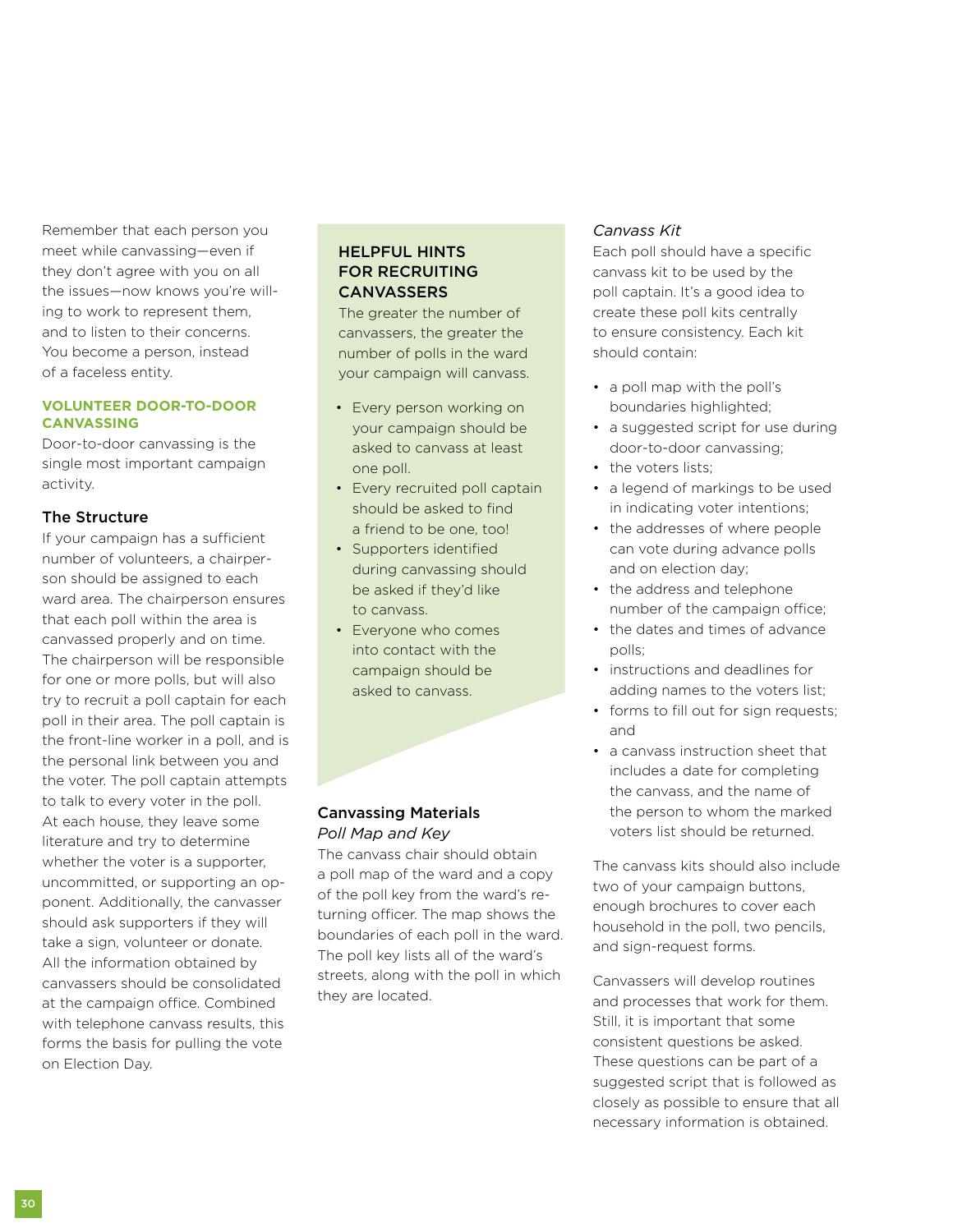Remember that each person you meet while canvassing—even if they don't agree with you on all the issues—now knows you're willing to work to represent them, and to listen to their concerns. You become a person, instead of a faceless entity.

#### **Volunteer Door-to-Door Canvassing**

Door-to-door canvassing is the single most important campaign activity.

## The Structure

If your campaign has a sufficient number of volunteers, a chairperson should be assigned to each ward area. The chairperson ensures that each poll within the area is canvassed properly and on time. The chairperson will be responsible for one or more polls, but will also try to recruit a poll captain for each poll in their area. The poll captain is the front-line worker in a poll, and is the personal link between you and the voter. The poll captain attempts to talk to every voter in the poll. At each house, they leave some literature and try to determine whether the voter is a supporter, uncommitted, or supporting an opponent. Additionally, the canvasser should ask supporters if they will take a sign, volunteer or donate. All the information obtained by canvassers should be consolidated at the campaign office. Combined with telephone canvass results, this forms the basis for pulling the vote on Election Day.

## Helpful Hints for Recruiting **CANVASSERS**

The greater the number of canvassers, the greater the number of polls in the ward your campaign will canvass.

- Every person working on your campaign should be asked to canvass at least one poll.
- Every recruited poll captain should be asked to find a friend to be one, too!
- Supporters identified during canvassing should be asked if they'd like to canvass.
- Everyone who comes into contact with the campaign should be asked to canvass.

## Canvassing Materials *Poll Map and Key*

The canvass chair should obtain a poll map of the ward and a copy of the poll key from the ward's returning officer. The map shows the boundaries of each poll in the ward. The poll key lists all of the ward's streets, along with the poll in which they are located.

# *Canvass Kit*

Each poll should have a specific canvass kit to be used by the poll captain. It's a good idea to create these poll kits centrally to ensure consistency. Each kit should contain:

- a poll map with the poll's boundaries highlighted;
- a suggested script for use during door-to-door canvassing;
- the voters lists:
- a legend of markings to be used in indicating voter intentions;
- the addresses of where people can vote during advance polls and on election day;
- the address and telephone number of the campaign office;
- the dates and times of advance polls;
- instructions and deadlines for adding names to the voters list;
- forms to fill out for sign requests; and
- a canvass instruction sheet that includes a date for completing the canvass, and the name of the person to whom the marked voters list should be returned.

The canvass kits should also include two of your campaign buttons, enough brochures to cover each household in the poll, two pencils, and sign-request forms.

Canvassers will develop routines and processes that work for them. Still, it is important that some consistent questions be asked. These questions can be part of a suggested script that is followed as closely as possible to ensure that all necessary information is obtained.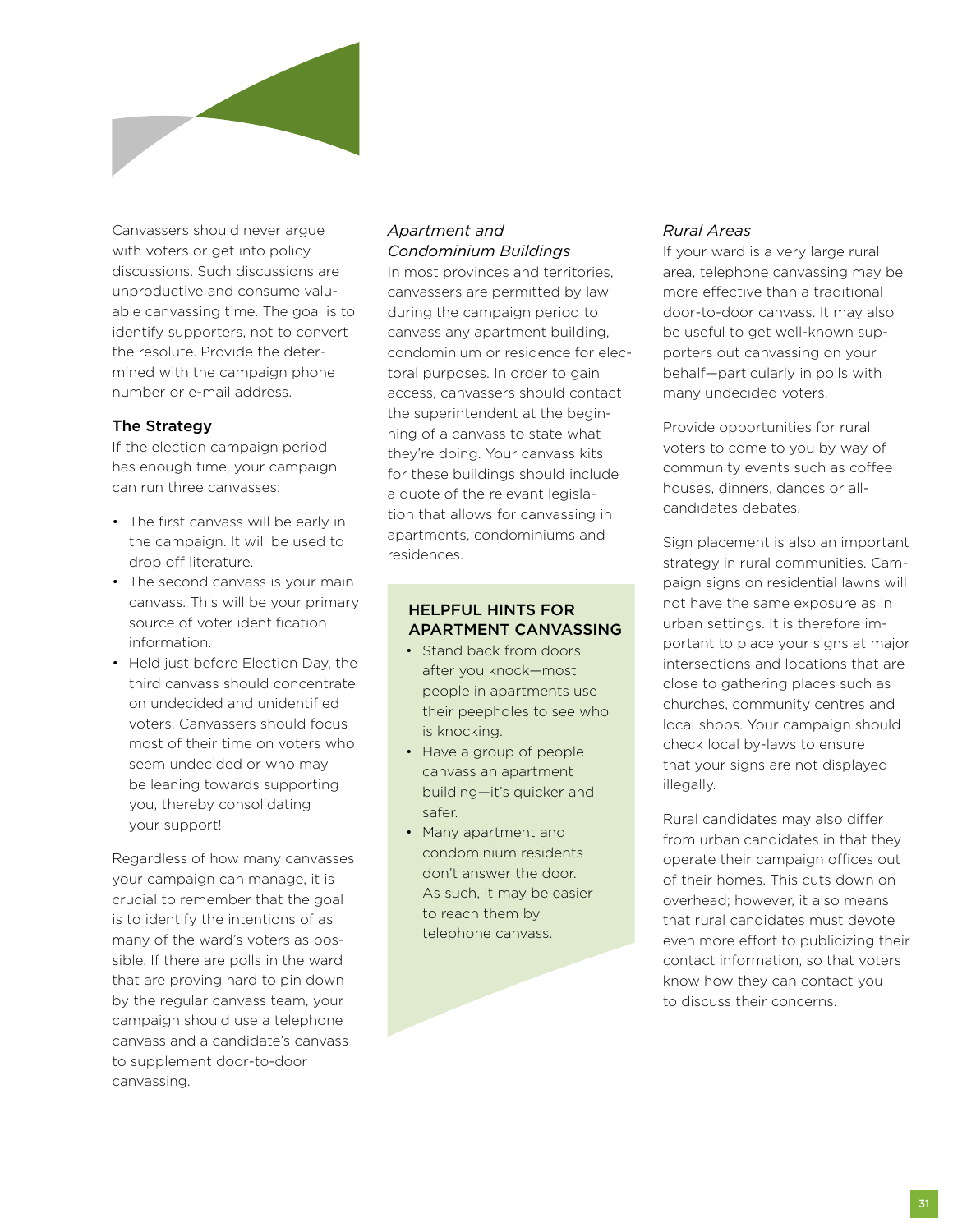

Canvassers should never argue with voters or get into policy discussions. Such discussions are unproductive and consume valuable canvassing time. The goal is to identify supporters, not to convert the resolute. Provide the determined with the campaign phone number or e-mail address.

## The Strategy

If the election campaign period has enough time, your campaign can run three canvasses:

- The first canvass will be early in the campaign. It will be used to drop off literature.
- The second canvass is your main canvass. This will be your primary source of voter identification information.
- Held just before Election Day, the third canvass should concentrate on undecided and unidentified voters. Canvassers should focus most of their time on voters who seem undecided or who may be leaning towards supporting you, thereby consolidating your support!

Regardless of how many canvasses your campaign can manage, it is crucial to remember that the goal is to identify the intentions of as many of the ward's voters as possible. If there are polls in the ward that are proving hard to pin down by the regular canvass team, your campaign should use a telephone canvass and a candidate's canvass to supplement door-to-door canvassing.

#### *Apartment and Condominium Buildings*

In most provinces and territories, canvassers are permitted by law during the campaign period to canvass any apartment building, condominium or residence for electoral purposes. In order to gain access, canvassers should contact the superintendent at the beginning of a canvass to state what they're doing. Your canvass kits for these buildings should include a quote of the relevant legislation that allows for canvassing in apartments, condominiums and residences.

## Helpful Hints for Apartment Canvassing

- Stand back from doors after you knock—most people in apartments use their peepholes to see who is knocking.
- Have a group of people canvass an apartment building—it's quicker and safer.
- Many apartment and condominium residents don't answer the door. As such, it may be easier to reach them by telephone canvass.

## *Rural Areas*

If your ward is a very large rural area, telephone canvassing may be more effective than a traditional door-to-door canvass. It may also be useful to get well-known supporters out canvassing on your behalf—particularly in polls with many undecided voters.

Provide opportunities for rural voters to come to you by way of community events such as coffee houses, dinners, dances or allcandidates debates.

Sign placement is also an important strategy in rural communities. Campaign signs on residential lawns will not have the same exposure as in urban settings. It is therefore important to place your signs at major intersections and locations that are close to gathering places such as churches, community centres and local shops. Your campaign should check local by-laws to ensure that your signs are not displayed illegally.

Rural candidates may also differ from urban candidates in that they operate their campaign offices out of their homes. This cuts down on overhead; however, it also means that rural candidates must devote even more effort to publicizing their contact information, so that voters know how they can contact you to discuss their concerns.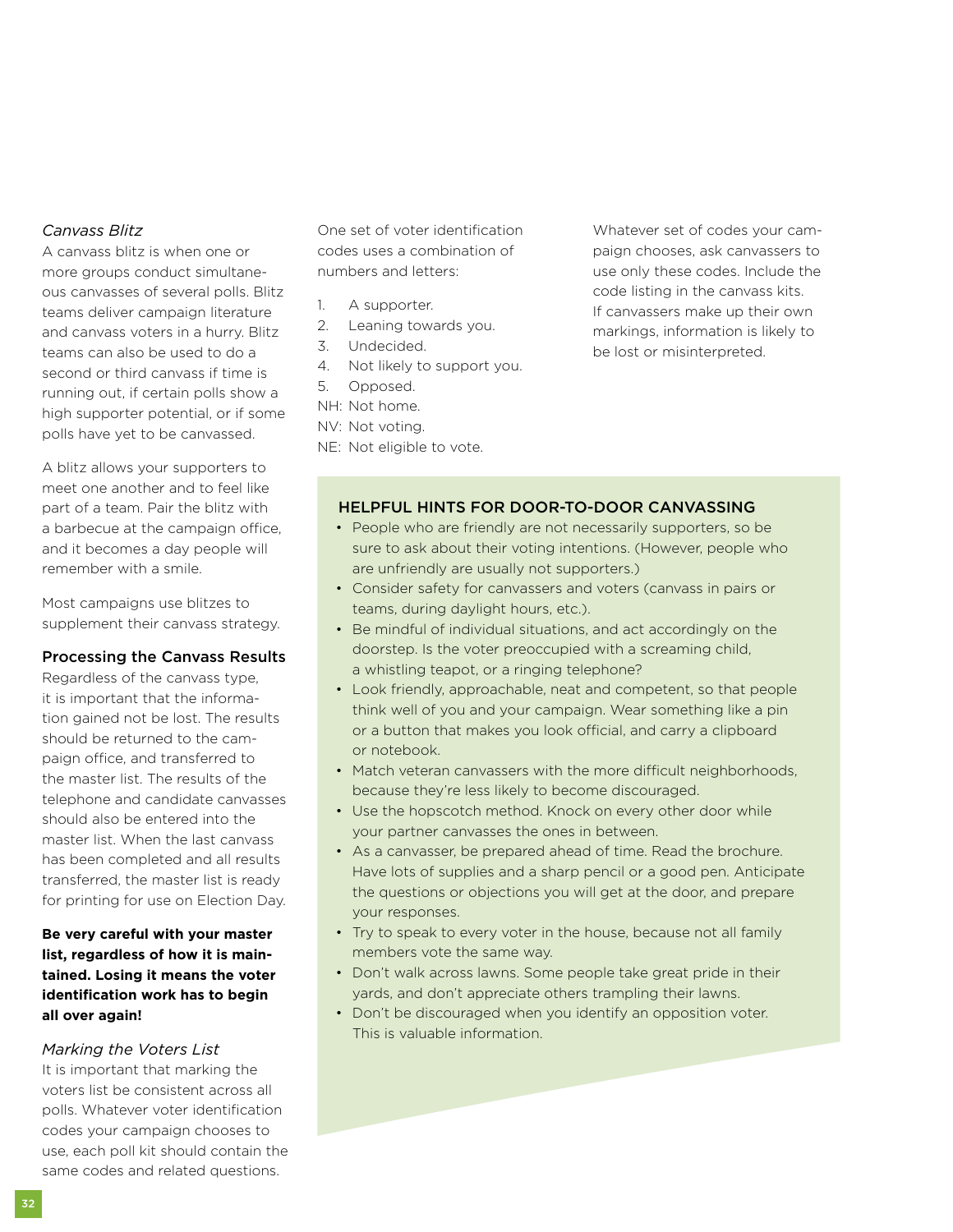# *Canvass Blitz*

A canvass blitz is when one or more groups conduct simultaneous canvasses of several polls. Blitz teams deliver campaign literature and canvass voters in a hurry. Blitz teams can also be used to do a second or third canvass if time is running out, if certain polls show a high supporter potential, or if some polls have yet to be canvassed.

A blitz allows your supporters to meet one another and to feel like part of a team. Pair the blitz with a barbecue at the campaign office, and it becomes a day people will remember with a smile.

Most campaigns use blitzes to supplement their canvass strategy.

### Processing the Canvass Results

Regardless of the canvass type, it is important that the information gained not be lost. The results should be returned to the campaign office, and transferred to the master list. The results of the telephone and candidate canvasses should also be entered into the master list. When the last canvass has been completed and all results transferred, the master list is ready for printing for use on Election Day.

# **Be very careful with your master list, regardless of how it is maintained. Losing it means the voter identification work has to begin all over again!**

### *Marking the Voters List*

It is important that marking the voters list be consistent across all polls. Whatever voter identification codes your campaign chooses to use, each poll kit should contain the same codes and related questions.

One set of voter identification codes uses a combination of numbers and letters:

- 1. A supporter.
- 2. Leaning towards you.
- 3. Undecided.
- 4. Not likely to support you.
- 5. Opposed.
- NH: Not home.
- NV: Not voting.
- NE: Not eligible to vote.

Whatever set of codes your campaign chooses, ask canvassers to use only these codes. Include the code listing in the canvass kits. If canvassers make up their own markings, information is likely to be lost or misinterpreted.

## Helpful Hints for Door-to-Door Canvassing

- People who are friendly are not necessarily supporters, so be sure to ask about their voting intentions. (However, people who are unfriendly are usually not supporters.)
- Consider safety for canvassers and voters (canvass in pairs or teams, during daylight hours, etc.).
- Be mindful of individual situations, and act accordingly on the doorstep. Is the voter preoccupied with a screaming child, a whistling teapot, or a ringing telephone?
- Look friendly, approachable, neat and competent, so that people think well of you and your campaign. Wear something like a pin or a button that makes you look official, and carry a clipboard or notebook.
- Match veteran canvassers with the more difficult neighborhoods, because they're less likely to become discouraged.
- Use the hopscotch method. Knock on every other door while your partner canvasses the ones in between.
- As a canvasser, be prepared ahead of time. Read the brochure. Have lots of supplies and a sharp pencil or a good pen. Anticipate the questions or objections you will get at the door, and prepare your responses.
- Try to speak to every voter in the house, because not all family members vote the same way.
- Don't walk across lawns. Some people take great pride in their yards, and don't appreciate others trampling their lawns.
- Don't be discouraged when you identify an opposition voter. This is valuable information.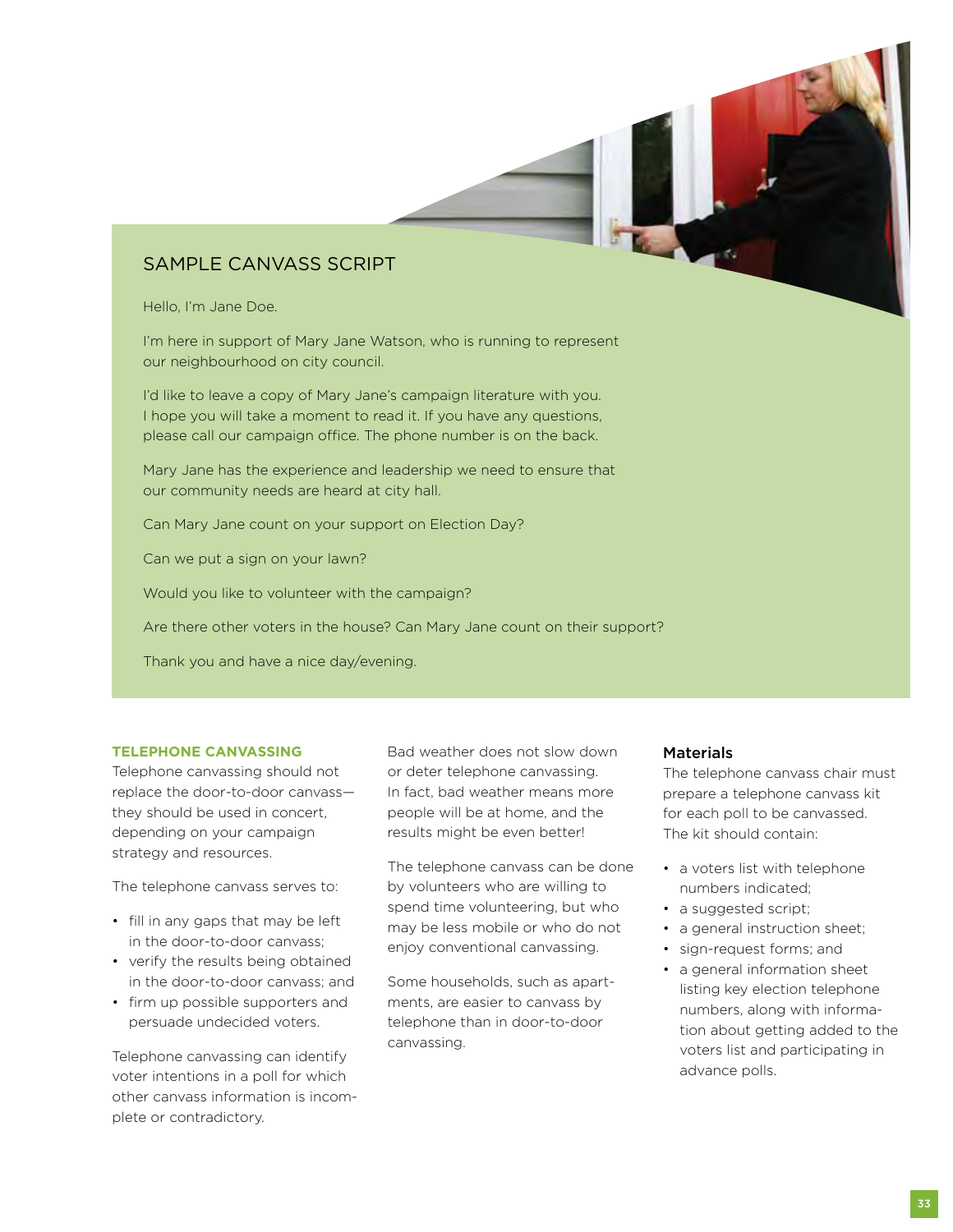# Sample Canvass Script

Hello, I'm Jane Doe.

I'm here in support of Mary Jane Watson, who is running to represent our neighbourhood on city council.

I'd like to leave a copy of Mary Jane's campaign literature with you. I hope you will take a moment to read it. If you have any questions, please call our campaign office. The phone number is on the back.

Mary Jane has the experience and leadership we need to ensure that our community needs are heard at city hall.

Can Mary Jane count on your support on Election Day?

Can we put a sign on your lawn?

Would you like to volunteer with the campaign?

Are there other voters in the house? Can Mary Jane count on their support?

Thank you and have a nice day/evening.

#### **Telephone Canvassing**

Telephone canvassing should not replace the door-to-door canvass they should be used in concert, depending on your campaign strategy and resources.

The telephone canvass serves to:

- fill in any gaps that may be left in the door-to-door canvass;
- verify the results being obtained in the door-to-door canvass; and
- firm up possible supporters and persuade undecided voters.

Telephone canvassing can identify voter intentions in a poll for which other canvass information is incomplete or contradictory.

Bad weather does not slow down or deter telephone canvassing. In fact, bad weather means more people will be at home, and the results might be even better!

The telephone canvass can be done by volunteers who are willing to spend time volunteering, but who may be less mobile or who do not enjoy conventional canvassing.

Some households, such as apartments, are easier to canvass by telephone than in door-to-door canvassing.

### **Materials**

The telephone canvass chair must prepare a telephone canvass kit for each poll to be canvassed. The kit should contain:

- a voters list with telephone numbers indicated;
- a suggested script;
- a general instruction sheet;
- sign-request forms; and
- a general information sheet listing key election telephone numbers, along with information about getting added to the voters list and participating in advance polls.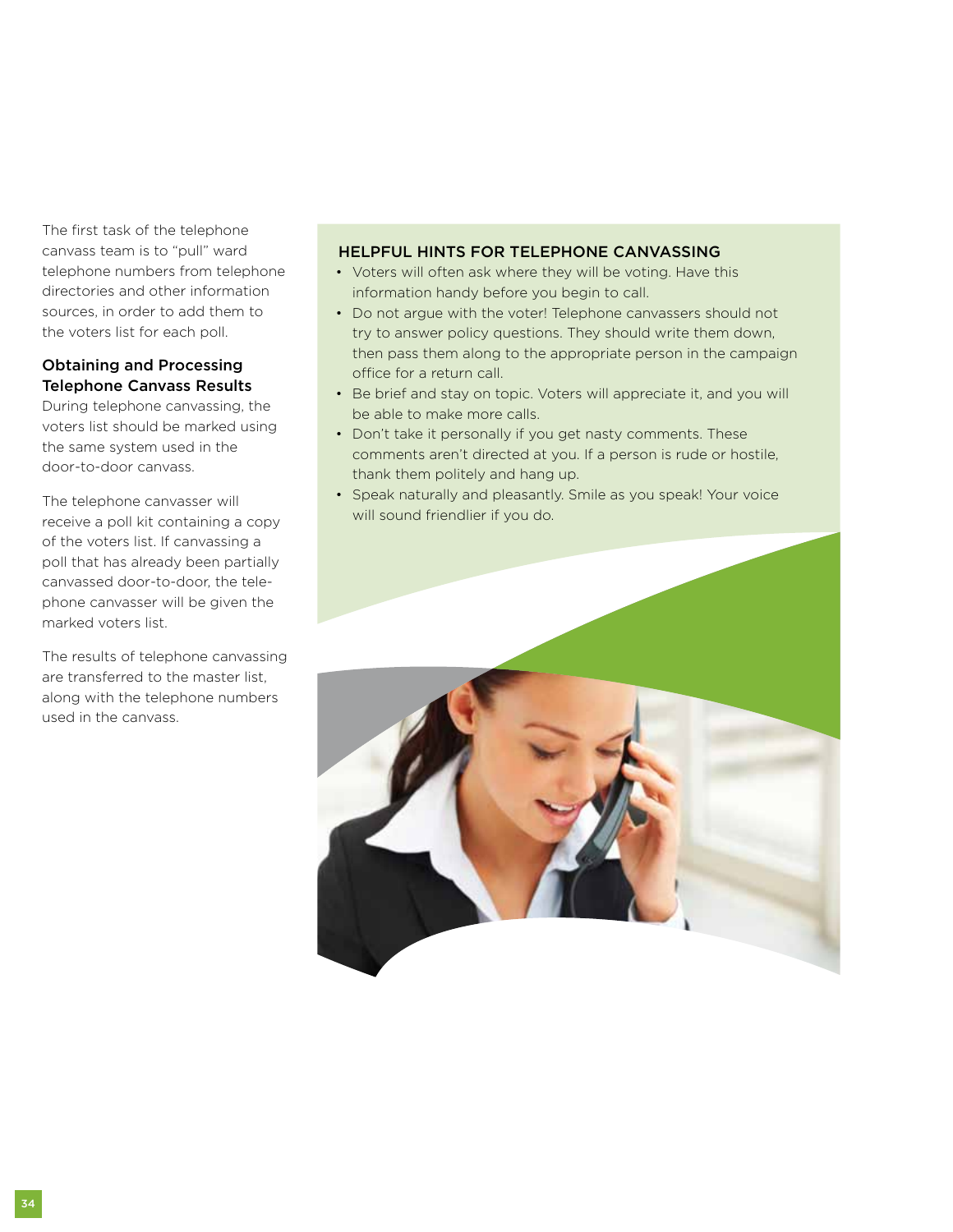The first task of the telephone canvass team is to "pull" ward telephone numbers from telephone directories and other information sources, in order to add them to the voters list for each poll.

# Obtaining and Processing Telephone Canvass Results

During telephone canvassing, the voters list should be marked using the same system used in the door-to-door canvass.

The telephone canvasser will receive a poll kit containing a copy of the voters list. If canvassing a poll that has already been partially canvassed door-to-door, the telephone canvasser will be given the marked voters list.

The results of telephone canvassing are transferred to the master list, along with the telephone numbers used in the canvass.

## Helpful Hints for Telephone Canvassing

- Voters will often ask where they will be voting. Have this information handy before you begin to call.
- Do not argue with the voter! Telephone canvassers should not try to answer policy questions. They should write them down, then pass them along to the appropriate person in the campaign office for a return call.
- Be brief and stay on topic. Voters will appreciate it, and you will be able to make more calls.
- Don't take it personally if you get nasty comments. These comments aren't directed at you. If a person is rude or hostile, thank them politely and hang up.
- Speak naturally and pleasantly. Smile as you speak! Your voice will sound friendlier if you do.

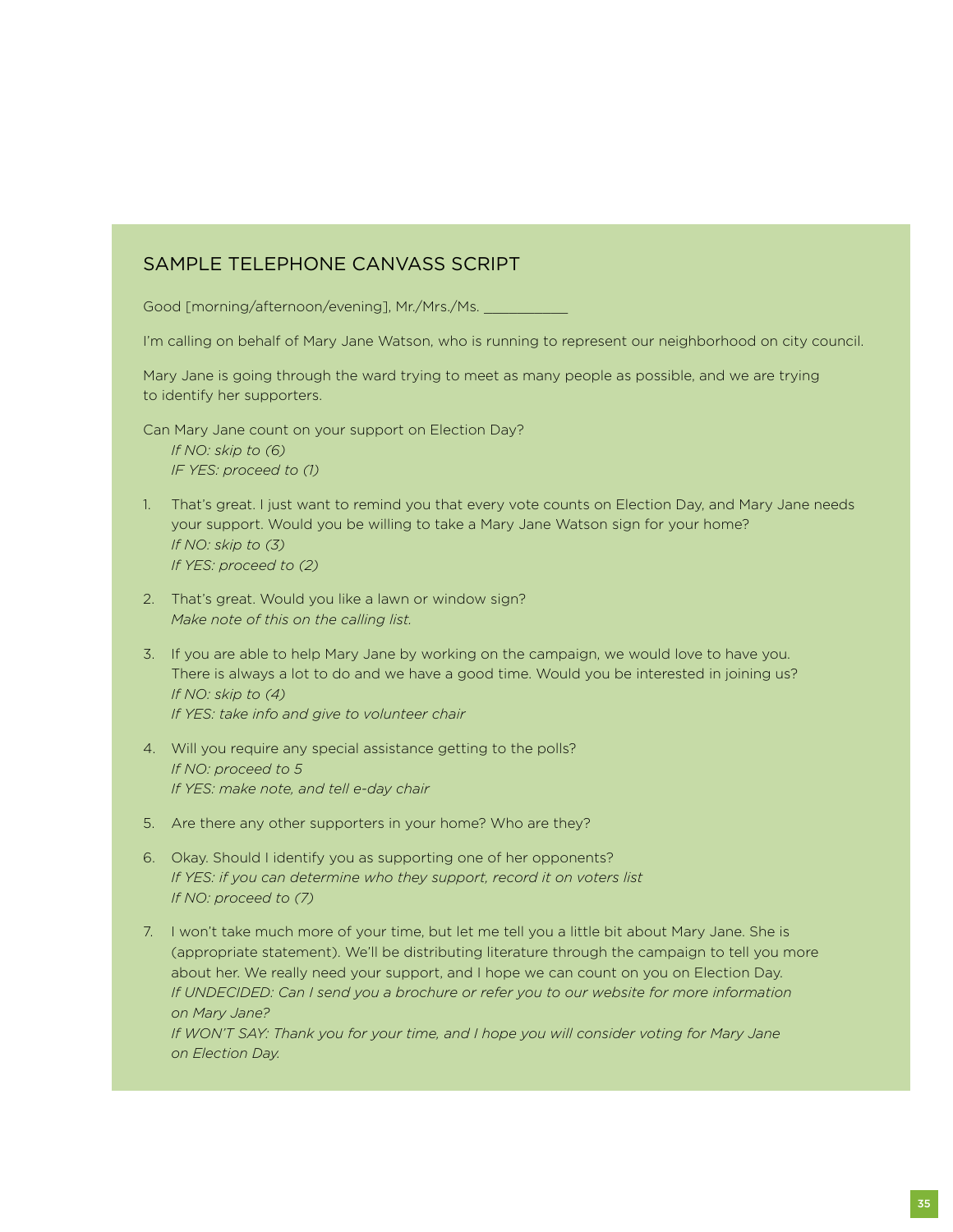## Sample Telephone Canvass Script

Good [morning/afternoon/evening], Mr./Mrs./Ms.

I'm calling on behalf of Mary Jane Watson, who is running to represent our neighborhood on city council.

Mary Jane is going through the ward trying to meet as many people as possible, and we are trying to identify her supporters.

Can Mary Jane count on your support on Election Day? *If NO: skip to (6) IF YES: proceed to (1)*

- 1. That's great. I just want to remind you that every vote counts on Election Day, and Mary Jane needs your support. Would you be willing to take a Mary Jane Watson sign for your home? *If NO: skip to (3) If YES: proceed to (2)*
- 2. That's great. Would you like a lawn or window sign? *Make note of this on the calling list.*
- 3. If you are able to help Mary Jane by working on the campaign, we would love to have you. There is always a lot to do and we have a good time. Would you be interested in joining us? *If NO: skip to (4) If YES: take info and give to volunteer chair*
- 4. Will you require any special assistance getting to the polls? *If NO: proceed to 5 If YES: make note, and tell e-day chair*
- 5. Are there any other supporters in your home? Who are they?
- 6. Okay. Should I identify you as supporting one of her opponents? *If YES: if you can determine who they support, record it on voters list If NO: proceed to (7)*
- 7. I won't take much more of your time, but let me tell you a little bit about Mary Jane. She is (appropriate statement). We'll be distributing literature through the campaign to tell you more about her. We really need your support, and I hope we can count on you on Election Day. *If UNDECIDED: Can I send you a brochure or refer you to our website for more information on Mary Jane? If WON'T SAY: Thank you for your time, and I hope you will consider voting for Mary Jane on Election Day.*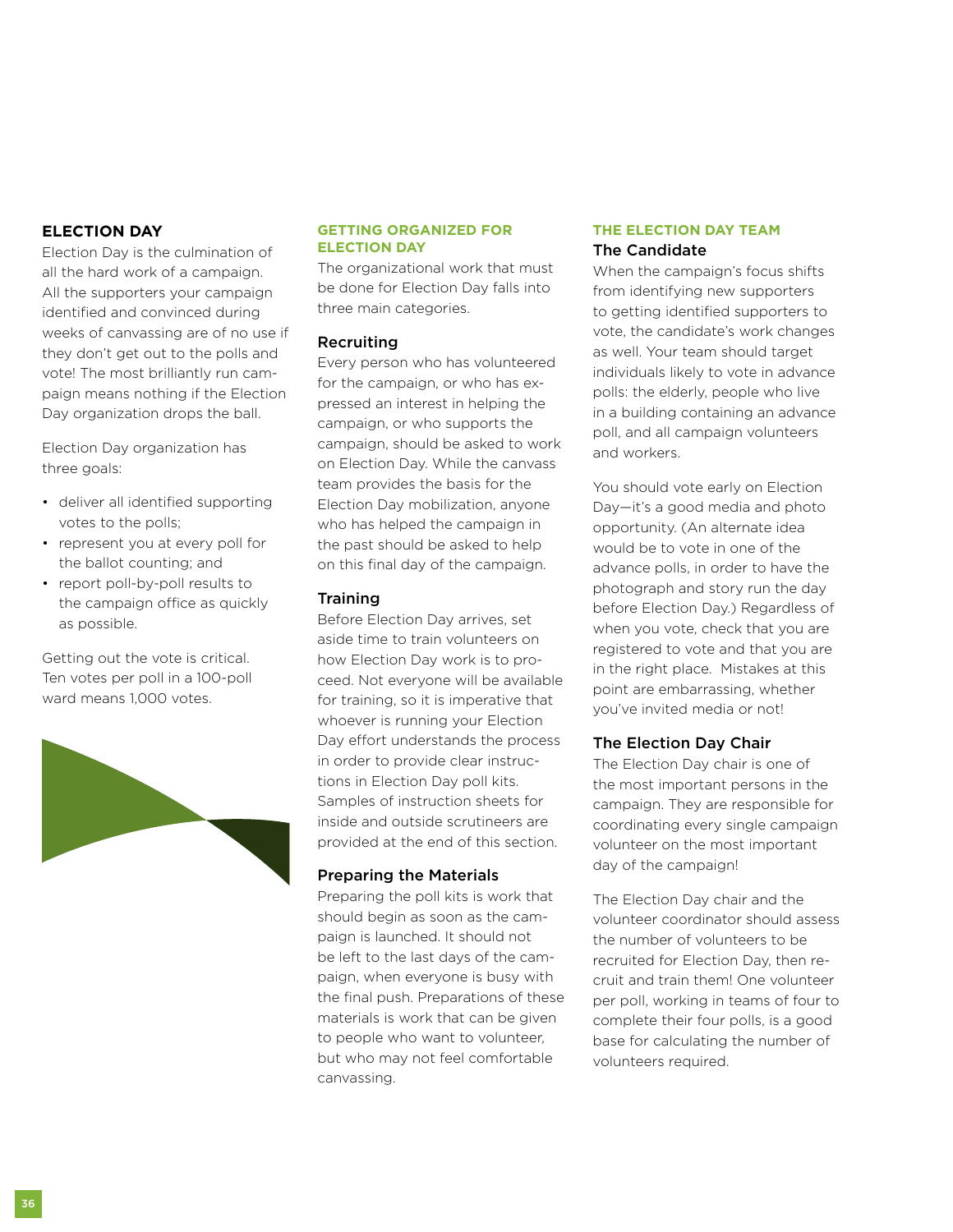## **Election Day**

Election Day is the culmination of all the hard work of a campaign. All the supporters your campaign identified and convinced during weeks of canvassing are of no use if they don't get out to the polls and vote! The most brilliantly run campaign means nothing if the Election Day organization drops the ball.

Election Day organization has three goals:

- deliver all identified supporting votes to the polls;
- represent you at every poll for the ballot counting; and
- report poll-by-poll results to the campaign office as quickly as possible.

Getting out the vote is critical. Ten votes per poll in a 100-poll ward means 1,000 votes.



#### **Getting Organized for Election Day**

The organizational work that must be done for Election Day falls into three main categories.

### Recruiting

Every person who has volunteered for the campaign, or who has expressed an interest in helping the campaign, or who supports the campaign, should be asked to work on Election Day. While the canvass team provides the basis for the Election Day mobilization, anyone who has helped the campaign in the past should be asked to help on this final day of the campaign.

#### **Training**

Before Election Day arrives, set aside time to train volunteers on how Election Day work is to proceed. Not everyone will be available for training, so it is imperative that whoever is running your Election Day effort understands the process in order to provide clear instructions in Election Day poll kits. Samples of instruction sheets for inside and outside scrutineers are provided at the end of this section.

#### Preparing the Materials

Preparing the poll kits is work that should begin as soon as the campaign is launched. It should not be left to the last days of the campaign, when everyone is busy with the final push. Preparations of these materials is work that can be given to people who want to volunteer, but who may not feel comfortable canvassing.

#### **The Election Day Team** The Candidate

When the campaign's focus shifts from identifying new supporters to getting identified supporters to vote, the candidate's work changes as well. Your team should target individuals likely to vote in advance polls: the elderly, people who live in a building containing an advance poll, and all campaign volunteers and workers.

You should vote early on Election Day—it's a good media and photo opportunity. (An alternate idea would be to vote in one of the advance polls, in order to have the photograph and story run the day before Election Day.) Regardless of when you vote, check that you are registered to vote and that you are in the right place. Mistakes at this point are embarrassing, whether you've invited media or not!

#### The Election Day Chair

The Election Day chair is one of the most important persons in the campaign. They are responsible for coordinating every single campaign volunteer on the most important day of the campaign!

The Election Day chair and the volunteer coordinator should assess the number of volunteers to be recruited for Election Day, then recruit and train them! One volunteer per poll, working in teams of four to complete their four polls, is a good base for calculating the number of volunteers required.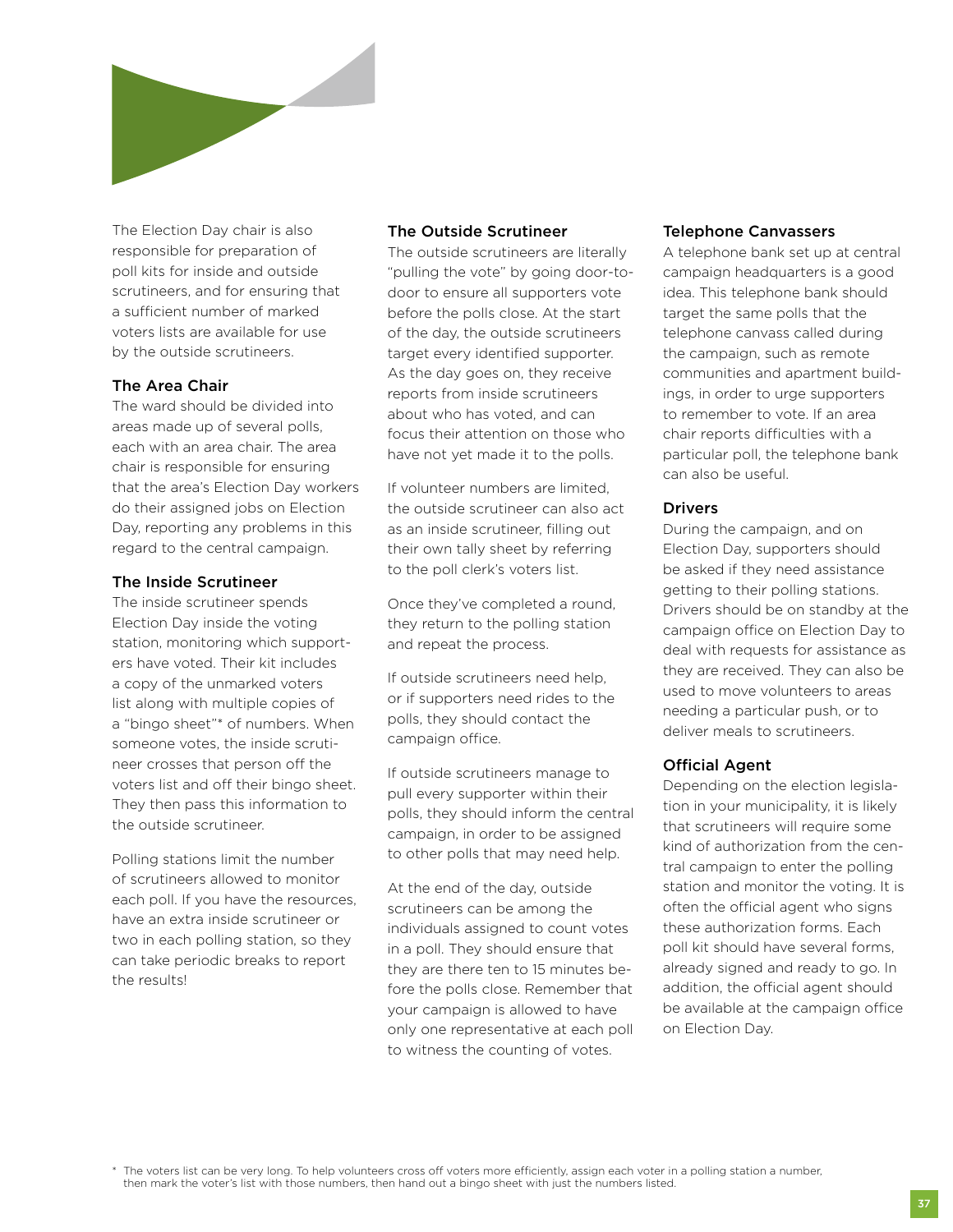

The Election Day chair is also responsible for preparation of poll kits for inside and outside scrutineers, and for ensuring that a sufficient number of marked voters lists are available for use by the outside scrutineers.

### The Area Chair

The ward should be divided into areas made up of several polls, each with an area chair. The area chair is responsible for ensuring that the area's Election Day workers do their assigned jobs on Election Day, reporting any problems in this regard to the central campaign.

### The Inside Scrutineer

The inside scrutineer spends Election Day inside the voting station, monitoring which supporters have voted. Their kit includes a copy of the unmarked voters list along with multiple copies of a "bingo sheet"\* of numbers. When someone votes, the inside scrutineer crosses that person off the voters list and off their bingo sheet. They then pass this information to the outside scrutineer.

Polling stations limit the number of scrutineers allowed to monitor each poll. If you have the resources, have an extra inside scrutineer or two in each polling station, so they can take periodic breaks to report the results!

## The Outside Scrutineer

The outside scrutineers are literally "pulling the vote" by going door-todoor to ensure all supporters vote before the polls close. At the start of the day, the outside scrutineers target every identified supporter. As the day goes on, they receive reports from inside scrutineers about who has voted, and can focus their attention on those who have not yet made it to the polls.

If volunteer numbers are limited, the outside scrutineer can also act as an inside scrutineer, filling out their own tally sheet by referring to the poll clerk's voters list.

Once they've completed a round, they return to the polling station and repeat the process.

If outside scrutineers need help, or if supporters need rides to the polls, they should contact the campaign office.

If outside scrutineers manage to pull every supporter within their polls, they should inform the central campaign, in order to be assigned to other polls that may need help.

At the end of the day, outside scrutineers can be among the individuals assigned to count votes in a poll. They should ensure that they are there ten to 15 minutes before the polls close. Remember that your campaign is allowed to have only one representative at each poll to witness the counting of votes.

### Telephone Canvassers

A telephone bank set up at central campaign headquarters is a good idea. This telephone bank should target the same polls that the telephone canvass called during the campaign, such as remote communities and apartment buildings, in order to urge supporters to remember to vote. If an area chair reports difficulties with a particular poll, the telephone bank can also be useful.

### **Drivers**

During the campaign, and on Election Day, supporters should be asked if they need assistance getting to their polling stations. Drivers should be on standby at the campaign office on Election Day to deal with requests for assistance as they are received. They can also be used to move volunteers to areas needing a particular push, or to deliver meals to scrutineers.

## Official Agent

Depending on the election legislation in your municipality, it is likely that scrutineers will require some kind of authorization from the central campaign to enter the polling station and monitor the voting. It is often the official agent who signs these authorization forms. Each poll kit should have several forms, already signed and ready to go. In addition, the official agent should be available at the campaign office on Election Day.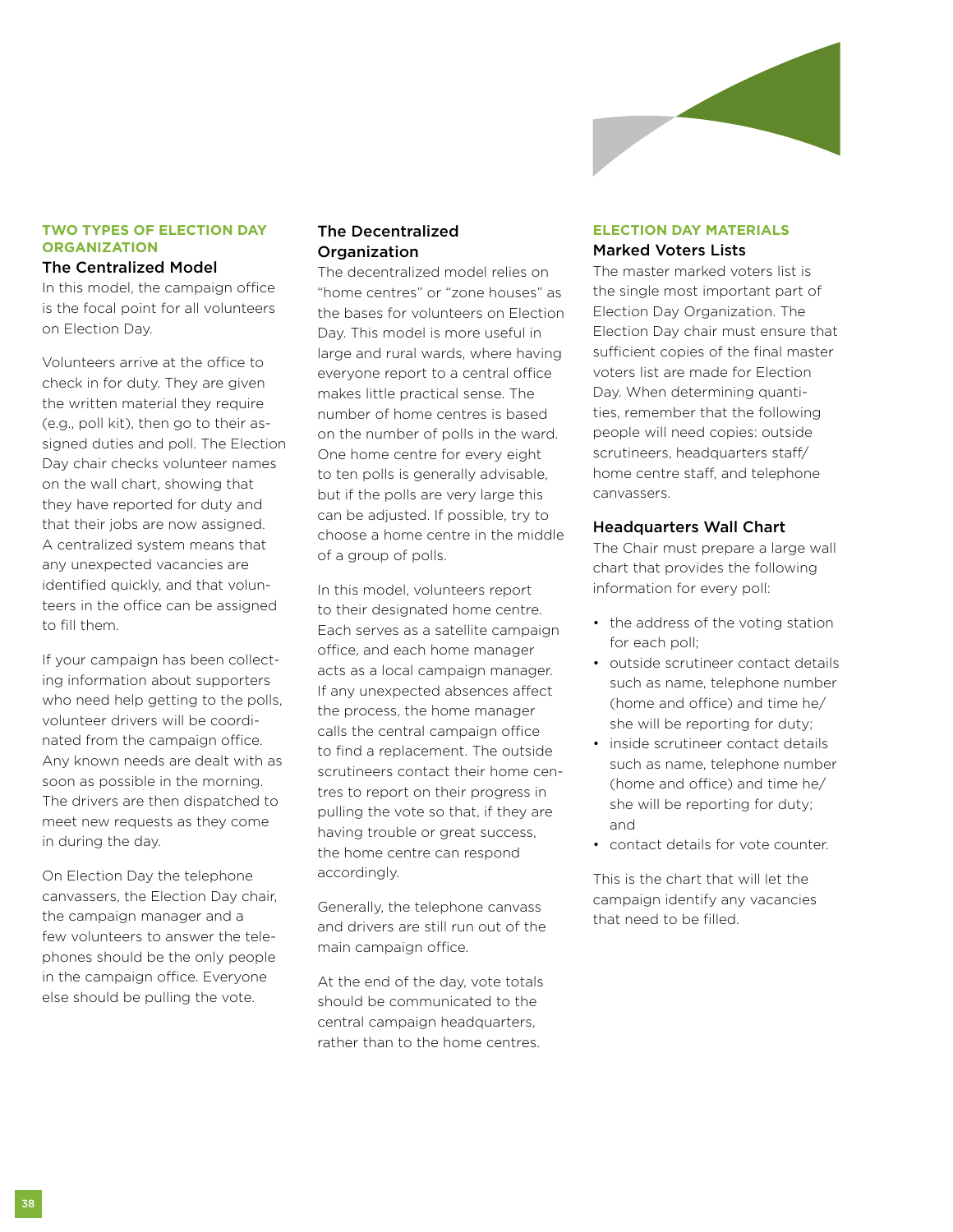

## **Two Types of Election Day Organization**

#### The Centralized Model

In this model, the campaign office is the focal point for all volunteers on Election Day.

Volunteers arrive at the office to check in for duty. They are given the written material they require (e.g., poll kit), then go to their assigned duties and poll. The Election Day chair checks volunteer names on the wall chart, showing that they have reported for duty and that their jobs are now assigned. A centralized system means that any unexpected vacancies are identified quickly, and that volunteers in the office can be assigned to fill them.

If your campaign has been collecting information about supporters who need help getting to the polls, volunteer drivers will be coordinated from the campaign office. Any known needs are dealt with as soon as possible in the morning. The drivers are then dispatched to meet new requests as they come in during the day.

On Election Day the telephone canvassers, the Election Day chair, the campaign manager and a few volunteers to answer the telephones should be the only people in the campaign office. Everyone else should be pulling the vote.

### The Decentralized **Organization**

The decentralized model relies on "home centres" or "zone houses" as the bases for volunteers on Election Day. This model is more useful in large and rural wards, where having everyone report to a central office makes little practical sense. The number of home centres is based on the number of polls in the ward. One home centre for every eight to ten polls is generally advisable, but if the polls are very large this can be adjusted. If possible, try to choose a home centre in the middle of a group of polls.

In this model, volunteers report to their designated home centre. Each serves as a satellite campaign office, and each home manager acts as a local campaign manager. If any unexpected absences affect the process, the home manager calls the central campaign office to find a replacement. The outside scrutineers contact their home centres to report on their progress in pulling the vote so that, if they are having trouble or great success, the home centre can respond accordingly.

Generally, the telephone canvass and drivers are still run out of the main campaign office.

At the end of the day, vote totals should be communicated to the central campaign headquarters, rather than to the home centres.

## **Election Day Materials** Marked Voters Lists

The master marked voters list is the single most important part of Election Day Organization. The Election Day chair must ensure that sufficient copies of the final master voters list are made for Election Day. When determining quantities, remember that the following people will need copies: outside scrutineers, headquarters staff/ home centre staff, and telephone canvassers.

#### Headquarters Wall Chart

The Chair must prepare a large wall chart that provides the following information for every poll:

- the address of the voting station for each poll;
- outside scrutineer contact details such as name, telephone number (home and office) and time he/ she will be reporting for duty;
- inside scrutineer contact details such as name, telephone number (home and office) and time he/ she will be reporting for duty; and
- contact details for vote counter.

This is the chart that will let the campaign identify any vacancies that need to be filled.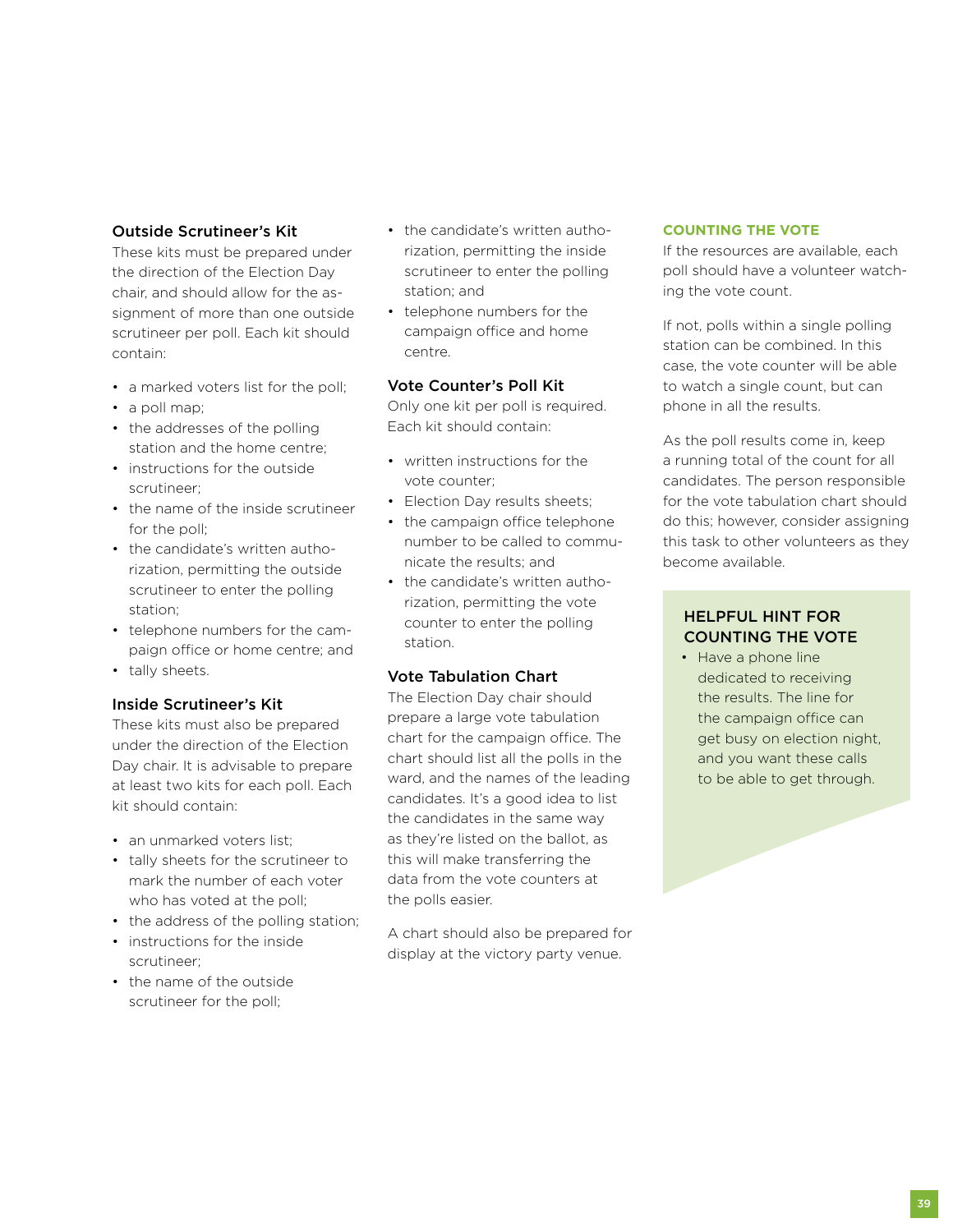## Outside Scrutineer's Kit

These kits must be prepared under the direction of the Election Day chair, and should allow for the assignment of more than one outside scrutineer per poll. Each kit should contain:

- a marked voters list for the poll;
- a poll map;
- the addresses of the polling station and the home centre;
- instructions for the outside scrutineer;
- the name of the inside scrutineer for the poll;
- the candidate's written authorization, permitting the outside scrutineer to enter the polling station;
- telephone numbers for the campaign office or home centre; and
- tally sheets.

## Inside Scrutineer's Kit

These kits must also be prepared under the direction of the Election Day chair. It is advisable to prepare at least two kits for each poll. Each kit should contain:

- an unmarked voters list;
- tally sheets for the scrutineer to mark the number of each voter who has voted at the poll;
- the address of the polling station;
- instructions for the inside scrutineer;
- the name of the outside scrutineer for the poll;
- the candidate's written authorization, permitting the inside scrutineer to enter the polling station; and
- telephone numbers for the campaign office and home centre.

### Vote Counter's Poll Kit

Only one kit per poll is required. Each kit should contain:

- written instructions for the vote counter;
- Election Day results sheets;
- the campaign office telephone number to be called to communicate the results; and
- the candidate's written authorization, permitting the vote counter to enter the polling station.

## Vote Tabulation Chart

The Election Day chair should prepare a large vote tabulation chart for the campaign office. The chart should list all the polls in the ward, and the names of the leading candidates. It's a good idea to list the candidates in the same way as they're listed on the ballot, as this will make transferring the data from the vote counters at the polls easier.

A chart should also be prepared for display at the victory party venue.

#### **Counting the Vote**

If the resources are available, each poll should have a volunteer watching the vote count.

If not, polls within a single polling station can be combined. In this case, the vote counter will be able to watch a single count, but can phone in all the results.

As the poll results come in, keep a running total of the count for all candidates. The person responsible for the vote tabulation chart should do this; however, consider assigning this task to other volunteers as they become available.

## Helpful Hint for Counting the Vote

• Have a phone line dedicated to receiving the results. The line for the campaign office can get busy on election night, and you want these calls to be able to get through.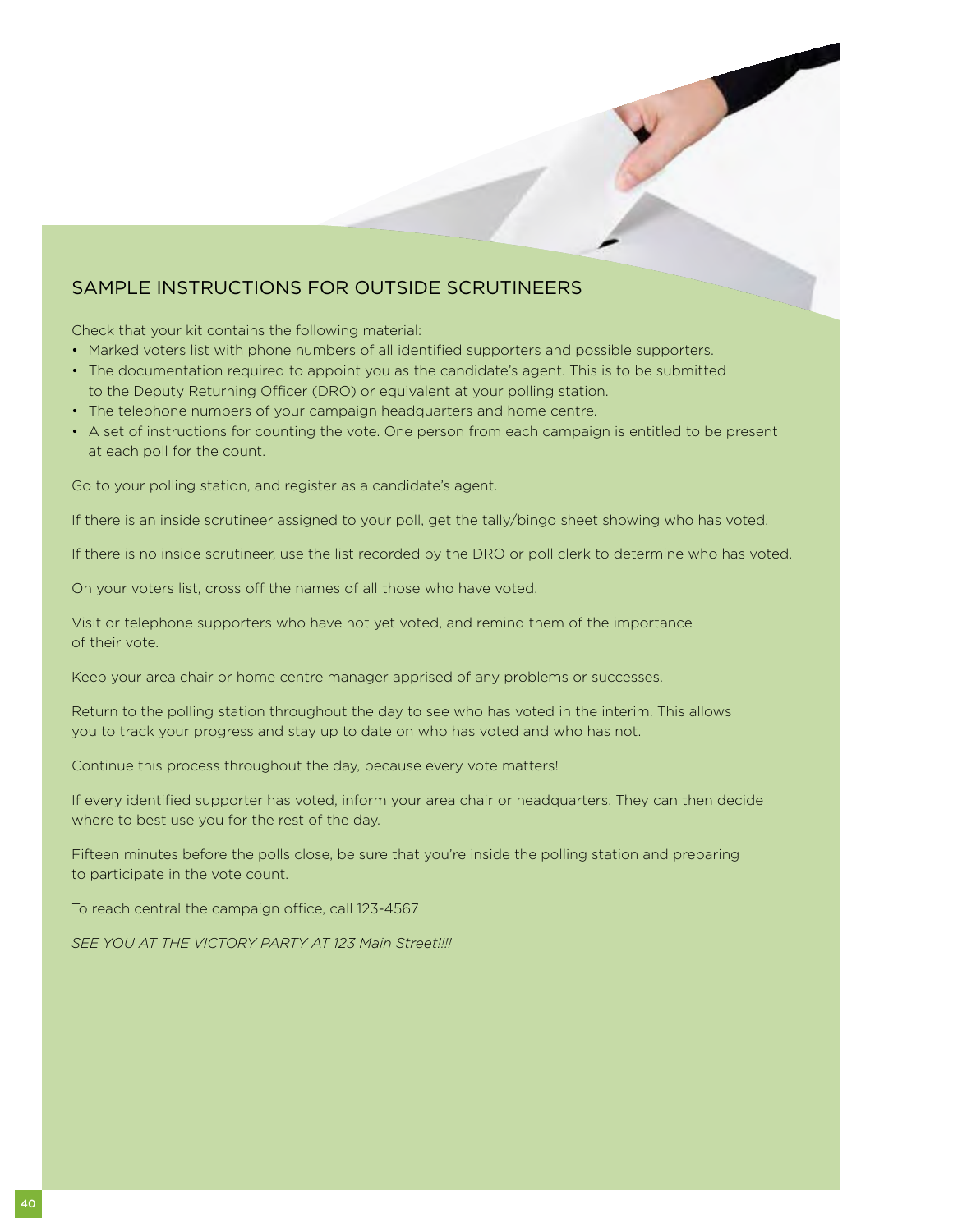## Sample Instructions for Outside Scrutineers

Check that your kit contains the following material:

- Marked voters list with phone numbers of all identified supporters and possible supporters.
- The documentation required to appoint you as the candidate's agent. This is to be submitted to the Deputy Returning Officer (DRO) or equivalent at your polling station.
- The telephone numbers of your campaign headquarters and home centre.
- A set of instructions for counting the vote. One person from each campaign is entitled to be present at each poll for the count.

Go to your polling station, and register as a candidate's agent.

If there is an inside scrutineer assigned to your poll, get the tally/bingo sheet showing who has voted.

If there is no inside scrutineer, use the list recorded by the DRO or poll clerk to determine who has voted.

On your voters list, cross off the names of all those who have voted.

Visit or telephone supporters who have not yet voted, and remind them of the importance of their vote.

Keep your area chair or home centre manager apprised of any problems or successes.

Return to the polling station throughout the day to see who has voted in the interim. This allows you to track your progress and stay up to date on who has voted and who has not.

Continue this process throughout the day, because every vote matters!

If every identified supporter has voted, inform your area chair or headquarters. They can then decide where to best use you for the rest of the day.

Fifteen minutes before the polls close, be sure that you're inside the polling station and preparing to participate in the vote count.

To reach central the campaign office, call 123-4567

*SEE YOU AT THE VICTORY PARTY AT 123 Main Street!!!!*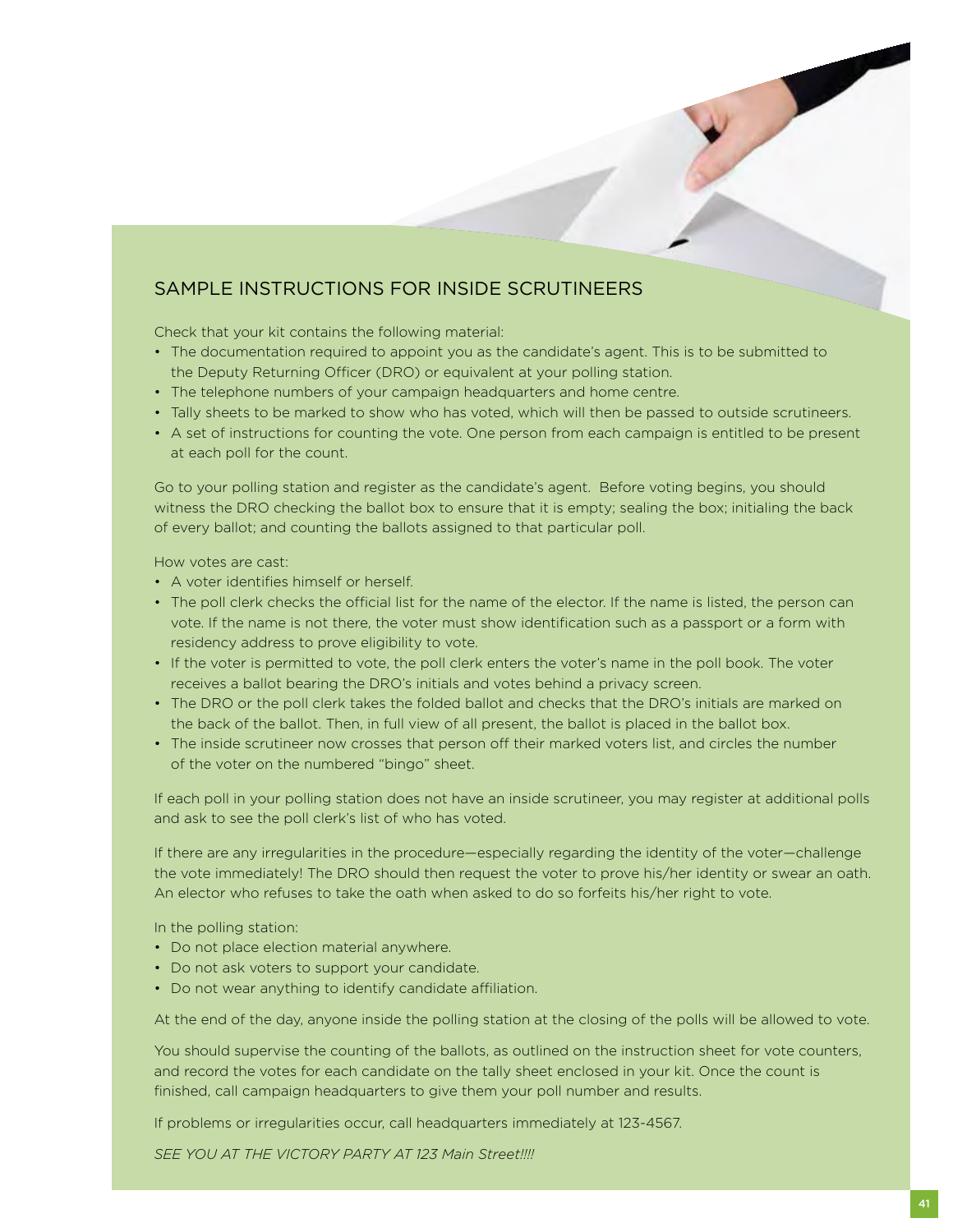## Sample Instructions for Inside Scrutineers

Check that your kit contains the following material:

- The documentation required to appoint you as the candidate's agent. This is to be submitted to the Deputy Returning Officer (DRO) or equivalent at your polling station.
- The telephone numbers of your campaign headquarters and home centre.
- Tally sheets to be marked to show who has voted, which will then be passed to outside scrutineers.
- A set of instructions for counting the vote. One person from each campaign is entitled to be present at each poll for the count.

Go to your polling station and register as the candidate's agent. Before voting begins, you should witness the DRO checking the ballot box to ensure that it is empty; sealing the box; initialing the back of every ballot; and counting the ballots assigned to that particular poll.

How votes are cast:

- A voter identifies himself or herself.
- The poll clerk checks the official list for the name of the elector. If the name is listed, the person can vote. If the name is not there, the voter must show identification such as a passport or a form with residency address to prove eligibility to vote.
- If the voter is permitted to vote, the poll clerk enters the voter's name in the poll book. The voter receives a ballot bearing the DRO's initials and votes behind a privacy screen.
- The DRO or the poll clerk takes the folded ballot and checks that the DRO's initials are marked on the back of the ballot. Then, in full view of all present, the ballot is placed in the ballot box.
- The inside scrutineer now crosses that person off their marked voters list, and circles the number of the voter on the numbered "bingo" sheet.

If each poll in your polling station does not have an inside scrutineer, you may register at additional polls and ask to see the poll clerk's list of who has voted.

If there are any irregularities in the procedure—especially regarding the identity of the voter—challenge the vote immediately! The DRO should then request the voter to prove his/her identity or swear an oath. An elector who refuses to take the oath when asked to do so forfeits his/her right to vote.

In the polling station:

- Do not place election material anywhere.
- Do not ask voters to support your candidate.
- Do not wear anything to identify candidate affiliation.

At the end of the day, anyone inside the polling station at the closing of the polls will be allowed to vote.

You should supervise the counting of the ballots, as outlined on the instruction sheet for vote counters, and record the votes for each candidate on the tally sheet enclosed in your kit. Once the count is finished, call campaign headquarters to give them your poll number and results.

If problems or irregularities occur, call headquarters immediately at 123-4567.

*SEE YOU AT THE VICTORY PARTY AT 123 Main Street!!!!*

**Contract Contract Contract**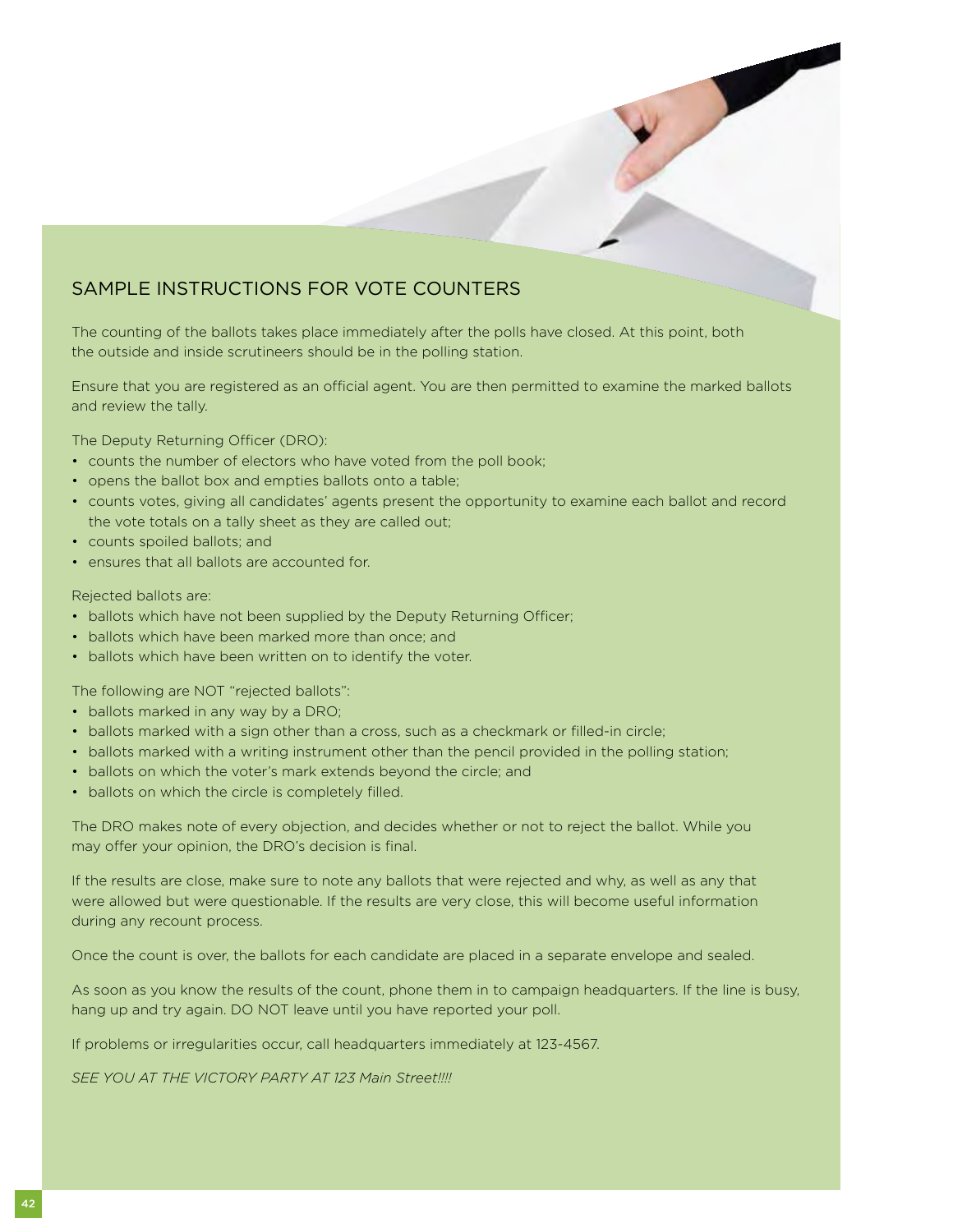## Sample Instructions for Vote Counters

The counting of the ballots takes place immediately after the polls have closed. At this point, both the outside and inside scrutineers should be in the polling station.

Ensure that you are registered as an official agent. You are then permitted to examine the marked ballots and review the tally.

The Deputy Returning Officer (DRO):

- counts the number of electors who have voted from the poll book;
- opens the ballot box and empties ballots onto a table;
- counts votes, giving all candidates' agents present the opportunity to examine each ballot and record the vote totals on a tally sheet as they are called out;
- counts spoiled ballots; and
- ensures that all ballots are accounted for.

#### Rejected ballots are:

- ballots which have not been supplied by the Deputy Returning Officer;
- ballots which have been marked more than once; and
- ballots which have been written on to identify the voter.

The following are NOT "rejected ballots":

- ballots marked in any way by a DRO;
- ballots marked with a sign other than a cross, such as a checkmark or filled-in circle;
- ballots marked with a writing instrument other than the pencil provided in the polling station;
- ballots on which the voter's mark extends beyond the circle; and
- ballots on which the circle is completely filled.

The DRO makes note of every objection, and decides whether or not to reject the ballot. While you may offer your opinion, the DRO's decision is final.

If the results are close, make sure to note any ballots that were rejected and why, as well as any that were allowed but were questionable. If the results are very close, this will become useful information during any recount process.

Once the count is over, the ballots for each candidate are placed in a separate envelope and sealed.

As soon as you know the results of the count, phone them in to campaign headquarters. If the line is busy, hang up and try again. DO NOT leave until you have reported your poll.

If problems or irregularities occur, call headquarters immediately at 123-4567.

*SEE YOU AT THE VICTORY PARTY AT 123 Main Street!!!!*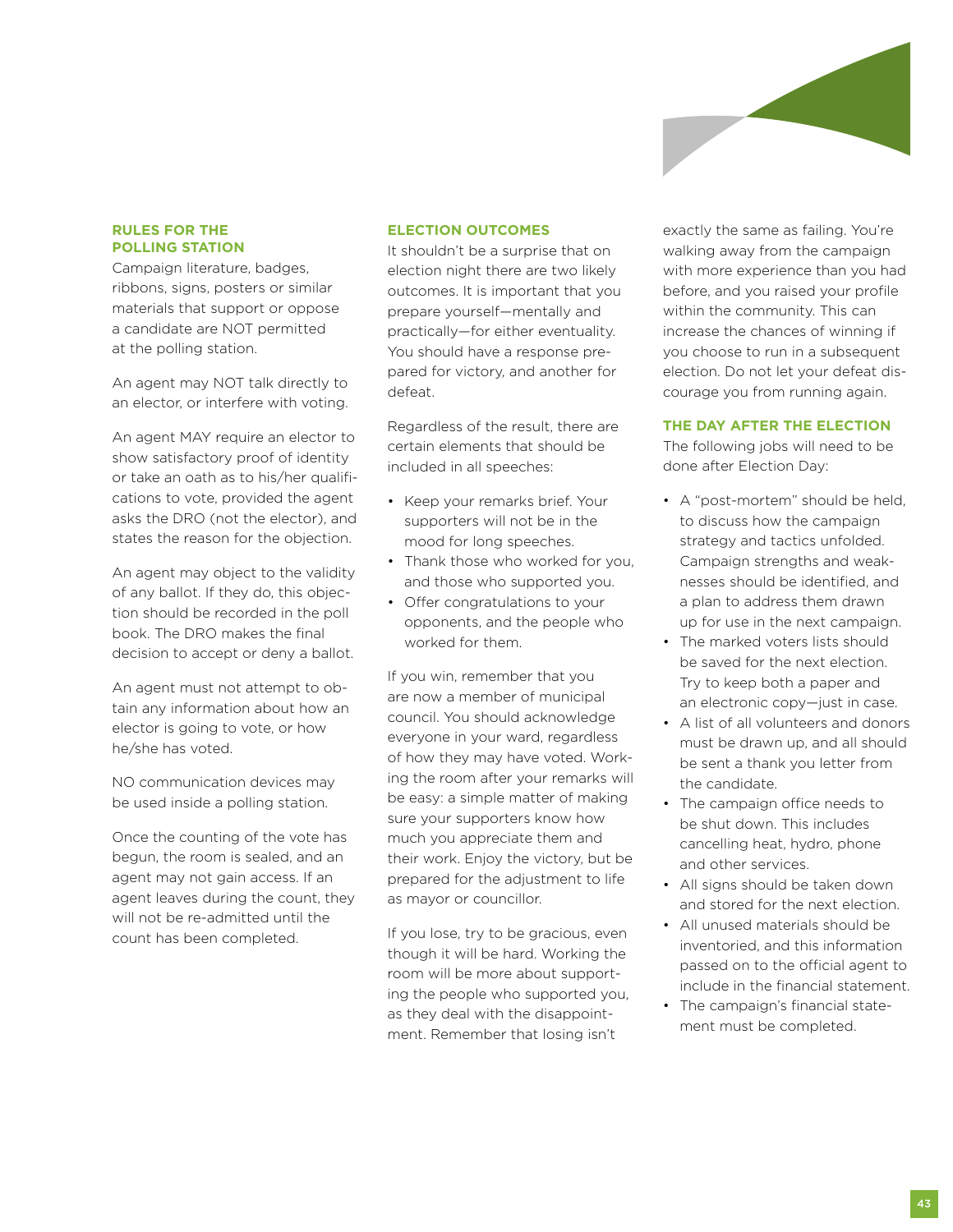

### **Rules for the Polling Station**

Campaign literature, badges, ribbons, signs, posters or similar materials that support or oppose a candidate are NOT permitted at the polling station.

An agent may NOT talk directly to an elector, or interfere with voting.

An agent MAY require an elector to show satisfactory proof of identity or take an oath as to his/her qualifications to vote, provided the agent asks the DRO (not the elector), and states the reason for the objection.

An agent may object to the validity of any ballot. If they do, this objection should be recorded in the poll book. The DRO makes the final decision to accept or deny a ballot.

An agent must not attempt to obtain any information about how an elector is going to vote, or how he/she has voted.

NO communication devices may be used inside a polling station.

Once the counting of the vote has begun, the room is sealed, and an agent may not gain access. If an agent leaves during the count, they will not be re-admitted until the count has been completed.

### **Election Outcomes**

It shouldn't be a surprise that on election night there are two likely outcomes. It is important that you prepare yourself—mentally and practically—for either eventuality. You should have a response prepared for victory, and another for defeat.

Regardless of the result, there are certain elements that should be included in all speeches:

- Keep your remarks brief. Your supporters will not be in the mood for long speeches.
- Thank those who worked for you, and those who supported you.
- Offer congratulations to your opponents, and the people who worked for them.

If you win, remember that you are now a member of municipal council. You should acknowledge everyone in your ward, regardless of how they may have voted. Working the room after your remarks will be easy: a simple matter of making sure your supporters know how much you appreciate them and their work. Enjoy the victory, but be prepared for the adjustment to life as mayor or councillor.

If you lose, try to be gracious, even though it will be hard. Working the room will be more about supporting the people who supported you, as they deal with the disappointment. Remember that losing isn't

exactly the same as failing. You're walking away from the campaign with more experience than you had before, and you raised your profile within the community. This can increase the chances of winning if you choose to run in a subsequent election. Do not let your defeat discourage you from running again.

#### **The Day After the Election**

The following jobs will need to be done after Election Day:

- A "post-mortem" should be held, to discuss how the campaign strategy and tactics unfolded. Campaign strengths and weaknesses should be identified, and a plan to address them drawn up for use in the next campaign.
- The marked voters lists should be saved for the next election. Try to keep both a paper and an electronic copy—just in case.
- A list of all volunteers and donors must be drawn up, and all should be sent a thank you letter from the candidate.
- The campaign office needs to be shut down. This includes cancelling heat, hydro, phone and other services.
- All signs should be taken down and stored for the next election.
- All unused materials should be inventoried, and this information passed on to the official agent to include in the financial statement.
- The campaign's financial statement must be completed.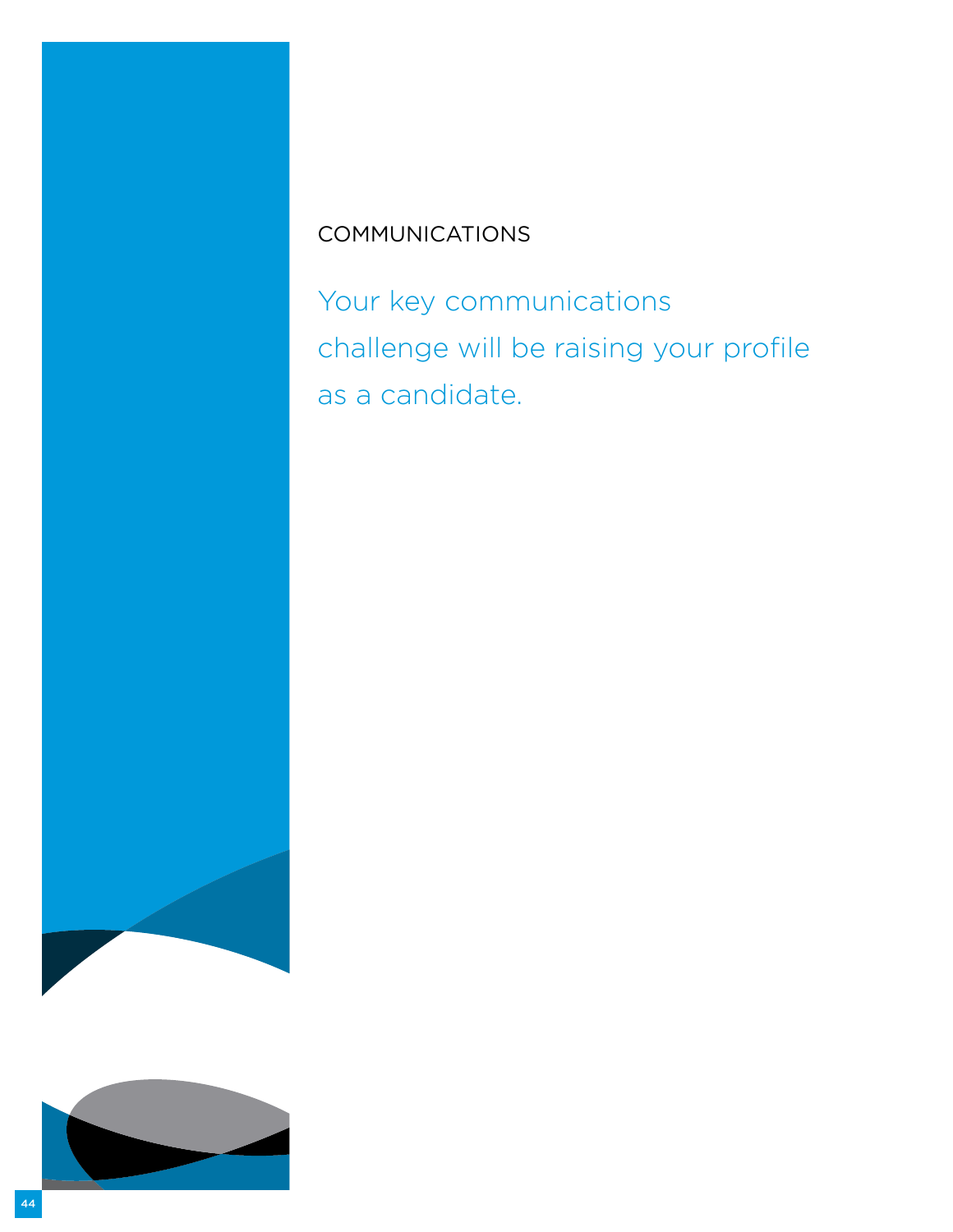# **COMMUNICATIONS**

Your key communications challenge will be raising your profile as a candidate.

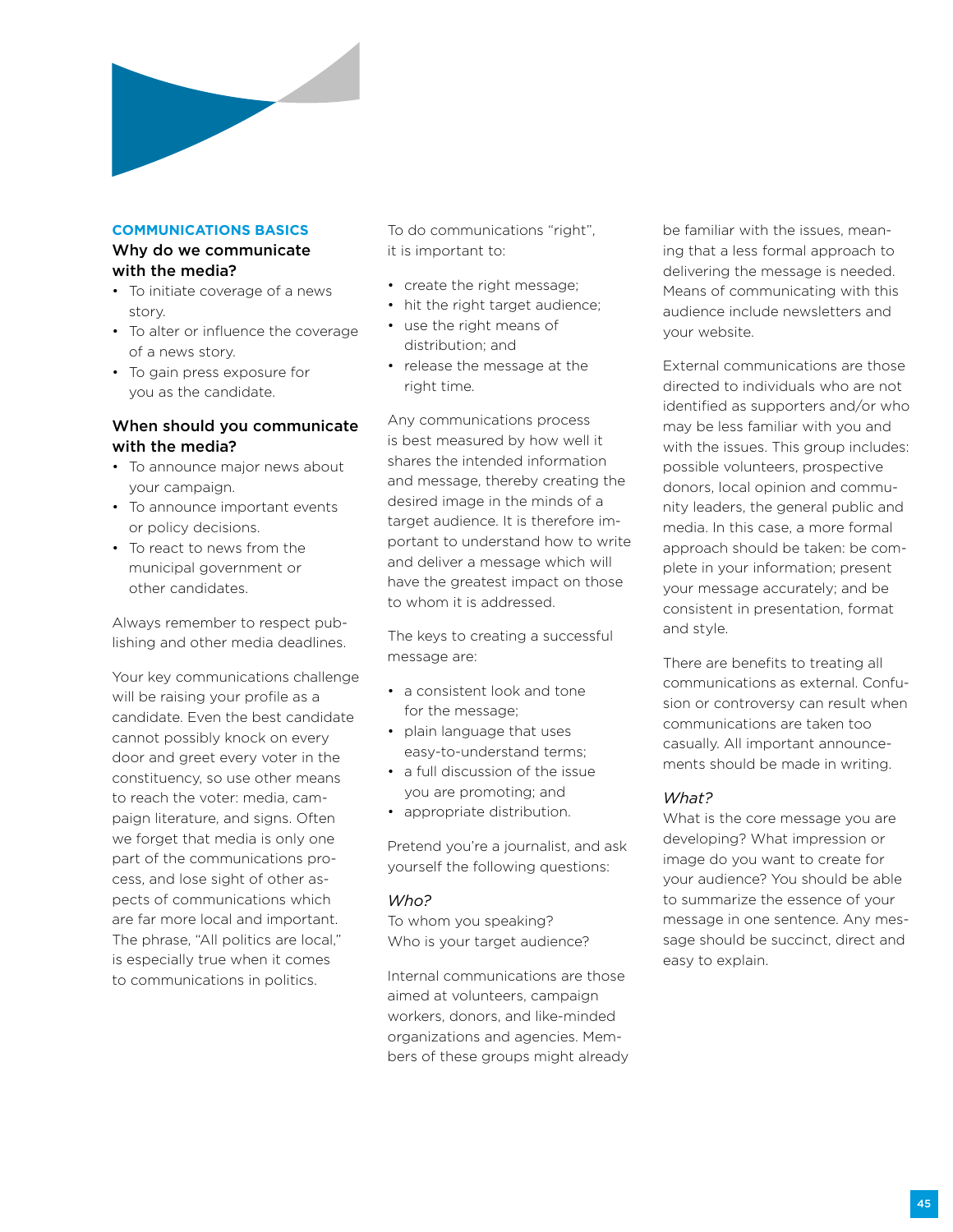

## **Communications Basics**

#### Why do we communicate with the media?

- To initiate coverage of a news story.
- To alter or influence the coverage of a news story.
- To gain press exposure for you as the candidate.

## When should you communicate with the media?

- To announce major news about your campaign.
- To announce important events or policy decisions.
- To react to news from the municipal government or other candidates.

Always remember to respect publishing and other media deadlines.

Your key communications challenge will be raising your profile as a candidate. Even the best candidate cannot possibly knock on every door and greet every voter in the constituency, so use other means to reach the voter: media, campaign literature, and signs. Often we forget that media is only one part of the communications process, and lose sight of other aspects of communications which are far more local and important. The phrase, "All politics are local," is especially true when it comes to communications in politics.

To do communications "right", it is important to:

- create the right message;
- hit the right target audience;
- use the right means of distribution; and
- release the message at the right time.

Any communications process is best measured by how well it shares the intended information and message, thereby creating the desired image in the minds of a target audience. It is therefore important to understand how to write and deliver a message which will have the greatest impact on those to whom it is addressed.

The keys to creating a successful message are:

- a consistent look and tone for the message;
- plain language that uses easy-to-understand terms;
- a full discussion of the issue you are promoting; and
- appropriate distribution.

Pretend you're a journalist, and ask yourself the following questions:

## *Who?*

To whom you speaking? Who is your target audience?

Internal communications are those aimed at volunteers, campaign workers, donors, and like-minded organizations and agencies. Members of these groups might already be familiar with the issues, meaning that a less formal approach to delivering the message is needed. Means of communicating with this audience include newsletters and your website.

External communications are those directed to individuals who are not identified as supporters and/or who may be less familiar with you and with the issues. This group includes: possible volunteers, prospective donors, local opinion and community leaders, the general public and media. In this case, a more formal approach should be taken: be complete in your information; present your message accurately; and be consistent in presentation, format and style.

There are benefits to treating all communications as external. Confusion or controversy can result when communications are taken too casually. All important announcements should be made in writing.

## *What?*

What is the core message you are developing? What impression or image do you want to create for your audience? You should be able to summarize the essence of your message in one sentence. Any message should be succinct, direct and easy to explain.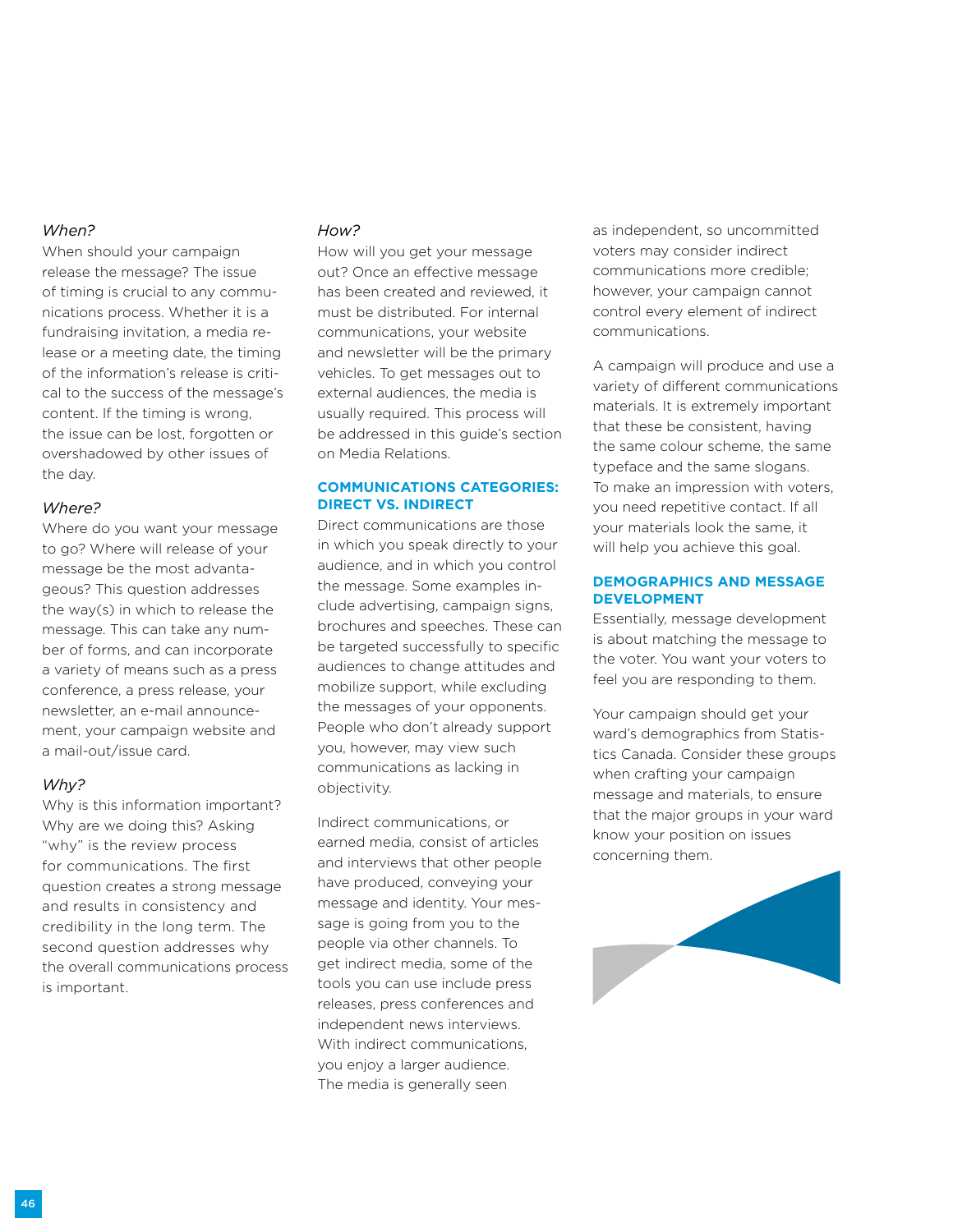### *When?*

When should your campaign release the message? The issue of timing is crucial to any communications process. Whether it is a fundraising invitation, a media release or a meeting date, the timing of the information's release is critical to the success of the message's content. If the timing is wrong, the issue can be lost, forgotten or overshadowed by other issues of the day.

#### *Where?*

Where do you want your message to go? Where will release of your message be the most advantageous? This question addresses the way(s) in which to release the message. This can take any number of forms, and can incorporate a variety of means such as a press conference, a press release, your newsletter, an e-mail announcement, your campaign website and a mail-out/issue card.

#### *Why?*

Why is this information important? Why are we doing this? Asking "why" is the review process for communications. The first question creates a strong message and results in consistency and credibility in the long term. The second question addresses why the overall communications process is important.

#### *How?*

How will you get your message out? Once an effective message has been created and reviewed, it must be distributed. For internal communications, your website and newsletter will be the primary vehicles. To get messages out to external audiences, the media is usually required. This process will be addressed in this guide's section on Media Relations.

#### **Communications Categories: Direct vs. Indirect**

Direct communications are those in which you speak directly to your audience, and in which you control the message. Some examples include advertising, campaign signs, brochures and speeches. These can be targeted successfully to specific audiences to change attitudes and mobilize support, while excluding the messages of your opponents. People who don't already support you, however, may view such communications as lacking in objectivity.

Indirect communications, or earned media, consist of articles and interviews that other people have produced, conveying your message and identity. Your message is going from you to the people via other channels. To get indirect media, some of the tools you can use include press releases, press conferences and independent news interviews. With indirect communications, you enjoy a larger audience. The media is generally seen

as independent, so uncommitted voters may consider indirect communications more credible; however, your campaign cannot control every element of indirect communications.

A campaign will produce and use a variety of different communications materials. It is extremely important that these be consistent, having the same colour scheme, the same typeface and the same slogans. To make an impression with voters, you need repetitive contact. If all your materials look the same, it will help you achieve this goal.

#### **Demographics and Message Development**

Essentially, message development is about matching the message to the voter. You want your voters to feel you are responding to them.

Your campaign should get your ward's demographics from Statistics Canada. Consider these groups when crafting your campaign message and materials, to ensure that the major groups in your ward know your position on issues concerning them.

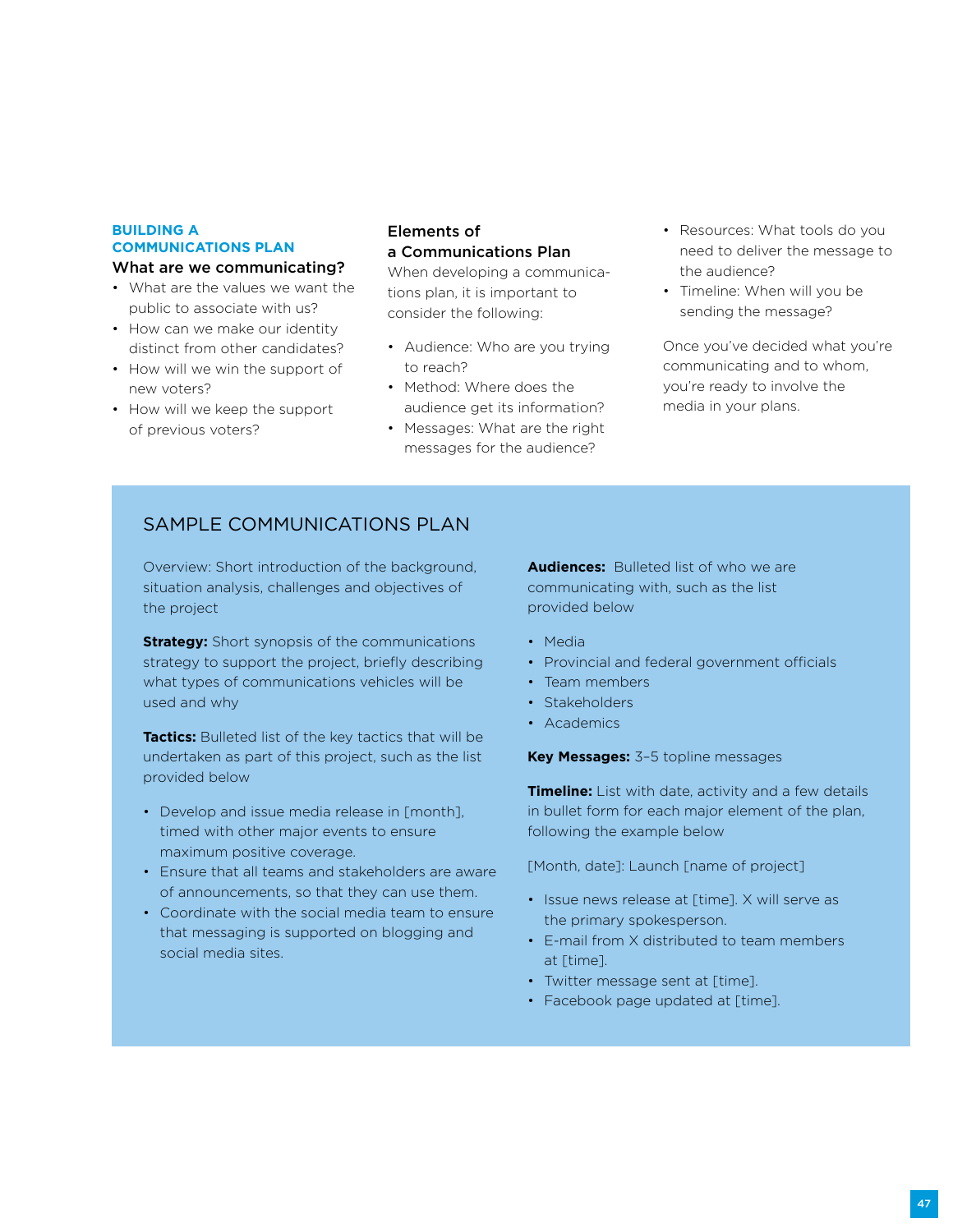## **Building a Communications Plan**

#### What are we communicating?

- What are the values we want the public to associate with us?
- How can we make our identity distinct from other candidates?
- How will we win the support of new voters?
- How will we keep the support of previous voters?

#### Elements of a Communications Plan

When developing a communications plan, it is important to consider the following:

- Audience: Who are you trying to reach?
- Method: Where does the audience get its information?
- Messages: What are the right messages for the audience?
- Resources: What tools do you need to deliver the message to the audience?
- Timeline: When will you be sending the message?

Once you've decided what you're communicating and to whom, you're ready to involve the media in your plans.

## SAMPLE COMMUNICATIONS PLAN

Overview: Short introduction of the background, situation analysis, challenges and objectives of the project

**Strategy:** Short synopsis of the communications strategy to support the project, briefly describing what types of communications vehicles will be used and why

**Tactics:** Bulleted list of the key tactics that will be undertaken as part of this project, such as the list provided below

- Develop and issue media release in [month], timed with other major events to ensure maximum positive coverage.
- Ensure that all teams and stakeholders are aware of announcements, so that they can use them.
- Coordinate with the social media team to ensure that messaging is supported on blogging and social media sites.

**Audiences:** Bulleted list of who we are communicating with, such as the list provided below

- Media
- Provincial and federal government officials
- Team members
- Stakeholders
- Academics

**Key Messages:** 3–5 topline messages

**Timeline:** List with date, activity and a few details in bullet form for each major element of the plan, following the example below

[Month, date]: Launch [name of project]

- Issue news release at [time]. X will serve as the primary spokesperson.
- E-mail from X distributed to team members at [time].
- Twitter message sent at [time].
- Facebook page updated at [time].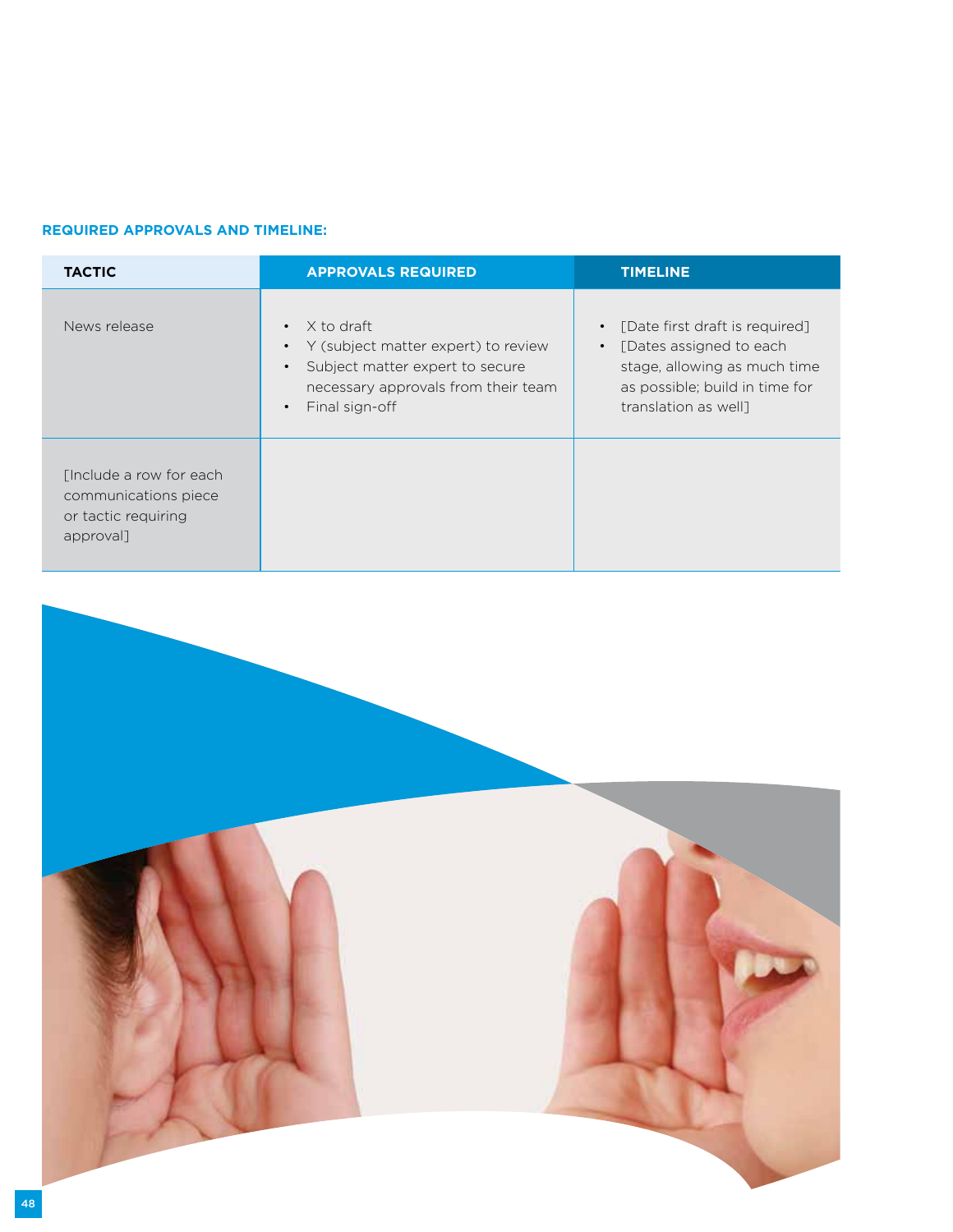## **Required Approvals and Timeline:**

| <b>TACTIC</b>                                                                       | <b>APPROVALS REQUIRED</b>                                                                                                                       | <b>TIMELINE</b>                                                                                                                                                               |
|-------------------------------------------------------------------------------------|-------------------------------------------------------------------------------------------------------------------------------------------------|-------------------------------------------------------------------------------------------------------------------------------------------------------------------------------|
| News release                                                                        | X to draft<br>• Y (subject matter expert) to review<br>Subject matter expert to secure<br>necessary approvals from their team<br>Final sign-off | [Date first draft is required]<br>$\bullet$<br>[Dates assigned to each<br>$\bullet$<br>stage, allowing as much time<br>as possible; build in time for<br>translation as well] |
| [Include a row for each<br>communications piece<br>or tactic requiring<br>approval] |                                                                                                                                                 |                                                                                                                                                                               |

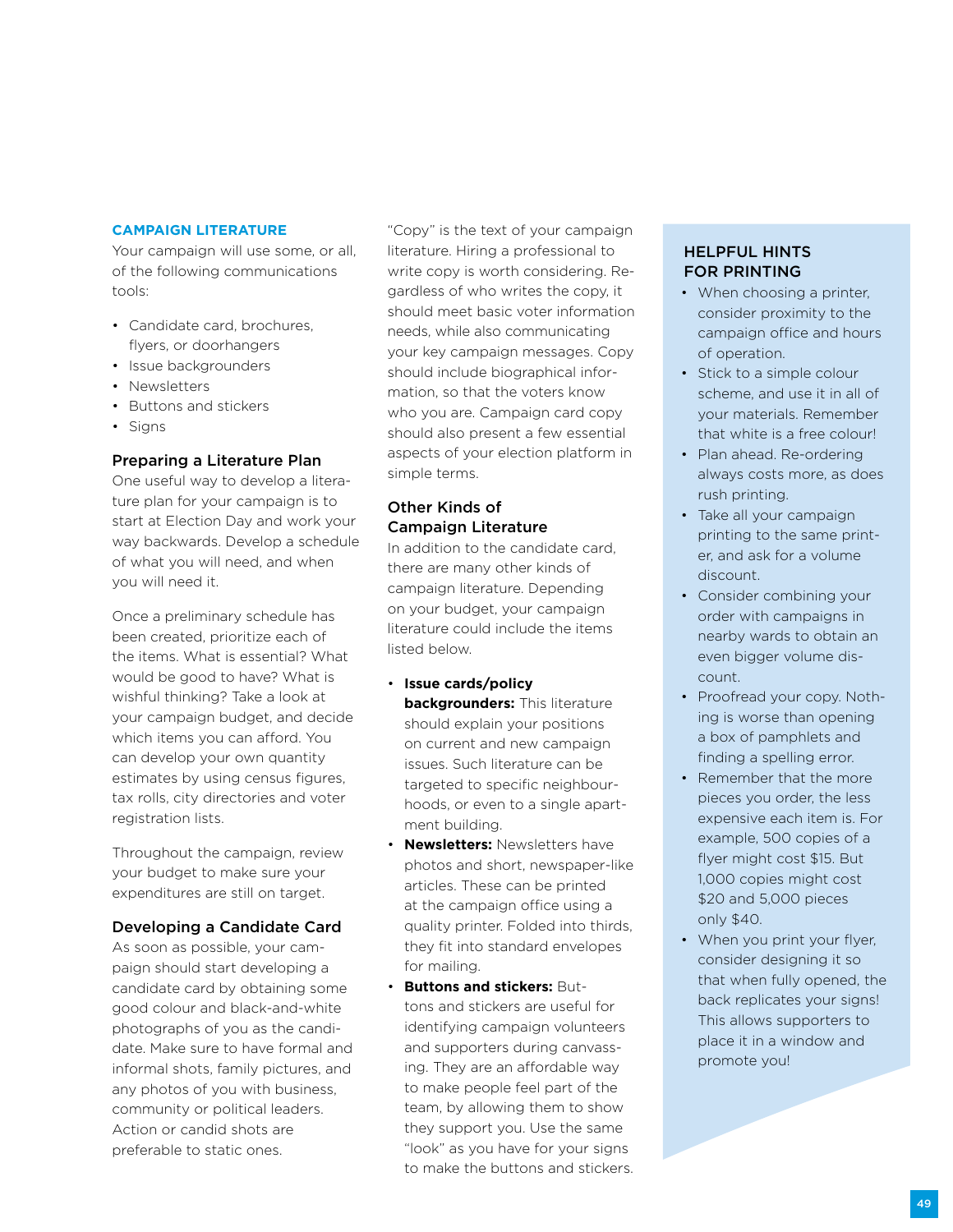#### **Campaign Literature**

Your campaign will use some, or all, of the following communications tools:

- Candidate card, brochures, flyers, or doorhangers
- Issue backgrounders
- Newsletters
- Buttons and stickers
- Signs

### Preparing a Literature Plan

One useful way to develop a literature plan for your campaign is to start at Election Day and work your way backwards. Develop a schedule of what you will need, and when you will need it.

Once a preliminary schedule has been created, prioritize each of the items. What is essential? What would be good to have? What is wishful thinking? Take a look at your campaign budget, and decide which items you can afford. You can develop your own quantity estimates by using census figures, tax rolls, city directories and voter registration lists.

Throughout the campaign, review your budget to make sure your expenditures are still on target.

#### Developing a Candidate Card

As soon as possible, your campaign should start developing a candidate card by obtaining some good colour and black-and-white photographs of you as the candidate. Make sure to have formal and informal shots, family pictures, and any photos of you with business, community or political leaders. Action or candid shots are preferable to static ones.

"Copy" is the text of your campaign literature. Hiring a professional to write copy is worth considering. Regardless of who writes the copy, it should meet basic voter information needs, while also communicating your key campaign messages. Copy should include biographical information, so that the voters know who you are. Campaign card copy should also present a few essential aspects of your election platform in simple terms.

## Other Kinds of Campaign Literature

In addition to the candidate card, there are many other kinds of campaign literature. Depending on your budget, your campaign literature could include the items listed below.

- **Issue cards/policy backgrounders:** This literature should explain your positions on current and new campaign issues. Such literature can be targeted to specific neighbourhoods, or even to a single apartment building.
- **Newsletters:** Newsletters have photos and short, newspaper-like articles. These can be printed at the campaign office using a quality printer. Folded into thirds, they fit into standard envelopes for mailing.
- **Buttons and stickers:** Buttons and stickers are useful for identifying campaign volunteers and supporters during canvassing. They are an affordable way to make people feel part of the team, by allowing them to show they support you. Use the same "look" as you have for your signs to make the buttons and stickers.

## Helpful Hints for Printing

- When choosing a printer, consider proximity to the campaign office and hours of operation.
- Stick to a simple colour scheme, and use it in all of your materials. Remember that white is a free colour!
- Plan ahead. Re-ordering always costs more, as does rush printing.
- Take all your campaign printing to the same printer, and ask for a volume discount.
- Consider combining your order with campaigns in nearby wards to obtain an even bigger volume discount.
- Proofread your copy. Nothing is worse than opening a box of pamphlets and finding a spelling error.
- Remember that the more pieces you order, the less expensive each item is. For example, 500 copies of a flyer might cost \$15. But 1,000 copies might cost \$20 and 5,000 pieces only \$40.
- When you print your flyer, consider designing it so that when fully opened, the back replicates your signs! This allows supporters to place it in a window and promote you!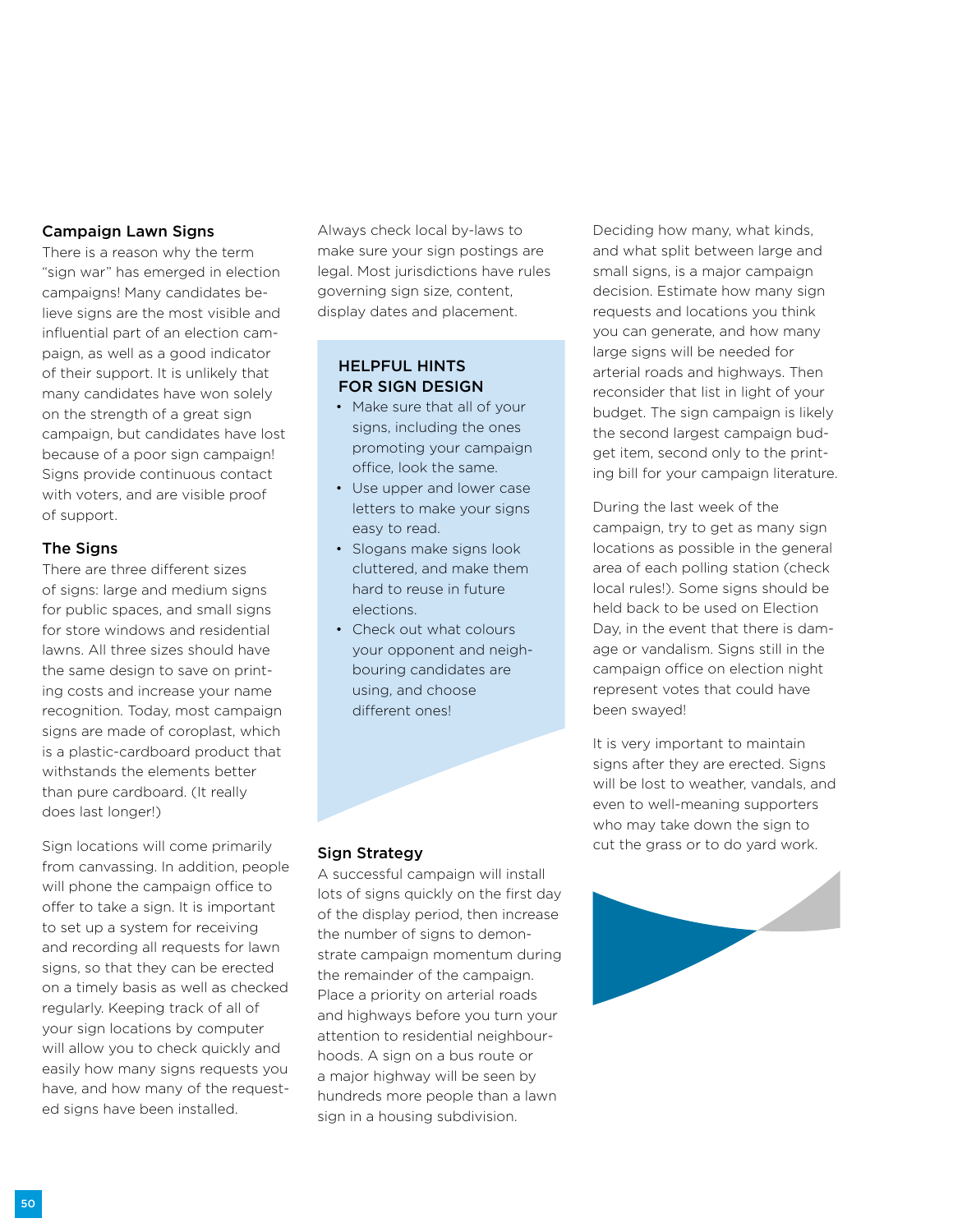### Campaign Lawn Signs

There is a reason why the term "sign war" has emerged in election campaigns! Many candidates believe signs are the most visible and influential part of an election campaign, as well as a good indicator of their support. It is unlikely that many candidates have won solely on the strength of a great sign campaign, but candidates have lost because of a poor sign campaign! Signs provide continuous contact with voters, and are visible proof of support.

#### The Signs

There are three different sizes of signs: large and medium signs for public spaces, and small signs for store windows and residential lawns. All three sizes should have the same design to save on printing costs and increase your name recognition. Today, most campaign signs are made of coroplast, which is a plastic-cardboard product that withstands the elements better than pure cardboard. (It really does last longer!)

Sign locations will come primarily from canvassing. In addition, people will phone the campaign office to offer to take a sign. It is important to set up a system for receiving and recording all requests for lawn signs, so that they can be erected on a timely basis as well as checked regularly. Keeping track of all of your sign locations by computer will allow you to check quickly and easily how many signs requests you have, and how many of the requested signs have been installed.

Always check local by-laws to make sure your sign postings are legal. Most jurisdictions have rules governing sign size, content, display dates and placement.

## Helpful Hints for Sign Design

- Make sure that all of your signs, including the ones promoting your campaign office, look the same.
- Use upper and lower case letters to make your signs easy to read.
- Slogans make signs look cluttered, and make them hard to reuse in future elections.
- Check out what colours your opponent and neighbouring candidates are using, and choose different ones!

Deciding how many, what kinds, and what split between large and small signs, is a major campaign decision. Estimate how many sign requests and locations you think you can generate, and how many large signs will be needed for arterial roads and highways. Then reconsider that list in light of your budget. The sign campaign is likely the second largest campaign budget item, second only to the printing bill for your campaign literature.

During the last week of the campaign, try to get as many sign locations as possible in the general area of each polling station (check local rules!). Some signs should be held back to be used on Election Day, in the event that there is damage or vandalism. Signs still in the campaign office on election night represent votes that could have been swayed!

It is very important to maintain signs after they are erected. Signs will be lost to weather, vandals, and even to well-meaning supporters who may take down the sign to cut the grass or to do yard work.



#### Sign Strategy

A successful campaign will install lots of signs quickly on the first day of the display period, then increase the number of signs to demonstrate campaign momentum during the remainder of the campaign. Place a priority on arterial roads and highways before you turn your attention to residential neighbourhoods. A sign on a bus route or a major highway will be seen by hundreds more people than a lawn sign in a housing subdivision.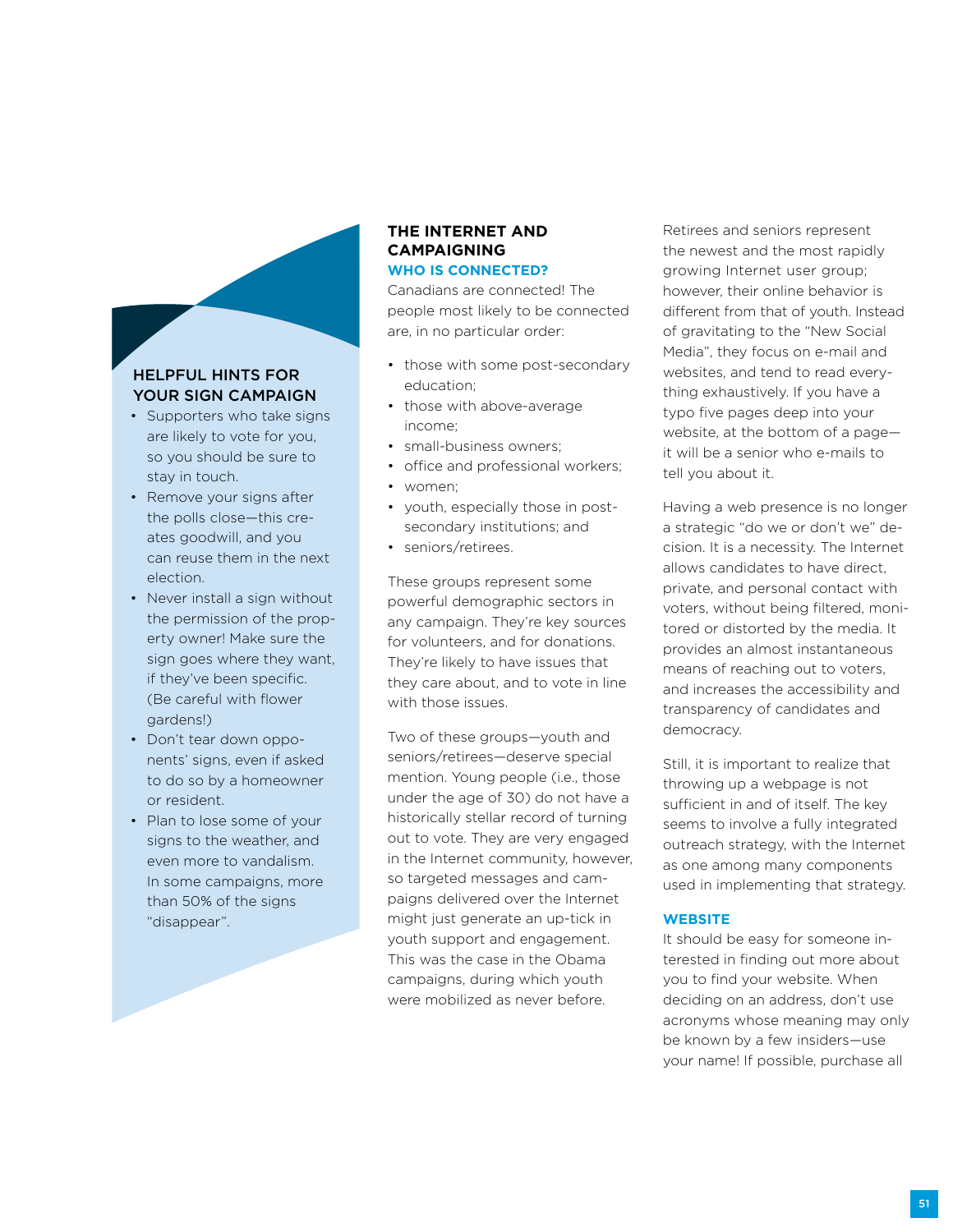## Helpful Hints for YOUR SIGN CAMPAIGN

- Supporters who take signs are likely to vote for you, so you should be sure to stay in touch.
- Remove your signs after the polls close—this creates goodwill, and you can reuse them in the next election.
- Never install a sign without the permission of the property owner! Make sure the sign goes where they want, if they've been specific. (Be careful with flower gardens!)
- Don't tear down opponents' signs, even if asked to do so by a homeowner or resident.
- Plan to lose some of your signs to the weather, and even more to vandalism. In some campaigns, more than 50% of the signs "disappear".

#### **The Internet and Campaigning Who Is Connected?**

Canadians are connected! The people most likely to be connected are, in no particular order:

- those with some post-secondary education;
- those with above-average income;
- small-business owners;
- office and professional workers;
- women;
- youth, especially those in postsecondary institutions; and
- seniors/retirees.

These groups represent some powerful demographic sectors in any campaign. They're key sources for volunteers, and for donations. They're likely to have issues that they care about, and to vote in line with those issues.

Two of these groups—youth and seniors/retirees—deserve special mention. Young people (i.e., those under the age of 30) do not have a historically stellar record of turning out to vote. They are very engaged in the Internet community, however, so targeted messages and campaigns delivered over the Internet might just generate an up-tick in youth support and engagement. This was the case in the Obama campaigns, during which youth were mobilized as never before.

Retirees and seniors represent the newest and the most rapidly growing Internet user group; however, their online behavior is different from that of youth. Instead of gravitating to the "New Social Media", they focus on e-mail and websites, and tend to read everything exhaustively. If you have a typo five pages deep into your website, at the bottom of a page it will be a senior who e-mails to tell you about it.

Having a web presence is no longer a strategic "do we or don't we" decision. It is a necessity. The Internet allows candidates to have direct, private, and personal contact with voters, without being filtered, monitored or distorted by the media. It provides an almost instantaneous means of reaching out to voters, and increases the accessibility and transparency of candidates and democracy.

Still, it is important to realize that throwing up a webpage is not sufficient in and of itself. The key seems to involve a fully integrated outreach strategy, with the Internet as one among many components used in implementing that strategy.

#### **Website**

It should be easy for someone interested in finding out more about you to find your website. When deciding on an address, don't use acronyms whose meaning may only be known by a few insiders—use your name! If possible, purchase all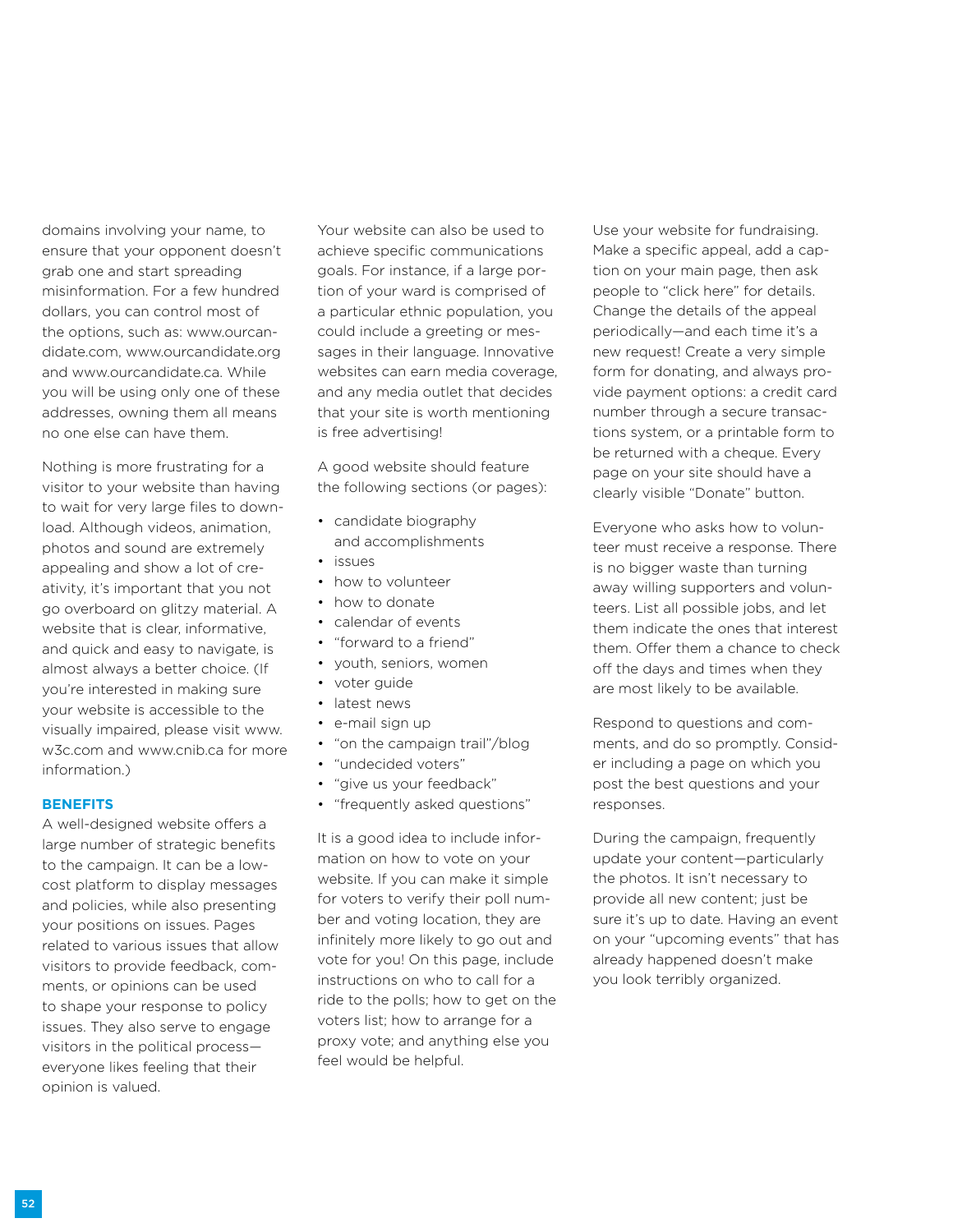domains involving your name, to ensure that your opponent doesn't grab one and start spreading misinformation. For a few hundred dollars, you can control most of the options, such as: www.ourcandidate.com, www.ourcandidate.org and www.ourcandidate.ca. While you will be using only one of these addresses, owning them all means no one else can have them.

Nothing is more frustrating for a visitor to your website than having to wait for very large files to download. Although videos, animation, photos and sound are extremely appealing and show a lot of creativity, it's important that you not go overboard on glitzy material. A website that is clear, informative, and quick and easy to navigate, is almost always a better choice. (If you're interested in making sure your website is accessible to the visually impaired, please visit www. w3c.com and www.cnib.ca for more information.)

#### **Benefits**

A well-designed website offers a large number of strategic benefits to the campaign. It can be a lowcost platform to display messages and policies, while also presenting your positions on issues. Pages related to various issues that allow visitors to provide feedback, comments, or opinions can be used to shape your response to policy issues. They also serve to engage visitors in the political process everyone likes feeling that their opinion is valued.

Your website can also be used to achieve specific communications goals. For instance, if a large portion of your ward is comprised of a particular ethnic population, you could include a greeting or messages in their language. Innovative websites can earn media coverage, and any media outlet that decides that your site is worth mentioning is free advertising!

A good website should feature the following sections (or pages):

- candidate biography and accomplishments
- issues
- how to volunteer
- how to donate
- calendar of events
- "forward to a friend"
- youth, seniors, women
- voter guide
- latest news
- e-mail sign up
- "on the campaign trail"/blog
- "undecided voters"
- "give us your feedback"
- "frequently asked questions"

It is a good idea to include information on how to vote on your website. If you can make it simple for voters to verify their poll number and voting location, they are infinitely more likely to go out and vote for you! On this page, include instructions on who to call for a ride to the polls; how to get on the voters list; how to arrange for a proxy vote; and anything else you feel would be helpful.

Use your website for fundraising. Make a specific appeal, add a caption on your main page, then ask people to "click here" for details. Change the details of the appeal periodically—and each time it's a new request! Create a very simple form for donating, and always provide payment options: a credit card number through a secure transactions system, or a printable form to be returned with a cheque. Every page on your site should have a clearly visible "Donate" button.

Everyone who asks how to volunteer must receive a response. There is no bigger waste than turning away willing supporters and volunteers. List all possible jobs, and let them indicate the ones that interest them. Offer them a chance to check off the days and times when they are most likely to be available.

Respond to questions and comments, and do so promptly. Consider including a page on which you post the best questions and your responses.

During the campaign, frequently update your content—particularly the photos. It isn't necessary to provide all new content; just be sure it's up to date. Having an event on your "upcoming events" that has already happened doesn't make you look terribly organized.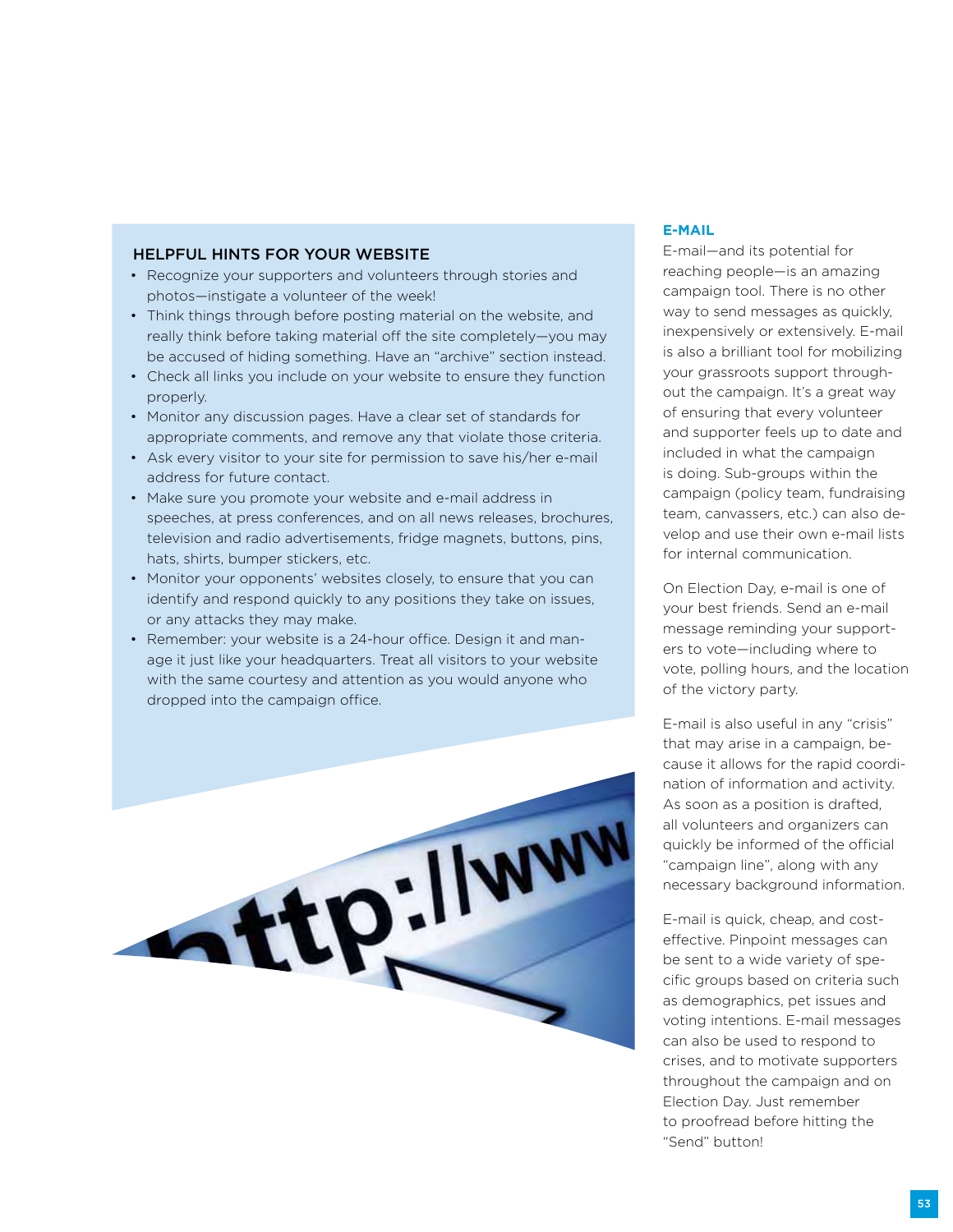#### Helpful Hints for Your Website

- Recognize your supporters and volunteers through stories and photos—instigate a volunteer of the week!
- Think things through before posting material on the website, and really think before taking material off the site completely—you may be accused of hiding something. Have an "archive" section instead.
- Check all links you include on your website to ensure they function properly.
- Monitor any discussion pages. Have a clear set of standards for appropriate comments, and remove any that violate those criteria.
- Ask every visitor to your site for permission to save his/her e-mail address for future contact.
- Make sure you promote your website and e-mail address in speeches, at press conferences, and on all news releases, brochures, television and radio advertisements, fridge magnets, buttons, pins, hats, shirts, bumper stickers, etc.
- Monitor your opponents' websites closely, to ensure that you can identify and respond quickly to any positions they take on issues, or any attacks they may make.
- Remember: your website is a 24-hour office. Design it and manage it just like your headquarters. Treat all visitors to your website with the same courtesy and attention as you would anyone who dropped into the campaign office.



#### **E-mail**

E-mail—and its potential for reaching people—is an amazing campaign tool. There is no other way to send messages as quickly, inexpensively or extensively. E-mail is also a brilliant tool for mobilizing your grassroots support throughout the campaign. It's a great way of ensuring that every volunteer and supporter feels up to date and included in what the campaign is doing. Sub-groups within the campaign (policy team, fundraising team, canvassers, etc.) can also develop and use their own e-mail lists for internal communication.

On Election Day, e-mail is one of your best friends. Send an e-mail message reminding your supporters to vote—including where to vote, polling hours, and the location of the victory party.

E-mail is also useful in any "crisis" that may arise in a campaign, because it allows for the rapid coordination of information and activity. As soon as a position is drafted, all volunteers and organizers can quickly be informed of the official "campaign line", along with any necessary background information.

E-mail is quick, cheap, and costeffective. Pinpoint messages can be sent to a wide variety of specific groups based on criteria such as demographics, pet issues and voting intentions. E-mail messages can also be used to respond to crises, and to motivate supporters throughout the campaign and on Election Day. Just remember to proofread before hitting the "Send" button!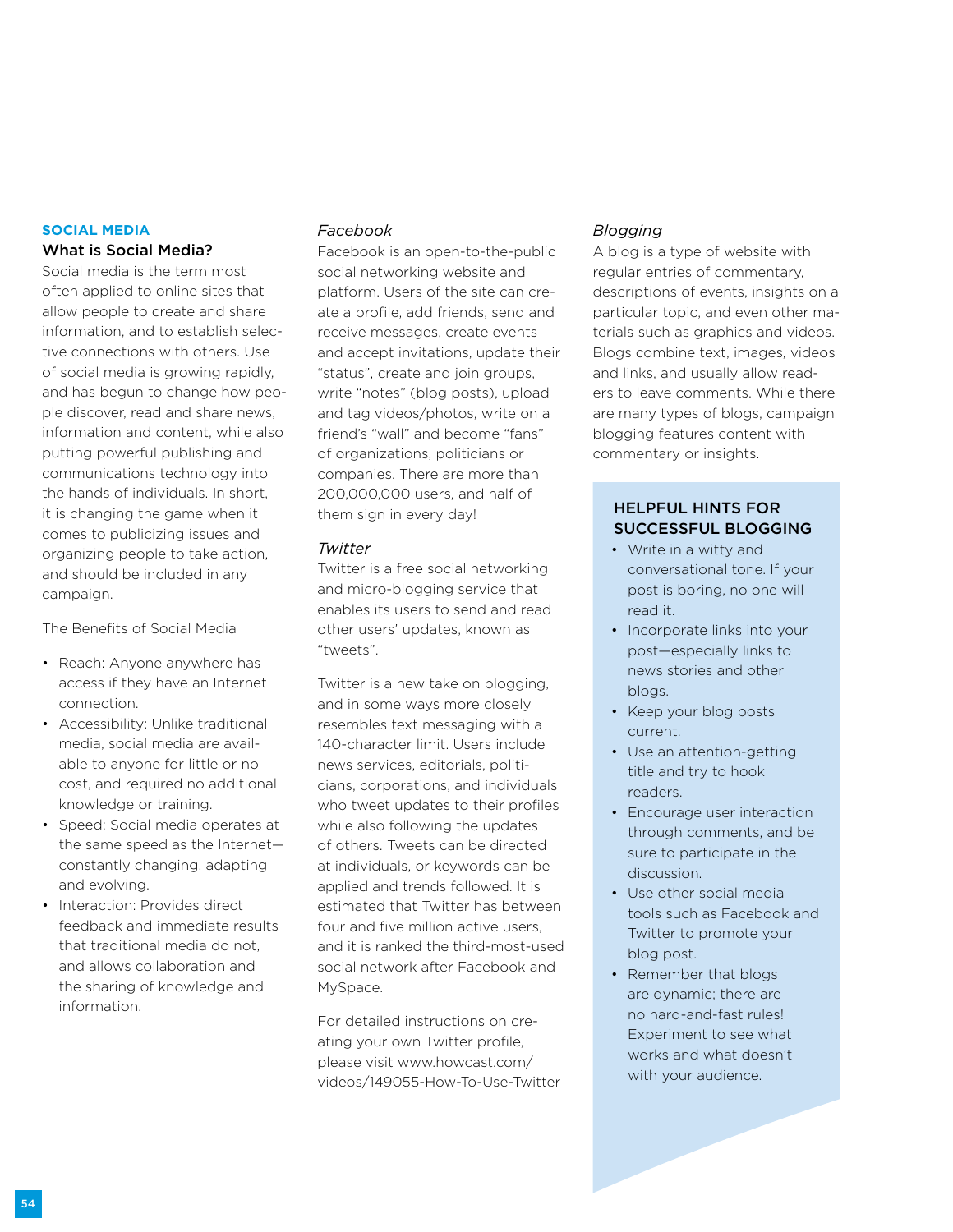#### **Social Media** What is Social Media?

Social media is the term most often applied to online sites that allow people to create and share information, and to establish selective connections with others. Use of social media is growing rapidly, and has begun to change how people discover, read and share news, information and content, while also putting powerful publishing and communications technology into the hands of individuals. In short, it is changing the game when it comes to publicizing issues and organizing people to take action, and should be included in any campaign.

The Benefits of Social Media

- Reach: Anyone anywhere has access if they have an Internet connection.
- Accessibility: Unlike traditional media, social media are available to anyone for little or no cost, and required no additional knowledge or training.
- Speed: Social media operates at the same speed as the Internet constantly changing, adapting and evolving.
- Interaction: Provides direct feedback and immediate results that traditional media do not, and allows collaboration and the sharing of knowledge and information.

## *Facebook*

Facebook is an open-to-the-public social networking website and platform. Users of the site can create a profile, add friends, send and receive messages, create events and accept invitations, update their "status", create and join groups, write "notes" (blog posts), upload and tag videos/photos, write on a friend's "wall" and become "fans" of organizations, politicians or companies. There are more than 200,000,000 users, and half of them sign in every day!

### *Twitter*

Twitter is a free social networking and micro-blogging service that enables its users to send and read other users' updates, known as "tweets".

Twitter is a new take on blogging, and in some ways more closely resembles text messaging with a 140-character limit. Users include news services, editorials, politicians, corporations, and individuals who tweet updates to their profiles while also following the updates of others. Tweets can be directed at individuals, or keywords can be applied and trends followed. It is estimated that Twitter has between four and five million active users, and it is ranked the third-most-used social network after Facebook and MySpace.

For detailed instructions on creating your own Twitter profile, please visit www.howcast.com/ videos/149055-How-To-Use-Twitter

## *Blogging*

A blog is a type of website with regular entries of commentary, descriptions of events, insights on a particular topic, and even other materials such as graphics and videos. Blogs combine text, images, videos and links, and usually allow readers to leave comments. While there are many types of blogs, campaign blogging features content with commentary or insights.

## Helpful Hints for Successful Blogging

- Write in a witty and conversational tone. If your post is boring, no one will read it.
- Incorporate links into your post—especially links to news stories and other blogs.
- Keep your blog posts current.
- Use an attention-getting title and try to hook readers.
- Encourage user interaction through comments, and be sure to participate in the discussion.
- Use other social media tools such as Facebook and Twitter to promote your blog post.
- Remember that blogs are dynamic; there are no hard-and-fast rules! Experiment to see what works and what doesn't with your audience.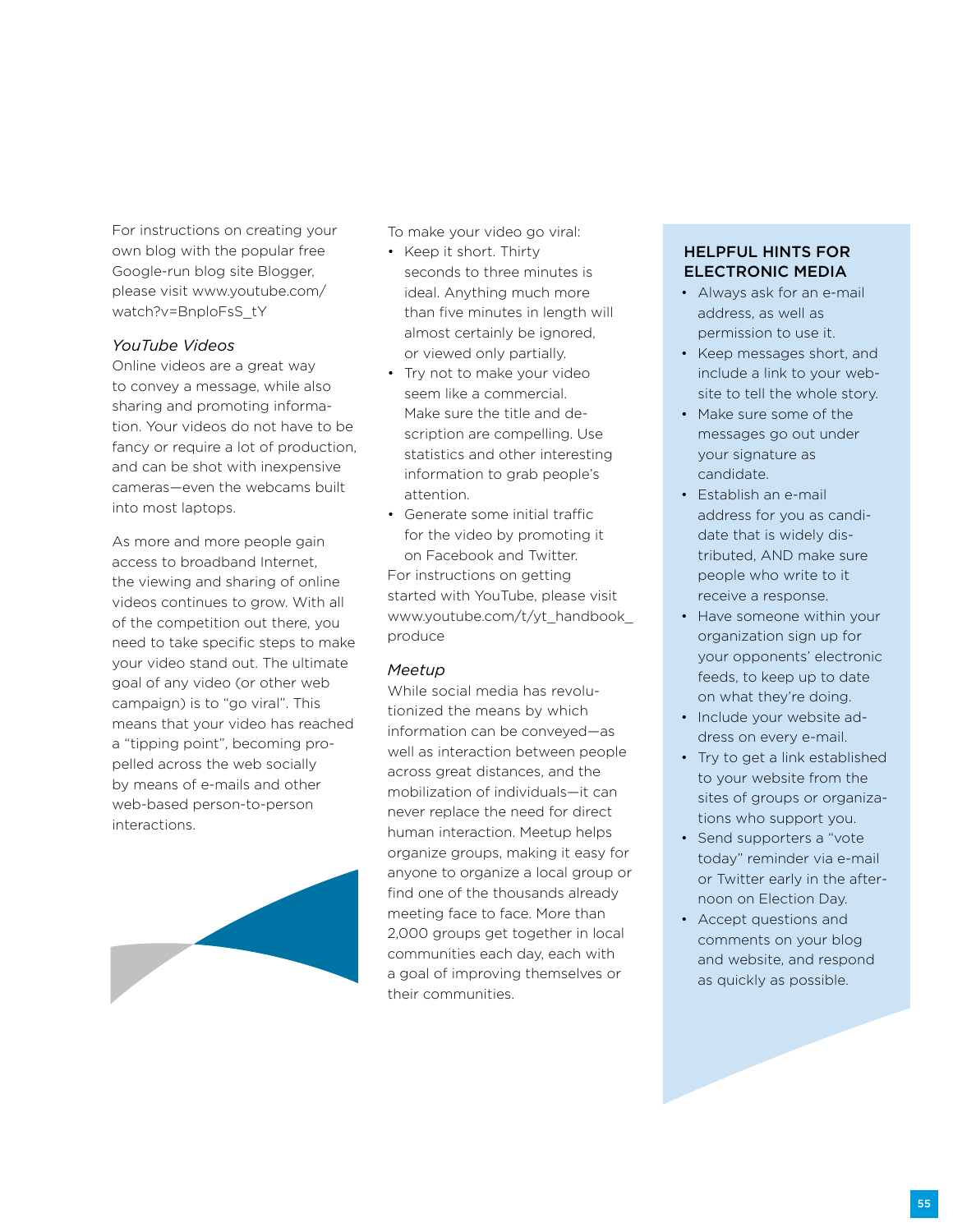For instructions on creating your own blog with the popular free Google-run blog site Blogger, please visit www.youtube.com/ watch?v=BnploFsS\_tY

#### *YouTube Videos*

Online videos are a great way to convey a message, while also sharing and promoting information. Your videos do not have to be fancy or require a lot of production, and can be shot with inexpensive cameras—even the webcams built into most laptops.

As more and more people gain access to broadband Internet, the viewing and sharing of online videos continues to grow. With all of the competition out there, you need to take specific steps to make your video stand out. The ultimate goal of any video (or other web campaign) is to "go viral". This means that your video has reached a "tipping point", becoming propelled across the web socially by means of e-mails and other web-based person-to-person interactions.



To make your video go viral:

- Keep it short. Thirty seconds to three minutes is ideal. Anything much more than five minutes in length will almost certainly be ignored, or viewed only partially.
- Try not to make your video seem like a commercial. Make sure the title and description are compelling. Use statistics and other interesting information to grab people's attention.
- Generate some initial traffic for the video by promoting it on Facebook and Twitter. For instructions on getting started with YouTube, please visit www.youtube.com/t/yt\_handbook\_ produce

#### *Meetup*

While social media has revolutionized the means by which information can be conveyed—as well as interaction between people across great distances, and the mobilization of individuals—it can never replace the need for direct human interaction. Meetup helps organize groups, making it easy for anyone to organize a local group or find one of the thousands already meeting face to face. More than 2,000 groups get together in local communities each day, each with a goal of improving themselves or their communities.

## Helpful Hints For Electronic Media

- Always ask for an e-mail address, as well as permission to use it.
- Keep messages short, and include a link to your website to tell the whole story.
- Make sure some of the messages go out under your signature as candidate.
- Establish an e-mail address for you as candidate that is widely distributed, AND make sure people who write to it receive a response.
- Have someone within your organization sign up for your opponents' electronic feeds, to keep up to date on what they're doing.
- Include your website address on every e-mail.
- Try to get a link established to your website from the sites of groups or organizations who support you.
- Send supporters a "vote today" reminder via e-mail or Twitter early in the afternoon on Election Day.
- Accept questions and comments on your blog and website, and respond as quickly as possible.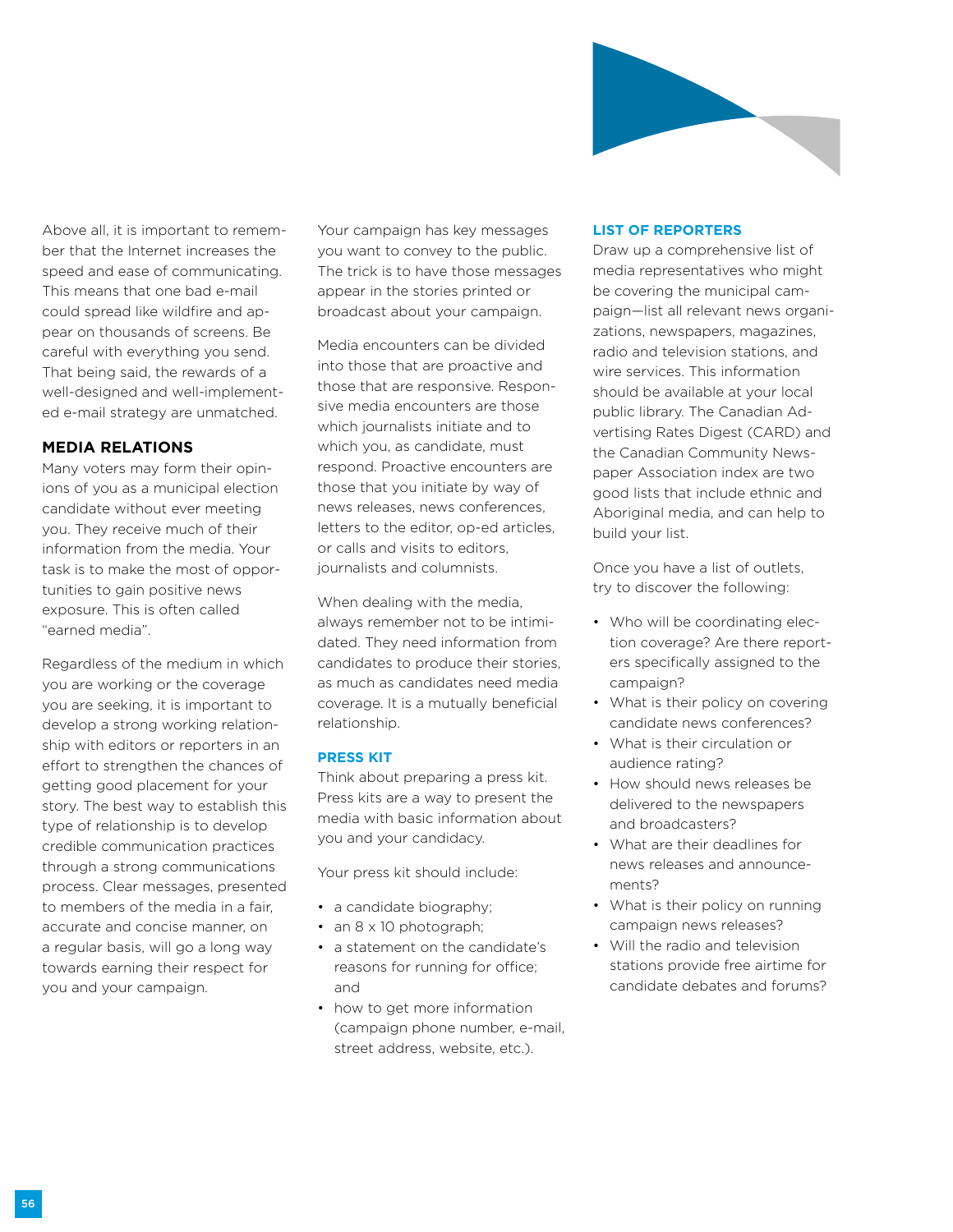

Above all, it is important to remember that the Internet increases the speed and ease of communicating. This means that one bad e-mail could spread like wildfire and appear on thousands of screens. Be careful with everything you send. That being said, the rewards of a well-designed and well-implemented e-mail strategy are unmatched.

### **Media Relations**

Many voters may form their opinions of you as a municipal election candidate without ever meeting you. They receive much of their information from the media. Your task is to make the most of opportunities to gain positive news exposure. This is often called "earned media".

Regardless of the medium in which you are working or the coverage you are seeking, it is important to develop a strong working relationship with editors or reporters in an effort to strengthen the chances of getting good placement for your story. The best way to establish this type of relationship is to develop credible communication practices through a strong communications process. Clear messages, presented to members of the media in a fair, accurate and concise manner, on a regular basis, will go a long way towards earning their respect for you and your campaign.

Your campaign has key messages you want to convey to the public. The trick is to have those messages appear in the stories printed or broadcast about your campaign.

Media encounters can be divided into those that are proactive and those that are responsive. Responsive media encounters are those which journalists initiate and to which you, as candidate, must respond. Proactive encounters are those that you initiate by way of news releases, news conferences, letters to the editor, op-ed articles, or calls and visits to editors, journalists and columnists.

When dealing with the media, always remember not to be intimidated. They need information from candidates to produce their stories, as much as candidates need media coverage. It is a mutually beneficial relationship.

#### **Press Kit**

Think about preparing a press kit. Press kits are a way to present the media with basic information about you and your candidacy.

Your press kit should include:

- a candidate biography;
- an 8 x 10 photograph;
- a statement on the candidate's reasons for running for office; and
- how to get more information (campaign phone number, e-mail, street address, website, etc.).

#### **List of Reporters**

Draw up a comprehensive list of media representatives who might be covering the municipal campaign—list all relevant news organizations, newspapers, magazines, radio and television stations, and wire services. This information should be available at your local public library. The Canadian Advertising Rates Digest (CARD) and the Canadian Community Newspaper Association index are two good lists that include ethnic and Aboriginal media, and can help to build your list.

Once you have a list of outlets, try to discover the following:

- Who will be coordinating election coverage? Are there reporters specifically assigned to the campaign?
- What is their policy on covering candidate news conferences?
- What is their circulation or audience rating?
- How should news releases be delivered to the newspapers and broadcasters?
- What are their deadlines for news releases and announcements?
- What is their policy on running campaign news releases?
- Will the radio and television stations provide free airtime for candidate debates and forums?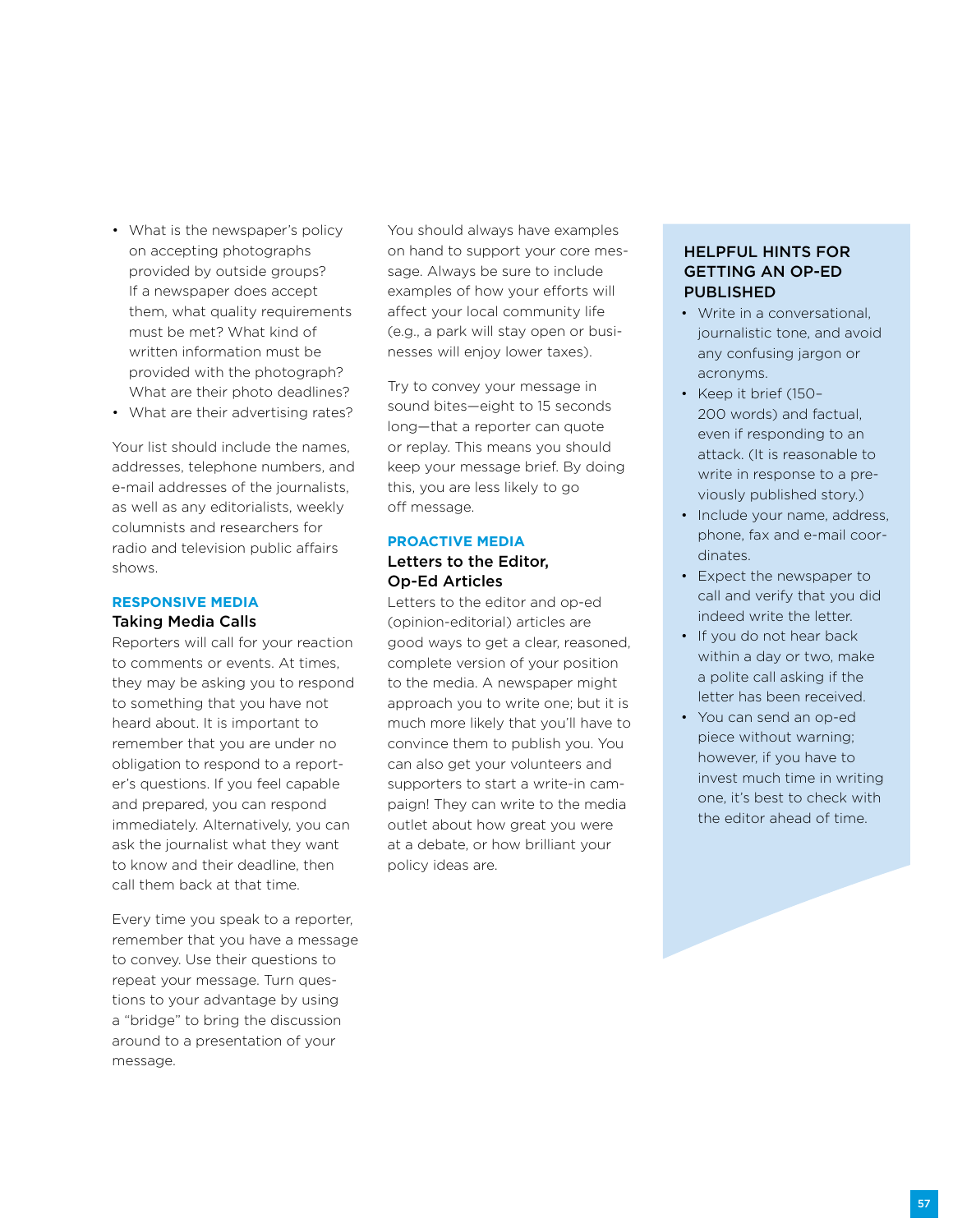- What is the newspaper's policy on accepting photographs provided by outside groups? If a newspaper does accept them, what quality requirements must be met? What kind of written information must be provided with the photograph? What are their photo deadlines?
- What are their advertising rates?

Your list should include the names, addresses, telephone numbers, and e-mail addresses of the journalists, as well as any editorialists, weekly columnists and researchers for radio and television public affairs shows.

# **Responsive Media**

## Taking Media Calls Reporters will call for your reaction to comments or events. At times, they may be asking you to respond to something that you have not heard about. It is important to remember that you are under no obligation to respond to a reporter's questions. If you feel capable and prepared, you can respond immediately. Alternatively, you can ask the journalist what they want to know and their deadline, then

call them back at that time.

Every time you speak to a reporter, remember that you have a message to convey. Use their questions to repeat your message. Turn questions to your advantage by using a "bridge" to bring the discussion around to a presentation of your message.

You should always have examples on hand to support your core message. Always be sure to include examples of how your efforts will affect your local community life (e.g., a park will stay open or businesses will enjoy lower taxes).

Try to convey your message in sound bites—eight to 15 seconds long—that a reporter can quote or replay. This means you should keep your message brief. By doing this, you are less likely to go off message.

#### **Proactive Media**

#### Letters to the Editor, Op-Ed Articles

Letters to the editor and op-ed (opinion-editorial) articles are good ways to get a clear, reasoned, complete version of your position to the media. A newspaper might approach you to write one; but it is much more likely that you'll have to convince them to publish you. You can also get your volunteers and supporters to start a write-in campaign! They can write to the media outlet about how great you were at a debate, or how brilliant your policy ideas are.

## Helpful Hints for Getting an Op-Ed **PUBLISHED**

- Write in a conversational, journalistic tone, and avoid any confusing jargon or acronyms.
- Keep it brief (150– 200 words) and factual, even if responding to an attack. (It is reasonable to write in response to a previously published story.)
- Include your name, address, phone, fax and e-mail coordinates.
- Expect the newspaper to call and verify that you did indeed write the letter.
- If you do not hear back within a day or two, make a polite call asking if the letter has been received.
- You can send an op-ed piece without warning; however, if you have to invest much time in writing one, it's best to check with the editor ahead of time.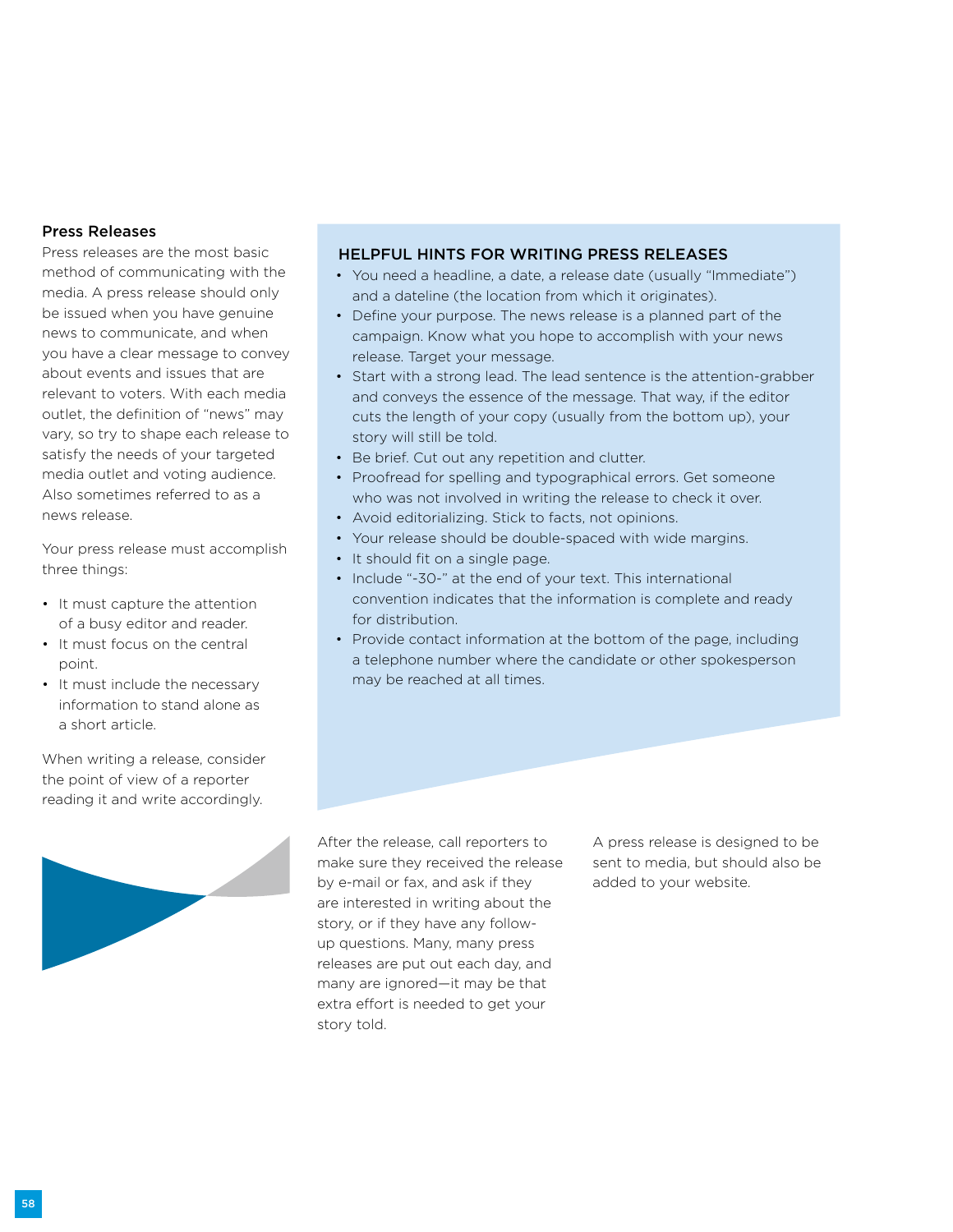### Press Releases

Press releases are the most basic method of communicating with the media. A press release should only be issued when you have genuine news to communicate, and when you have a clear message to convey about events and issues that are relevant to voters. With each media outlet, the definition of "news" may vary, so try to shape each release to satisfy the needs of your targeted media outlet and voting audience. Also sometimes referred to as a news release.

Your press release must accomplish three things:

- It must capture the attention of a busy editor and reader.
- It must focus on the central point.
- It must include the necessary information to stand alone as a short article.

When writing a release, consider the point of view of a reporter reading it and write accordingly.



#### Helpful Hints For Writing Press Releases

- You need a headline, a date, a release date (usually "Immediate") and a dateline (the location from which it originates).
- Define your purpose. The news release is a planned part of the campaign. Know what you hope to accomplish with your news release. Target your message.
- Start with a strong lead. The lead sentence is the attention-grabber and conveys the essence of the message. That way, if the editor cuts the length of your copy (usually from the bottom up), your story will still be told.
- Be brief. Cut out any repetition and clutter.
- Proofread for spelling and typographical errors. Get someone who was not involved in writing the release to check it over.
- Avoid editorializing. Stick to facts, not opinions.
- Your release should be double-spaced with wide margins.
- It should fit on a single page.
- Include "-30-" at the end of your text. This international convention indicates that the information is complete and ready for distribution.
- Provide contact information at the bottom of the page, including a telephone number where the candidate or other spokesperson may be reached at all times.

After the release, call reporters to make sure they received the release by e-mail or fax, and ask if they are interested in writing about the story, or if they have any followup questions. Many, many press releases are put out each day, and many are ignored—it may be that extra effort is needed to get your story told.

A press release is designed to be sent to media, but should also be added to your website.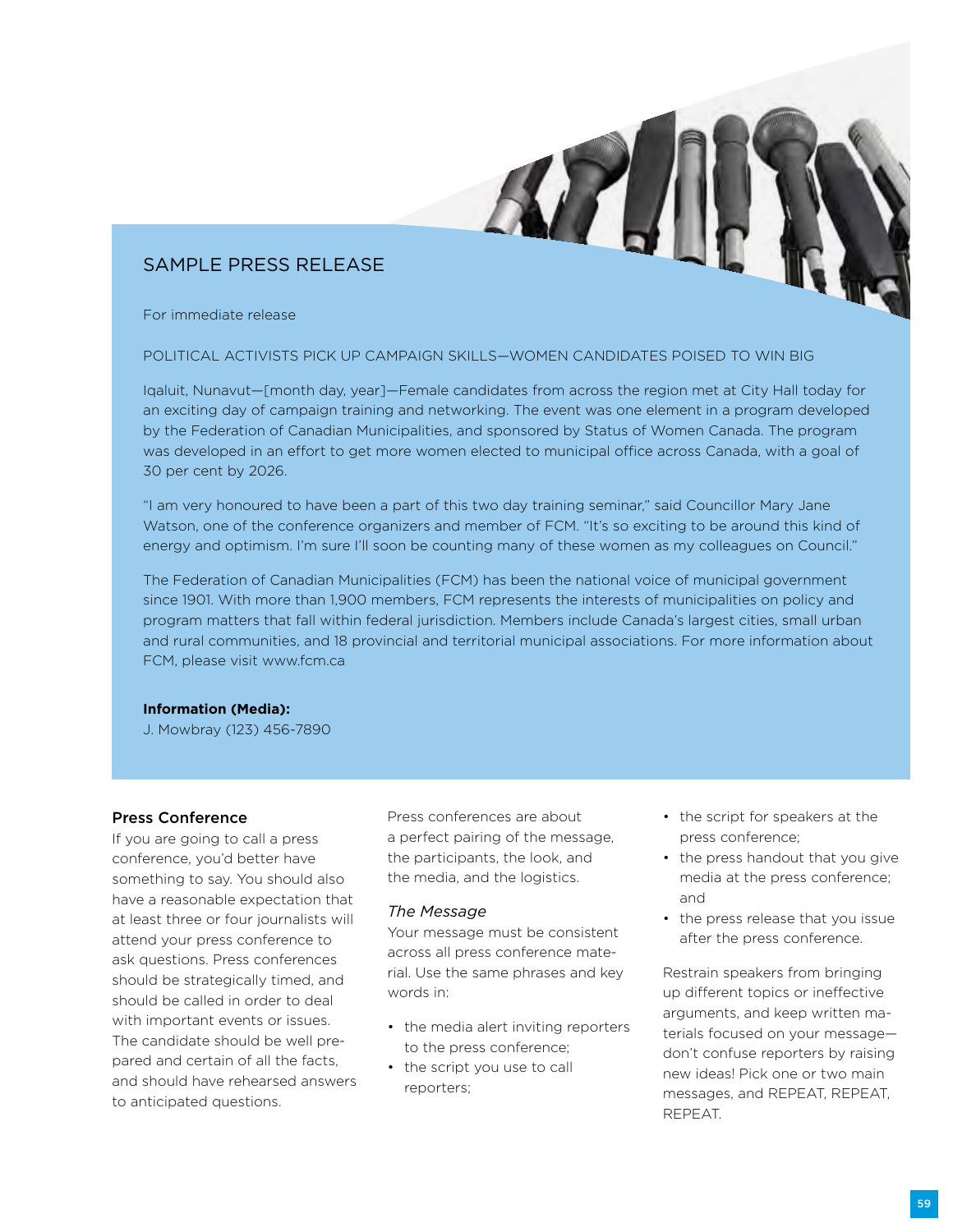## Sample Press Release

For immediate release

#### POLITICAL ACTIVISTS PICK UP CAMPAIGN SKILLS—WOMEN CANDIDATES POISED TO WIN BIG

Iqaluit, Nunavut—[month day, year]—Female candidates from across the region met at City Hall today for an exciting day of campaign training and networking. The event was one element in a program developed by the Federation of Canadian Municipalities, and sponsored by Status of Women Canada. The program was developed in an effort to get more women elected to municipal office across Canada, with a goal of 30 per cent by 2026.

"I am very honoured to have been a part of this two day training seminar," said Councillor Mary Jane Watson, one of the conference organizers and member of FCM. "It's so exciting to be around this kind of energy and optimism. I'm sure I'll soon be counting many of these women as my colleagues on Council."

The Federation of Canadian Municipalities (FCM) has been the national voice of municipal government since 1901. With more than 1,900 members, FCM represents the interests of municipalities on policy and program matters that fall within federal jurisdiction. Members include Canada's largest cities, small urban and rural communities, and 18 provincial and territorial municipal associations. For more information about FCM, please visit www.fcm.ca

#### **Information (Media):**

J. Mowbray (123) 456-7890

## Press Conference

If you are going to call a press conference, you'd better have something to say. You should also have a reasonable expectation that at least three or four journalists will attend your press conference to ask questions. Press conferences should be strategically timed, and should be called in order to deal with important events or issues. The candidate should be well prepared and certain of all the facts, and should have rehearsed answers to anticipated questions.

Press conferences are about a perfect pairing of the message, the participants, the look, and the media, and the logistics.

#### *The Message*

Your message must be consistent across all press conference material. Use the same phrases and key words in:

- the media alert inviting reporters to the press conference;
- the script you use to call reporters;
- the script for speakers at the press conference;
- the press handout that you give media at the press conference; and
- the press release that you issue after the press conference.

Restrain speakers from bringing up different topics or ineffective arguments, and keep written materials focused on your message don't confuse reporters by raising new ideas! Pick one or two main messages, and REPEAT, REPEAT, REPEAT.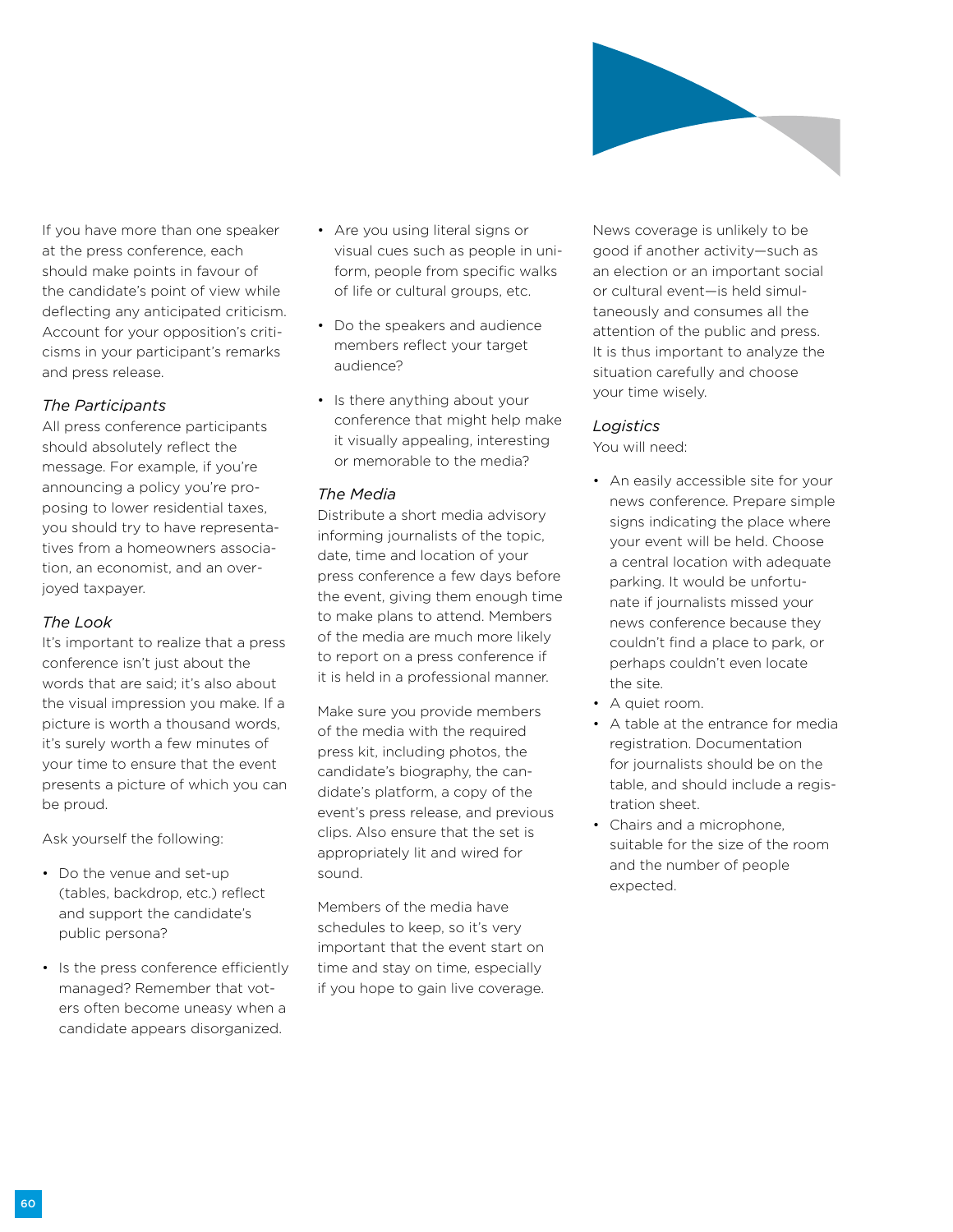

If you have more than one speaker at the press conference, each should make points in favour of the candidate's point of view while deflecting any anticipated criticism. Account for your opposition's criticisms in your participant's remarks and press release.

### *The Participants*

All press conference participants should absolutely reflect the message. For example, if you're announcing a policy you're proposing to lower residential taxes, you should try to have representatives from a homeowners association, an economist, and an overjoyed taxpayer.

#### *The Look*

It's important to realize that a press conference isn't just about the words that are said; it's also about the visual impression you make. If a picture is worth a thousand words, it's surely worth a few minutes of your time to ensure that the event presents a picture of which you can be proud.

Ask yourself the following:

- Do the venue and set-up (tables, backdrop, etc.) reflect and support the candidate's public persona?
- Is the press conference efficiently managed? Remember that voters often become uneasy when a candidate appears disorganized.
- Are you using literal signs or visual cues such as people in uniform, people from specific walks of life or cultural groups, etc.
- Do the speakers and audience members reflect your target audience?
- Is there anything about your conference that might help make it visually appealing, interesting or memorable to the media?

#### *The Media*

Distribute a short media advisory informing journalists of the topic, date, time and location of your press conference a few days before the event, giving them enough time to make plans to attend. Members of the media are much more likely to report on a press conference if it is held in a professional manner.

Make sure you provide members of the media with the required press kit, including photos, the candidate's biography, the candidate's platform, a copy of the event's press release, and previous clips. Also ensure that the set is appropriately lit and wired for sound.

Members of the media have schedules to keep, so it's very important that the event start on time and stay on time, especially if you hope to gain live coverage.

News coverage is unlikely to be good if another activity—such as an election or an important social or cultural event—is held simultaneously and consumes all the attention of the public and press. It is thus important to analyze the situation carefully and choose your time wisely.

#### *Logistics*

You will need:

- An easily accessible site for your news conference. Prepare simple signs indicating the place where your event will be held. Choose a central location with adequate parking. It would be unfortunate if journalists missed your news conference because they couldn't find a place to park, or perhaps couldn't even locate the site.
- A quiet room.
- A table at the entrance for media registration. Documentation for journalists should be on the table, and should include a registration sheet.
- Chairs and a microphone, suitable for the size of the room and the number of people expected.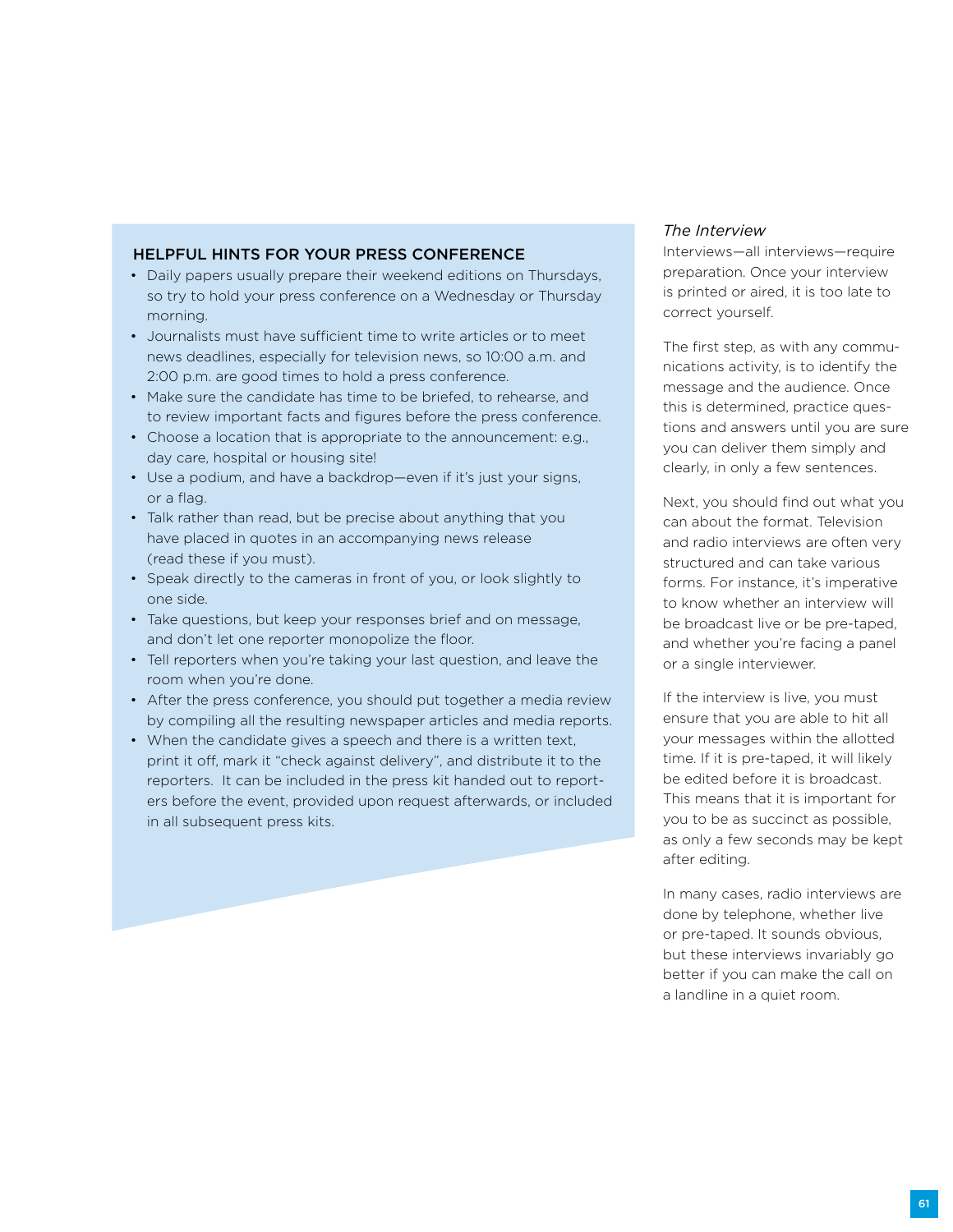### Helpful Hints for Your Press Conference

- Daily papers usually prepare their weekend editions on Thursdays, so try to hold your press conference on a Wednesday or Thursday morning.
- Journalists must have sufficient time to write articles or to meet news deadlines, especially for television news, so 10:00 a.m. and 2:00 p.m. are good times to hold a press conference.
- Make sure the candidate has time to be briefed, to rehearse, and to review important facts and figures before the press conference.
- Choose a location that is appropriate to the announcement: e.g., day care, hospital or housing site!
- Use a podium, and have a backdrop—even if it's just your signs, or a flag.
- Talk rather than read, but be precise about anything that you have placed in quotes in an accompanying news release (read these if you must).
- Speak directly to the cameras in front of you, or look slightly to one side.
- Take questions, but keep your responses brief and on message, and don't let one reporter monopolize the floor.
- Tell reporters when you're taking your last question, and leave the room when you're done.
- After the press conference, you should put together a media review by compiling all the resulting newspaper articles and media reports.
- When the candidate gives a speech and there is a written text, print it off, mark it "check against delivery", and distribute it to the reporters. It can be included in the press kit handed out to reporters before the event, provided upon request afterwards, or included in all subsequent press kits.

#### *The Interview*

Interviews—all interviews—require preparation. Once your interview is printed or aired, it is too late to correct yourself.

The first step, as with any communications activity, is to identify the message and the audience. Once this is determined, practice questions and answers until you are sure you can deliver them simply and clearly, in only a few sentences.

Next, you should find out what you can about the format. Television and radio interviews are often very structured and can take various forms. For instance, it's imperative to know whether an interview will be broadcast live or be pre-taped, and whether you're facing a panel or a single interviewer.

If the interview is live, you must ensure that you are able to hit all your messages within the allotted time. If it is pre-taped, it will likely be edited before it is broadcast. This means that it is important for you to be as succinct as possible, as only a few seconds may be kept after editing.

In many cases, radio interviews are done by telephone, whether live or pre-taped. It sounds obvious, but these interviews invariably go better if you can make the call on a landline in a quiet room.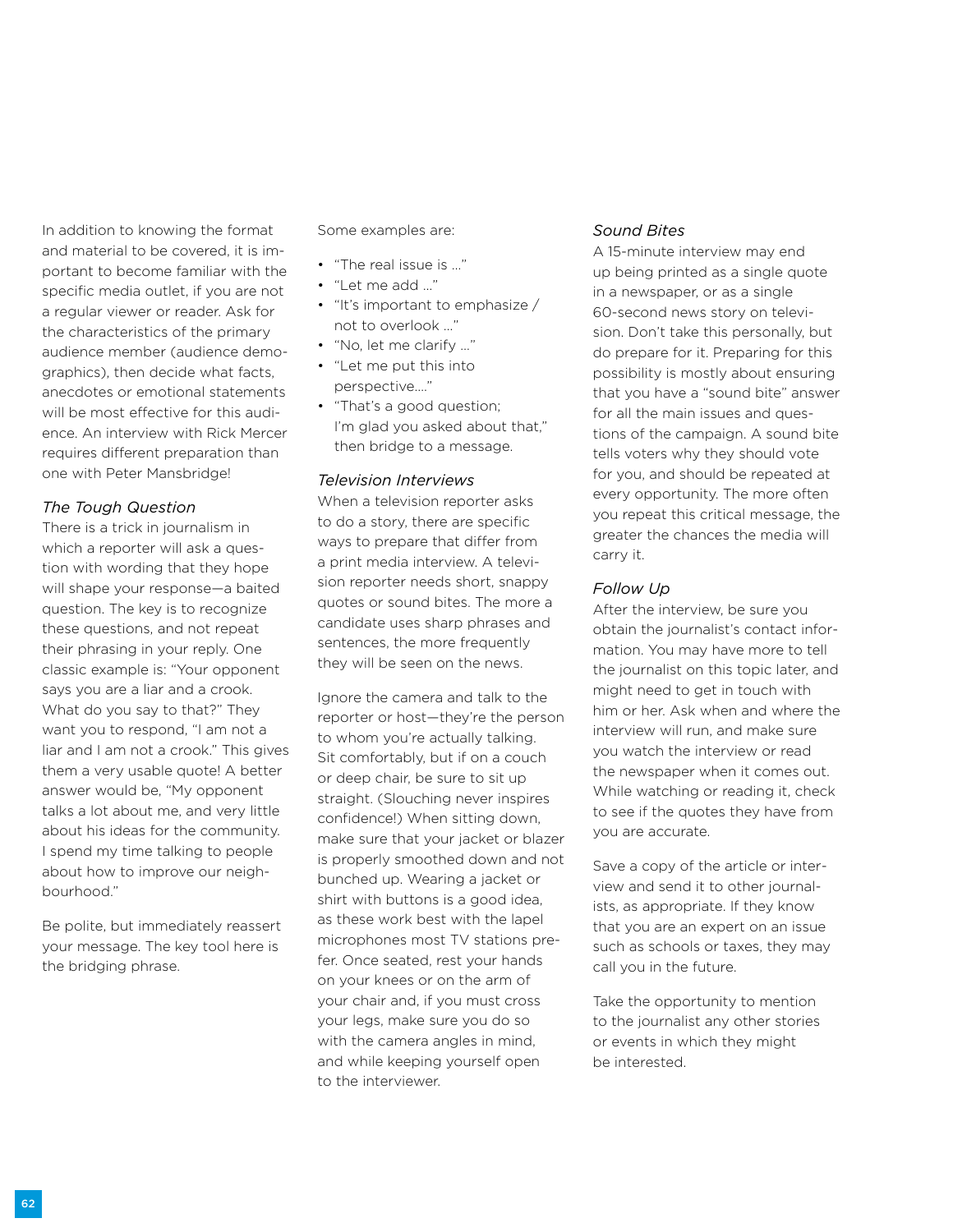In addition to knowing the format and material to be covered, it is important to become familiar with the specific media outlet, if you are not a regular viewer or reader. Ask for the characteristics of the primary audience member (audience demographics), then decide what facts, anecdotes or emotional statements will be most effective for this audience. An interview with Rick Mercer requires different preparation than one with Peter Mansbridge!

#### *The Tough Question*

There is a trick in journalism in which a reporter will ask a question with wording that they hope will shape your response—a baited question. The key is to recognize these questions, and not repeat their phrasing in your reply. One classic example is: "Your opponent says you are a liar and a crook. What do you say to that?" They want you to respond, "I am not a liar and I am not a crook." This gives them a very usable quote! A better answer would be, "My opponent talks a lot about me, and very little about his ideas for the community. I spend my time talking to people about how to improve our neighbourhood."

Be polite, but immediately reassert your message. The key tool here is the bridging phrase.

Some examples are:

- "The real issue is …"
- "Let me add …"
- "It's important to emphasize / not to overlook …"
- "No, let me clarify …"
- "Let me put this into perspective…."
- "That's a good question; I'm glad you asked about that," then bridge to a message.

#### *Television Interviews*

When a television reporter asks to do a story, there are specific ways to prepare that differ from a print media interview. A television reporter needs short, snappy quotes or sound bites. The more a candidate uses sharp phrases and sentences, the more frequently they will be seen on the news.

Ignore the camera and talk to the reporter or host—they're the person to whom you're actually talking. Sit comfortably, but if on a couch or deep chair, be sure to sit up straight. (Slouching never inspires confidence!) When sitting down, make sure that your jacket or blazer is properly smoothed down and not bunched up. Wearing a jacket or shirt with buttons is a good idea, as these work best with the lapel microphones most TV stations prefer. Once seated, rest your hands on your knees or on the arm of your chair and, if you must cross your legs, make sure you do so with the camera angles in mind, and while keeping yourself open to the interviewer.

#### *Sound Bites*

A 15-minute interview may end up being printed as a single quote in a newspaper, or as a single 60-second news story on television. Don't take this personally, but do prepare for it. Preparing for this possibility is mostly about ensuring that you have a "sound bite" answer for all the main issues and questions of the campaign. A sound bite tells voters why they should vote for you, and should be repeated at every opportunity. The more often you repeat this critical message, the greater the chances the media will carry it.

#### *Follow Up*

After the interview, be sure you obtain the journalist's contact information. You may have more to tell the journalist on this topic later, and might need to get in touch with him or her. Ask when and where the interview will run, and make sure you watch the interview or read the newspaper when it comes out. While watching or reading it, check to see if the quotes they have from you are accurate.

Save a copy of the article or interview and send it to other journalists, as appropriate. If they know that you are an expert on an issue such as schools or taxes, they may call you in the future.

Take the opportunity to mention to the journalist any other stories or events in which they might be interested.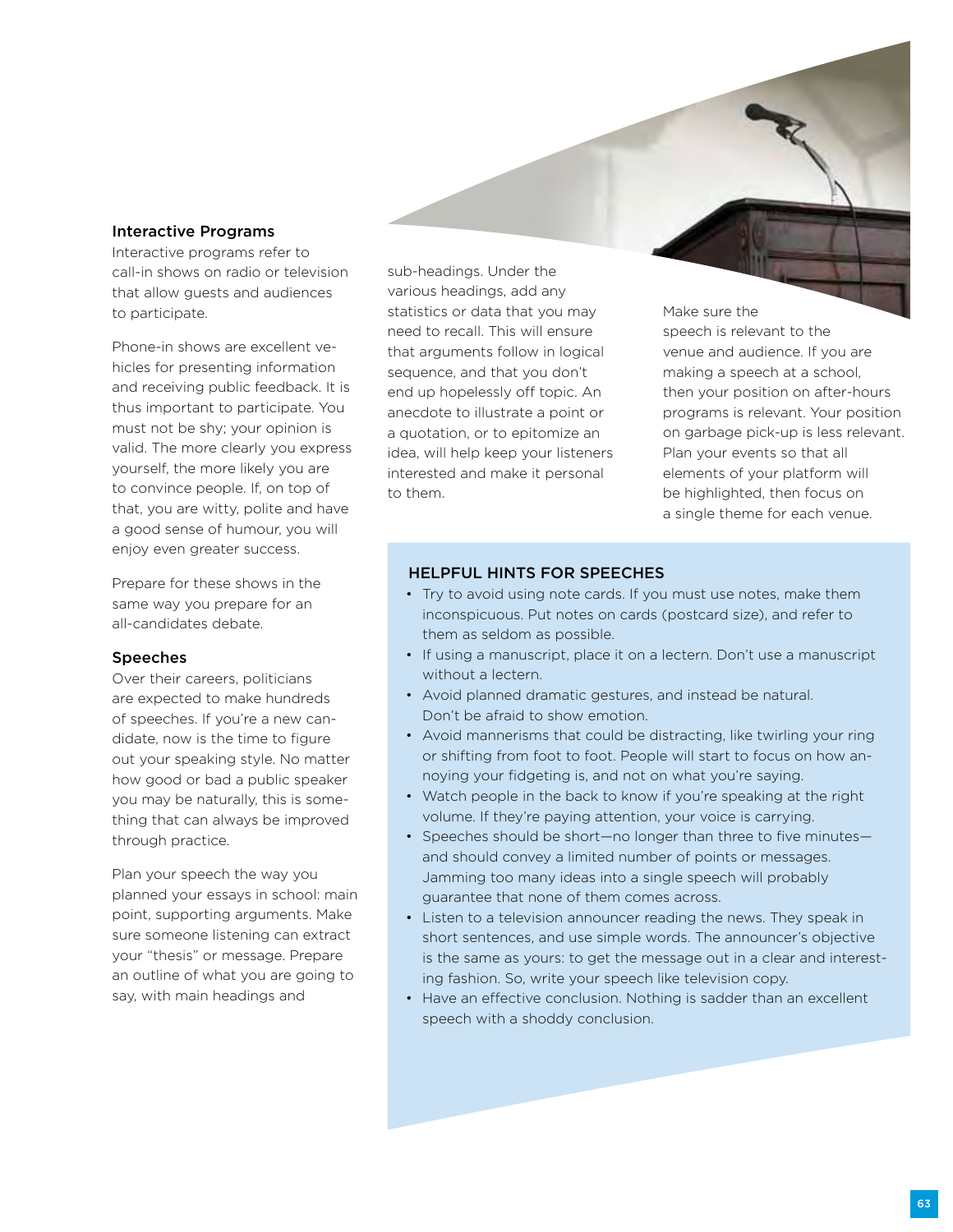#### Interactive Programs

Interactive programs refer to call-in shows on radio or television that allow guests and audiences to participate.

Phone-in shows are excellent vehicles for presenting information and receiving public feedback. It is thus important to participate. You must not be shy; your opinion is valid. The more clearly you express yourself, the more likely you are to convince people. If, on top of that, you are witty, polite and have a good sense of humour, you will enjoy even greater success.

Prepare for these shows in the same way you prepare for an all-candidates debate.

#### **Speeches**

Over their careers, politicians are expected to make hundreds of speeches. If you're a new candidate, now is the time to figure out your speaking style. No matter how good or bad a public speaker you may be naturally, this is something that can always be improved through practice.

Plan your speech the way you planned your essays in school: main point, supporting arguments. Make sure someone listening can extract your "thesis" or message. Prepare an outline of what you are going to say, with main headings and

sub-headings. Under the various headings, add any statistics or data that you may need to recall. This will ensure that arguments follow in logical sequence, and that you don't end up hopelessly off topic. An anecdote to illustrate a point or a quotation, or to epitomize an idea, will help keep your listeners interested and make it personal to them.

Make sure the speech is relevant to the venue and audience. If you are making a speech at a school, then your position on after-hours programs is relevant. Your position on garbage pick-up is less relevant. Plan your events so that all elements of your platform will be highlighted, then focus on a single theme for each venue.

### Helpful Hints for Speeches

- Try to avoid using note cards. If you must use notes, make them inconspicuous. Put notes on cards (postcard size), and refer to them as seldom as possible.
- If using a manuscript, place it on a lectern. Don't use a manuscript without a lectern.
- Avoid planned dramatic gestures, and instead be natural. Don't be afraid to show emotion.
- Avoid mannerisms that could be distracting, like twirling your ring or shifting from foot to foot. People will start to focus on how annoying your fidgeting is, and not on what you're saying.
- Watch people in the back to know if you're speaking at the right volume. If they're paying attention, your voice is carrying.
- Speeches should be short—no longer than three to five minutes and should convey a limited number of points or messages. Jamming too many ideas into a single speech will probably guarantee that none of them comes across.
- Listen to a television announcer reading the news. They speak in short sentences, and use simple words. The announcer's objective is the same as yours: to get the message out in a clear and interesting fashion. So, write your speech like television copy.
- Have an effective conclusion. Nothing is sadder than an excellent speech with a shoddy conclusion.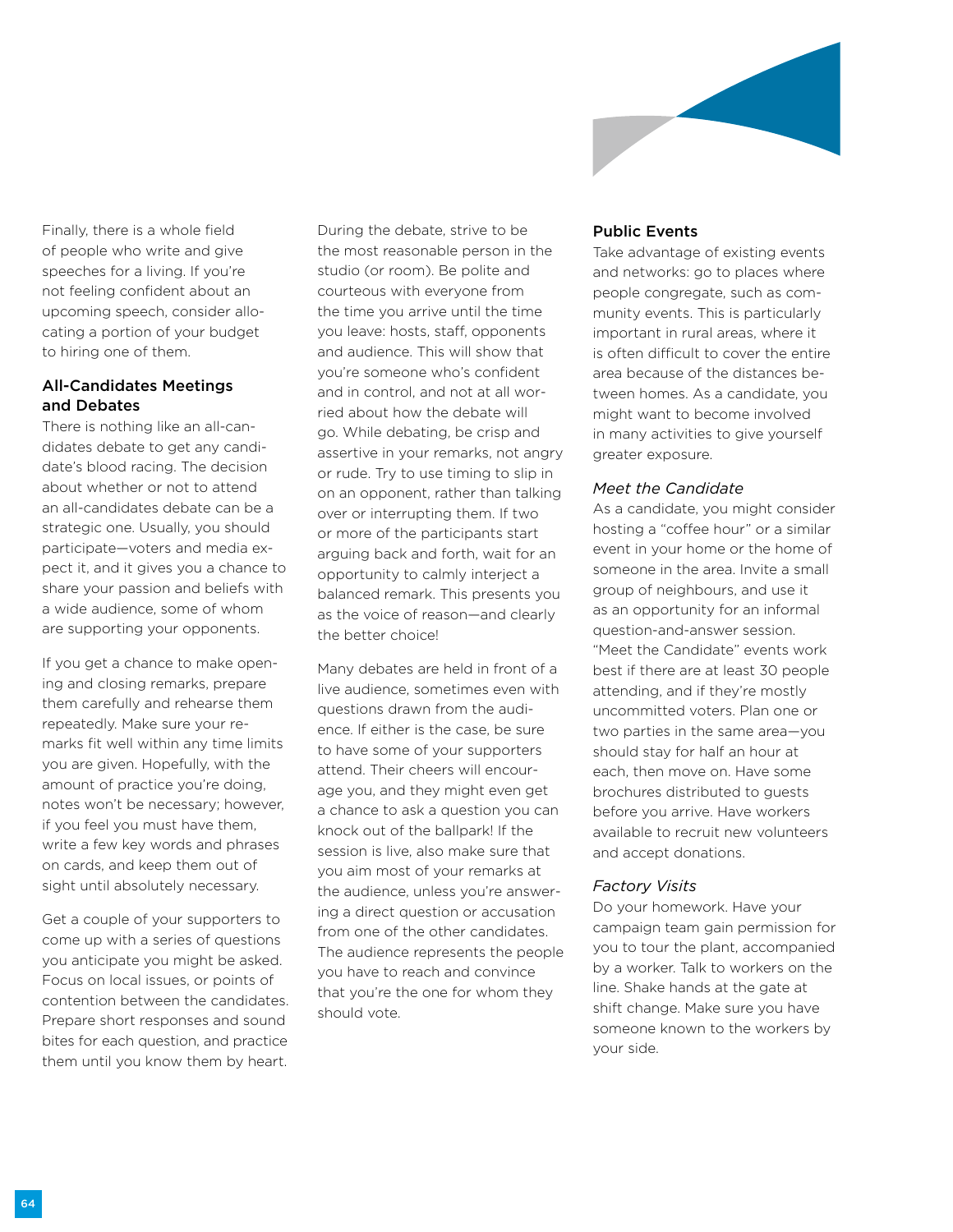

Finally, there is a whole field of people who write and give speeches for a living. If you're not feeling confident about an upcoming speech, consider allocating a portion of your budget to hiring one of them.

## All-Candidates Meetings and Debates

There is nothing like an all-candidates debate to get any candidate's blood racing. The decision about whether or not to attend an all-candidates debate can be a strategic one. Usually, you should participate—voters and media expect it, and it gives you a chance to share your passion and beliefs with a wide audience, some of whom are supporting your opponents.

If you get a chance to make opening and closing remarks, prepare them carefully and rehearse them repeatedly. Make sure your remarks fit well within any time limits you are given. Hopefully, with the amount of practice you're doing, notes won't be necessary; however, if you feel you must have them, write a few key words and phrases on cards, and keep them out of sight until absolutely necessary.

Get a couple of your supporters to come up with a series of questions you anticipate you might be asked. Focus on local issues, or points of contention between the candidates. Prepare short responses and sound bites for each question, and practice them until you know them by heart. During the debate, strive to be the most reasonable person in the studio (or room). Be polite and courteous with everyone from the time you arrive until the time you leave: hosts, staff, opponents and audience. This will show that you're someone who's confident and in control, and not at all worried about how the debate will go. While debating, be crisp and assertive in your remarks, not angry or rude. Try to use timing to slip in on an opponent, rather than talking over or interrupting them. If two or more of the participants start arguing back and forth, wait for an opportunity to calmly interject a balanced remark. This presents you as the voice of reason—and clearly the better choice!

Many debates are held in front of a live audience, sometimes even with questions drawn from the audience. If either is the case, be sure to have some of your supporters attend. Their cheers will encourage you, and they might even get a chance to ask a question you can knock out of the ballpark! If the session is live, also make sure that you aim most of your remarks at the audience, unless you're answering a direct question or accusation from one of the other candidates. The audience represents the people you have to reach and convince that you're the one for whom they should vote.

#### Public Events

Take advantage of existing events and networks: go to places where people congregate, such as community events. This is particularly important in rural areas, where it is often difficult to cover the entire area because of the distances between homes. As a candidate, you might want to become involved in many activities to give yourself greater exposure.

#### *Meet the Candidate*

As a candidate, you might consider hosting a "coffee hour" or a similar event in your home or the home of someone in the area. Invite a small group of neighbours, and use it as an opportunity for an informal question-and-answer session. "Meet the Candidate" events work best if there are at least 30 people attending, and if they're mostly uncommitted voters. Plan one or two parties in the same area—you should stay for half an hour at each, then move on. Have some brochures distributed to guests before you arrive. Have workers available to recruit new volunteers and accept donations.

#### *Factory Visits*

Do your homework. Have your campaign team gain permission for you to tour the plant, accompanied by a worker. Talk to workers on the line. Shake hands at the gate at shift change. Make sure you have someone known to the workers by your side.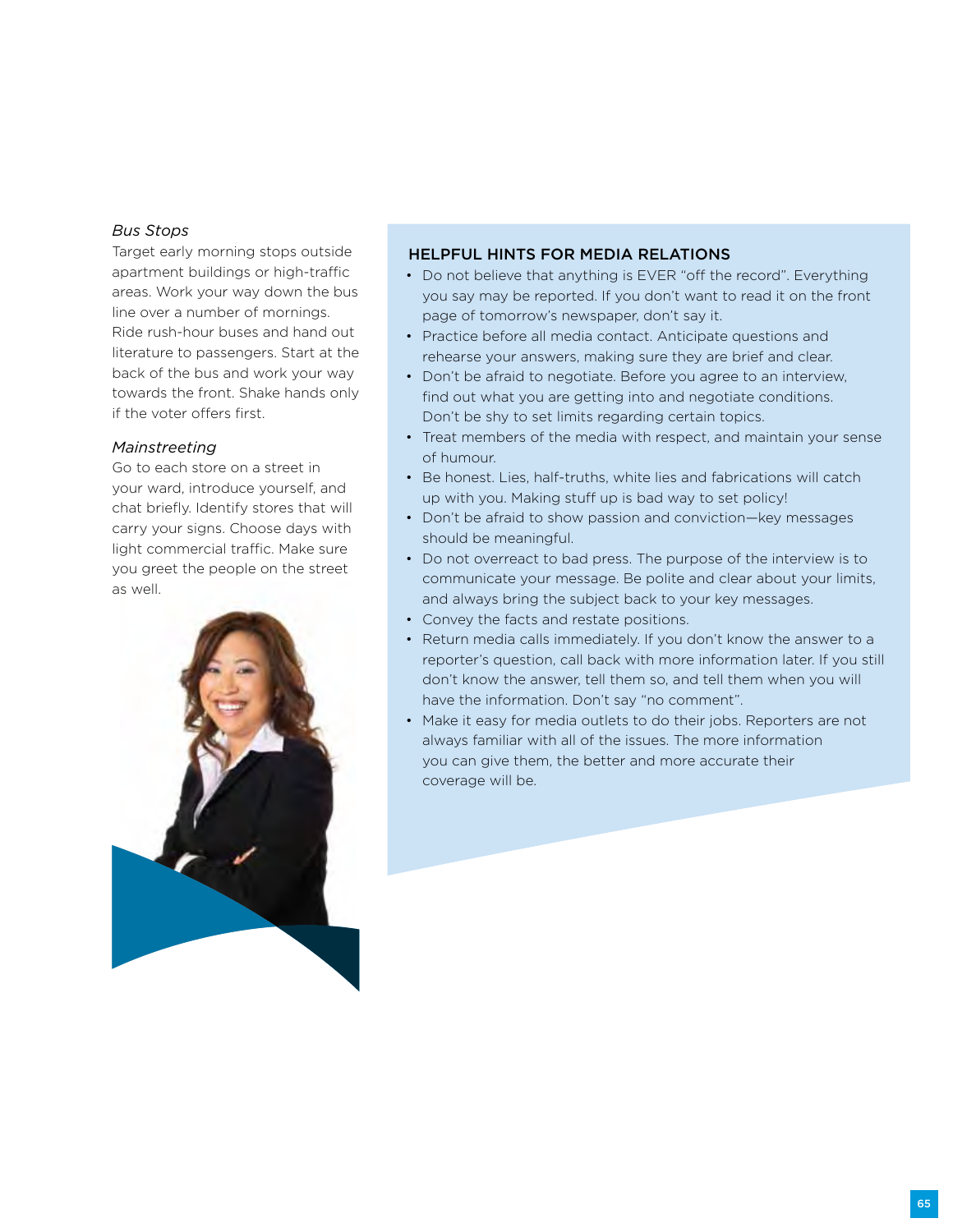#### *Bus Stops*

Target early morning stops outside apartment buildings or high-traffic areas. Work your way down the bus line over a number of mornings. Ride rush-hour buses and hand out literature to passengers. Start at the back of the bus and work your way towards the front. Shake hands only if the voter offers first.

#### *Mainstreeting*

Go to each store on a street in your ward, introduce yourself, and chat briefly. Identify stores that will carry your signs. Choose days with light commercial traffic. Make sure you greet the people on the street as well.



#### Helpful Hints for Media Relations

- Do not believe that anything is EVER "off the record". Everything you say may be reported. If you don't want to read it on the front page of tomorrow's newspaper, don't say it.
- Practice before all media contact. Anticipate questions and rehearse your answers, making sure they are brief and clear.
- Don't be afraid to negotiate. Before you agree to an interview, find out what you are getting into and negotiate conditions. Don't be shy to set limits regarding certain topics.
- Treat members of the media with respect, and maintain your sense of humour.
- Be honest. Lies, half-truths, white lies and fabrications will catch up with you. Making stuff up is bad way to set policy!
- Don't be afraid to show passion and conviction—key messages should be meaningful.
- Do not overreact to bad press. The purpose of the interview is to communicate your message. Be polite and clear about your limits, and always bring the subject back to your key messages.
- Convey the facts and restate positions.
- Return media calls immediately. If you don't know the answer to a reporter's question, call back with more information later. If you still don't know the answer, tell them so, and tell them when you will have the information. Don't say "no comment".
- Make it easy for media outlets to do their jobs. Reporters are not always familiar with all of the issues. The more information you can give them, the better and more accurate their coverage will be.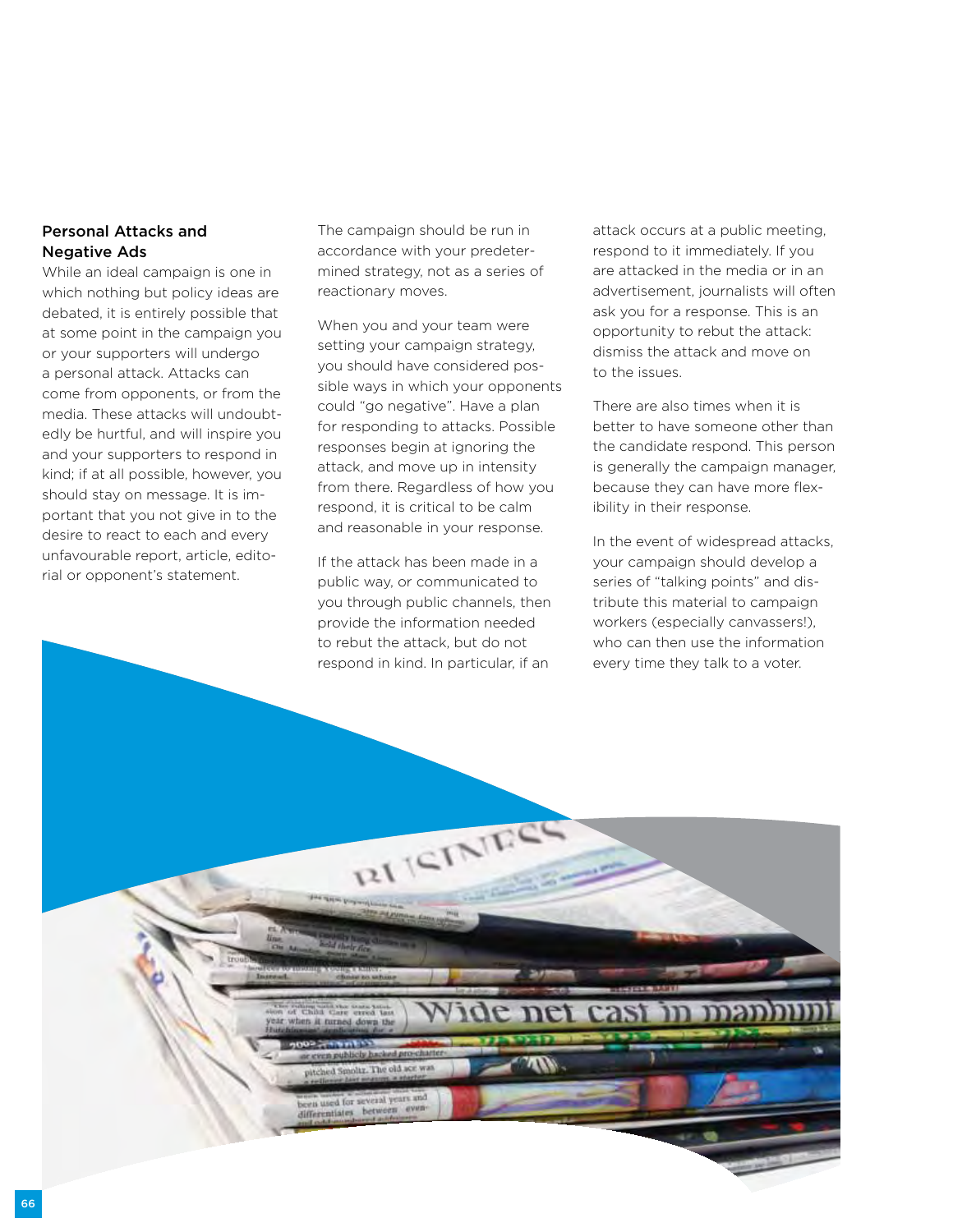## Personal Attacks and Negative Ads

While an ideal campaign is one in which nothing but policy ideas are debated, it is entirely possible that at some point in the campaign you or your supporters will undergo a personal attack. Attacks can come from opponents, or from the media. These attacks will undoubtedly be hurtful, and will inspire you and your supporters to respond in kind; if at all possible, however, you should stay on message. It is important that you not give in to the desire to react to each and every unfavourable report, article, editorial or opponent's statement.

The campaign should be run in accordance with your predetermined strategy, not as a series of reactionary moves.

When you and your team were setting your campaign strategy, you should have considered possible ways in which your opponents could "go negative". Have a plan for responding to attacks. Possible responses begin at ignoring the attack, and move up in intensity from there. Regardless of how you respond, it is critical to be calm and reasonable in your response.

If the attack has been made in a public way, or communicated to you through public channels, then provide the information needed to rebut the attack, but do not respond in kind. In particular, if an

RI ISINE

**SHE TERMS AND** 

v. The old a

een used for several ye hetween. attack occurs at a public meeting, respond to it immediately. If you are attacked in the media or in an advertisement, journalists will often ask you for a response. This is an opportunity to rebut the attack: dismiss the attack and move on to the issues.

There are also times when it is better to have someone other than the candidate respond. This person is generally the campaign manager, because they can have more flexibility in their response.

In the event of widespread attacks, your campaign should develop a series of "talking points" and distribute this material to campaign workers (especially canvassers!), who can then use the information every time they talk to a voter.

66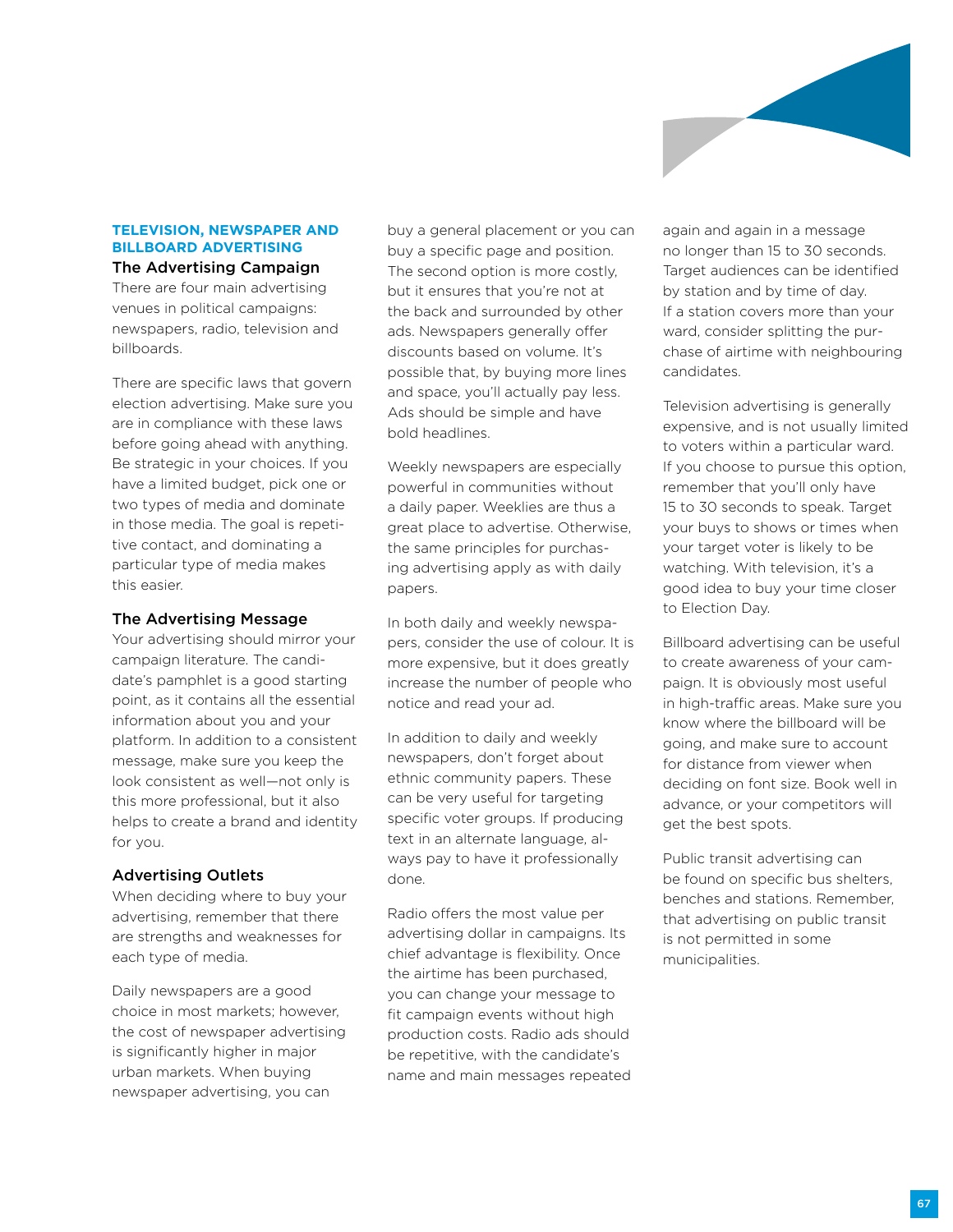

#### **Television, Newspaper and Billboard Advertising** The Advertising Campaign

There are four main advertising venues in political campaigns: newspapers, radio, television and billboards.

There are specific laws that govern election advertising. Make sure you are in compliance with these laws before going ahead with anything. Be strategic in your choices. If you have a limited budget, pick one or two types of media and dominate in those media. The goal is repetitive contact, and dominating a particular type of media makes this easier.

#### The Advertising Message

Your advertising should mirror your campaign literature. The candidate's pamphlet is a good starting point, as it contains all the essential information about you and your platform. In addition to a consistent message, make sure you keep the look consistent as well—not only is this more professional, but it also helps to create a brand and identity for you.

#### Advertising Outlets

When deciding where to buy your advertising, remember that there are strengths and weaknesses for each type of media.

Daily newspapers are a good choice in most markets; however, the cost of newspaper advertising is significantly higher in major urban markets. When buying newspaper advertising, you can

buy a general placement or you can buy a specific page and position. The second option is more costly, but it ensures that you're not at the back and surrounded by other ads. Newspapers generally offer discounts based on volume. It's possible that, by buying more lines and space, you'll actually pay less. Ads should be simple and have bold headlines.

Weekly newspapers are especially powerful in communities without a daily paper. Weeklies are thus a great place to advertise. Otherwise, the same principles for purchasing advertising apply as with daily papers.

In both daily and weekly newspapers, consider the use of colour. It is more expensive, but it does greatly increase the number of people who notice and read your ad.

In addition to daily and weekly newspapers, don't forget about ethnic community papers. These can be very useful for targeting specific voter groups. If producing text in an alternate language, always pay to have it professionally done.

Radio offers the most value per advertising dollar in campaigns. Its chief advantage is flexibility. Once the airtime has been purchased, you can change your message to fit campaign events without high production costs. Radio ads should be repetitive, with the candidate's name and main messages repeated again and again in a message no longer than 15 to 30 seconds. Target audiences can be identified by station and by time of day. If a station covers more than your ward, consider splitting the purchase of airtime with neighbouring candidates.

Television advertising is generally expensive, and is not usually limited to voters within a particular ward. If you choose to pursue this option, remember that you'll only have 15 to 30 seconds to speak. Target your buys to shows or times when your target voter is likely to be watching. With television, it's a good idea to buy your time closer to Election Day.

Billboard advertising can be useful to create awareness of your campaign. It is obviously most useful in high-traffic areas. Make sure you know where the billboard will be going, and make sure to account for distance from viewer when deciding on font size. Book well in advance, or your competitors will get the best spots.

Public transit advertising can be found on specific bus shelters, benches and stations. Remember, that advertising on public transit is not permitted in some municipalities.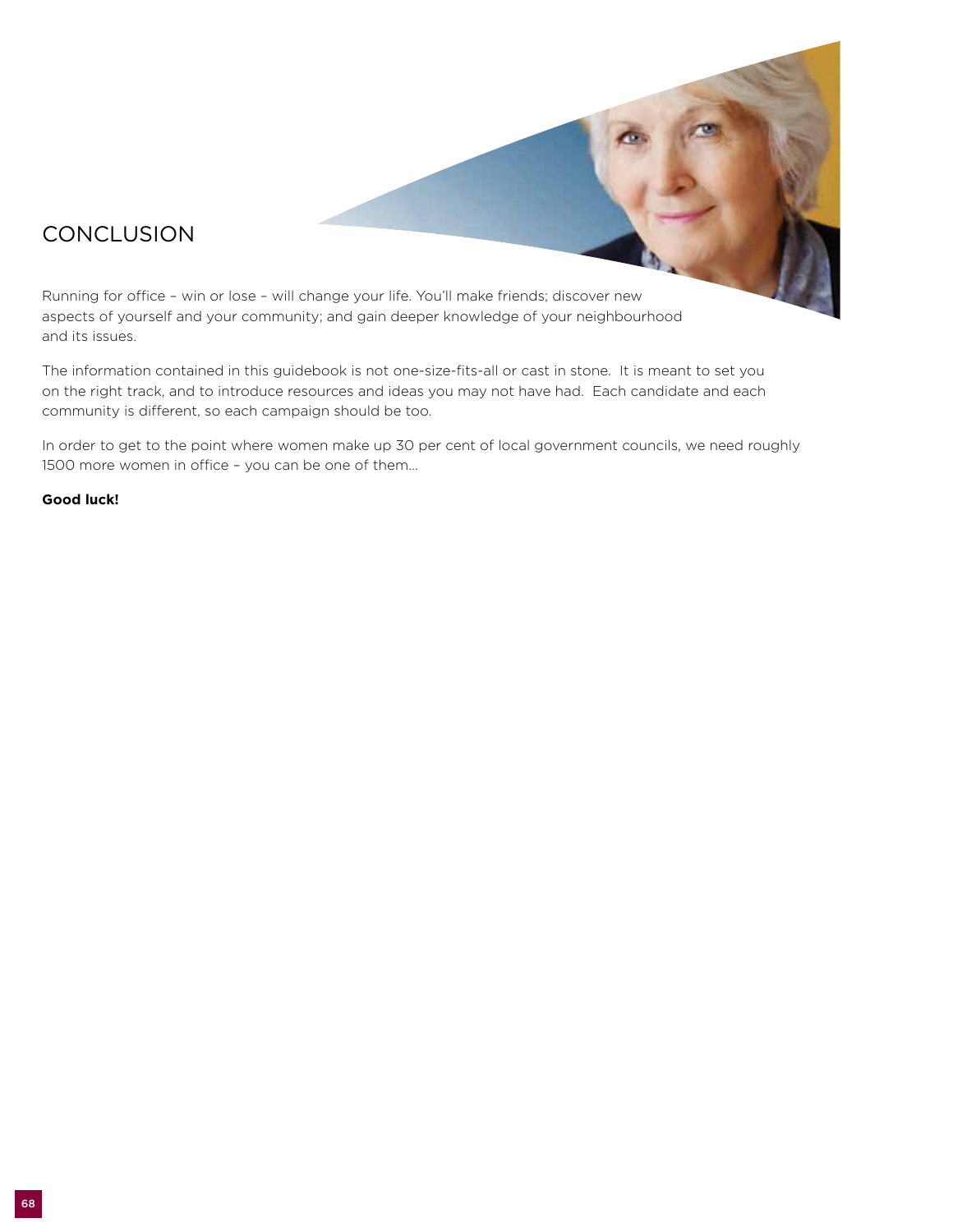# **CONCLUSION**

Running for office – win or lose – will change your life. You'll make friends; discover new aspects of yourself and your community; and gain deeper knowledge of your neighbourhood and its issues.

The information contained in this guidebook is not one-size-fits-all or cast in stone. It is meant to set you on the right track, and to introduce resources and ideas you may not have had. Each candidate and each community is different, so each campaign should be too.

In order to get to the point where women make up 30 per cent of local government councils, we need roughly 1500 more women in office – you can be one of them…

#### **Good luck!**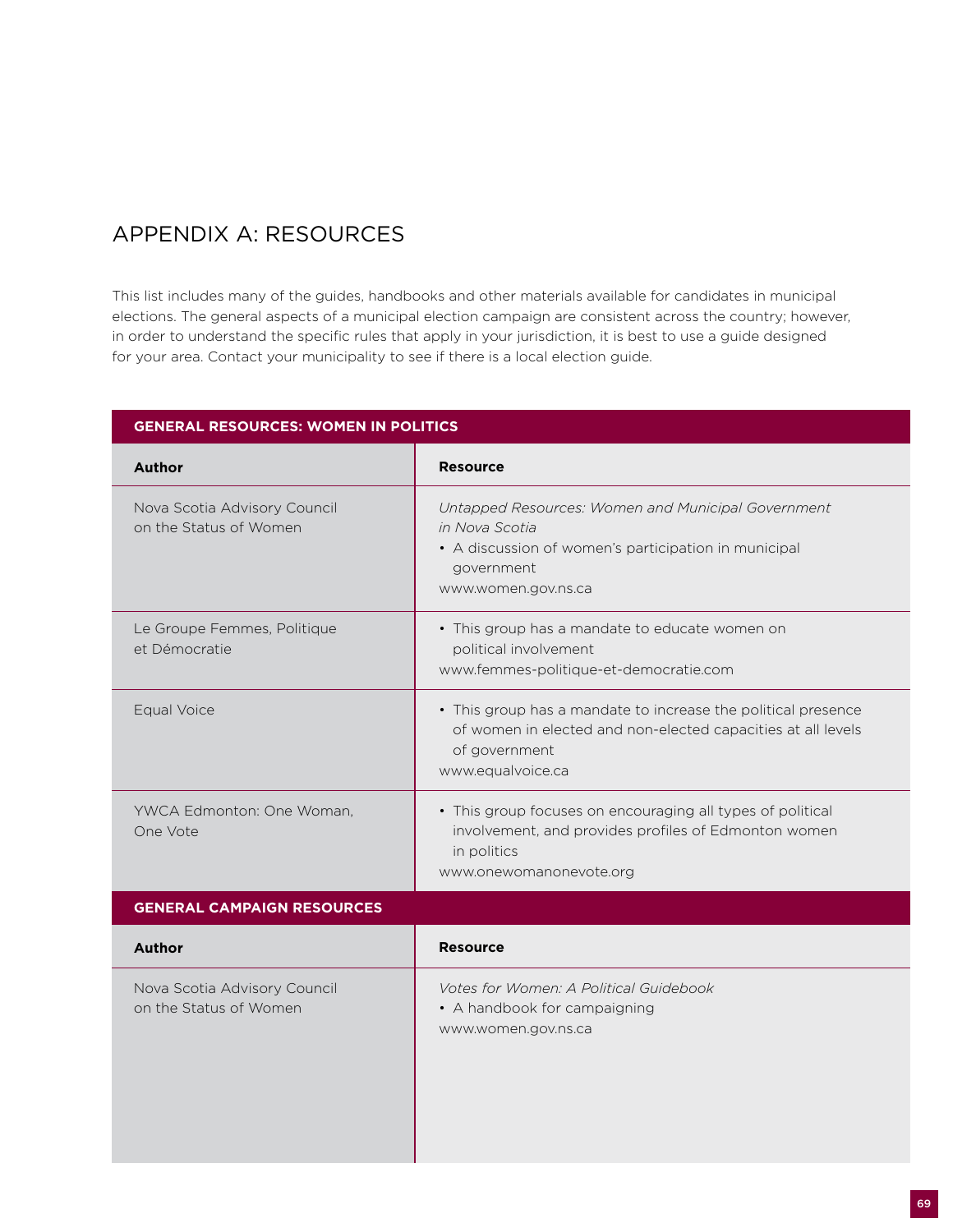# Appendix A: Resources

This list includes many of the guides, handbooks and other materials available for candidates in municipal elections. The general aspects of a municipal election campaign are consistent across the country; however, in order to understand the specific rules that apply in your jurisdiction, it is best to use a guide designed for your area. Contact your municipality to see if there is a local election guide.

| <b>Resource</b>                                               |
|---------------------------------------------------------------|
|                                                               |
| Untapped Resources: Women and Municipal Government            |
| in Nova Scotia                                                |
| • A discussion of women's participation in municipal          |
| government<br>www.women.gov.ns.ca                             |
|                                                               |
| • This group has a mandate to educate women on                |
| political involvement                                         |
| www.femmes-politique-et-democratie.com                        |
| • This group has a mandate to increase the political presence |
| of women in elected and non-elected capacities at all levels  |
| of government                                                 |
| www.equalvoice.ca                                             |
| • This group focuses on encouraging all types of political    |
| involvement, and provides profiles of Edmonton women          |
| in politics                                                   |
| www.onewomanonevote.org                                       |
|                                                               |
| <b>Resource</b>                                               |
| Votes for Women: A Political Guidebook                        |
| • A handbook for campaigning                                  |
| www.women.gov.ns.ca                                           |
|                                                               |
|                                                               |
|                                                               |
|                                                               |
|                                                               |
|                                                               |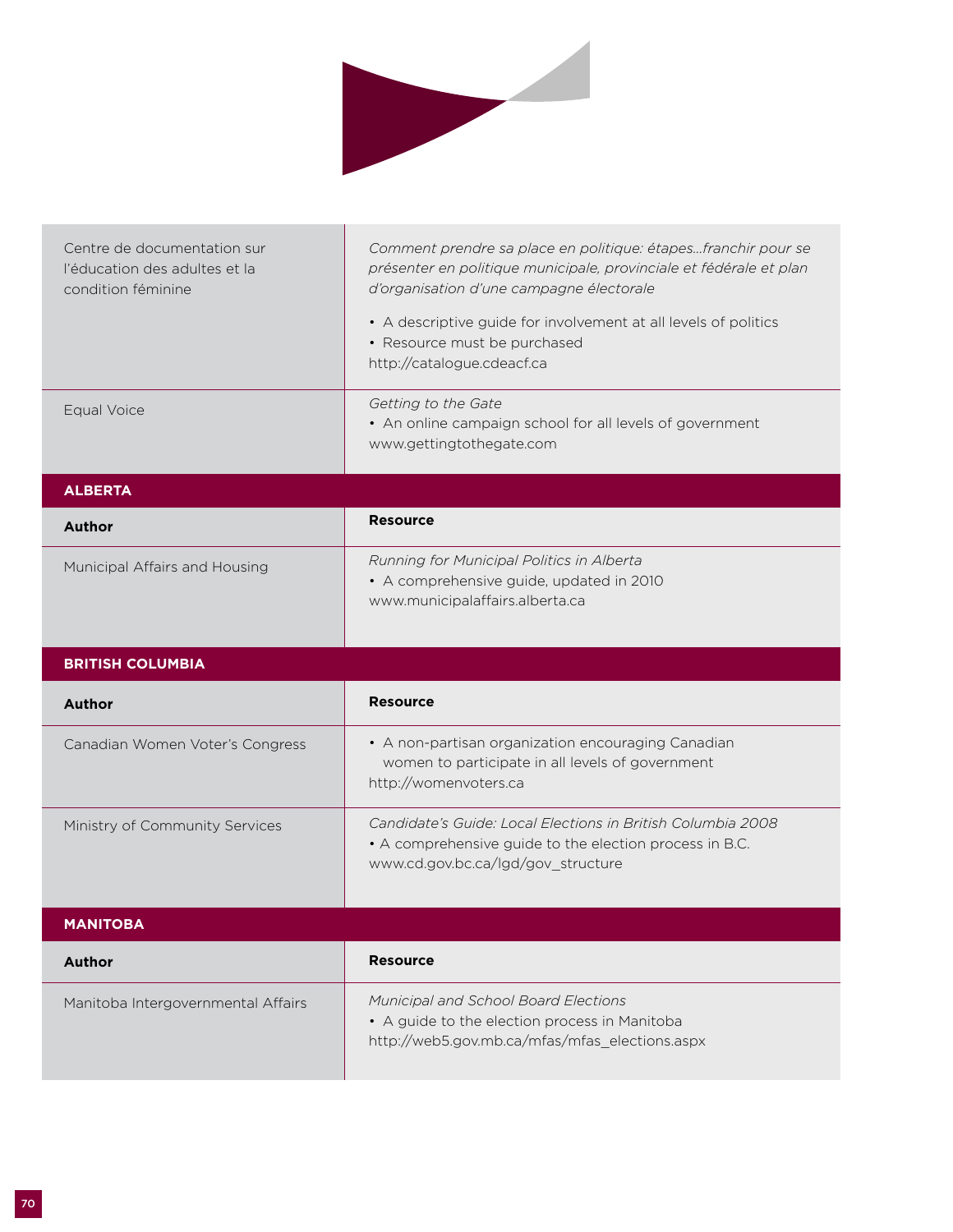

| Centre de documentation sur<br>l'éducation des adultes et la<br>condition féminine | Comment prendre sa place en politique: étapesfranchir pour se<br>présenter en politique municipale, provinciale et fédérale et plan<br>d'organisation d'une campagne électorale<br>• A descriptive guide for involvement at all levels of politics<br>• Resource must be purchased<br>http://catalogue.cdeacf.ca |
|------------------------------------------------------------------------------------|------------------------------------------------------------------------------------------------------------------------------------------------------------------------------------------------------------------------------------------------------------------------------------------------------------------|
| Equal Voice                                                                        | Getting to the Gate<br>• An online campaign school for all levels of government<br>www.gettingtothegate.com                                                                                                                                                                                                      |
| <b>ALBERTA</b>                                                                     |                                                                                                                                                                                                                                                                                                                  |
| <b>Author</b>                                                                      | <b>Resource</b>                                                                                                                                                                                                                                                                                                  |
| Municipal Affairs and Housing                                                      | Running for Municipal Politics in Alberta<br>• A comprehensive guide, updated in 2010<br>www.municipalaffairs.alberta.ca                                                                                                                                                                                         |
|                                                                                    |                                                                                                                                                                                                                                                                                                                  |
| <b>BRITISH COLUMBIA</b>                                                            |                                                                                                                                                                                                                                                                                                                  |
| <b>Author</b>                                                                      | <b>Resource</b>                                                                                                                                                                                                                                                                                                  |
| Canadian Women Voter's Congress                                                    | • A non-partisan organization encouraging Canadian<br>women to participate in all levels of government<br>http://womenvoters.ca                                                                                                                                                                                  |
| Ministry of Community Services                                                     | Candidate's Guide: Local Elections in British Columbia 2008<br>• A comprehensive guide to the election process in B.C.<br>www.cd.gov.bc.ca/lgd/gov_structure                                                                                                                                                     |
| <b>MANITOBA</b>                                                                    |                                                                                                                                                                                                                                                                                                                  |
| <b>Author</b>                                                                      | <b>Resource</b>                                                                                                                                                                                                                                                                                                  |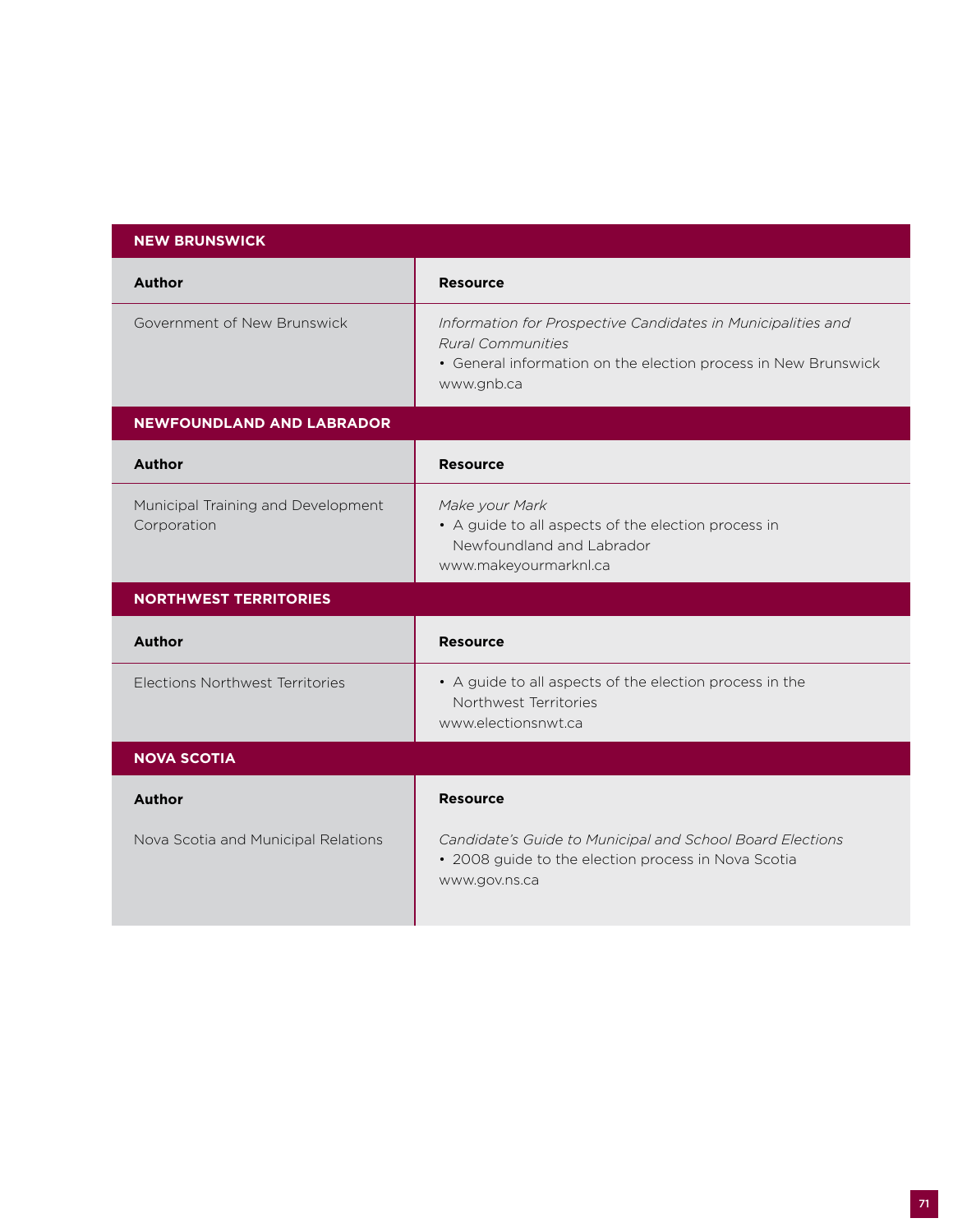| <b>NEW BRUNSWICK</b>                                 |                                                                                                                                                                          |
|------------------------------------------------------|--------------------------------------------------------------------------------------------------------------------------------------------------------------------------|
| <b>Author</b>                                        | <b>Resource</b>                                                                                                                                                          |
| Government of New Brunswick                          | Information for Prospective Candidates in Municipalities and<br><b>Rural Communities</b><br>• General information on the election process in New Brunswick<br>www.gnb.ca |
| <b>NEWFOUNDLAND AND LABRADOR</b>                     |                                                                                                                                                                          |
| <b>Author</b>                                        | <b>Resource</b>                                                                                                                                                          |
| Municipal Training and Development<br>Corporation    | Make your Mark<br>• A guide to all aspects of the election process in<br>Newfoundland and Labrador<br>www.makeyourmarknl.ca                                              |
| <b>NORTHWEST TERRITORIES</b>                         |                                                                                                                                                                          |
| <b>Author</b>                                        | <b>Resource</b>                                                                                                                                                          |
| Elections Northwest Territories                      | • A guide to all aspects of the election process in the<br>Northwest Territories<br>www.electionsnwt.ca                                                                  |
| <b>NOVA SCOTIA</b>                                   |                                                                                                                                                                          |
| <b>Author</b><br>Nova Scotia and Municipal Relations | <b>Resource</b><br>Candidate's Guide to Municipal and School Board Elections<br>• 2008 guide to the election process in Nova Scotia<br>www.gov.ns.ca                     |
|                                                      |                                                                                                                                                                          |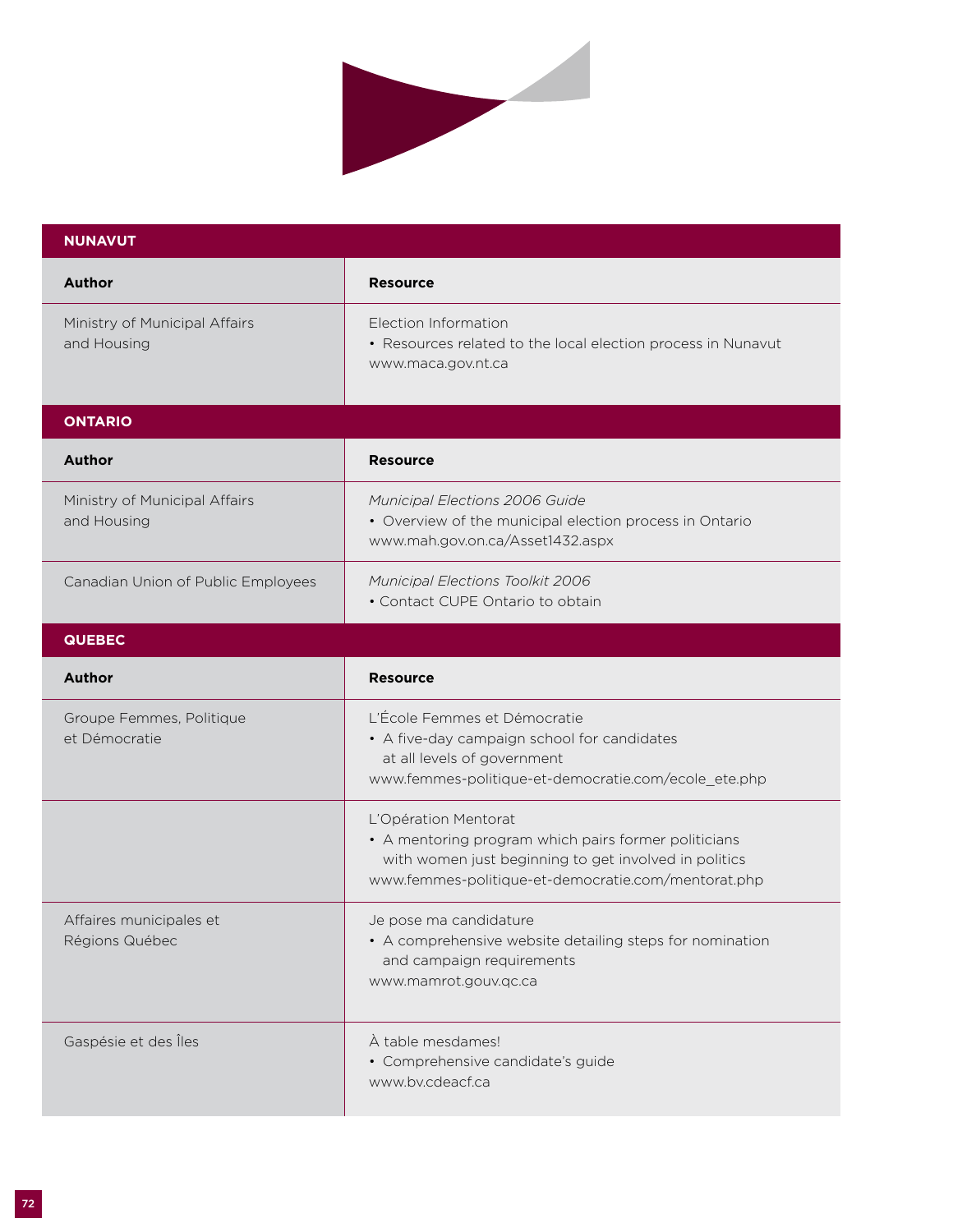

| <b>NUNAVUT</b>                               |                                                                                                                                                                                              |
|----------------------------------------------|----------------------------------------------------------------------------------------------------------------------------------------------------------------------------------------------|
| <b>Author</b>                                | <b>Resource</b>                                                                                                                                                                              |
| Ministry of Municipal Affairs<br>and Housing | Election Information<br>• Resources related to the local election process in Nunavut<br>www.maca.gov.nt.ca                                                                                   |
| <b>ONTARIO</b>                               |                                                                                                                                                                                              |
| <b>Author</b>                                | <b>Resource</b>                                                                                                                                                                              |
| Ministry of Municipal Affairs<br>and Housing | Municipal Elections 2006 Guide<br>• Overview of the municipal election process in Ontario<br>www.mah.gov.on.ca/Asset1432.aspx                                                                |
| Canadian Union of Public Employees           | Municipal Elections Toolkit 2006<br>• Contact CUPE Ontario to obtain                                                                                                                         |
| <b>QUEBEC</b>                                |                                                                                                                                                                                              |
| <b>Author</b>                                | <b>Resource</b>                                                                                                                                                                              |
| Groupe Femmes, Politique<br>et Démocratie    | L'École Femmes et Démocratie<br>• A five-day campaign school for candidates<br>at all levels of government<br>www.femmes-politique-et-democratie.com/ecole_ete.php                           |
|                                              | L'Opération Mentorat<br>• A mentoring program which pairs former politicians<br>with women just beginning to get involved in politics<br>www.femmes-politique-et-democratie.com/mentorat.php |
| Affaires municipales et<br>Régions Québec    | Je pose ma candidature<br>• A comprehensive website detailing steps for nomination<br>and campaign requirements<br>www.mamrot.gouv.qc.ca                                                     |
| Gaspésie et des Îles                         | À table mesdames!<br>· Comprehensive candidate's guide<br>www.bv.cdeacf.ca                                                                                                                   |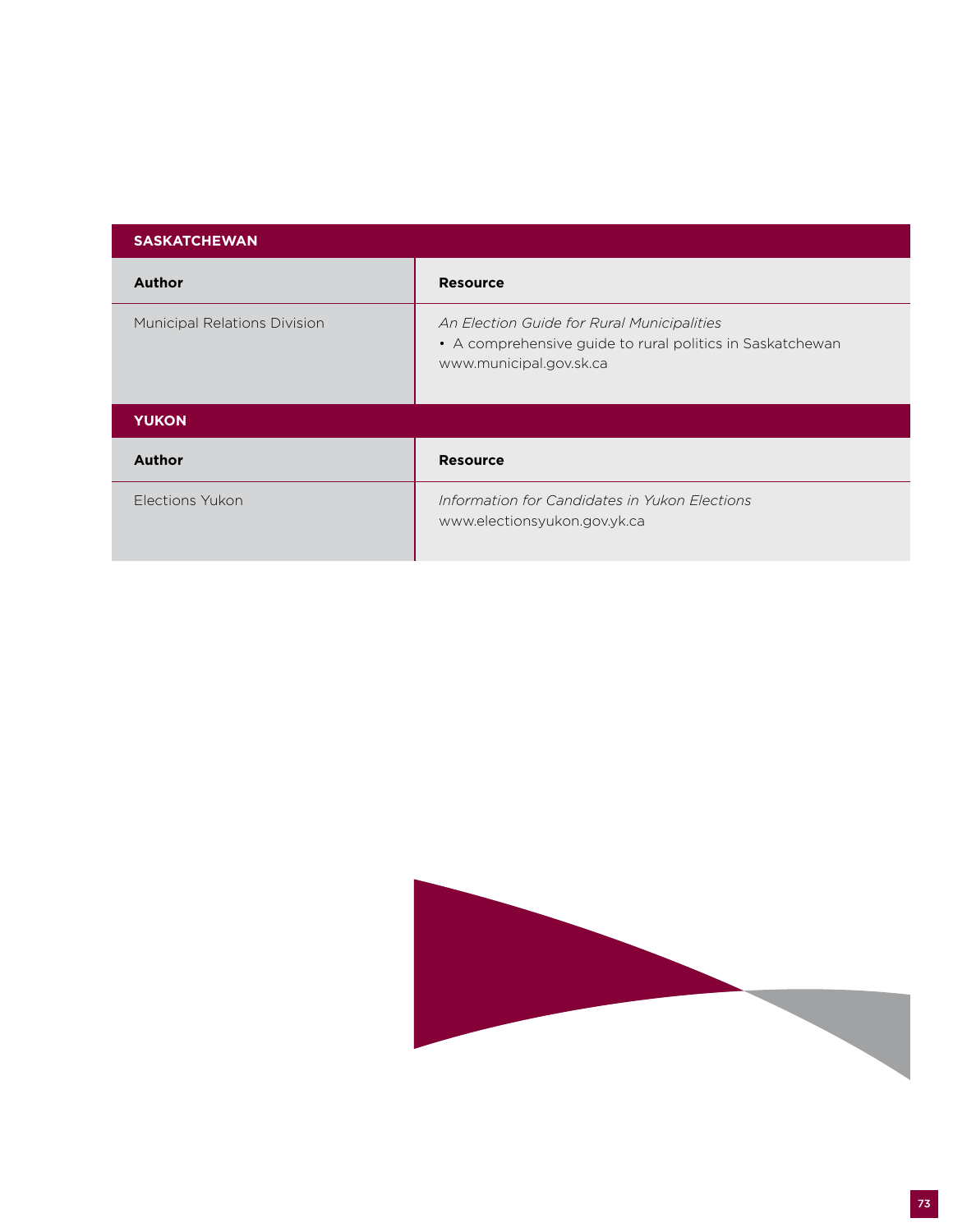| <b>SASKATCHEWAN</b>                 |                                                                                                                                    |
|-------------------------------------|------------------------------------------------------------------------------------------------------------------------------------|
| <b>Author</b>                       | <b>Resource</b>                                                                                                                    |
| <b>Municipal Relations Division</b> | An Election Guide for Rural Municipalities<br>• A comprehensive guide to rural politics in Saskatchewan<br>www.municipal.gov.sk.ca |
| <b>YUKON</b>                        |                                                                                                                                    |
| <b>Author</b>                       | <b>Resource</b>                                                                                                                    |
| Elections Yukon                     | Information for Candidates in Yukon Elections<br>www.electionsyukon.gov.yk.ca                                                      |

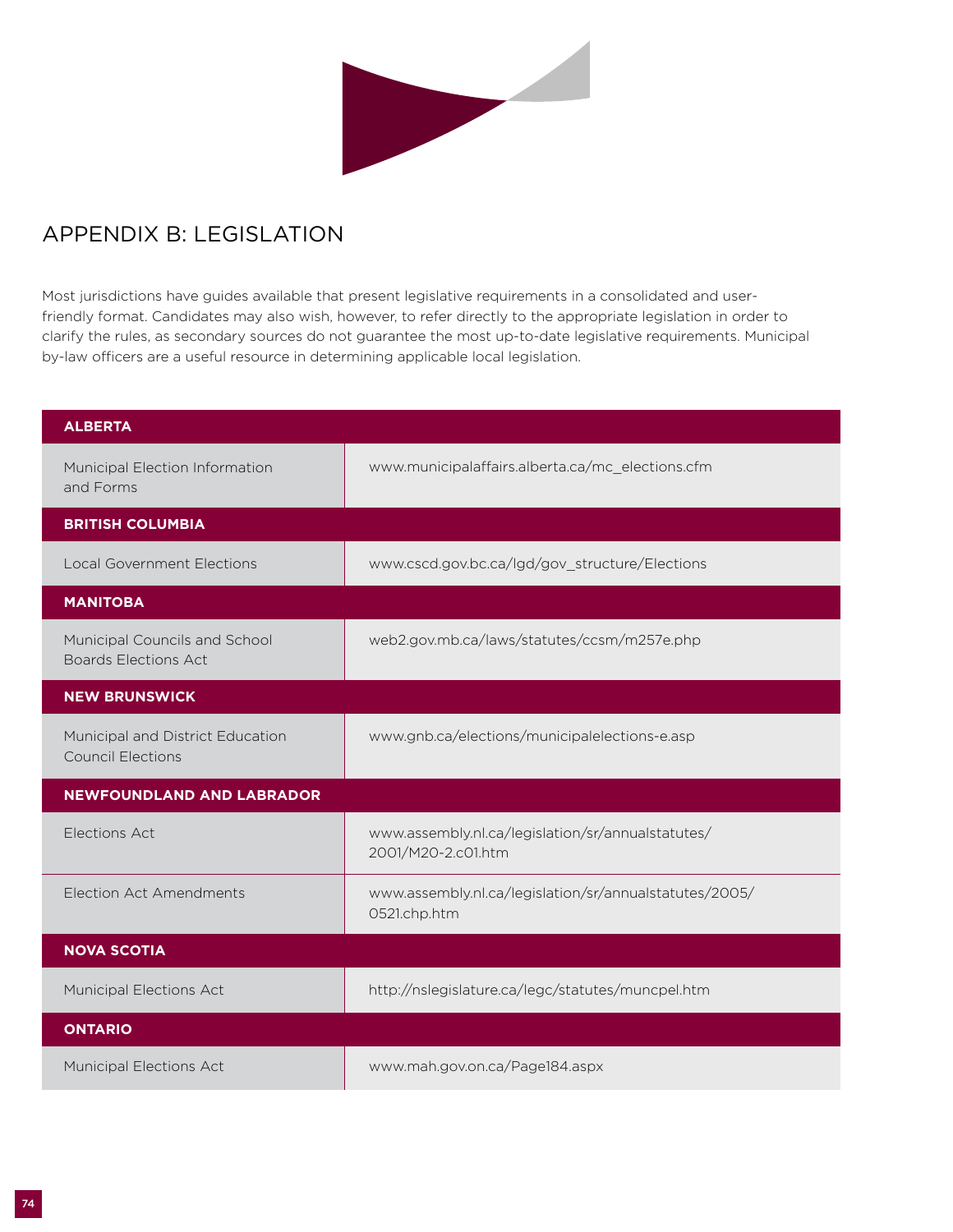

## Appendix B: Legislation

Most jurisdictions have guides available that present legislative requirements in a consolidated and userfriendly format. Candidates may also wish, however, to refer directly to the appropriate legislation in order to clarify the rules, as secondary sources do not guarantee the most up-to-date legislative requirements. Municipal by-law officers are a useful resource in determining applicable local legislation.

| <b>ALBERTA</b>                                               |                                                                         |
|--------------------------------------------------------------|-------------------------------------------------------------------------|
| Municipal Election Information<br>and Forms                  | www.municipalaffairs.alberta.ca/mc_elections.cfm                        |
| <b>BRITISH COLUMBIA</b>                                      |                                                                         |
| <b>Local Government Elections</b>                            | www.cscd.gov.bc.ca/lgd/gov_structure/Elections                          |
| <b>MANITOBA</b>                                              |                                                                         |
| Municipal Councils and School<br><b>Boards Elections Act</b> | web2.gov.mb.ca/laws/statutes/ccsm/m257e.php                             |
| <b>NEW BRUNSWICK</b>                                         |                                                                         |
| Municipal and District Education<br><b>Council Elections</b> | www.gnb.ca/elections/municipalelections-e.asp                           |
| <b>NEWFOUNDLAND AND LABRADOR</b>                             |                                                                         |
| Elections Act                                                | www.assembly.nl.ca/legislation/sr/annualstatutes/<br>2001/M20-2.c01.htm |
| <b>Election Act Amendments</b>                               | www.assembly.nl.ca/legislation/sr/annualstatutes/2005/<br>0521.chp.htm  |
| <b>NOVA SCOTIA</b>                                           |                                                                         |
| <b>Municipal Elections Act</b>                               | http://nslegislature.ca/legc/statutes/muncpel.htm                       |
| <b>ONTARIO</b>                                               |                                                                         |
| Municipal Elections Act                                      | www.mah.gov.on.ca/Page184.aspx                                          |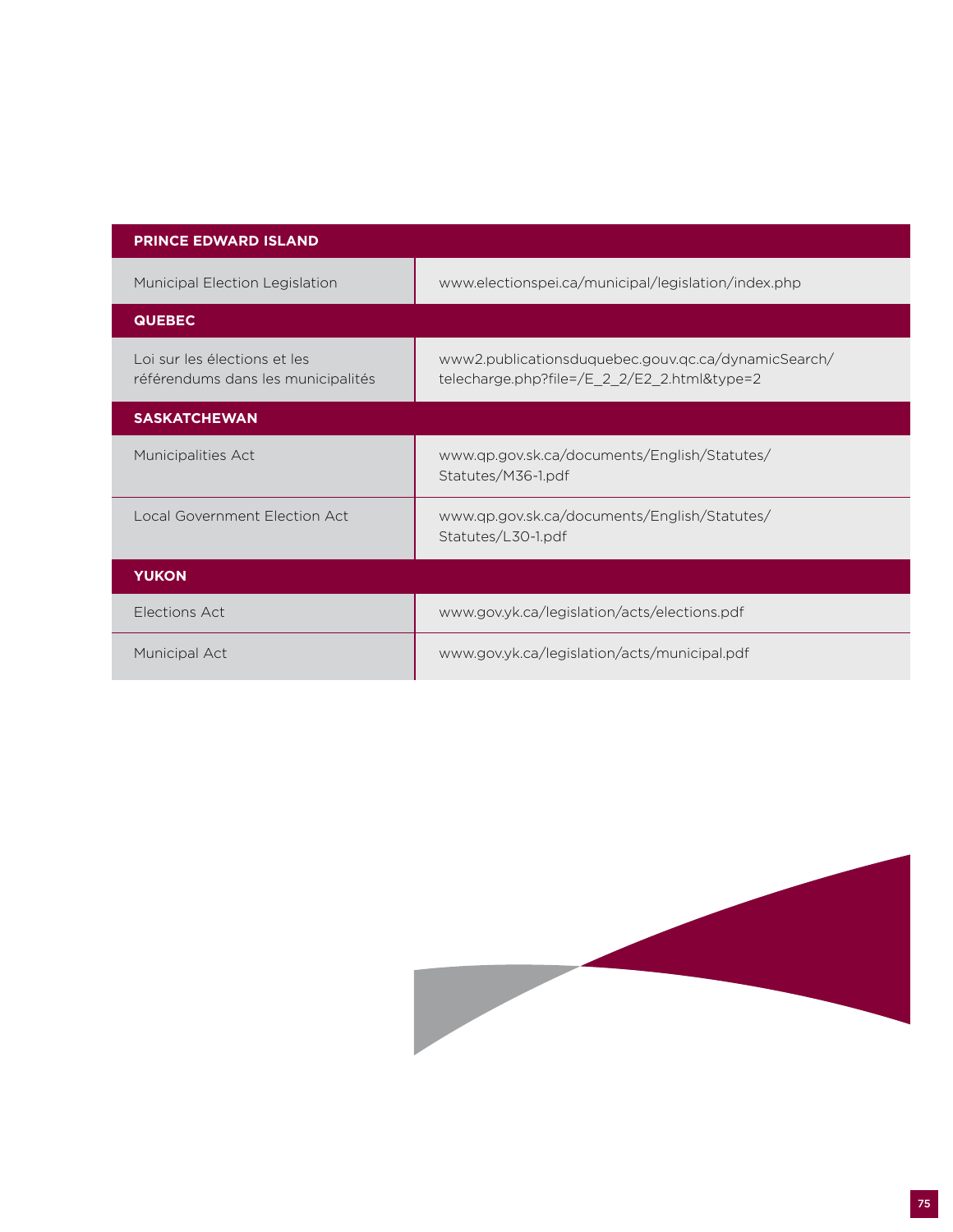| <b>PRINCE EDWARD ISLAND</b>                                        |                                                                                                    |
|--------------------------------------------------------------------|----------------------------------------------------------------------------------------------------|
| Municipal Election Legislation                                     | www.electionspei.ca/municipal/legislation/index.php                                                |
| <b>QUEBEC</b>                                                      |                                                                                                    |
| Loi sur les élections et les<br>référendums dans les municipalités | www2.publicationsduquebec.gouv.qc.ca/dynamicSearch/<br>telecharge.php?file=/E_2_2/E2_2.html&type=2 |
| <b>SASKATCHEWAN</b>                                                |                                                                                                    |
| <b>Municipalities Act</b>                                          | www.qp.gov.sk.ca/documents/English/Statutes/<br>Statutes/M36-1.pdf                                 |
| Local Government Election Act                                      | www.qp.gov.sk.ca/documents/English/Statutes/<br>Statutes/L30-1.pdf                                 |
| <b>YUKON</b>                                                       |                                                                                                    |
| Elections Act                                                      | www.gov.yk.ca/legislation/acts/elections.pdf                                                       |
| Municipal Act                                                      | www.gov.yk.ca/legislation/acts/municipal.pdf                                                       |

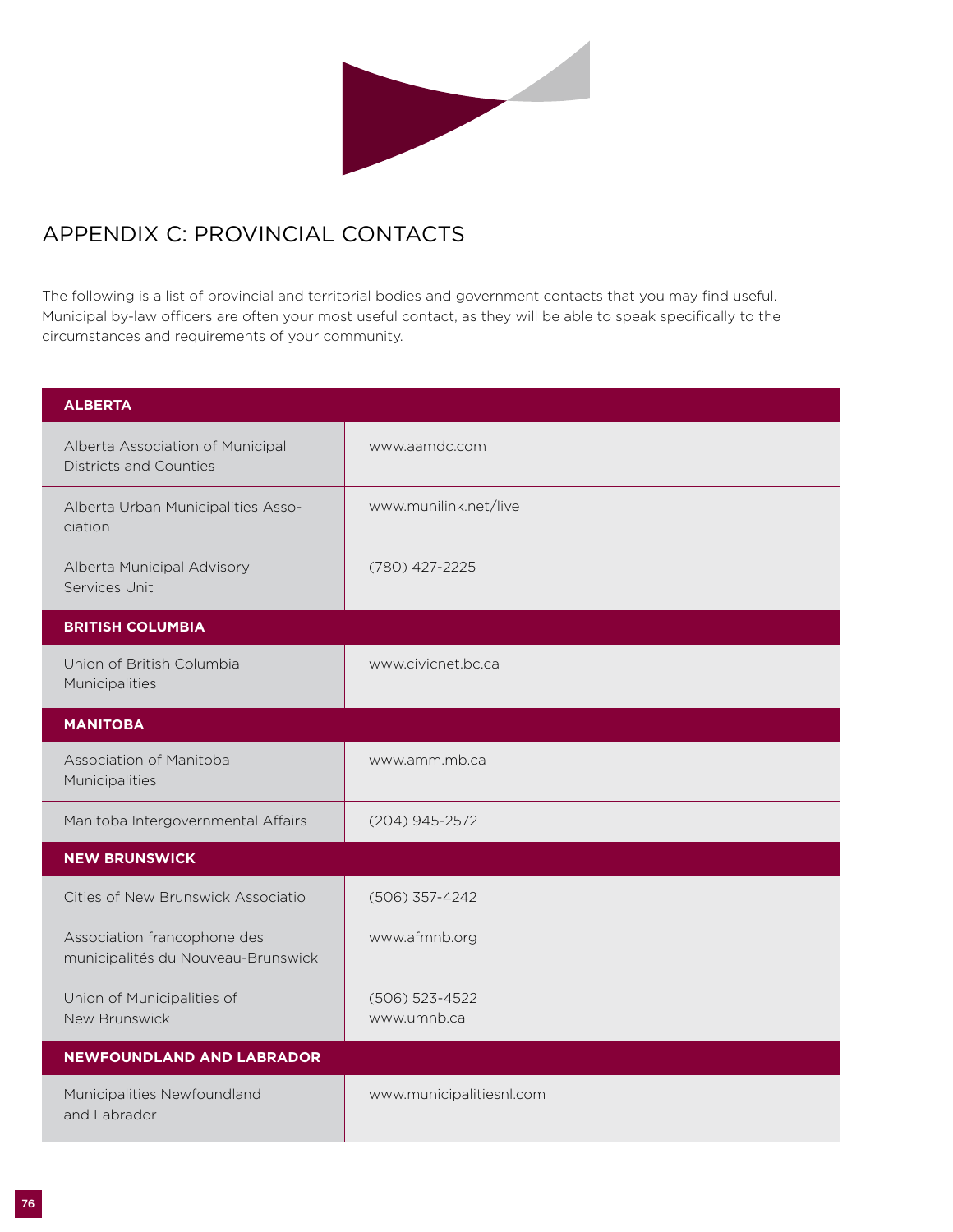

## Appendix C: Provincial Contacts

The following is a list of provincial and territorial bodies and government contacts that you may find useful. Municipal by-law officers are often your most useful contact, as they will be able to speak specifically to the circumstances and requirements of your community.

| <b>ALBERTA</b>                                                    |                               |
|-------------------------------------------------------------------|-------------------------------|
| Alberta Association of Municipal<br><b>Districts and Counties</b> | www.aamdc.com                 |
| Alberta Urban Municipalities Asso-<br>ciation                     | www.munilink.net/live         |
| Alberta Municipal Advisory<br>Services Unit                       | (780) 427-2225                |
| <b>BRITISH COLUMBIA</b>                                           |                               |
| Union of British Columbia<br>Municipalities                       | www.civicnet.bc.ca            |
| <b>MANITOBA</b>                                                   |                               |
| Association of Manitoba<br>Municipalities                         | www.amm.mb.ca                 |
| Manitoba Intergovernmental Affairs                                | (204) 945-2572                |
| <b>NEW BRUNSWICK</b>                                              |                               |
| Cities of New Brunswick Associatio                                | (506) 357-4242                |
| Association francophone des<br>municipalités du Nouveau-Brunswick | www.afmnb.org                 |
| Union of Municipalities of<br>New Brunswick                       | (506) 523-4522<br>www.umnb.ca |
| <b>NEWFOUNDLAND AND LABRADOR</b>                                  |                               |
| Municipalities Newfoundland<br>and Labrador                       | www.municipalitiesnl.com      |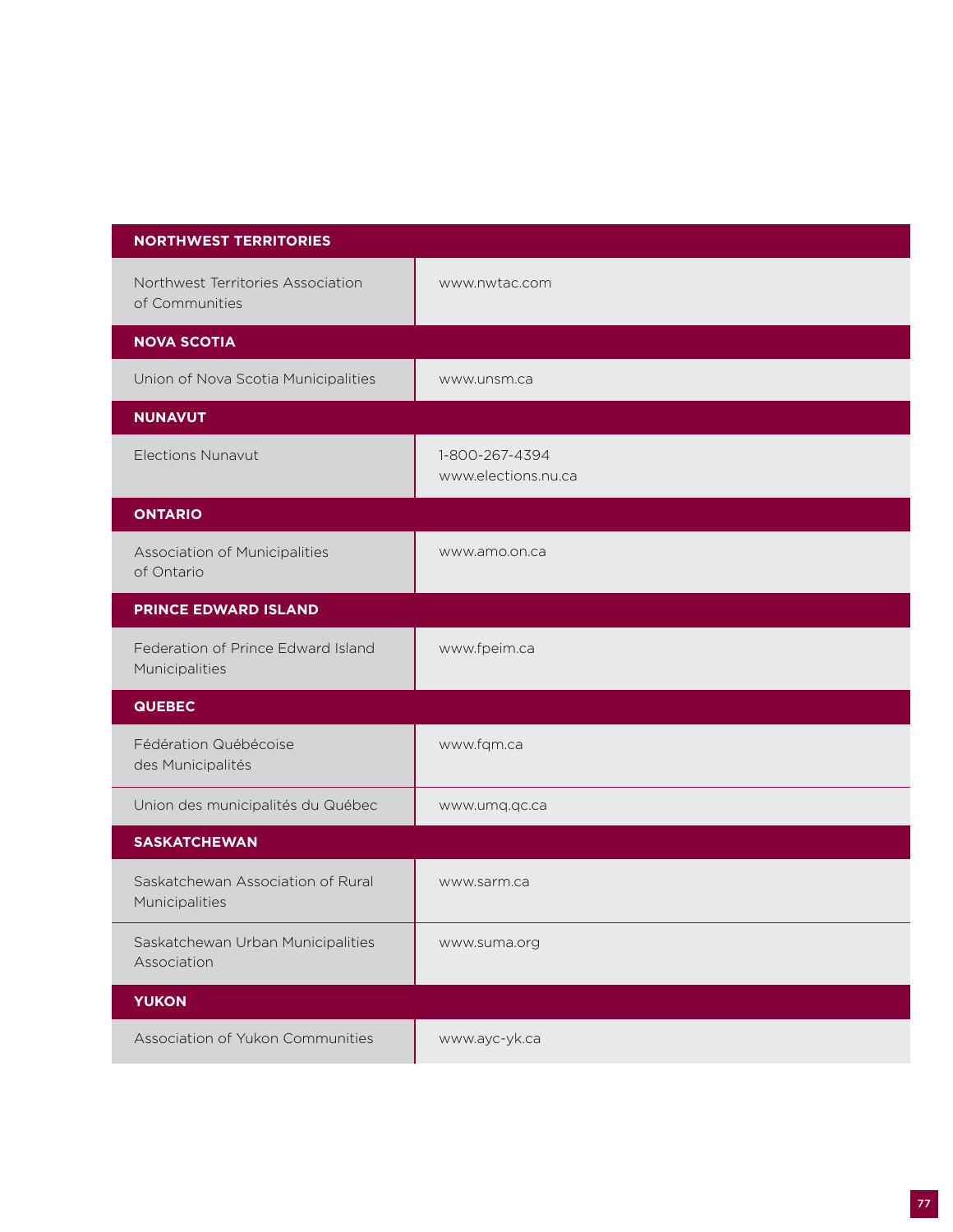| <b>NORTHWEST TERRITORIES</b>                         |                                       |
|------------------------------------------------------|---------------------------------------|
| Northwest Territories Association<br>of Communities  | www.nwtac.com                         |
| <b>NOVA SCOTIA</b>                                   |                                       |
| Union of Nova Scotia Municipalities                  | www.unsm.ca                           |
| <b>NUNAVUT</b>                                       |                                       |
| <b>Elections Nunavut</b>                             | 1-800-267-4394<br>www.elections.nu.ca |
| <b>ONTARIO</b>                                       |                                       |
| Association of Municipalities<br>of Ontario          | www.amo.on.ca                         |
| <b>PRINCE EDWARD ISLAND</b>                          |                                       |
| Federation of Prince Edward Island<br>Municipalities | www.fpeim.ca                          |
| <b>QUEBEC</b>                                        |                                       |
| Fédération Québécoise<br>des Municipalités           | www.fqm.ca                            |
| Union des municipalités du Québec                    | www.umq.qc.ca                         |
| <b>SASKATCHEWAN</b>                                  |                                       |
| Saskatchewan Association of Rural<br>Municipalities  | www.sarm.ca                           |
| Saskatchewan Urban Municipalities<br>Association     | www.suma.org                          |
| <b>YUKON</b>                                         |                                       |
| Association of Yukon Communities                     | www.ayc-yk.ca                         |